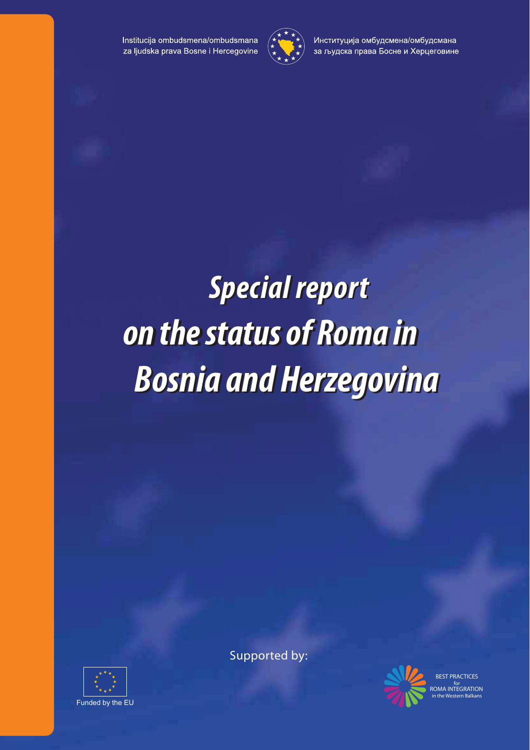Institucija ombudsmena/ombudsmana za ljudska prava Bosne i Hercegovine



Институција омбудсмена/омбудсмана за људска права Босне и Херцеговине

# *Special report Special report on the status of Roma in on the status of Roma in Bosnia and Herzegovina Bosnia and Herzegovina*



Supported by:



BEST PRACTICES for ROMA INTEGRATION in the Western Balkans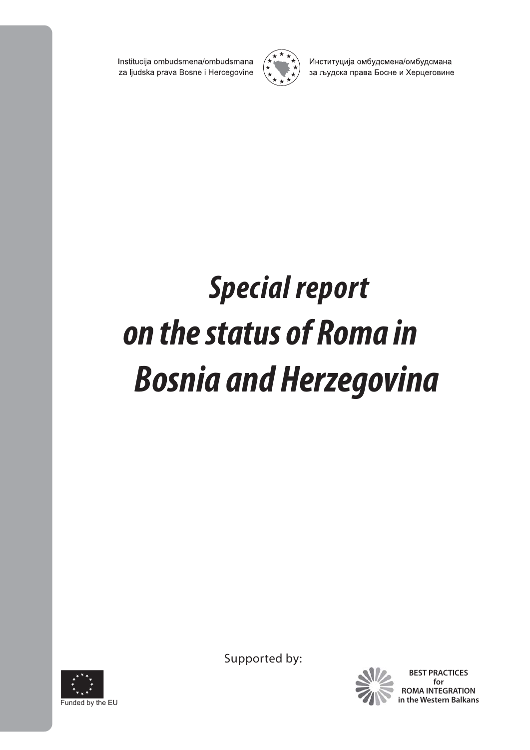Institucija ombudsmena/ombudsmana za ljudska prava Bosne i Hercegovine



Институција омбудсмена/омбудсмана за људска права Босне и Херцеговине

# *Special report* **on the status of Roma in** *Bosnia and Herzegovina*



Supported by:



**BEST PRACTICES for ROMA INTEGRATION in the Western Balkans**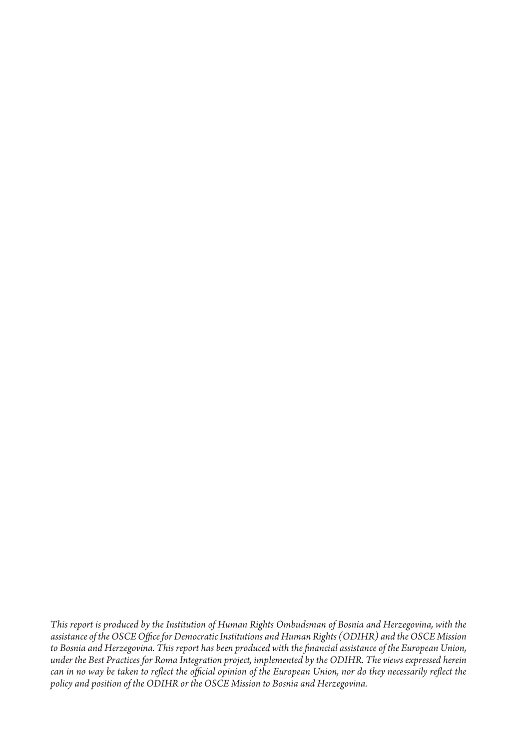*This report is produced by the Institution of Human Rights Ombudsman of Bosnia and Herzegovina, with the*  assistance of the OSCE Office for Democratic Institutions and Human Rights (ODIHR) and the OSCE Mission to Bosnia and Herzegovina. This report has been produced with the financial assistance of the European Union, under the Best Practices for Roma Integration project, implemented by the ODIHR. The views expressed herein can in no way be taken to reflect the official opinion of the European Union, nor do they necessarily reflect the policy and position of the ODIHR or the OSCE Mission to Bosnia and Herzegovina.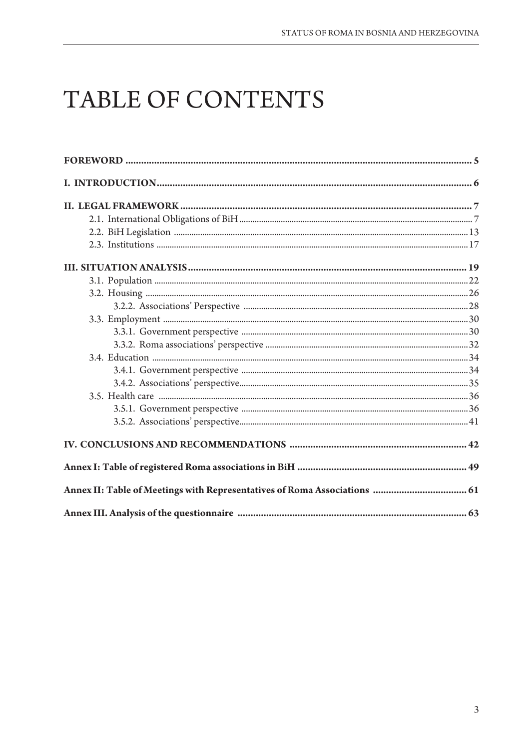# TABLE OF CONTENTS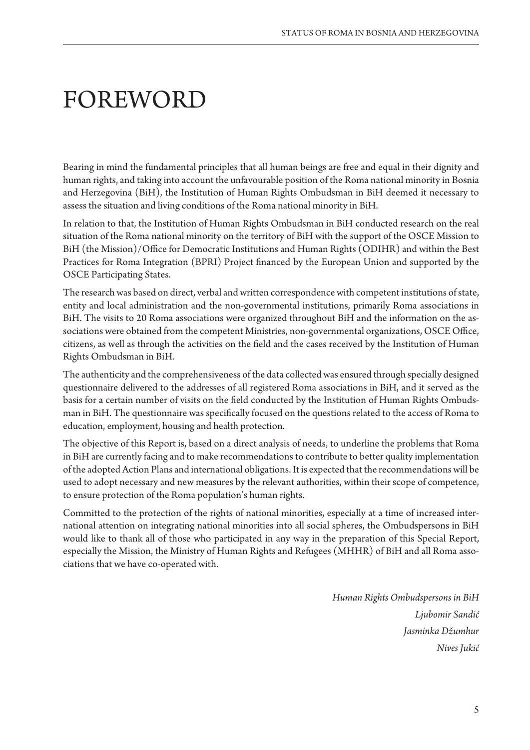## FOREWORD

Bearing in mind the fundamental principles that all human beings are free and equal in their dignity and human rights, and taking into account the unfavourable position of the Roma national minority in Bosnia and Herzegovina (BiH), the Institution of Human Rights Ombudsman in BiH deemed it necessary to assess the situation and living conditions of the Roma national minority in BiH.

In relation to that, the Institution of Human Rights Ombudsman in BiH conducted research on the real situation of the Roma national minority on the territory of BiH with the support of the OSCE Mission to BiH (the Mission)/Office for Democratic Institutions and Human Rights (ODIHR) and within the Best Practices for Roma Integration (BPRI) Project financed by the European Union and supported by the OSCE Participating States.

The research was based on direct, verbal and written correspondence with competent institutions of state, entity and local administration and the non-governmental institutions, primarily Roma associations in BiH. The visits to 20 Roma associations were organized throughout BiH and the information on the associations were obtained from the competent Ministries, non-governmental organizations, OSCE Office, citizens, as well as through the activities on the field and the cases received by the Institution of Human Rights Ombudsman in BiH.

The authenticity and the comprehensiveness of the data collected was ensured through specially designed questionnaire delivered to the addresses of all registered Roma associations in BiH, and it served as the basis for a certain number of visits on the field conducted by the Institution of Human Rights Ombudsman in BiH. The questionnaire was specifically focused on the questions related to the access of Roma to education, employment, housing and health protection.

The objective of this Report is, based on a direct analysis of needs, to underline the problems that Roma in BiH are currently facing and to make recommendations to contribute to better quality implementation of the adopted Action Plans and international obligations. It is expected that the recommendations will be used to adopt necessary and new measures by the relevant authorities, within their scope of competence, to ensure protection of the Roma population's human rights.

Committed to the protection of the rights of national minorities, especially at a time of increased international attention on integrating national minorities into all social spheres, the Ombudspersons in BiH would like to thank all of those who participated in any way in the preparation of this Special Report, especially the Mission, the Ministry of Human Rights and Refugees (MHHR) of BiH and all Roma associations that we have co-operated with.

> *Human Rights Ombudspersons in BiH*  Ljubomir Sandić Jasminka Džumhur *Nives* Jukić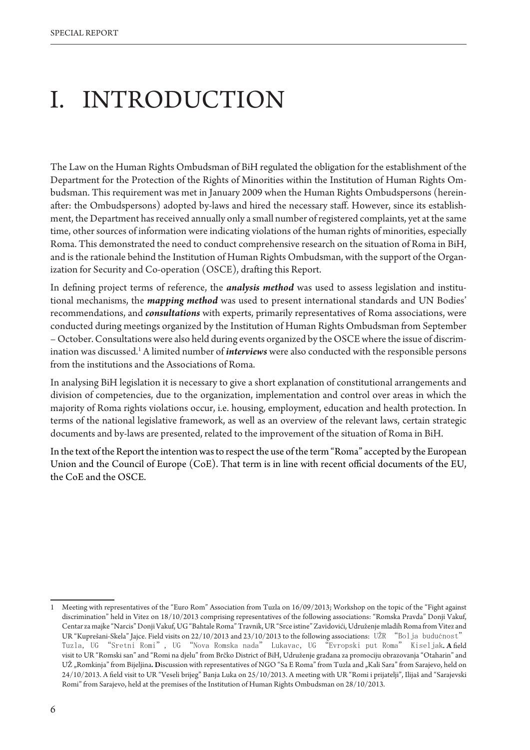# I. INTRODUCTION

The Law on the Human Rights Ombudsman of BiH regulated the obligation for the establishment of the Department for the Protection of the Rights of Minorities within the Institution of Human Rights Ombudsman. This requirement was met in January 2009 when the Human Rights Ombudspersons (hereinafter: the Ombudspersons) adopted by-laws and hired the necessary staff. However, since its establishment, the Department has received annually only a small number of registered complaints, yet at the same time, other sources of information were indicating violations of the human rights of minorities, especially Roma. This demonstrated the need to conduct comprehensive research on the situation of Roma in BiH, and is the rationale behind the Institution of Human Rights Ombudsman, with the support of the Organization for Security and Co-operation (OSCE), drafting this Report.

In defining project terms of reference, the *analysis method* was used to assess legislation and institutional mechanisms, the *mapping method* was used to present international standards and UN Bodies' recommendations, and *consultations* with experts, primarily representatives of Roma associations, were conducted during meetings organized by the Institution of Human Rights Ombudsman from September – October. Consultations were also held during events organized by the OSCE where the issue of discrimination was discussed.<sup>1</sup> A limited number of *interviews* were also conducted with the responsible persons from the institutions and the Associations of Roma.

In analysing BiH legislation it is necessary to give a short explanation of constitutional arrangements and division of competencies, due to the organization, implementation and control over areas in which the majority of Roma rights violations occur, i.e. housing, employment, education and health protection. In terms of the national legislative framework, as well as an overview of the relevant laws, certain strategic documents and by-laws are presented, related to the improvement of the situation of Roma in BiH.

In the text of the Report the intention was to respect the use of the term "Roma" accepted by the European Union and the Council of Europe (CoE). That term is in line with recent official documents of the EU, the CoE and the OSCE.

<sup>1</sup> Meeting with representatives of the "Euro Rom" Association from Tuzla on 16/09/2013; Workshop on the topic of the "Fight against discrimination" held in Vitez on 18/10/2013 comprising representatives of the following associations: "Romska Pravda" Donji Vakuf, Centar za majke "Narcis" Donji Vakuf, UG "Bahtale Roma" Travnik, UR "Srce istine" Zavidovići, Udruženje mladih Roma from Vitez and UR "Kuprešani-Skela" Jajce. Field visits on 22/10/2013 and 23/10/2013 to the following associations: UŽR "Bol ja budućnost" Tuzla, UG "Sretni Romi", UG "Nova Romska nada" Lukavac, UG "Evropski put Roma" Kiseljak.A field visit to UR "Romski san" and "Romi na djelu" from Brčko District of BiH, Udruženje građana za promociju obrazovanja "Otaharin" and UŽ "Romkinja" from Bijeljina. Discussion with representatives of NGO "Sa E Roma" from Tuzla and "Kali Sara" from Sarajevo, held on 24/10/2013. A field visit to UR "Veseli brijeg" Banja Luka on 25/10/2013. A meeting with UR "Romi i prijatelji", Ilijaš and "Sarajevski Romi" from Sarajevo, held at the premises of the Institution of Human Rights Ombudsman on 28/10/2013.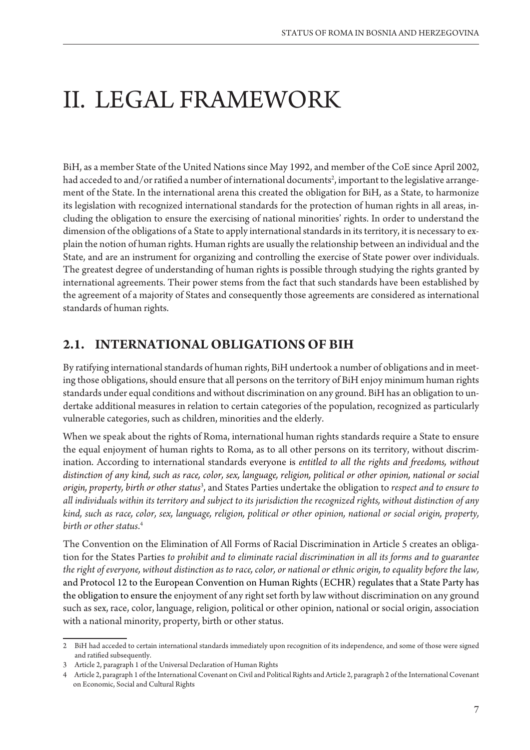# II. LEGAL FRAMEWORK

BiH, as a member State of the United Nations since May 1992, and member of the CoE since April 2002, had acceded to and/or ratified a number of international documents<sup>2</sup>, important to the legislative arrangement of the State. In the international arena this created the obligation for BiH, as a State, to harmonize its legislation with recognized international standards for the protection of human rights in all areas, including the obligation to ensure the exercising of national minorities' rights. In order to understand the dimension of the obligations of a State to apply international standards in its territory, it is necessary to explain the notion of human rights. Human rights are usually the relationship between an individual and the State, and are an instrument for organizing and controlling the exercise of State power over individuals. The greatest degree of understanding of human rights is possible through studying the rights granted by international agreements. Their power stems from the fact that such standards have been established by the agreement of a majority of States and consequently those agreements are considered as international standards of human rights.

### **2.1. INTERNATIONAL OBLIGATIONS OF BIH**

By ratifying international standards of human rights, BiH undertook a number of obligations and in meeting those obligations, should ensure that all persons on the territory of BiH enjoy minimum human rights standards under equal conditions and without discrimination on any ground. BiH has an obligation to undertake additional measures in relation to certain categories of the population, recognized as particularly vulnerable categories, such as children, minorities and the elderly.

When we speak about the rights of Roma, international human rights standards require a State to ensure the equal enjoyment of human rights to Roma, as to all other persons on its territory, without discrimination. According to international standards everyone is entitled to all the rights and freedoms, without distinction of any kind, such as race, color, sex, language, religion, political or other opinion, national or social *origin, property, birth or other status*<sup>3</sup> , and States Parties undertake the obligation to *respect and to ensure to*  all individuals within its territory and subject to its jurisdiction the recognized rights, without distinction of any kind, such as race, color, sex, language, religion, political or other opinion, national or social origin, property, *birth or other status*. 4

The Convention on the Elimination of All Forms of Racial Discrimination in Article 5 creates an obligation for the States Parties *to prohibit and to eliminate racial discrimination in all its forms and to guarantee* the right of everyone, without distinction as to race, color, or national or ethnic origin, to equality before the law, and Protocol 12 to the European Convention on Human Rights (ECHR) regulates that a State Party has the obligation to ensure the enjoyment of any right set forth by law without discrimination on any ground such as sex, race, color, language, religion, political or other opinion, national or social origin, association with a national minority, property, birth or other status.

<sup>2</sup> BiH had acceded to certain international standards immediately upon recognition of its independence, and some of those were signed and ratified subsequently.

<sup>3</sup> Article 2, paragraph 1 of the Universal Declaration of Human Rights

<sup>4</sup> Article 2, paragraph 1 of the International Covenant on Civil and Political Rights and Article 2, paragraph 2 of the International Covenant on Economic, Social and Cultural Rights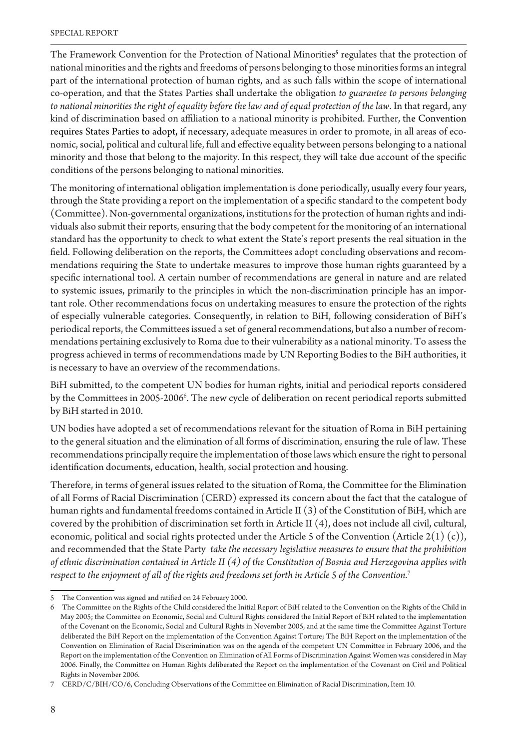The Framework Convention for the Protection of National Minorities<sup>5</sup> regulates that the protection of national minorities and the rights and freedoms of persons belonging to those minorities forms an integral part of the international protection of human rights, and as such falls within the scope of international co-operation, and that the States Parties shall undertake the obligation *to guarantee to persons belonging* to national minorities the right of equality before the law and of equal protection of the law. In that regard, any kind of discrimination based on affiliation to a national minority is prohibited. Further, the Convention requires States Parties to adopt, if necessary, adequate measures in order to promote, in all areas of economic, social, political and cultural life, full and effective equality between persons belonging to a national minority and those that belong to the majority. In this respect, they will take due account of the specific conditions of the persons belonging to national minorities.

The monitoring of international obligation implementation is done periodically, usually every four years, through the State providing a report on the implementation of a specific standard to the competent body (Committee). Non-governmental organizations, institutions for the protection of human rights and individuals also submit their reports, ensuring that the body competent for the monitoring of an international standard has the opportunity to check to what extent the State's report presents the real situation in the field. Following deliberation on the reports, the Committees adopt concluding observations and recommendations requiring the State to undertake measures to improve those human rights guaranteed by a specific international tool. A certain number of recommendations are general in nature and are related to systemic issues, primarily to the principles in which the non-discrimination principle has an important role. Other recommendations focus on undertaking measures to ensure the protection of the rights of especially vulnerable categories. Consequently, in relation to BiH, following consideration of BiH's periodical reports, the Committees issued a set of general recommendations, but also a number of recommendations pertaining exclusively to Roma due to their vulnerability as a national minority. To assess the progress achieved in terms of recommendations made by UN Reporting Bodies to the BiH authorities, it is necessary to have an overview of the recommendations.

BiH submitted, to the competent UN bodies for human rights, initial and periodical reports considered by the Committees in 2005-2006<sup>6</sup>. The new cycle of deliberation on recent periodical reports submitted by BiH started in 2010.

UN bodies have adopted a set of recommendations relevant for the situation of Roma in BiH pertaining to the general situation and the elimination of all forms of discrimination, ensuring the rule of law. These recommendations principally require the implementation of those laws which ensure the right to personal identification documents, education, health, social protection and housing.

Therefore, in terms of general issues related to the situation of Roma, the Committee for the Elimination of all Forms of Racial Discrimination (CERD) expressed its concern about the fact that the catalogue of human rights and fundamental freedoms contained in Article II (3) of the Constitution of BiH, which are covered by the prohibition of discrimination set forth in Article II (4), does not include all civil, cultural, economic, political and social rights protected under the Article 5 of the Convention (Article 2(1) (c)), and recommended that the State Party take the necessary legislative measures to ensure that the prohibition of ethnic discrimination contained in Article II (4) of the Constitution of Bosnia and Herzegovina applies with respect to the enjoyment of all of the rights and freedoms set forth in Article 5 of the Convention.<sup>7</sup>

<sup>5</sup> The Convention was signed and ratified on 24 February 2000.

<sup>6</sup> The Committee on the Rights of the Child considered the Initial Report of BiH related to the Convention on the Rights of the Child in May 2005; the Committee on Economic, Social and Cultural Rights considered the Initial Report of BiH related to the implementation of the Covenant on the Economic, Social and Cultural Rights in November 2005, and at the same time the Committee Against Torture deliberated the BiH Report on the implementation of the Convention Against Torture; The BiH Report on the implementation of the Convention on Elimination of Racial Discrimination was on the agenda of the competent UN Committee in February 2006, and the Report on the implementation of the Convention on Elimination of All Forms of Discrimination Against Women was considered in May 2006. Finally, the Committee on Human Rights deliberated the Report on the implementation of the Covenant on Civil and Political Rights in November 2006.

<sup>7</sup> CERD/C/BIH/CO/6, Concluding Observations of the Committee on Elimination of Racial Discrimination, Item 10.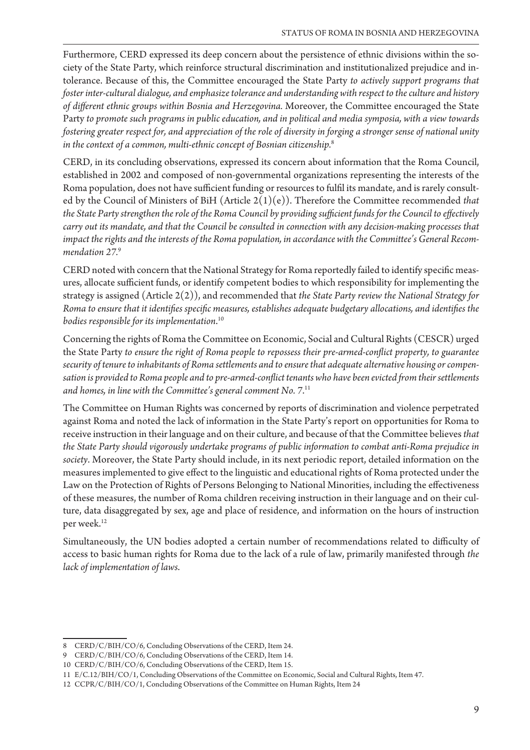Furthermore, CERD expressed its deep concern about the persistence of ethnic divisions within the society of the State Party, which reinforce structural discrimination and institutionalized prejudice and intolerance. Because of this, the Committee encouraged the State Party *to actively support programs that* foster inter-cultural dialogue, and emphasize tolerance and understanding with respect to the culture and history of different ethnic groups within Bosnia and Herzegovina. Moreover, the Committee encouraged the State Party to promote such programs in public education, and in political and media symposia, with a view towards fostering greater respect for, and appreciation of the role of diversity in forging a stronger sense of national unity in the context of a common, multi-ethnic concept of Bosnian citizenship.<sup>8</sup>

CERD, in its concluding observations, expressed its concern about information that the Roma Council, established in 2002 and composed of non-governmental organizations representing the interests of the Roma population, does not have sufficient funding or resources to fulfil its mandate, and is rarely consulted by the Council of Ministers of BiH (Article 2(1)(e)). Therefore the Committee recommended *that*  the State Party strengthen the role of the Roma Council by providing sufficient funds for the Council to effectively carry out its mandate, and that the Council be consulted in connection with any decision-making processes that impact the rights and the interests of the Roma population, in accordance with the Committee's General Recom*mendation 27.*<sup>9</sup>

CERD noted with concern that the National Strategy for Roma reportedly failed to identify specific measures, allocate sufficient funds, or identify competent bodies to which responsibility for implementing the strategy is assigned (Article 2(2)), and recommended that the State Party review the National Strategy for Roma to ensure that it identifies specific measures, establishes adequate budgetary allocations, and identifies the bodies responsible for its implementation.<sup>10</sup>

Concerning the rights of Roma the Committee on Economic, Social and Cultural Rights (CESCR) urged the State Party to ensure the right of Roma people to repossess their pre-armed-conflict property, to guarantee security of tenure to inhabitants of Roma settlements and to ensure that adequate alternative housing or compensation is provided to Roma people and to pre-armed-conflict tenants who have been evicted from their settlements and homes, in line with the Committee's general comment No. 7.<sup>11</sup>

The Committee on Human Rights was concerned by reports of discrimination and violence perpetrated against Roma and noted the lack of information in the State Party's report on opportunities for Roma to receive instruction in their language and on their culture, and because of that the Committee believes *that*  the State Party should vigorously undertake programs of public information to combat anti-Roma prejudice in *society*. Moreover, the State Party should include, in its next periodic report, detailed information on the measures implemented to give effect to the linguistic and educational rights of Roma protected under the Law on the Protection of Rights of Persons Belonging to National Minorities, including the effectiveness of these measures, the number of Roma children receiving instruction in their language and on their culture, data disaggregated by sex, age and place of residence, and information on the hours of instruction per week.<sup>12</sup>

Simultaneously, the UN bodies adopted a certain number of recommendations related to difficulty of access to basic human rights for Roma due to the lack of a rule of law, primarily manifested through *the lack of implementation of laws.* 

<sup>8</sup> CERD/C/BIH/CO/6, Concluding Observations of the CERD, Item 24.

<sup>9</sup> CERD/C/BIH/CO/6, Concluding Observations of the CERD, Item 14.

<sup>10</sup> CERD/C/BIH/CO/6, Concluding Observations of the CERD, Item 15.

<sup>11</sup> E/C.12/BIH/CO/1, Concluding Observations of the Committee on Economic, Social and Cultural Rights, Item 47.

<sup>12</sup> CCPR/C/BIH/CO/1, Concluding Observations of the Committee on Human Rights, Item 24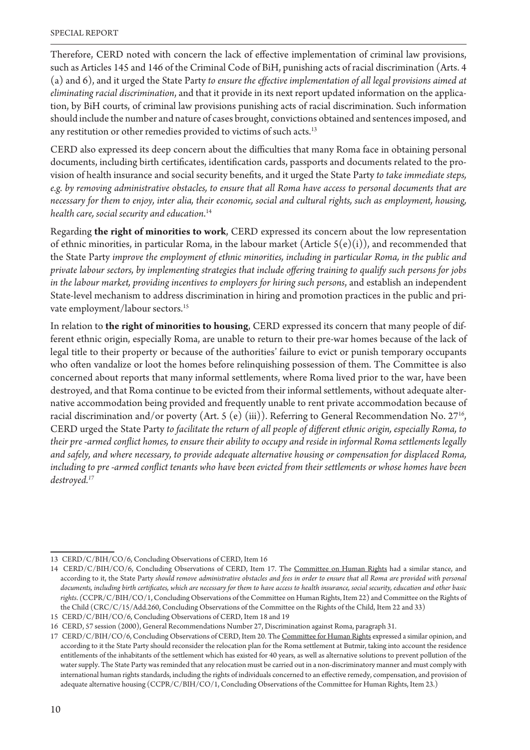Therefore, CERD noted with concern the lack of effective implementation of criminal law provisions, such as Articles 145 and 146 of the Criminal Code of BiH, punishing acts of racial discrimination (Arts. 4 (a) and 6), and it urged the State Party to ensure the effective implementation of all legal provisions aimed at *eliminating racial discrimination*, and that it provide in its next report updated information on the application, by BiH courts, of criminal law provisions punishing acts of racial discrimination. Such information should include the number and nature of cases brought, convictions obtained and sentences imposed, and any restitution or other remedies provided to victims of such acts.<sup>13</sup>

CERD also expressed its deep concern about the difficulties that many Roma face in obtaining personal documents, including birth certificates, identification cards, passports and documents related to the provision of health insurance and social security benefits, and it urged the State Party to take immediate steps, e.g. by removing administrative obstacles, to ensure that all Roma have access to personal documents that are necessary for them to enjoy, inter alia, their economic, social and cultural rights, such as employment, housing, health care, social security and education.<sup>14</sup>

Regarding **the right of minorities to work**, CERD expressed its concern about the low representation of ethnic minorities, in particular Roma, in the labour market (Article  $5(e)(i)$ ), and recommended that the State Party *improve the employment of ethnic minorities, including in particular Roma, in the public and* private labour sectors, by implementing strategies that include offering training to qualify such persons for jobs in the labour market, providing incentives to employers for hiring such persons, and establish an independent State-level mechanism to address discrimination in hiring and promotion practices in the public and private employment/labour sectors.<sup>15</sup>

In relation to **the right of minorities to housing**, CERD expressed its concern that many people of different ethnic origin, especially Roma, are unable to return to their pre-war homes because of the lack of legal title to their property or because of the authorities' failure to evict or punish temporary occupants who often vandalize or loot the homes before relinquishing possession of them. The Committee is also concerned about reports that many informal settlements, where Roma lived prior to the war, have been destroyed, and that Roma continue to be evicted from their informal settlements, without adequate alternative accommodation being provided and frequently unable to rent private accommodation because of racial discrimination and/or poverty (Art. 5 (e) (iii)). Referring to General Recommendation No. 27<sup>16</sup>, CERD urged the State Party to facilitate the return of all people of different ethnic origin, especially Roma, to their pre-armed conflict homes, to ensure their ability to occupy and reside in informal Roma settlements legally and safely, and where necessary, to provide adequate alternative housing or compensation for displaced Roma, including to pre-armed conflict tenants who have been evicted from their settlements or whose homes have been *destroyed.17*

<sup>13</sup> CERD/C/BIH/CO/6, Concluding Observations of CERD, Item 16

<sup>14</sup> CERD/C/BIH/CO/6, Concluding Observations of CERD, Item 17. The Committee on Human Rights had a similar stance, and according to it, the State Party should remove administrative obstacles and fees in order to ensure that all Roma are provided with personal documents, including birth certificates, which are necessary for them to have access to health insurance, social security, education and other basic *rights*. CCPR/C/BIH/CO/1, Concluding Observations of the Committee on Human Rights, Item 22) and Committee on the Rights of the Child (CRC/C/15/Add.260, Concluding Observations of the Committee on the Rights of the Child, Item 22 and 33)

<sup>15</sup> CERD/C/BIH/CO/6, Concluding Observations of CERD, Item 18 and 19

<sup>16</sup> CERD, 57 session (2000), General Recommendations Number 27, Discrimination against Roma, paragraph 31.

<sup>17</sup> CERD/C/BIH/CO/6, Concluding Observations of CERD, Item 20. The Committee for Human Rights expressed a similar opinion, and according to it the State Party should reconsider the relocation plan for the Roma settlement at Butmir, taking into account the residence entitlements of the inhabitants of the settlement which has existed for 40 years, as well as alternative solutions to prevent pollution of the water supply. The State Party was reminded that any relocation must be carried out in a non-discriminatory manner and must comply with international human rights standards, including the rights of individuals concerned to an effective remedy, compensation, and provision of adequate alternative housing (CCPR/C/BIH/CO/1, Concluding Observations of the Committee for Human Rights, Item 23.)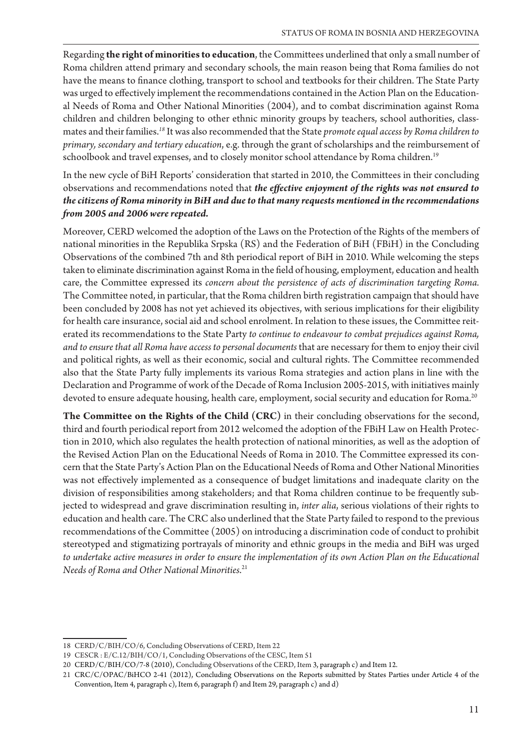Regarding **the right of minorities to education**, the Committees underlined that only a small number of Roma children attend primary and secondary schools, the main reason being that Roma families do not have the means to finance clothing, transport to school and textbooks for their children. The State Party was urged to effectively implement the recommendations contained in the Action Plan on the Educational Needs of Roma and Other National Minorities (2004), and to combat discrimination against Roma children and children belonging to other ethnic minority groups by teachers, school authorities, classmates and their families.<sup>18</sup> It was also recommended that the State *promote equal access by Roma children to primary, secondary and tertiary education*, e.g. through the grant of scholarships and the reimbursement of schoolbook and travel expenses, and to closely monitor school attendance by Roma children.<sup>19</sup>

In the new cycle of BiH Reports' consideration that started in 2010, the Committees in their concluding observations and recommendations noted that *the effective enjoyment of the rights was not ensured to* the citizens of Roma minority in BiH and due to that many requests mentioned in the recommendations from 2005 and 2006 were repeated.

Moreover, CERD welcomed the adoption of the Laws on the Protection of the Rights of the members of national minorities in the Republika Srpska (RS) and the Federation of BiH (FBiH) in the Concluding Observations of the combined 7th and 8th periodical report of BiH in 2010. While welcoming the steps taken to eliminate discrimination against Roma in the field of housing, employment, education and health care, the Committee expressed its *concern about the persistence of acts of discrimination targeting Roma.*  The Committee noted, in particular, that the Roma children birth registration campaign that should have been concluded by 2008 has not yet achieved its objectives, with serious implications for their eligibility for health care insurance, social aid and school enrolment. In relation to these issues, the Committee reiterated its recommendations to the State Party *to continue to endeavour to combat prejudices against Roma,*  and to ensure that all Roma have access to personal documents that are necessary for them to enjoy their civil and political rights, as well as their economic, social and cultural rights. The Committee recommended also that the State Party fully implements its various Roma strategies and action plans in line with the Declaration and Programme of work of the Decade of Roma Inclusion 2005-2015, with initiatives mainly devoted to ensure adequate housing, health care, employment, social security and education for Roma.<sup>20</sup>

**The Committee on the Rights of the Child (CRC)** in their concluding observations for the second, third and fourth periodical report from 2012 welcomed the adoption of the FBiH Law on Health Protection in 2010, which also regulates the health protection of national minorities, as well as the adoption of the Revised Action Plan on the Educational Needs of Roma in 2010. The Committee expressed its concern that the State Party's Action Plan on the Educational Needs of Roma and Other National Minorities was not effectively implemented as a consequence of budget limitations and inadequate clarity on the division of responsibilities among stakeholders; and that Roma children continue to be frequently subjected to widespread and grave discrimination resulting in, *inter alia*, serious violations of their rights to education and health care. The CRC also underlined that the State Party failed to respond to the previous recommendations of the Committee (2005) on introducing a discrimination code of conduct to prohibit stereotyped and stigmatizing portrayals of minority and ethnic groups in the media and BiH was urged to undertake active measures in order to ensure the implementation of its own Action Plan on the Educational *Needs of Roma and Other National Minorities.<sup>21</sup>* 

<sup>18</sup> CERD/C/BIH/CO/6, Concluding Observations of CERD, Item 22

<sup>19</sup> CESCR : E/C.12/BIH/CO/1, Concluding Observations of the CESC, Item 51

<sup>20</sup> CERD/C/BIH/CO/7-8 (2010), Concluding Observations of the CERD, Item 3, paragraph c) and Item 12.

<sup>21</sup> CRC/C/OPAC/BiHCO 2-41 (2012), Concluding Observations on the Reports submitted by States Parties under Article 4 of the Convention, Item 4, paragraph c), Item 6, paragraph f) and Item 29, paragraph c) and d)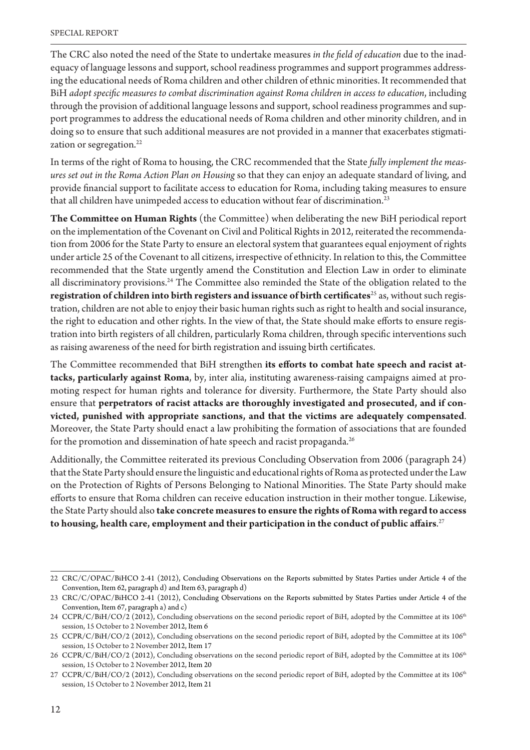The CRC also noted the need of the State to undertake measures *in the field of education* due to the inadequacy of language lessons and support, school readiness programmes and support programmes addressing the educational needs of Roma children and other children of ethnic minorities. It recommended that BiH adopt specific measures to combat discrimination against Roma children in access to education, including through the provision of additional language lessons and support, school readiness programmes and support programmes to address the educational needs of Roma children and other minority children, and in doing so to ensure that such additional measures are not provided in a manner that exacerbates stigmatization or segregation.<sup>22</sup>

In terms of the right of Roma to housing, the CRC recommended that the State *fully implement the meas*ures set out in the Roma Action Plan on Housing so that they can enjoy an adequate standard of living, and provide financial support to facilitate access to education for Roma, including taking measures to ensure that all children have unimpeded access to education without fear of discrimination.<sup>23</sup>

**The Committee on Human Rights** (the Committee) when deliberating the new BiH periodical report on the implementation of the Covenant on Civil and Political Rights in 2012, reiterated the recommendation from 2006 for the State Party to ensure an electoral system that guarantees equal enjoyment of rights under article 25 of the Covenant to all citizens, irrespective of ethnicity. In relation to this, the Committee recommended that the State urgently amend the Constitution and Election Law in order to eliminate all discriminatory provisions.<sup>24</sup> The Committee also reminded the State of the obligation related to the registration of children into birth registers and issuance of birth certificates<sup>25</sup> as, without such registration, children are not able to enjoy their basic human rights such as right to health and social insurance, the right to education and other rights. In the view of that, the State should make efforts to ensure registration into birth registers of all children, particularly Roma children, through specific interventions such as raising awareness of the need for birth registration and issuing birth certificates.

The Committee recommended that BiH strengthen its efforts to combat hate speech and racist at**tacks, particularly against Roma**, by, inter alia, instituting awareness-raising campaigns aimed at promoting respect for human rights and tolerance for diversity. Furthermore, the State Party should also ensure that **perpetrators of racist attacks are thoroughly investigated and prosecuted, and if convicted, punished with appropriate sanctions, and that the victims are adequately compensated**. Moreover, the State Party should enact a law prohibiting the formation of associations that are founded for the promotion and dissemination of hate speech and racist propaganda.<sup>26</sup>

Additionally, the Committee reiterated its previous Concluding Observation from 2006 (paragraph 24) that the State Party should ensure the linguistic and educational rights of Roma as protected under the Law on the Protection of Rights of Persons Belonging to National Minorities. The State Party should make efforts to ensure that Roma children can receive education instruction in their mother tongue. Likewise, the State Party should also **take concrete measures to ensure the rights of Roma with regard to access**  to housing, health care, employment and their participation in the conduct of public affairs.<sup>27</sup>

<sup>22</sup> CRC/C/OPAC/BiHCO 2-41 (2012), Concluding Observations on the Reports submitted by States Parties under Article 4 of the Convention, Item 62, paragraph d) and Item 63, paragraph d)

<sup>23</sup> CRC/C/OPAC/BiHCO 2-41 (2012), Concluding Observations on the Reports submitted by States Parties under Article 4 of the Convention, Item 67, paragraph a) and c)

<sup>24</sup> CCPR/C/BiH/CO/2 (2012), Concluding observations on the second periodic report of BiH, adopted by the Committee at its 106<sup>th</sup> session, 15 October to 2 November 2012, Item 6

<sup>25</sup> CCPR/C/BiH/CO/2 (2012), Concluding observations on the second periodic report of BiH, adopted by the Committee at its 106<sup>th</sup> session, 15 October to 2 November 2012, Item 17

<sup>26</sup> CCPR/C/BiH/CO/2 (2012), Concluding observations on the second periodic report of BiH, adopted by the Committee at its 106<sup>th</sup> session, 15 October to 2 November 2012, Item 20

<sup>27</sup> CCPR/C/BiH/CO/2 (2012), Concluding observations on the second periodic report of BiH, adopted by the Committee at its 106<sup>th</sup> session, 15 October to 2 November 2012, Item 21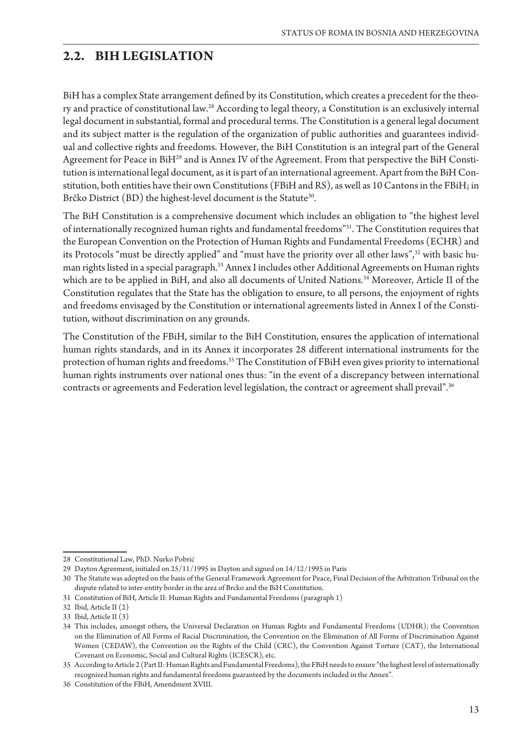### **2.2. BIH LEGISLATION**

BiH has a complex State arrangement defined by its Constitution, which creates a precedent for the theory and practice of constitutional law.28 According to legal theory, a Constitution is an exclusively internal legal document in substantial, formal and procedural terms. The Constitution is a general legal document and its subject matter is the regulation of the organization of public authorities and guarantees individual and collective rights and freedoms. However, the BiH Constitution is an integral part of the General Agreement for Peace in BiH<sup>29</sup> and is Annex IV of the Agreement. From that perspective the BiH Constitution is international legal document, as it is part of an international agreement. Apart from the BiH Constitution, both entities have their own Constitutions (FBiH and RS), as well as 10 Cantons in the FBiH; in Brčko District  $(BD)$  the highest-level document is the Statute $^{\rm 30}$ .

The BiH Constitution is a comprehensive document which includes an obligation to "the highest level of internationally recognized human rights and fundamental freedoms"31. The Constitution requires that the European Convention on the Protection of Human Rights and Fundamental Freedoms (ECHR) and its Protocols "must be directly applied" and "must have the priority over all other laws",<sup>32</sup> with basic human rights listed in a special paragraph.33 Annex I includes other Additional Agreements on Human rights which are to be applied in BiH, and also all documents of United Nations.<sup>34</sup> Moreover, Article II of the Constitution regulates that the State has the obligation to ensure, to all persons, the enjoyment of rights and freedoms envisaged by the Constitution or international agreements listed in Annex I of the Constitution, without discrimination on any grounds.

The Constitution of the FBiH, similar to the BiH Constitution, ensures the application of international human rights standards, and in its Annex it incorporates 28 different international instruments for the protection of human rights and freedoms.<sup>35</sup> The Constitution of FBiH even gives priority to international human rights instruments over national ones thus: "in the event of a discrepancy between international contracts or agreements and Federation level legislation, the contract or agreement shall prevail".<sup>36</sup>

<sup>28</sup> Constitutional Law, PhD. Nurko Pobrić

<sup>29</sup> Dayton Agreement, initialed on 25/11/1995 in Dayton and signed on 14/12/1995 in Paris

<sup>30</sup> The Statute was adopted on the basis of the General Framework Agreement for Peace, Final Decision of the Arbitration Tribunal on the dispute related to inter-entity border in the area of Brcko and the BiH Constitution.

<sup>31</sup> Constitution of BiH, Article II: Human Rights and Fundamental Freedoms (paragraph 1)

<sup>32</sup> Ibid, Article II (2)

<sup>33</sup> Ibid, Article II (3)

<sup>34</sup> This includes, amongst others, the Universal Declaration on Human Rights and Fundamental Freedoms (UDHR); the Convention on the Elimination of All Forms of Racial Discrimination, the Convention on the Elimination of All Forms of Discrimination Against Women (CEDAW), the Convention on the Rights of the Child (CRC), the Convention Against Torture (CAT), the International Covenant on Economic, Social and Cultural Rights (ICESCR), etc.

<sup>35</sup> According to Article 2 (Part II: Human Rights and Fundamental Freedoms), the FBiH needs to ensure "the highest level of internationally recognized human rights and fundamental freedoms guaranteed by the documents included in the Annex".

<sup>36</sup> Constitution of the FBiH, Amendment XVIII.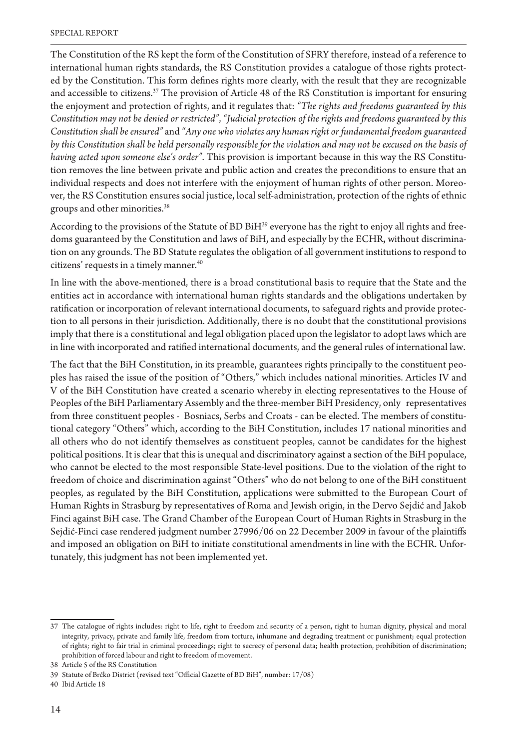The Constitution of the RS kept the form of the Constitution of SFRY therefore, instead of a reference to international human rights standards, the RS Constitution provides a catalogue of those rights protected by the Constitution. This form defines rights more clearly, with the result that they are recognizable and accessible to citizens.37 The provision of Article 48 of the RS Constitution is important for ensuring the enjoyment and protection of rights, and it regulates that: *"The rights and freedoms guaranteed by this Constitution may not be denied or restricted", "Judicial protection of the rights and freedoms guaranteed by this* Constitution shall be ensured" and "Any one who violates any human right or fundamental freedom guaranteed by this Constitution shall be held personally responsible for the violation and may not be excused on the basis of *having acted upon someone else's order"*. This provision is important because in this way the RS Constitution removes the line between private and public action and creates the preconditions to ensure that an individual respects and does not interfere with the enjoyment of human rights of other person. Moreover, the RS Constitution ensures social justice, local self-administration, protection of the rights of ethnic groups and other minorities.38

According to the provisions of the Statute of BD BiH<sup>39</sup> everyone has the right to enjoy all rights and freedoms guaranteed by the Constitution and laws of BiH, and especially by the ECHR, without discrimination on any grounds. The BD Statute regulates the obligation of all government institutions to respond to citizens' requests in a timely manner.<sup>40</sup>

In line with the above-mentioned, there is a broad constitutional basis to require that the State and the entities act in accordance with international human rights standards and the obligations undertaken by ratification or incorporation of relevant international documents, to safeguard rights and provide protection to all persons in their jurisdiction. Additionally, there is no doubt that the constitutional provisions imply that there is a constitutional and legal obligation placed upon the legislator to adopt laws which are in line with incorporated and ratified international documents, and the general rules of international law.

The fact that the BiH Constitution, in its preamble, guarantees rights principally to the constituent peoples has raised the issue of the position of "Others," which includes national minorities. Articles IV and V of the BiH Constitution have created a scenario whereby in electing representatives to the House of Peoples of the BiH Parliamentary Assembly and the three-member BiH Presidency, only representatives from three constituent peoples - Bosniacs, Serbs and Croats - can be elected. The members of constitutional category "Others" which, according to the BiH Constitution, includes 17 national minorities and all others who do not identify themselves as constituent peoples, cannot be candidates for the highest political positions. It is clear that this is unequal and discriminatory against a section of the BiH populace, who cannot be elected to the most responsible State-level positions. Due to the violation of the right to freedom of choice and discrimination against "Others" who do not belong to one of the BiH constituent peoples, as regulated by the BiH Constitution, applications were submitted to the European Court of Human Rights in Strasburg by representatives of Roma and Jewish origin, in the Dervo Sejdić and Jakob Finci against BiH case. The Grand Chamber of the European Court of Human Rights in Strasburg in the Sejdić-Finci case rendered judgment number 27996/06 on 22 December 2009 in favour of the plaintiffs and imposed an obligation on BiH to initiate constitutional amendments in line with the ECHR. Unfortunately, this judgment has not been implemented yet.

<sup>37</sup> The catalogue of rights includes: right to life, right to freedom and security of a person, right to human dignity, physical and moral integrity, privacy, private and family life, freedom from torture, inhumane and degrading treatment or punishment; equal protection of rights; right to fair trial in criminal proceedings; right to secrecy of personal data; health protection, prohibition of discrimination; prohibition of forced labour and right to freedom of movement.

<sup>38</sup> Article 5 of the RS Constitution

<sup>39</sup> Statute of Brčko District (revised text "Official Gazette of BD BiH", number: 17/08)

<sup>40</sup> Ibid Article 18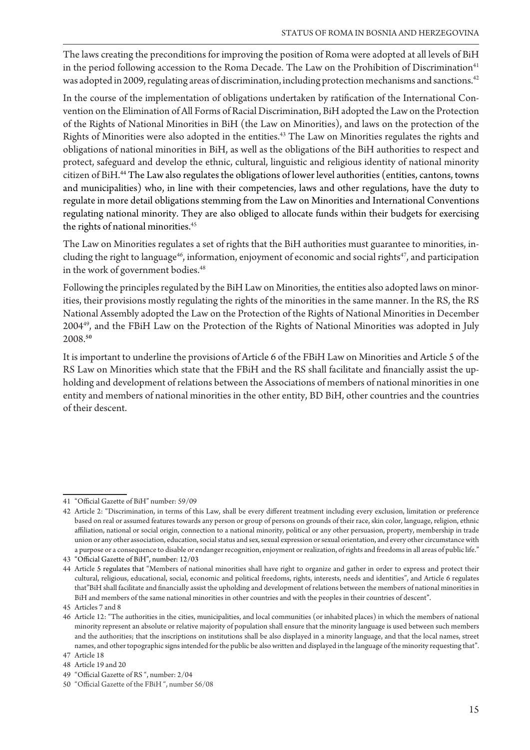The laws creating the preconditions for improving the position of Roma were adopted at all levels of BiH in the period following accession to the Roma Decade. The Law on the Prohibition of Discrimination<sup>41</sup> was adopted in 2009, regulating areas of discrimination, including protection mechanisms and sanctions.<sup>42</sup>

In the course of the implementation of obligations undertaken by ratification of the International Convention on the Elimination of All Forms of Racial Discrimination, BiH adopted the Law on the Protection of the Rights of National Minorities in BiH (the Law on Minorities), and laws on the protection of the Rights of Minorities were also adopted in the entities.<sup>43</sup> The Law on Minorities regulates the rights and obligations of national minorities in BiH, as well as the obligations of the BiH authorities to respect and protect, safeguard and develop the ethnic, cultural, linguistic and religious identity of national minority citizen of BiH.44 The Law also regulates the obligations of lower level authorities (entities, cantons, towns and municipalities) who, in line with their competencies, laws and other regulations, have the duty to regulate in more detail obligations stemming from the Law on Minorities and International Conventions regulating national minority. They are also obliged to allocate funds within their budgets for exercising the rights of national minorities.<sup>45</sup>

The Law on Minorities regulates a set of rights that the BiH authorities must guarantee to minorities, including the right to language<sup>46</sup>, information, enjoyment of economic and social rights<sup>47</sup>, and participation in the work of government bodies.<sup>48</sup>

Following the principles regulated by the BiH Law on Minorities, the entities also adopted laws on minorities, their provisions mostly regulating the rights of the minorities in the same manner. In the RS, the RS National Assembly adopted the Law on the Protection of the Rights of National Minorities in December 200449, and the FBiH Law on the Protection of the Rights of National Minorities was adopted in July 2008.**<sup>50</sup>**

It is important to underline the provisions of Article 6 of the FBiH Law on Minorities and Article 5 of the RS Law on Minorities which state that the FBiH and the RS shall facilitate and financially assist the upholding and development of relations between the Associations of members of national minorities in one entity and members of national minorities in the other entity, BD BiH, other countries and the countries of their descent.

<sup>41 &</sup>quot;Official Gazette of BiH" number: 59/09

<sup>42</sup> Article 2: "Discrimination, in terms of this Law, shall be every different treatment including every exclusion, limitation or preference based on real or assumed features towards any person or group of persons on grounds of their race, skin color, language, religion, ethnic affiliation, national or social origin, connection to a national minority, political or any other persuasion, property, membership in trade union or any other association, education, social status and sex, sexual expression or sexual orientation, and every other circumstance with a purpose or a consequence to disable or endanger recognition, enjoyment or realization, of rights and freedoms in all areas of public life."

<sup>43 &</sup>quot;Official Gazette of BiH", number: 12/03

<sup>44</sup> Article 5 regulates that "Members of national minorities shall have right to organize and gather in order to express and protect their cultural, religious, educational, social, economic and political freedoms, rights, interests, needs and identities", and Article 6 regulates that"BiH shall facilitate and financially assist the upholding and development of relations between the members of national minorities in BiH and members of the same national minorities in other countries and with the peoples in their countries of descent".

<sup>45</sup> Articles 7 and 8

<sup>46</sup> Article 12: "The authorities in the cities, municipalities, and local communities (or inhabited places) in which the members of national minority represent an absolute or relative majority of population shall ensure that the minority language is used between such members and the authorities; that the inscriptions on institutions shall be also displayed in a minority language, and that the local names, street names, and other topographic signs intended for the public be also written and displayed in the language of the minority requesting that". 47 Article 18

<sup>48</sup> Article 19 and 20

<sup>49 &</sup>quot;Official Gazette of RS", number: 2/04

<sup>50 &</sup>quot;Official Gazette of the FBiH", number 56/08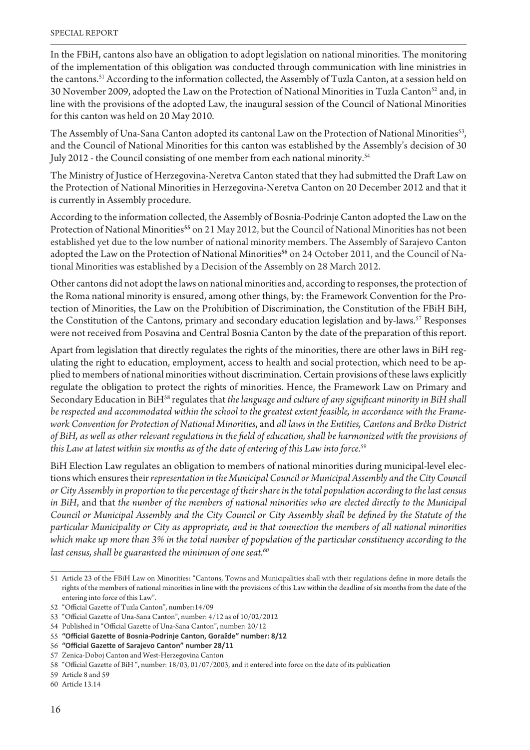In the FBiH, cantons also have an obligation to adopt legislation on national minorities. The monitoring of the implementation of this obligation was conducted through communication with line ministries in the cantons.<sup>51</sup> According to the information collected, the Assembly of Tuzla Canton, at a session held on 30 November 2009, adopted the Law on the Protection of National Minorities in Tuzla Canton<sup>52</sup> and, in line with the provisions of the adopted Law, the inaugural session of the Council of National Minorities for this canton was held on 20 May 2010.

The Assembly of Una-Sana Canton adopted its cantonal Law on the Protection of National Minorities<sup>53</sup>, and the Council of National Minorities for this canton was established by the Assembly's decision of 30 July 2012 - the Council consisting of one member from each national minority.54

The Ministry of Justice of Herzegovina-Neretva Canton stated that they had submitted the Draft Law on the Protection of National Minorities in Herzegovina-Neretva Canton on 20 December 2012 and that it is currently in Assembly procedure.

According to the information collected, the Assembly of Bosnia-Podrinje Canton adopted the Law on the Protection of National Minorities**<sup>55</sup>** on 21 May 2012, but the Council of National Minorities has not been established yet due to the low number of national minority members. The Assembly of Sarajevo Canton adopted the Law on the Protection of National Minorities**56** on 24 October 2011, and the Council of National Minorities was established by a Decision of the Assembly on 28 March 2012.

Other cantons did not adopt the laws on national minorities and, according to responses, the protection of the Roma national minority is ensured, among other things, by: the Framework Convention for the Protection of Minorities, the Law on the Prohibition of Discrimination, the Constitution of the FBiH BiH, the Constitution of the Cantons, primary and secondary education legislation and by-laws.<sup>57</sup> Responses were not received from Posavina and Central Bosnia Canton by the date of the preparation of this report.

Apart from legislation that directly regulates the rights of the minorities, there are other laws in BiH regulating the right to education, employment, access to health and social protection, which need to be applied to members of national minorities without discrimination. Certain provisions of these laws explicitly regulate the obligation to protect the rights of minorities. Hence, the Framework Law on Primary and Secondary Education in BiH<sup>58</sup> regulates that *the language and culture of any significant minority in BiH shall* be respected and accommodated within the school to the greatest extent feasible, in accordance with the Framework Convention for Protection of National Minorities, and all laws in the Entities, Cantons and Brčko District of BiH, as well as other relevant regulations in the field of education, shall be harmonized with the provisions of this Law at latest within six months as of the date of entering of this Law into force.<sup>59</sup>

BiH Election Law regulates an obligation to members of national minorities during municipal-level elections which ensures their *representation in the Municipal Council or Municipal Assembly and the City Council* or City Assembly in proportion to the percentage of their share in the total population according to the last census in BiH, and that *the number of the members of national minorities who are elected directly to the Municipal* Council or Municipal Assembly and the City Council or City Assembly shall be defined by the Statute of the particular Municipality or City as appropriate, and in that connection the members of all national minorities which make up more than 3% in the total number of population of the particular constituency according to the last census, shall be guaranteed the minimum of one seat.<sup>60</sup>

<sup>51</sup> Article 23 of the FBiH Law on Minorities: "Cantons, Towns and Municipalities shall with their regulations define in more details the rights of the members of national minorities in line with the provisions of this Law within the deadline of six months from the date of the entering into force of this Law".

<sup>52 &</sup>quot;Official Gazette of Tuzla Canton", number: 14/09

<sup>53 &</sup>quot;Official Gazette of Una-Sana Canton", number: 4/12 as of 10/02/2012

<sup>54</sup> Published in "Official Gazette of Una-Sana Canton", number: 20/12

<sup>55 &</sup>quot;Official Gazette of Bosnia-Podrinje Canton, Goražde" number: 8/12

<sup>56 &</sup>quot;Official Gazette of Sarajevo Canton" number 28/11

<sup>57</sup> Zenica-Doboj Canton and West-Herzegovina Canton

<sup>58 &</sup>quot;Official Gazette of BiH ", number: 18/03, 01/07/2003, and it entered into force on the date of its publication

<sup>59</sup> Article 8 and 59

<sup>60</sup> Article 13.14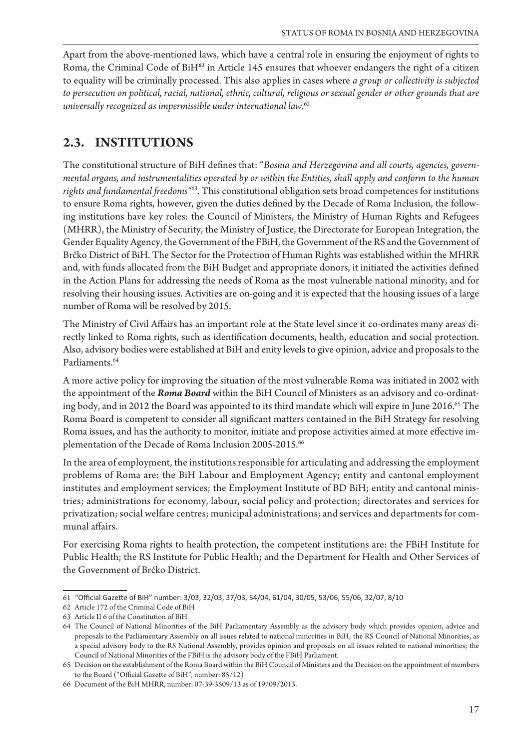Apart from the above-mentioned laws, which have a central role in ensuring the enjoyment of rights to Roma, the Criminal Code of BiH<sup>61</sup> in Article 145 ensures that whoever endangers the right of a citizen to equality will be criminally processed. This also applies in cases where *a group or collectivity is subjected* to persecution on political, racial, national, ethnic, cultural, religious or sexual gender or other grounds that are *universally recognized as impermissible under international law.<sup>62</sup>* 

### **2.3. INSTITUTIONS**

The constitutional structure of BiH defines that: "Bosnia and Herzegovina and all courts, agencies, governmental organs, and instrumentalities operated by or within the Entities, shall apply and conform to the human rights and fundamental freedoms<sup>"63</sup>. This constitutional obligation sets broad competences for institutions to ensure Roma rights, however, given the duties defined by the Decade of Roma Inclusion, the following institutions have key roles: the Council of Ministers, the Ministry of Human Rights and Refugees (MHRR), the Ministry of Security, the Ministry of Justice, the Directorate for European Integration, the Gender Equality Agency, the Government of the FBiH, the Government of the RS and the Government of Brčko District of BiH. The Sector for the Protection of Human Rights was established within the MHRR and, with funds allocated from the BiH Budget and appropriate donors, it initiated the activities defined in the Action Plans for addressing the needs of Roma as the most vulnerable national minority, and for resolving their housing issues. Activities are on-going and it is expected that the housing issues of a large number of Roma will be resolved by 2015.

The Ministry of Civil Affairs has an important role at the State level since it co-ordinates many areas directly linked to Roma rights, such as identification documents, health, education and social protection. Also, advisory bodies were established at BiH and enity levels to give opinion, advice and proposals to the Parliaments.<sup>64</sup>

A more active policy for improving the situation of the most vulnerable Roma was initiated in 2002 with the appointment of the *Roma Board* within the BiH Council of Ministers as an advisory and co-ordinating body, and in 2012 the Board was appointed to its third mandate which will expire in June 2016.<sup>65</sup> The Roma Board is competent to consider all significant matters contained in the BiH Strategy for resolving Roma issues, and has the authority to monitor, initiate and propose activities aimed at more effective implementation of the Decade of Roma Inclusion 2005-2015.<sup>66</sup>

In the area of employment, the institutions responsible for articulating and addressing the employment problems of Roma are: the BiH Labour and Employment Agency; entity and cantonal employment institutes and employment services; the Employment Institute of BD BiH; entity and cantonal ministries; administrations for economy, labour, social policy and protection; directorates and services for privatization; social welfare centres; municipal administrations; and services and departments for communal affairs.

For exercising Roma rights to health protection, the competent institutions are: the FBiH Institute for Public Health; the RS Institute for Public Health; and the Department for Health and Other Services of the Government of Brčko District.

<sup>61 &</sup>quot;Official Gazette of BiH" number: 3/03, 32/03, 37/03, 54/04, 61/04, 30/05, 53/06, 55/06, 32/07, 8/10

<sup>62</sup> Article 172 of the Criminal Code of BiH

<sup>63</sup> Article II 6 of the Constitution of BiH

<sup>64</sup> The Council of National Minorities of the BiH Parliamentary Assembly as the advisory body which provides opinion, advice and proposals to the Parliamentary Assembly on all issues related to national minorities in BiH; the RS Council of National Minorities, as a special advisory body to the RS National Assembly, provides opinion and proposals on all issues related to national minorities; the Council of National Minorities of the FBiH is the advisory body of the FBiH Parliament.

<sup>65</sup> Decision on the establishment of the Roma Board within the BiH Council of Ministers and the Decision on the appointment of members to the Board ("Official Gazette of BiH", number:  $85/12)$ 

<sup>66</sup> Document of the BiH MHRR, number: 07-39-3509/13 as of 19/09/2013.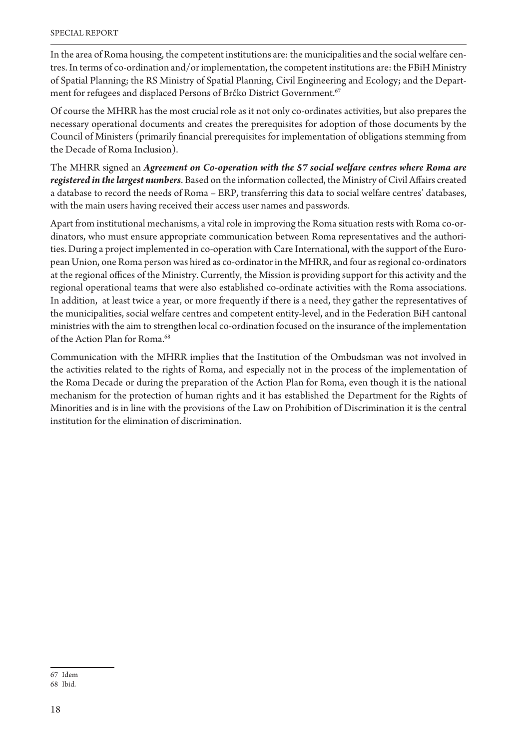In the area of Roma housing, the competent institutions are: the municipalities and the social welfare centres. In terms of co-ordination and/or implementation, the competent institutions are: the FBiH Ministry of Spatial Planning; the RS Ministry of Spatial Planning, Civil Engineering and Ecology; and the Department for refugees and displaced Persons of Brčko District Government.<sup>67</sup>

Of course the MHRR has the most crucial role as it not only co-ordinates activities, but also prepares the necessary operational documents and creates the prerequisites for adoption of those documents by the Council of Ministers (primarily financial prerequisites for implementation of obligations stemming from the Decade of Roma Inclusion).

The MHRR signed an *Agreement on Co-operation with the 57 social welfare centres where Roma are* registered in the largest numbers. Based on the information collected, the Ministry of Civil Affairs created a database to record the needs of Roma – ERP, transferring this data to social welfare centres' databases, with the main users having received their access user names and passwords.

Apart from institutional mechanisms, a vital role in improving the Roma situation rests with Roma co-ordinators, who must ensure appropriate communication between Roma representatives and the authorities. During a project implemented in co-operation with Care International, with the support of the European Union, one Roma person was hired as co-ordinator in the MHRR, and four as regional co-ordinators at the regional offices of the Ministry. Currently, the Mission is providing support for this activity and the regional operational teams that were also established co-ordinate activities with the Roma associations. In addition, at least twice a year, or more frequently if there is a need, they gather the representatives of the municipalities, social welfare centres and competent entity-level, and in the Federation BiH cantonal ministries with the aim to strengthen local co-ordination focused on the insurance of the implementation of the Action Plan for Roma.<sup>68</sup>

Communication with the MHRR implies that the Institution of the Ombudsman was not involved in the activities related to the rights of Roma, and especially not in the process of the implementation of the Roma Decade or during the preparation of the Action Plan for Roma, even though it is the national mechanism for the protection of human rights and it has established the Department for the Rights of Minorities and is in line with the provisions of the Law on Prohibition of Discrimination it is the central institution for the elimination of discrimination.

<sup>67</sup> Idem

<sup>68</sup> Ibid.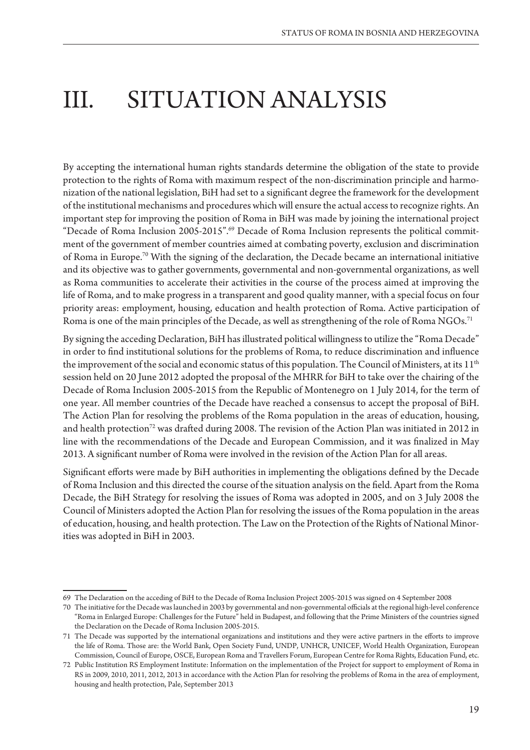## III. SITUATION ANALYSIS

By accepting the international human rights standards determine the obligation of the state to provide protection to the rights of Roma with maximum respect of the non-discrimination principle and harmonization of the national legislation, BiH had set to a significant degree the framework for the development of the institutional mechanisms and procedures which will ensure the actual access to recognize rights. An important step for improving the position of Roma in BiH was made by joining the international project "Decade of Roma Inclusion 2005-2015".69 Decade of Roma Inclusion represents the political commitment of the government of member countries aimed at combating poverty, exclusion and discrimination of Roma in Europe.70 With the signing of the declaration, the Decade became an international initiative and its objective was to gather governments, governmental and non-governmental organizations, as well as Roma communities to accelerate their activities in the course of the process aimed at improving the life of Roma, and to make progress in a transparent and good quality manner, with a special focus on four priority areas: employment, housing, education and health protection of Roma. Active participation of Roma is one of the main principles of the Decade, as well as strengthening of the role of Roma NGOs.<sup>71</sup>

By signing the acceding Declaration, BiH has illustrated political willingness to utilize the "Roma Decade" in order to find institutional solutions for the problems of Roma, to reduce discrimination and influence the improvement of the social and economic status of this population. The Council of Ministers, at its 11<sup>th</sup> session held on 20 June 2012 adopted the proposal of the MHRR for BiH to take over the chairing of the Decade of Roma Inclusion 2005-2015 from the Republic of Montenegro on 1 July 2014, for the term of one year. All member countries of the Decade have reached a consensus to accept the proposal of BiH. The Action Plan for resolving the problems of the Roma population in the areas of education, housing, and health protection<sup>72</sup> was drafted during 2008. The revision of the Action Plan was initiated in 2012 in line with the recommendations of the Decade and European Commission, and it was finalized in May 2013. A significant number of Roma were involved in the revision of the Action Plan for all areas.

Significant efforts were made by BiH authorities in implementing the obligations defined by the Decade of Roma Inclusion and this directed the course of the situation analysis on the field. Apart from the Roma Decade, the BiH Strategy for resolving the issues of Roma was adopted in 2005, and on 3 July 2008 the Council of Ministers adopted the Action Plan for resolving the issues of the Roma population in the areas of education, housing, and health protection. The Law on the Protection of the Rights of National Minorities was adopted in BiH in 2003.

<sup>69</sup> The Declaration on the acceding of BiH to the Decade of Roma Inclusion Project 2005-2015 was signed on 4 September 2008

<sup>70</sup> The initiative for the Decade was launched in 2003 by governmental and non-governmental officials at the regional high-level conference "Roma in Enlarged Europe: Challenges for the Future" held in Budapest, and following that the Prime Ministers of the countries signed the Declaration on the Decade of Roma Inclusion 2005-2015.

<sup>71</sup> The Decade was supported by the international organizations and institutions and they were active partners in the efforts to improve the life of Roma. Those are: the World Bank, Open Society Fund, UNDP, UNHCR, UNICEF, World Health Organization, European Commission, Council of Europe, OSCE, European Roma and Travellers Forum, European Centre for Roma Rights, Education Fund, etc.

<sup>72</sup> Public Institution RS Employment Institute: Information on the implementation of the Project for support to employment of Roma in RS in 2009, 2010, 2011, 2012, 2013 in accordance with the Action Plan for resolving the problems of Roma in the area of employment, housing and health protection, Pale, September 2013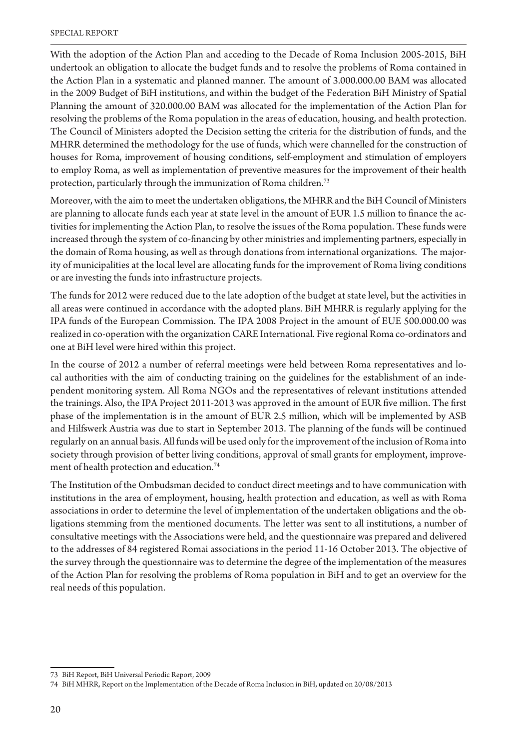With the adoption of the Action Plan and acceding to the Decade of Roma Inclusion 2005-2015, BiH undertook an obligation to allocate the budget funds and to resolve the problems of Roma contained in the Action Plan in a systematic and planned manner. The amount of 3.000.000.00 BAM was allocated in the 2009 Budget of BiH institutions, and within the budget of the Federation BiH Ministry of Spatial Planning the amount of 320.000.00 BAM was allocated for the implementation of the Action Plan for resolving the problems of the Roma population in the areas of education, housing, and health protection. The Council of Ministers adopted the Decision setting the criteria for the distribution of funds, and the MHRR determined the methodology for the use of funds, which were channelled for the construction of houses for Roma, improvement of housing conditions, self-employment and stimulation of employers to employ Roma, as well as implementation of preventive measures for the improvement of their health protection, particularly through the immunization of Roma children.73

Moreover, with the aim to meet the undertaken obligations, the MHRR and the BiH Council of Ministers are planning to allocate funds each year at state level in the amount of EUR 1.5 million to finance the activities for implementing the Action Plan, to resolve the issues of the Roma population. These funds were increased through the system of co-financing by other ministries and implementing partners, especially in the domain of Roma housing, as well as through donations from international organizations. The majority of municipalities at the local level are allocating funds for the improvement of Roma living conditions or are investing the funds into infrastructure projects.

The funds for 2012 were reduced due to the late adoption of the budget at state level, but the activities in all areas were continued in accordance with the adopted plans. BiH MHRR is regularly applying for the IPA funds of the European Commission. The IPA 2008 Project in the amount of EUE 500.000.00 was realized in co-operation with the organization CARE International. Five regional Roma co-ordinators and one at BiH level were hired within this project.

In the course of 2012 a number of referral meetings were held between Roma representatives and local authorities with the aim of conducting training on the guidelines for the establishment of an independent monitoring system. All Roma NGOs and the representatives of relevant institutions attended the trainings. Also, the IPA Project 2011-2013 was approved in the amount of EUR five million. The first phase of the implementation is in the amount of EUR 2.5 million, which will be implemented by ASB and Hilfswerk Austria was due to start in September 2013. The planning of the funds will be continued regularly on an annual basis. All funds will be used only for the improvement of the inclusion of Roma into society through provision of better living conditions, approval of small grants for employment, improvement of health protection and education.<sup>74</sup>

The Institution of the Ombudsman decided to conduct direct meetings and to have communication with institutions in the area of employment, housing, health protection and education, as well as with Roma associations in order to determine the level of implementation of the undertaken obligations and the obligations stemming from the mentioned documents. The letter was sent to all institutions, a number of consultative meetings with the Associations were held, and the questionnaire was prepared and delivered to the addresses of 84 registered Romai associations in the period 11-16 October 2013. The objective of the survey through the questionnaire was to determine the degree of the implementation of the measures of the Action Plan for resolving the problems of Roma population in BiH and to get an overview for the real needs of this population.

<sup>73</sup> BiH Report, BiH Universal Periodic Report, 2009

<sup>74</sup> BiH MHRR, Report on the Implementation of the Decade of Roma Inclusion in BiH, updated on 20/08/2013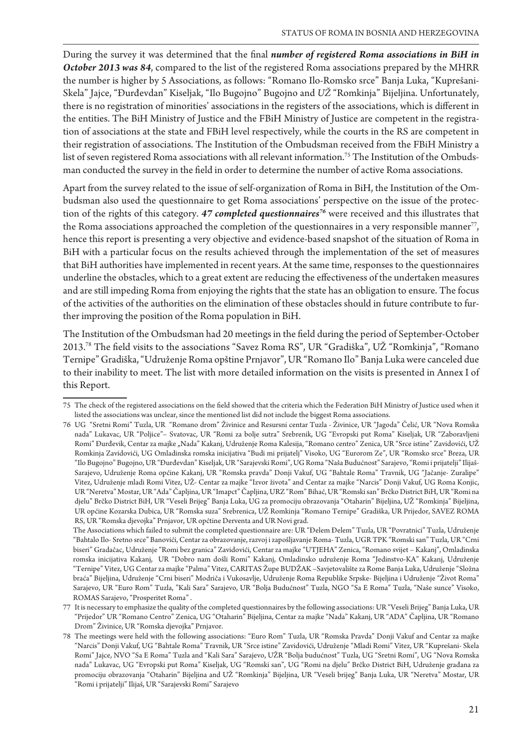During the survey it was determined that the final *number of registered Roma associations in BiH in* **October 2013 was 84**, compared to the list of the registered Roma associations prepared by the MHRR the number is higher by 5 Associations, as follows: "Romano Ilo-Romsko srce" Banja Luka, "Kuprešani-Skela" Jajce, "Đurđevdan" Kiseljak, "Ilo Bugojno" Bugojno and UŽ "Romkinja" Bijeljina. Unfortunately, there is no registration of minorities' associations in the registers of the associations, which is different in the entities. The BiH Ministry of Justice and the FBiH Ministry of Justice are competent in the registration of associations at the state and FBiH level respectively, while the courts in the RS are competent in their registration of associations. The Institution of the Ombudsman received from the FBiH Ministry a list of seven registered Roma associations with all relevant information.75 The Institution of the Ombudsman conducted the survey in the field in order to determine the number of active Roma associations.

Apart from the survey related to the issue of self-organization of Roma in BiH, the Institution of the Ombudsman also used the questionnaire to get Roma associations' perspective on the issue of the protection of the rights of this category. 47 completed questionnaires<sup>76</sup> were received and this illustrates that the Roma associations approached the completion of the questionnaires in a very responsible manner<sup>77</sup>, hence this report is presenting a very objective and evidence-based snapshot of the situation of Roma in BiH with a particular focus on the results achieved through the implementation of the set of measures that BiH authorities have implemented in recent years. At the same time, responses to the questionnaires underline the obstacles, which to a great extent are reducing the effectiveness of the undertaken measures and are still impeding Roma from enjoying the rights that the state has an obligation to ensure. The focus of the activities of the authorities on the elimination of these obstacles should in future contribute to further improving the position of the Roma population in BiH.

The Institution of the Ombudsman had 20 meetings in the field during the period of September-October 2013.<sup>78</sup> The field visits to the associations "Savez Roma RS", UR "Gradiška", UŽ "Romkinja", "Romano Ternipe" Gradiška, "Udruženje Roma opštine Prnjavor", UR "Romano Ilo" Banja Luka were canceled due to their inability to meet. The list with more detailed information on the visits is presented in Annex I of this Report.

<sup>75</sup> The check of the registered associations on the field showed that the criteria which the Federation BiH Ministry of Justice used when it listed the associations was unclear, since the mentioned list did not include the biggest Roma associations.

<sup>76</sup> UG "Sretni Romi" Tuzla, UR "Romano drom" Živinice and Resursni centar Tuzla - Živinice, UR "Jagoda" Čelić, UR "Nova Romska nada" Lukavac, UR "Poljice"- Svatovac, UR "Romi za bolje sutra" Srebrenik, UG "Evropski put Roma" Kiseljak, UR "Zaboravljeni Romi" Đurđevik, Centar za majke "Nada" Kakanj, Udruženje Roma Kalesija, "Romano centro" Zenica, UR "Srce istine" Zavidovići, UŽ Romkinja Zavidovići, UG Omladinska romska inicijativa "Budi mi prijatelj" Visoko, UG "Eurorom Ze", UR "Romsko srce" Breza, UR "Ilo Bugojno" Bugojno, UR "Đurđevdan" Kiseljak, UR "Sarajevski Romi", UG Roma "Naša Budućnost" Sarajevo, "Romi i prijatelji" Ilijaš-Sarajevo, Udruženje Roma općine Kakanj, UR "Romska pravda" Donji Vakuf, UG "Bahtale Roma" Travnik, UG "Jačanje- Zuralipe" Vitez, Udruženje mladi Romi Vitez, UŽ- Centar za majke "Izvor života" and Centar za majke "Narcis" Donji Vakuf, UG Roma Konjic, UR "Neretva" Mostar, UR "Ada" Čapljina, UR "Imapct" Čapljina, URZ "Rom" Bihać, UR "Romski san" Brčko District BiH, UR "Romi na djelu" Brčko District BiH, UR "Veseli Brijeg" Banja Luka, UG za promociju obrazovanja "Otaharin" Bijeljina, UŽ "Romkinja" Bijeljina, UR općine Kozarska Dubica, UR "Romska suza" Srebrenica, UŽ Romkinja "Romano Ternipe" Gradiška, UR Prijedor, SAVEZ ROMA RS, UR "Romska djevojka" Prnjavor, UR općtine Derventa and UR Novi grad.

The Associations which failed to submit the completed questionnaire are: UR "Delem Delem" Tuzla, UR "Povratnici" Tuzla, Udruženje "Bahtalo Ilo- Sretno srce" Banovići, Centar za obrazovanje, razvoj i zapošljavanje Roma- Tuzla, UGR TPK "Romski san" Tuzla, UR "Crni biseri" Gradačac, Udruženje "Romi bez granica" Zavidovići, Centar za majke "UTJEHA" Zenica, "Romano svijet - Kakanj", Omladinska romska inicijativa Kakanj, UR "Dobro nam došli Romi" Kakanj, Omladinsko udruženje Roma "Jedinstvo-KA" Kakanj, Udruženje "Ternipe" Vitez, UG Centar za majke "Palma" Vitez, CARITAS Župe BUDŽAK -Savjetovalište za Rome Banja Luka, Udruženje "Složna braća" Bijeljina, Udruženje "Crni biseri" Modriča i Vukosavlje, Udruženje Roma Republike Srpske- Bijeljina i Udruženje "Život Roma" Sarajevo, UR "Euro Rom" Tuzla, "Kali Sara" Sarajevo, UR "Bolja Budućnost" Tuzla, NGO "Sa E Roma" Tuzla, "Naše sunce" Visoko, ROMAS Sarajevo, "Prosperitet Roma" .

<sup>77</sup> It is necessary to emphasize the quality of the completed questionnaires by the following associations: UR "Veseli Brijeg" Banja Luka, UR "Prijedor" UR "Romano Centro" Zenica, UG "Otaharin" Bijeljina, Centar za majke "Nada" Kakanj, UR "ADA" Čapljina, UR "Romano Drom" Živinice, UR "Romska djevojka" Prnjavor.

<sup>78</sup> The meetings were held with the following associations: "Euro Rom" Tuzla, UR "Romska Pravda" Donji Vakuf and Centar za majke "Narcis" Donji Vakuf, UG "Bahtale Roma" Travnik, UR "Srce istine" Zavidovići, Udruženje "Mladi Romi" Vitez, UR "Kuprešani- Skela Romi" Jajce, NVO "Sa E Roma" Tuzla and "Kali Sara" Sarajevo, UŽR "Bolja budućnost" Tuzla, UG "Sretni Romi", UG "Nova Romska nada" Lukavac, UG "Evropski put Roma" Kiseljak, UG "Romski san", UG "Romi na djelu" Brčko District BiH, Udruženje građana za promociju obrazovanja "Otaharin" Bijeljina and UŽ "Romkinja" Bijeljina, UR "Veseli brijeg" Banja Luka, UR "Neretva" Mostar, UR "Romi i prijatelji" Ilijaš, UR "Sarajevski Romi" Sarajevo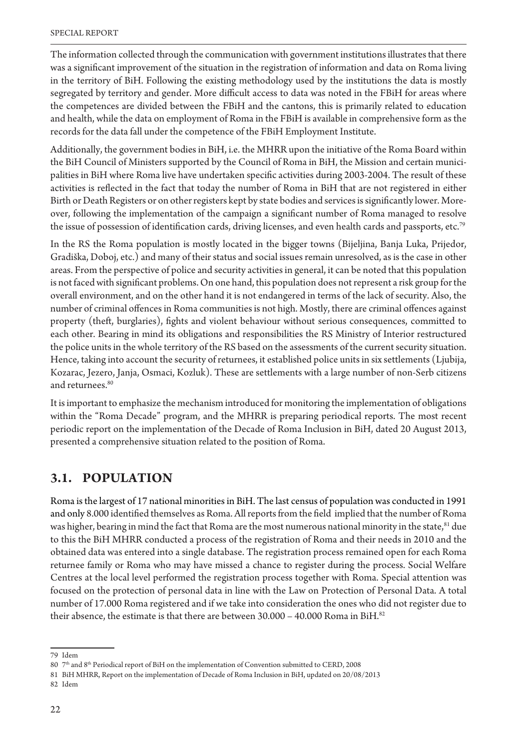The information collected through the communication with government institutions illustrates that there was a significant improvement of the situation in the registration of information and data on Roma living in the territory of BiH. Following the existing methodology used by the institutions the data is mostly segregated by territory and gender. More difficult access to data was noted in the FBiH for areas where the competences are divided between the FBiH and the cantons, this is primarily related to education and health, while the data on employment of Roma in the FBiH is available in comprehensive form as the records for the data fall under the competence of the FBiH Employment Institute.

Additionally, the government bodies in BiH, i.e. the MHRR upon the initiative of the Roma Board within the BiH Council of Ministers supported by the Council of Roma in BiH, the Mission and certain municipalities in BiH where Roma live have undertaken specific activities during 2003-2004. The result of these activities is reflected in the fact that today the number of Roma in BiH that are not registered in either Birth or Death Registers or on other registers kept by state bodies and services is significantly lower. Moreover, following the implementation of the campaign a significant number of Roma managed to resolve the issue of possession of identification cards, driving licenses, and even health cards and passports, etc.<sup>79</sup>

In the RS the Roma population is mostly located in the bigger towns (Bijeljina, Banja Luka, Prijedor, Gradiška, Doboj, etc.) and many of their status and social issues remain unresolved, as is the case in other areas. From the perspective of police and security activities in general, it can be noted that this population is not faced with significant problems. On one hand, this population does not represent a risk group for the overall environment, and on the other hand it is not endangered in terms of the lack of security. Also, the number of criminal offences in Roma communities is not high. Mostly, there are criminal offences against property (theft, burglaries), fights and violent behaviour without serious consequences, committed to each other. Bearing in mind its obligations and responsibilities the RS Ministry of Interior restructured the police units in the whole territory of the RS based on the assessments of the current security situation. Hence, taking into account the security of returnees, it established police units in six settlements (Ljubija, Kozarac, Jezero, Janja, Osmaci, Kozluk). These are settlements with a large number of non-Serb citizens and returnees.<sup>80</sup>

It is important to emphasize the mechanism introduced for monitoring the implementation of obligations within the "Roma Decade" program, and the MHRR is preparing periodical reports. The most recent periodic report on the implementation of the Decade of Roma Inclusion in BiH, dated 20 August 2013, presented a comprehensive situation related to the position of Roma.

#### **3.1. POPULATION**

Roma is the largest of 17 national minorities in BiH. The last census of population was conducted in 1991 and only 8.000 identified themselves as Roma. All reports from the field implied that the number of Roma was higher, bearing in mind the fact that Roma are the most numerous national minority in the state,<sup>81</sup> due to this the BiH MHRR conducted a process of the registration of Roma and their needs in 2010 and the obtained data was entered into a single database. The registration process remained open for each Roma returnee family or Roma who may have missed a chance to register during the process. Social Welfare Centres at the local level performed the registration process together with Roma. Special attention was focused on the protection of personal data in line with the Law on Protection of Personal Data. A total number of 17.000 Roma registered and if we take into consideration the ones who did not register due to their absence, the estimate is that there are between  $30.000 - 40.000$  Roma in BiH.<sup>82</sup>

<sup>79</sup> Idem

<sup>80 7&</sup>lt;sup>th</sup> and 8<sup>th</sup> Periodical report of BiH on the implementation of Convention submitted to CERD, 2008

<sup>81</sup> BiH MHRR, Report on the implementation of Decade of Roma Inclusion in BiH, updated on 20/08/2013

<sup>82</sup> Idem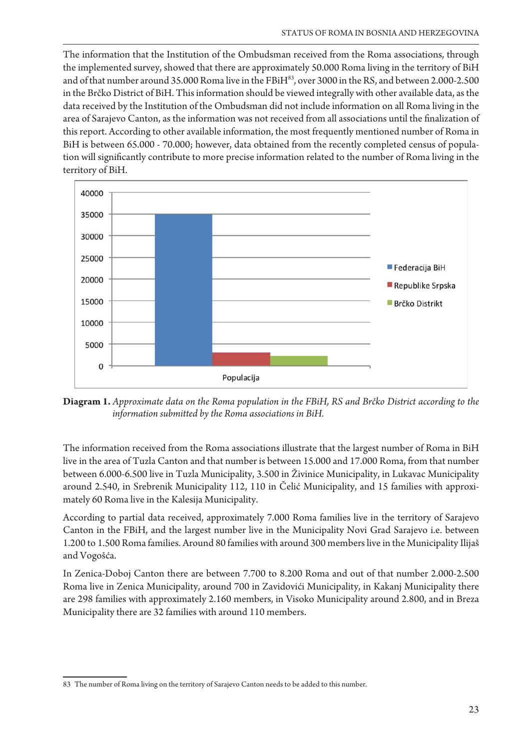The information that the Institution of the Ombudsman received from the Roma associations, through the implemented survey, showed that there are approximately 50.000 Roma living in the territory of BiH and of that number around 35.000 Roma live in the FBiH<sup>83</sup>, over 3000 in the RS, and between 2.000-2.500 in the Brčko District of BiH. This information should be viewed integrally with other available data, as the data received by the Institution of the Ombudsman did not include information on all Roma living in the area of Sarajevo Canton, as the information was not received from all associations until the finalization of this report. According to other available information, the most frequently mentioned number of Roma in BiH is between 65.000 - 70.000; however, data obtained from the recently completed census of population will significantly contribute to more precise information related to the number of Roma living in the territory of BiH.



**Diagram 1.** *Approximate data on the Roma population in the FBiH, RS and Brčko District according to the information submitted by the Roma associations in BiH.* 

The information received from the Roma associations illustrate that the largest number of Roma in BiH live in the area of Tuzla Canton and that number is between 15.000 and 17.000 Roma, from that number between 6.000-6.500 live in Tuzla Municipality, 3.500 in Živinice Municipality, in Lukavac Municipality around 2.540, in Srebrenik Municipality 112, 110 in Čelić Municipality, and 15 families with approximately 60 Roma live in the Kalesija Municipality.

According to partial data received, approximately 7.000 Roma families live in the territory of Sarajevo Canton in the FBiH, and the largest number live in the Municipality Novi Grad Sarajevo i.e. between 1.200 to 1.500 Roma families. Around 80 families with around 300 members live in the Municipality Ilijaš and Vogošća.

In Zenica-Doboj Canton there are between 7.700 to 8.200 Roma and out of that number 2.000-2.500 Roma live in Zenica Municipality, around 700 in Zavidovići Municipality, in Kakanj Municipality there are 298 families with approximately 2.160 members, in Visoko Municipality around 2.800, and in Breza Municipality there are 32 families with around 110 members.

<sup>83</sup> The number of Roma living on the territory of Sarajevo Canton needs to be added to this number.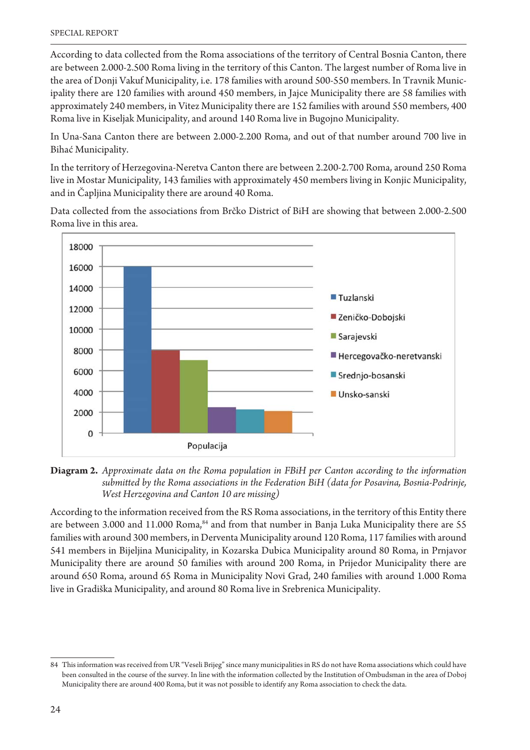According to data collected from the Roma associations of the territory of Central Bosnia Canton, there are between 2.000-2.500 Roma living in the territory of this Canton. The largest number of Roma live in the area of Donji Vakuf Municipality, i.e. 178 families with around 500-550 members. In Travnik Municipality there are 120 families with around 450 members, in Jajce Municipality there are 58 families with approximately 240 members, in Vitez Municipality there are 152 families with around 550 members, 400 Roma live in Kiseljak Municipality, and around 140 Roma live in Bugojno Municipality.

In Una-Sana Canton there are between 2.000-2.200 Roma, and out of that number around 700 live in Bihać Municipality.

In the territory of Herzegovina-Neretva Canton there are between 2.200-2.700 Roma, around 250 Roma live in Mostar Municipality, 143 families with approximately 450 members living in Konjic Municipality, and in Čapljina Municipality there are around 40 Roma.

Data collected from the associations from Brčko District of BiH are showing that between 2.000-2.500 Roma live in this area.





According to the information received from the RS Roma associations, in the territory of this Entity there are between 3.000 and 11.000 Roma,<sup>84</sup> and from that number in Banja Luka Municipality there are 55 families with around 300 members, in Derventa Municipality around 120 Roma, 117 families with around 541 members in Bijeljina Municipality, in Kozarska Dubica Municipality around 80 Roma, in Prnjavor Municipality there are around 50 families with around 200 Roma, in Prijedor Municipality there are around 650 Roma, around 65 Roma in Municipality Novi Grad, 240 families with around 1.000 Roma live in Gradiška Municipality, and around 80 Roma live in Srebrenica Municipality.

<sup>84</sup> This information was received from UR "Veseli Brijeg" since many municipalities in RS do not have Roma associations which could have been consulted in the course of the survey. In line with the information collected by the Institution of Ombudsman in the area of Doboj Municipality there are around 400 Roma, but it was not possible to identify any Roma association to check the data.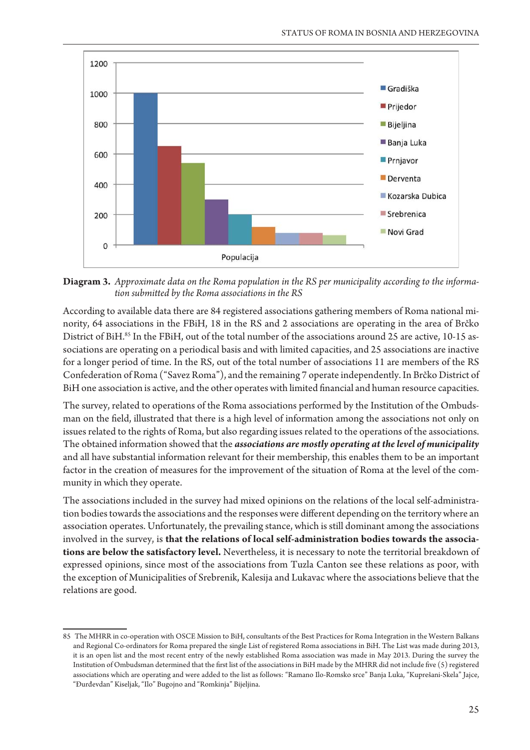

**Diagram 3.** Approximate data on the Roma population in the RS per municipality according to the informa*tion submitted by the Roma associations in the RS* 

According to available data there are 84 registered associations gathering members of Roma national minority, 64 associations in the FBiH, 18 in the RS and 2 associations are operating in the area of Brčko District of BiH.85 In the FBiH, out of the total number of the associations around 25 are active, 10-15 associations are operating on a periodical basis and with limited capacities, and 25 associations are inactive for a longer period of time. In the RS, out of the total number of associations 11 are members of the RS Confederation of Roma ("Savez Roma"), and the remaining 7 operate independently. In Brčko District of BiH one association is active, and the other operates with limited financial and human resource capacities.

The survey, related to operations of the Roma associations performed by the Institution of the Ombudsman on the field, illustrated that there is a high level of information among the associations not only on issues related to the rights of Roma, but also regarding issues related to the operations of the associations. The obtained information showed that the *associations are mostly operating at the level of municipality* and all have substantial information relevant for their membership, this enables them to be an important factor in the creation of measures for the improvement of the situation of Roma at the level of the community in which they operate.

The associations included in the survey had mixed opinions on the relations of the local self-administration bodies towards the associations and the responses were different depending on the territory where an association operates. Unfortunately, the prevailing stance, which is still dominant among the associations involved in the survey, is **that the relations of local self-administration bodies towards the associations are below the satisfactory level.** Nevertheless, it is necessary to note the territorial breakdown of expressed opinions, since most of the associations from Tuzla Canton see these relations as poor, with the exception of Municipalities of Srebrenik, Kalesija and Lukavac where the associations believe that the relations are good.

<sup>85</sup> The MHRR in co-operation with OSCE Mission to BiH, consultants of the Best Practices for Roma Integration in the Western Balkans and Regional Co-ordinators for Roma prepared the single List of registered Roma associations in BiH. The List was made during 2013, it is an open list and the most recent entry of the newly established Roma association was made in May 2013. During the survey the Institution of Ombudsman determined that the first list of the associations in BiH made by the MHRR did not include five (5) registered associations which are operating and were added to the list as follows: "Ramano Ilo-Romsko srce" Banja Luka, "Kuprešani-Skela" Jajce, "Đurđevdan" Kiseljak, "Ilo" Bugojno and "Romkinja" Bijeljina.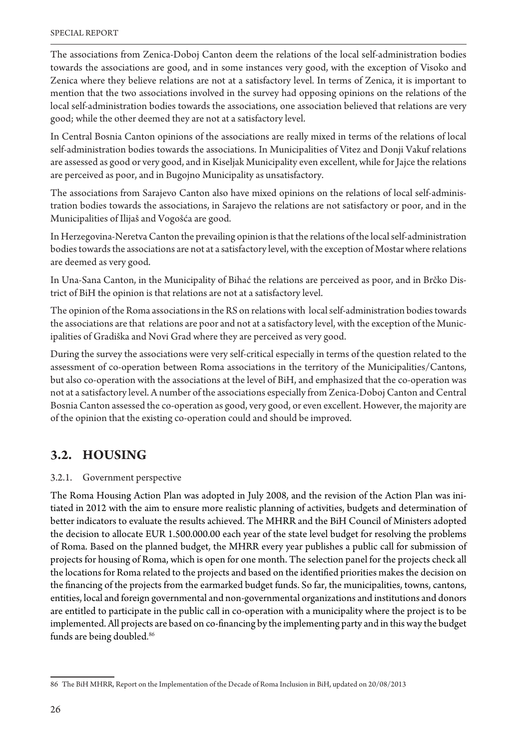The associations from Zenica-Doboj Canton deem the relations of the local self-administration bodies towards the associations are good, and in some instances very good, with the exception of Visoko and Zenica where they believe relations are not at a satisfactory level. In terms of Zenica, it is important to mention that the two associations involved in the survey had opposing opinions on the relations of the local self-administration bodies towards the associations, one association believed that relations are very good; while the other deemed they are not at a satisfactory level.

In Central Bosnia Canton opinions of the associations are really mixed in terms of the relations of local self-administration bodies towards the associations. In Municipalities of Vitez and Donji Vakuf relations are assessed as good or very good, and in Kiseljak Municipality even excellent, while for Jajce the relations are perceived as poor, and in Bugojno Municipality as unsatisfactory.

The associations from Sarajevo Canton also have mixed opinions on the relations of local self-administration bodies towards the associations, in Sarajevo the relations are not satisfactory or poor, and in the Municipalities of Ilijaš and Vogošća are good.

In Herzegovina-Neretva Canton the prevailing opinion is that the relations of the local self-administration bodies towards the associations are not at a satisfactory level, with the exception of Mostar where relations are deemed as very good.

In Una-Sana Canton, in the Municipality of Bihać the relations are perceived as poor, and in Brčko District of BiH the opinion is that relations are not at a satisfactory level.

The opinion of the Roma associations in the RS on relations with local self-administration bodies towards the associations are that relations are poor and not at a satisfactory level, with the exception of the Municipalities of Gradiška and Novi Grad where they are perceived as very good.

During the survey the associations were very self-critical especially in terms of the question related to the assessment of co-operation between Roma associations in the territory of the Municipalities/Cantons, but also co-operation with the associations at the level of BiH, and emphasized that the co-operation was not at a satisfactory level. A number of the associations especially from Zenica-Doboj Canton and Central Bosnia Canton assessed the co-operation as good, very good, or even excellent. However, the majority are of the opinion that the existing co-operation could and should be improved.

### **3.2. HOUSING**

#### 3.2.1. Government perspective

The Roma Housing Action Plan was adopted in July 2008, and the revision of the Action Plan was initiated in 2012 with the aim to ensure more realistic planning of activities, budgets and determination of better indicators to evaluate the results achieved. The MHRR and the BiH Council of Ministers adopted the decision to allocate EUR 1.500.000.00 each year of the state level budget for resolving the problems of Roma. Based on the planned budget, the MHRR every year publishes a public call for submission of projects for housing of Roma, which is open for one month. The selection panel for the projects check all the locations for Roma related to the projects and based on the identified priorities makes the decision on the financing of the projects from the earmarked budget funds. So far, the municipalities, towns, cantons, entities, local and foreign governmental and non-governmental organizations and institutions and donors are entitled to participate in the public call in co-operation with a municipality where the project is to be implemented. All projects are based on co-financing by the implementing party and in this way the budget funds are being doubled. 86

<sup>86</sup> The BiH MHRR, Report on the Implementation of the Decade of Roma Inclusion in BiH, updated on 20/08/2013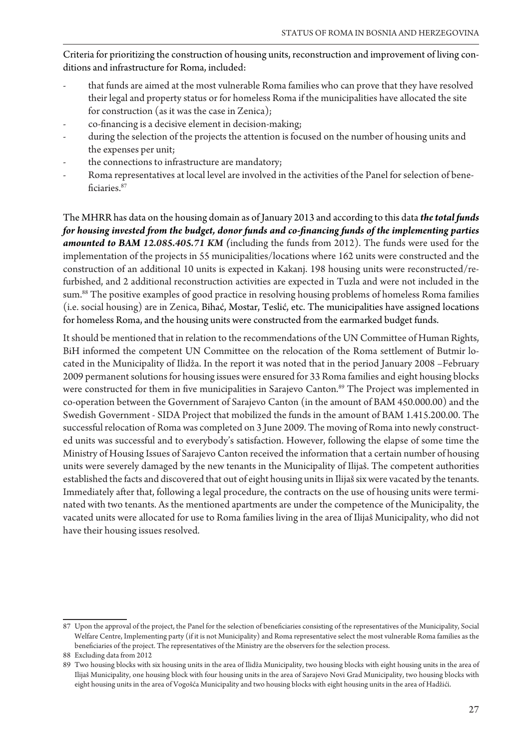Criteria for prioritizing the construction of housing units, reconstruction and improvement of living conditions and infrastructure for Roma, included:

- that funds are aimed at the most vulnerable Roma families who can prove that they have resolved their legal and property status or for homeless Roma if the municipalities have allocated the site for construction (as it was the case in Zenica);
- co-financing is a decisive element in decision-making;
- during the selection of the projects the attention is focused on the number of housing units and the expenses per unit;
- the connections to infrastructure are mandatory;
- Roma representatives at local level are involved in the activities of the Panel for selection of beneficiaries.<sup>87</sup>

The MHRR has data on the housing domain as of January 2013 and according to this data *the total funds* for housing invested from the budget, donor funds and co-financing funds of the implementing parties amounted to BAM 12.085.405.71 KM (including the funds from 2012). The funds were used for the implementation of the projects in 55 municipalities/locations where 162 units were constructed and the construction of an additional 10 units is expected in Kakanj. 198 housing units were reconstructed/refurbished, and 2 additional reconstruction activities are expected in Tuzla and were not included in the sum.<sup>88</sup> The positive examples of good practice in resolving housing problems of homeless Roma families (i.e. social housing) are in Zenica, Bihać, Mostar, Teslić, etc. The municipalities have assigned locations for homeless Roma, and the housing units were constructed from the earmarked budget funds.

It should be mentioned that in relation to the recommendations of the UN Committee of Human Rights, BiH informed the competent UN Committee on the relocation of the Roma settlement of Butmir located in the Municipality of Ilidža. In the report it was noted that in the period January 2008 -February 2009 permanent solutions for housing issues were ensured for 33 Roma families and eight housing blocks were constructed for them in five municipalities in Sarajevo Canton.<sup>89</sup> The Project was implemented in co-operation between the Government of Sarajevo Canton (in the amount of BAM 450.000.00) and the Swedish Government - SIDA Project that mobilized the funds in the amount of BAM 1.415.200.00. The successful relocation of Roma was completed on 3 June 2009. The moving of Roma into newly constructed units was successful and to everybody's satisfaction. However, following the elapse of some time the Ministry of Housing Issues of Sarajevo Canton received the information that a certain number of housing units were severely damaged by the new tenants in the Municipality of Ilijaš. The competent authorities established the facts and discovered that out of eight housing units in Ilijaš six were vacated by the tenants. Immediately after that, following a legal procedure, the contracts on the use of housing units were terminated with two tenants. As the mentioned apartments are under the competence of the Municipality, the vacated units were allocated for use to Roma families living in the area of Ilijaš Municipality, who did not have their housing issues resolved.

<sup>87</sup> Upon the approval of the project, the Panel for the selection of beneficiaries consisting of the representatives of the Municipality, Social Welfare Centre, Implementing party (if it is not Municipality) and Roma representative select the most vulnerable Roma families as the beneficiaries of the project. The representatives of the Ministry are the observers for the selection process.

<sup>88</sup> Excluding data from 2012

<sup>89</sup> Two housing blocks with six housing units in the area of Ilidža Municipality, two housing blocks with eight housing units in the area of Ilijaš Municipality, one housing block with four housing units in the area of Sarajevo Novi Grad Municipality, two housing blocks with eight housing units in the area of Vogošća Municipality and two housing blocks with eight housing units in the area of Hadžići.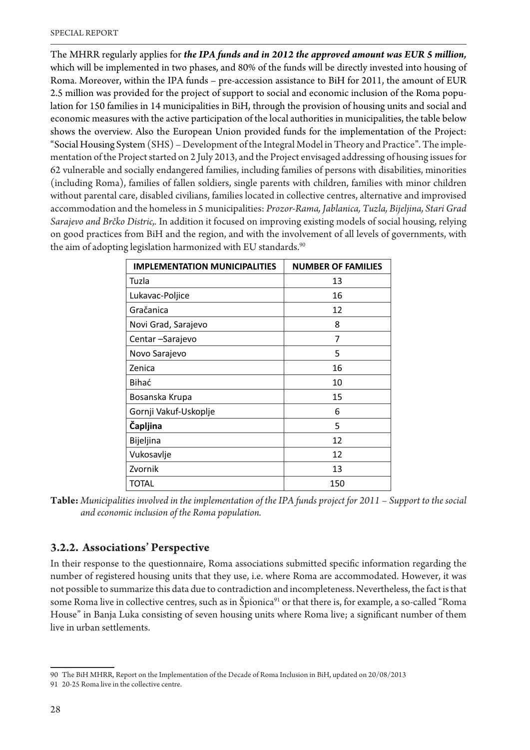The MHRR regularly applies for *the IPA funds and in 2012 the approved amount was EUR 5 million,* which will be implemented in two phases, and 80% of the funds will be directly invested into housing of Roma. Moreover, within the IPA funds - pre-accession assistance to BiH for 2011, the amount of EUR 2.5 million was provided for the project of support to social and economic inclusion of the Roma population for 150 families in 14 municipalities in BiH, through the provision of housing units and social and economic measures with the active participation of the local authorities in municipalities, the table below shows the overview. Also the European Union provided funds for the implementation of the Project: "Social Housing System (SHS) – Development of the Integral Model in Theory and Practice". The implementation of the Project started on 2 July 2013, and the Project envisaged addressing of housing issues for 62 vulnerable and socially endangered families, including families of persons with disabilities, minorities (including Roma), families of fallen soldiers, single parents with children, families with minor children without parental care, disabled civilians, families located in collective centres, alternative and improvised accommodation and the homeless in 5 municipalities: Prozor-Rama, Jablanica, Tuzla, Bijeljina, Stari Grad Sarajevo and Brčko Distric,. In addition it focused on improving existing models of social housing, relying on good practices from BiH and the region, and with the involvement of all levels of governments, with the aim of adopting legislation harmonized with EU standards.<sup>90</sup>

| <b>IMPLEMENTATION MUNICIPALITIES</b> | <b>NUMBER OF FAMILIES</b> |
|--------------------------------------|---------------------------|
| Tuzla                                | 13                        |
| Lukavac-Poljice                      | 16                        |
| Gračanica                            | 12                        |
| Novi Grad, Sarajevo                  | 8                         |
| Centar-Sarajevo                      | 7                         |
| Novo Sarajevo                        | 5                         |
| Zenica                               | 16                        |
| Bihać                                | 10                        |
| Bosanska Krupa                       | 15                        |
| Gornji Vakuf-Uskoplje                | 6                         |
| Čapljina                             | 5                         |
| Bijeljina                            | 12                        |
| Vukosavlje                           | 12                        |
| Zvornik                              | 13                        |
| <b>TOTAL</b>                         | 150                       |

Table: *Municipalities involved in the implementation of the IPA funds project for 2011 – Support to the social* and economic inclusion of the Roma population.

#### **3.2.2. Associations' Perspective**

In their response to the questionnaire, Roma associations submitted specific information regarding the number of registered housing units that they use, i.e. where Roma are accommodated. However, it was not possible to summarize this data due to contradiction and incompleteness. Nevertheless, the fact is that some Roma live in collective centres, such as in Špionica<sup>91</sup> or that there is, for example, a so-called "Roma House" in Banja Luka consisting of seven housing units where Roma live; a significant number of them live in urban settlements.

<sup>90</sup> The BiH MHRR, Report on the Implementation of the Decade of Roma Inclusion in BiH, updated on 20/08/2013

<sup>91 20-25</sup> Roma live in the collective centre.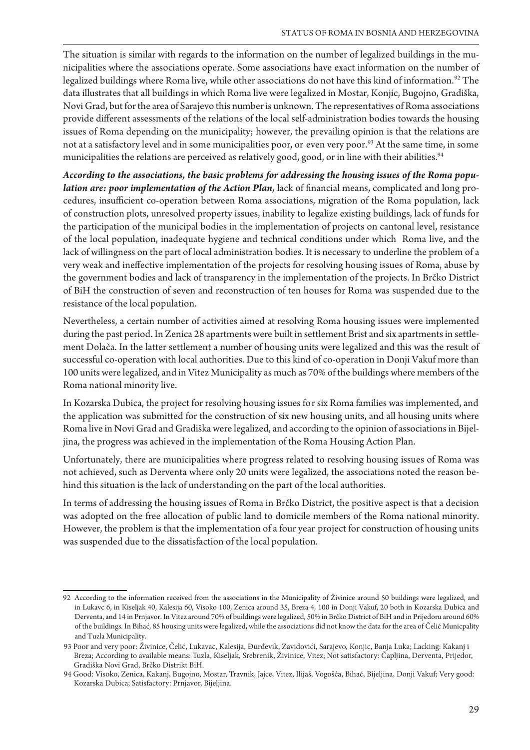The situation is similar with regards to the information on the number of legalized buildings in the municipalities where the associations operate. Some associations have exact information on the number of legalized buildings where Roma live, while other associations do not have this kind of information.<sup>92</sup> The data illustrates that all buildings in which Roma live were legalized in Mostar, Konjic, Bugojno, Gradiška, Novi Grad, but for the area of Sarajevo this number is unknown. The representatives of Roma associations provide different assessments of the relations of the local self-administration bodies towards the housing issues of Roma depending on the municipality; however, the prevailing opinion is that the relations are not at a satisfactory level and in some municipalities poor, or even very poor.<sup>93</sup> At the same time, in some municipalities the relations are perceived as relatively good, good, or in line with their abilities.<sup>94</sup>

According to the associations, the basic problems for addressing the housing issues of the Roma population are: poor implementation of the Action Plan, lack of financial means, complicated and long procedures, insufficient co-operation between Roma associations, migration of the Roma population, lack of construction plots, unresolved property issues, inability to legalize existing buildings, lack of funds for the participation of the municipal bodies in the implementation of projects on cantonal level, resistance of the local population, inadequate hygiene and technical conditions under which Roma live, and the lack of willingness on the part of local administration bodies. It is necessary to underline the problem of a very weak and ineffective implementation of the projects for resolving housing issues of Roma, abuse by the government bodies and lack of transparency in the implementation of the projects. In Brčko District of BiH the construction of seven and reconstruction of ten houses for Roma was suspended due to the resistance of the local population.

Nevertheless, a certain number of activities aimed at resolving Roma housing issues were implemented during the past period. In Zenica 28 apartments were built in settlement Brist and six apartments in settlement Dolača. In the latter settlement a number of housing units were legalized and this was the result of successful co-operation with local authorities. Due to this kind of co-operation in Donji Vakuf more than 100 units were legalized, and in Vitez Municipality as much as 70% of the buildings where members of the Roma national minority live.

In Kozarska Dubica, the project for resolving housing issues for six Roma families was implemented, and the application was submitted for the construction of six new housing units, and all housing units where Roma live in Novi Grad and Gradiška were legalized, and according to the opinion of associations in Bijeljina, the progress was achieved in the implementation of the Roma Housing Action Plan.

Unfortunately, there are municipalities where progress related to resolving housing issues of Roma was not achieved, such as Derventa where only 20 units were legalized, the associations noted the reason behind this situation is the lack of understanding on the part of the local authorities.

In terms of addressing the housing issues of Roma in Brčko District, the positive aspect is that a decision was adopted on the free allocation of public land to domicile members of the Roma national minority. However, the problem is that the implementation of a four year project for construction of housing units was suspended due to the dissatisfaction of the local population.

<sup>92</sup> According to the information received from the associations in the Municipality of Živinice around 50 buildings were legalized, and in Lukavc 6, in Kiseljak 40, Kalesija 60, Visoko 100, Zenica around 35, Breza 4, 100 in Donji Vakuf, 20 both in Kozarska Dubica and Derventa, and 14 in Prnjavor. In Vitez around 70% of buildings were legalized, 50% in Brčko District of BiH and in Prijedoru around 60% of the buildings. In Bihać, 85 housing units were legalized, while the associations did not know the data for the area of Čelić Municpality and Tuzla Municipality.

<sup>93</sup> Poor and very poor: Živinice, Čelić, Lukavac, Kalesija, Đurđevik, Zavidovići, Sarajevo, Konjic, Banja Luka; Lacking: Kakanj i Breza; According to available means: Tuzla, Kiseljak, Srebrenik, Živinice, Vitez; Not satisfactory: Čapljina, Derventa, Prijedor, Gradiška Novi Grad, Brčko Distrikt BiH.

<sup>94</sup> Good: Visoko, Zenica, Kakanj, Bugojno, Mostar, Travnik, Jajce, Vitez, Ilijaš, Vogošća, Bihać, Bijeljina, Donji Vakuf; Very good: Kozarska Dubica; Satisfactory: Prnjavor, Bijeljina.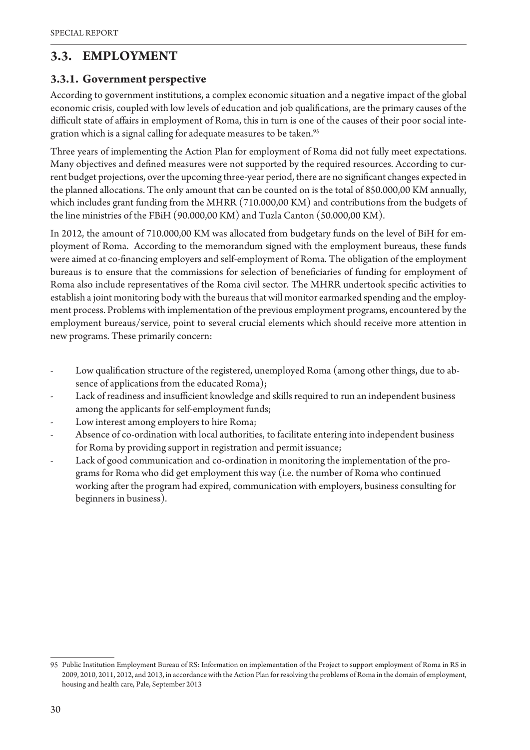#### **3.3. EMPLOYMENT**

#### **3.3.1. Government perspective**

According to government institutions, a complex economic situation and a negative impact of the global economic crisis, coupled with low levels of education and job qualifications, are the primary causes of the difficult state of affairs in employment of Roma, this in turn is one of the causes of their poor social integration which is a signal calling for adequate measures to be taken.<sup>95</sup>

Three years of implementing the Action Plan for employment of Roma did not fully meet expectations. Many objectives and defined measures were not supported by the required resources. According to current budget projections, over the upcoming three-year period, there are no significant changes expected in the planned allocations. The only amount that can be counted on is the total of 850.000,00 KM annually, which includes grant funding from the MHRR (710.000,00 KM) and contributions from the budgets of the line ministries of the FBiH (90.000,00 KM) and Tuzla Canton (50.000,00 KM).

In 2012, the amount of 710.000,00 KM was allocated from budgetary funds on the level of BiH for employment of Roma. According to the memorandum signed with the employment bureaus, these funds were aimed at co-financing employers and self-employment of Roma. The obligation of the employment bureaus is to ensure that the commissions for selection of beneficiaries of funding for employment of Roma also include representatives of the Roma civil sector. The MHRR undertook specific activities to establish a joint monitoring body with the bureaus that will monitor earmarked spending and the employment process. Problems with implementation of the previous employment programs, encountered by the employment bureaus/service, point to several crucial elements which should receive more attention in new programs. These primarily concern:

- Low qualification structure of the registered, unemployed Roma (among other things, due to absence of applications from the educated Roma);
- Lack of readiness and insufficient knowledge and skills required to run an independent business among the applicants for self-employment funds;
- Low interest among employers to hire Roma;
- Absence of co-ordination with local authorities, to facilitate entering into independent business for Roma by providing support in registration and permit issuance;
- Lack of good communication and co-ordination in monitoring the implementation of the programs for Roma who did get employment this way (i.e. the number of Roma who continued working after the program had expired, communication with employers, business consulting for beginners in business).

<sup>95</sup> Public Institution Employment Bureau of RS: Information on implementation of the Project to support employment of Roma in RS in 2009, 2010, 2011, 2012, and 2013, in accordance with the Action Plan for resolving the problems of Roma in the domain of employment, housing and health care, Pale, September 2013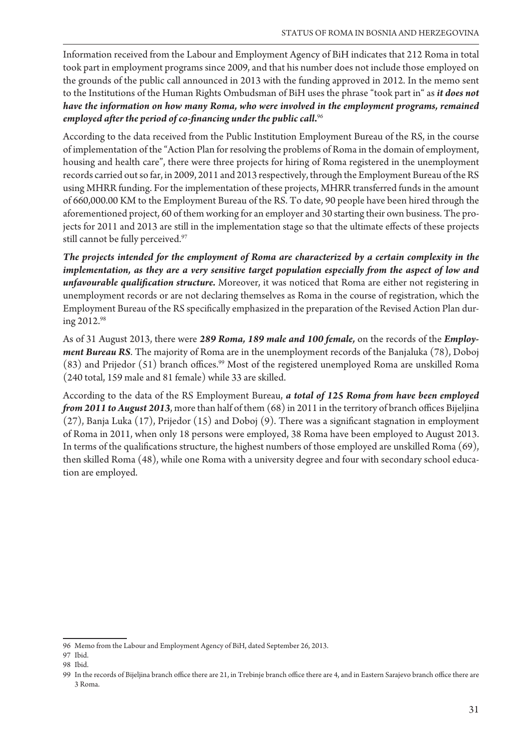Information received from the Labour and Employment Agency of BiH indicates that 212 Roma in total took part in employment programs since 2009, and that his number does not include those employed on the grounds of the public call announced in 2013 with the funding approved in 2012. In the memo sent to the Institutions of the Human Rights Ombudsman of BiH uses the phrase "took part in" as *it does not*  have the information on how many Roma, who were involved in the employment programs, remained employed after the period of co-financing under the public call.<sup>96</sup>

According to the data received from the Public Institution Employment Bureau of the RS, in the course of implementation of the "Action Plan for resolving the problems of Roma in the domain of employment, housing and health care", there were three projects for hiring of Roma registered in the unemployment records carried out so far, in 2009, 2011 and 2013 respectively, through the Employment Bureau of the RS using MHRR funding. For the implementation of these projects, MHRR transferred funds in the amount of 660,000.00 KM to the Employment Bureau of the RS. To date, 90 people have been hired through the aforementioned project, 60 of them working for an employer and 30 starting their own business. The projects for 2011 and 2013 are still in the implementation stage so that the ultimate effects of these projects still cannot be fully perceived.<sup>97</sup>

The projects intended for the employment of Roma are characterized by a certain complexity in the implementation, as they are a very sensitive target population especially from the aspect of low and *unfavourable qualification structure*. Moreover, it was noticed that Roma are either not registering in unemployment records or are not declaring themselves as Roma in the course of registration, which the Employment Bureau of the RS specifically emphasized in the preparation of the Revised Action Plan during 2012.98

As of 31 August 2013, there were 289 Roma, 189 male and 100 female, on the records of the *Employment Bureau RS*. The majority of Roma are in the unemployment records of the Banjaluka (78), Doboj  $(83)$  and Prijedor  $(51)$  branch offices.<sup>99</sup> Most of the registered unemployed Roma are unskilled Roma (240 total, 159 male and 81 female) while 33 are skilled.

According to the data of the RS Employment Bureau, *a total of 125 Roma from have been employed* from 2011 to August 2013, more than half of them (68) in 2011 in the territory of branch offices Bijeljina  $(27)$ , Banja Luka  $(17)$ , Prijedor  $(15)$  and Doboj  $(9)$ . There was a significant stagnation in employment of Roma in 2011, when only 18 persons were employed, 38 Roma have been employed to August 2013. In terms of the qualifications structure, the highest numbers of those employed are unskilled Roma (69), then skilled Roma (48), while one Roma with a university degree and four with secondary school education are employed.

<sup>96</sup> Memo from the Labour and Employment Agency of BiH, dated September 26, 2013.

<sup>97</sup> Ibid.

<sup>98</sup> Ibid.

<sup>99</sup> In the records of Bijeljina branch office there are 21, in Trebinje branch office there are 4, and in Eastern Sarajevo branch office there are 3 Roma.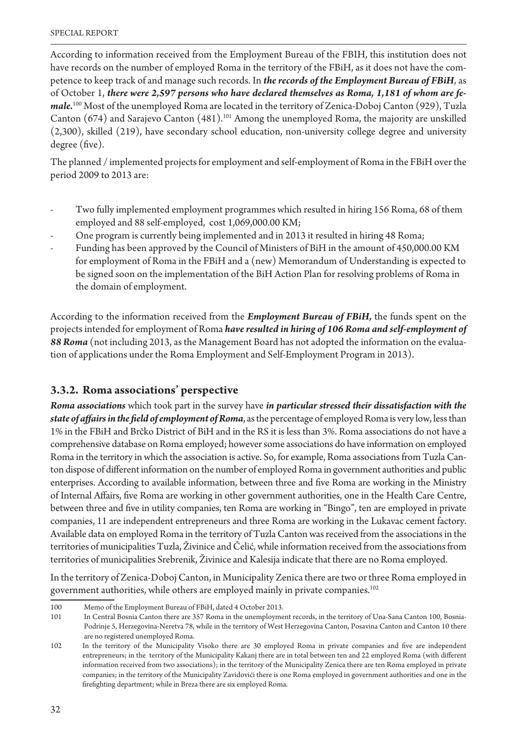According to information received from the Employment Bureau of the FBIH, this institution does not have records on the number of employed Roma in the territory of the FBiH, as it does not have the competence to keep track of and manage such records. In *the records of the Employment Bureau of FBiH*, as of October 1, there were 2,597 persons who have declared themselves as Roma, 1,181 of whom are female.<sup>100</sup> Most of the unemployed Roma are located in the territory of Zenica-Doboj Canton (929), Tuzla Canton (674) and Sarajevo Canton (481).<sup>101</sup> Among the unemployed Roma, the majority are unskilled (2,300), skilled (219), have secondary school education, non-university college degree and university degree (five).

The planned / implemented projects for employment and self-employment of Roma in the FBiH over the period 2009 to 2013 are:

- Two fully implemented employment programmes which resulted in hiring 156 Roma, 68 of them employed and 88 self-employed, cost 1,069,000.00 KM;
- One program is currently being implemented and in 2013 it resulted in hiring 48 Roma;
- Funding has been approved by the Council of Ministers of BiH in the amount of 450,000.00 KM for employment of Roma in the FBiH and a (new) Memorandum of Understanding is expected to be signed soon on the implementation of the BiH Action Plan for resolving problems of Roma in the domain of employment.

According to the information received from the *Employment Bureau of FBiH*, the funds spent on the projects intended for employment of Roma *have resulted in hiring of 106 Roma and self-employment of* 88 Roma (not including 2013, as the Management Board has not adopted the information on the evaluation of applications under the Roma Employment and Self-Employment Program in 2013).

#### **3.3.2. Roma associations' perspective**

**Roma associations** which took part in the survey have *in particular stressed their dissatisfaction with the state of affairs in the field of employment of Roma*, as the percentage of employed Roma is very low, less than 1% in the FBiH and Brčko District of BiH and in the RS it is less than 3%. Roma associations do not have a comprehensive database on Roma employed; however some associations do have information on employed Roma in the territory in which the association is active. So, for example, Roma associations from Tuzla Canton dispose of different information on the number of employed Roma in government authorities and public enterprises. According to available information, between three and five Roma are working in the Ministry of Internal Affairs, five Roma are working in other government authorities, one in the Health Care Centre, between three and five in utility companies, ten Roma are working in "Bingo", ten are employed in private companies, 11 are independent entrepreneurs and three Roma are working in the Lukavac cement factory. Available data on employed Roma in the territory of Tuzla Canton was received from the associations in the territories of municipalities Tuzla, Živinice and Čelić, while information received from the associations from territories of municipalities Srebrenik, Živinice and Kalesija indicate that there are no Roma employed.

In the territory of Zenica-Doboj Canton, in Municipality Zenica there are two or three Roma employed in government authorities, while others are employed mainly in private companies.<sup>102</sup>

<sup>100</sup> Memo of the Employment Bureau of FBiH, dated 4 October 2013.

<sup>101</sup> In Central Bosnia Canton there are 357 Roma in the unemployment records, in the territory of Una-Sana Canton 100, Bosnia-Podrinje 5, Herzegovina-Neretva 78, while in the territory of West Herzegovina Canton, Posavina Canton and Canton 10 there are no registered unemployed Roma.

<sup>102</sup> The the territory of the Municipality Visoko there are 30 employed Roma in private companies and five are independent entrepreneurs; in the territory of the Municipality Kakanj there are in total between ten and 22 employed Roma (with different information received from two associations); in the territory of the Municipality Zenica there are ten Roma employed in private companies; in the territory of the Municipality Zavidovići there is one Roma employed in government authorities and one in the firefighting department; while in Breza there are six employed Roma.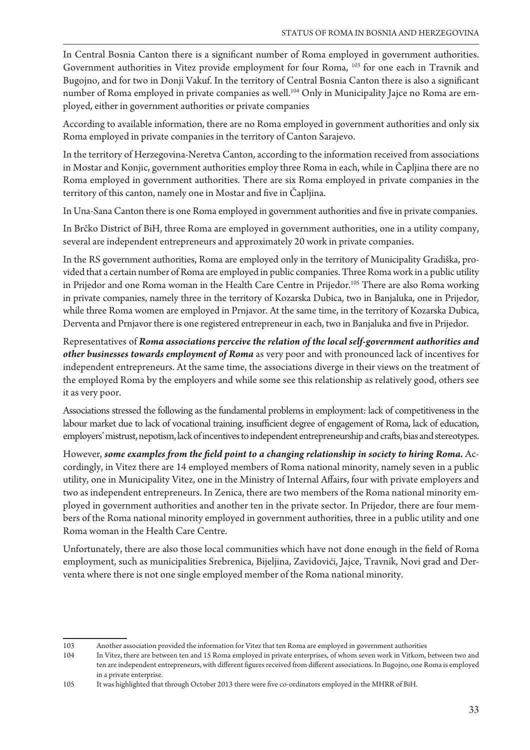In Central Bosnia Canton there is a significant number of Roma employed in government authorities. Government authorities in Vitez provide employment for four Roma, 103 for one each in Travnik and Bugojno, and for two in Donji Vakuf. In the territory of Central Bosnia Canton there is also a significant number of Roma employed in private companies as well.<sup>104</sup> Only in Municipality Jajce no Roma are employed, either in government authorities or private companies

According to available information, there are no Roma employed in government authorities and only six Roma employed in private companies in the territory of Canton Sarajevo.

In the territory of Herzegovina-Neretva Canton, according to the information received from associations in Mostar and Konjic, government authorities employ three Roma in each, while in Capljina there are no Roma employed in government authorities. There are six Roma employed in private companies in the territory of this canton, namely one in Mostar and five in Čapljina.

In Una-Sana Canton there is one Roma employed in government authorities and five in private companies.

In Brčko District of BiH, three Roma are employed in government authorities, one in a utility company, several are independent entrepreneurs and approximately 20 work in private companies.

In the RS government authorities, Roma are employed only in the territory of Municipality Gradiška, provided that a certain number of Roma are employed in public companies. Three Roma work in a public utility in Prijedor and one Roma woman in the Health Care Centre in Prijedor.<sup>105</sup> There are also Roma working in private companies, namely three in the territory of Kozarska Dubica, two in Banjaluka, one in Prijedor, while three Roma women are employed in Prnjavor. At the same time, in the territory of Kozarska Dubica, Derventa and Prnjavor there is one registered entrepreneur in each, two in Banjaluka and five in Prijedor.

Representatives of *Roma associations perceive the relation of the local self-government authorities and* other businesses towards employment of Roma as very poor and with pronounced lack of incentives for independent entrepreneurs. At the same time, the associations diverge in their views on the treatment of the employed Roma by the employers and while some see this relationship as relatively good, others see it as very poor.

Associations stressed the following as the fundamental problems in employment: lack of competitiveness in the labour market due to lack of vocational training, insufficient degree of engagement of Roma, lack of education, employers' mistrust, nepotism, lack of incentives to independent entrepreneurship and crafts, bias and stereotypes.

However, some examples from the field point to a changing relationship in society to hiring Roma. Accordingly, in Vitez there are 14 employed members of Roma national minority, namely seven in a public utility, one in Municipality Vitez, one in the Ministry of Internal Affairs, four with private employers and two as independent entrepreneurs. In Zenica, there are two members of the Roma national minority employed in government authorities and another ten in the private sector. In Prijedor, there are four members of the Roma national minority employed in government authorities, three in a public utility and one Roma woman in the Health Care Centre.

Unfortunately, there are also those local communities which have not done enough in the field of Roma employment, such as municipalities Srebrenica, Bijeljina, Zavidovići, Jajce, Travnik, Novi grad and Derventa where there is not one single employed member of the Roma national minority.

<sup>103</sup> Another association provided the information for Vitez that ten Roma are employed in government authorities

<sup>104</sup> In Vitez, there are between ten and 15 Roma employed in private enterprises, of whom seven work in Vitkom, between two and ten are independent entrepreneurs, with different figures received from different associations. In Bugojno, one Roma is employed in a private enterprise.

<sup>105</sup> It was highlighted that through October 2013 there were five co-ordinators employed in the MHRR of BiH.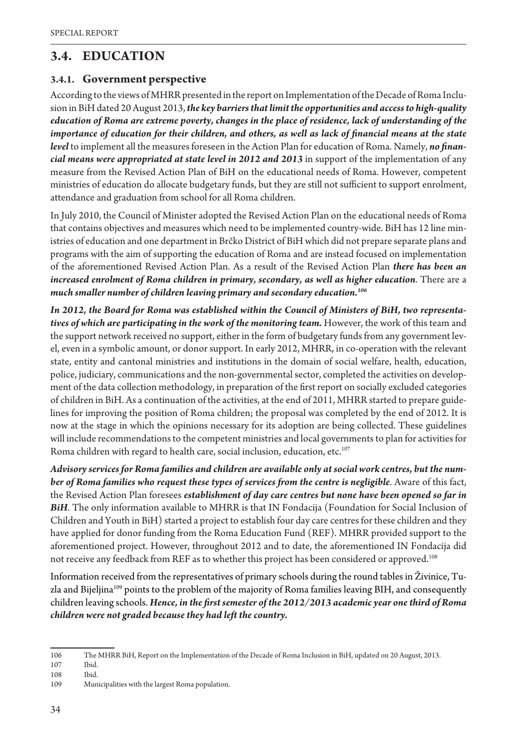### **3.4. EDUCATION**

#### **3.4.1. Government perspective**

According to the views of MHRR presented in the report on Implementation of the Decade of Roma Inclusion in BiH dated 20 August 2013, *the key barriers that limit the opportunities and access to high-quality* education of Roma are extreme poverty, changes in the place of residence, lack of understanding of the importance of education for their children, and others, as well as lack of financial means at the state *level* to implement all the measures foreseen in the Action Plan for education of Roma. Namely, no financial means were appropriated at state level in 2012 and 2013 in support of the implementation of any measure from the Revised Action Plan of BiH on the educational needs of Roma. However, competent ministries of education do allocate budgetary funds, but they are still not sufficient to support enrolment, attendance and graduation from school for all Roma children.

In July 2010, the Council of Minister adopted the Revised Action Plan on the educational needs of Roma that contains objectives and measures which need to be implemented country-wide. BiH has 12 line ministries of education and one department in Brčko District of BiH which did not prepare separate plans and programs with the aim of supporting the education of Roma and are instead focused on implementation of the aforementioned Revised Action Plan. As a result of the Revised Action Plan *there has been an*  increased enrolment of Roma children in primary, secondary, as well as higher education. There are a much smaller number of children leaving primary and secondary education.<sup>106</sup>

In 2012, the Board for Roma was established within the Council of Ministers of BiH, two representatives of which are participating in the work of the monitoring team. However, the work of this team and the support network received no support, either in the form of budgetary funds from any government level, even in a symbolic amount, or donor support. In early 2012, MHRR, in co-operation with the relevant state, entity and cantonal ministries and institutions in the domain of social welfare, health, education, police, judiciary, communications and the non-governmental sector, completed the activities on development of the data collection methodology, in preparation of the first report on socially excluded categories of children in BiH. As a continuation of the activities, at the end of 2011, MHRR started to prepare guidelines for improving the position of Roma children; the proposal was completed by the end of 2012. It is now at the stage in which the opinions necessary for its adoption are being collected. These guidelines will include recommendations to the competent ministries and local governments to plan for activities for Roma children with regard to health care, social inclusion, education, etc.<sup>107</sup>

Advisory services for Roma families and children are available only at social work centres, but the number of Roma families who request these types of services from the centre is negligible. Aware of this fact, the Revised Action Plan foresees *establishment of day care centres but none have been opened so far in* BiH. The only information available to MHRR is that IN Fondacija (Foundation for Social Inclusion of Children and Youth in BiH) started a project to establish four day care centres for these children and they have applied for donor funding from the Roma Education Fund (REF). MHRR provided support to the aforementioned project. However, throughout 2012 and to date, the aforementioned IN Fondacija did not receive any feedback from REF as to whether this project has been considered or approved.108

Information received from the representatives of primary schools during the round tables in Živinice, Tuzla and Bijeljina<sup>109</sup> points to the problem of the majority of Roma families leaving BIH, and consequently children leaving schools. Hence, in the first semester of the 2012/2013 academic year one third of Roma children were not graded because they had left the country.

<sup>106</sup> The MHRR BiH, Report on the Implementation of the Decade of Roma Inclusion in BiH, updated on 20 August, 2013.

<sup>107</sup> Ibid.

<sup>108</sup> Ibid.

<sup>109</sup> Municipalities with the largest Roma population.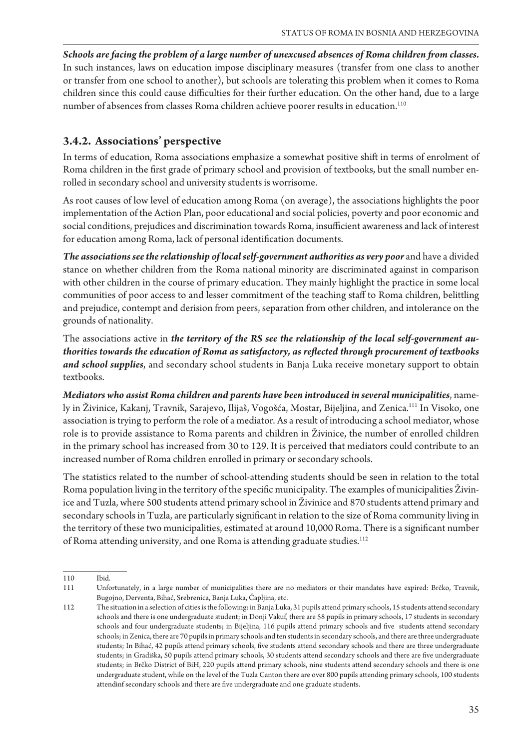*Schools are facing the problem of a large number of unexcused absences of Roma children from classes.* In such instances, laws on education impose disciplinary measures (transfer from one class to another or transfer from one school to another), but schools are tolerating this problem when it comes to Roma children since this could cause difficulties for their further education. On the other hand, due to a large number of absences from classes Roma children achieve poorer results in education.<sup>110</sup>

#### **3.4.2. Associations' perspective**

In terms of education, Roma associations emphasize a somewhat positive shift in terms of enrolment of Roma children in the first grade of primary school and provision of textbooks, but the small number enrolled in secondary school and university students is worrisome.

As root causes of low level of education among Roma (on average), the associations highlights the poor implementation of the Action Plan, poor educational and social policies, poverty and poor economic and social conditions, prejudices and discrimination towards Roma, insufficient awareness and lack of interest for education among Roma, lack of personal identification documents.

**The associations see the relationship of local self-government authorities as very poor and have a divided** stance on whether children from the Roma national minority are discriminated against in comparison with other children in the course of primary education. They mainly highlight the practice in some local communities of poor access to and lesser commitment of the teaching staff to Roma children, belittling and prejudice, contempt and derision from peers, separation from other children, and intolerance on the grounds of nationality.

The associations active in *the territory of the RS see the relationship of the local self-government au*thorities towards the education of Roma as satisfactory, as reflected through procurement of textbooks *and school supplies*, and secondary school students in Banja Luka receive monetary support to obtain textbooks.

*Mediators who assist Roma children and parents have been introduced in several municipalities, name*ly in Živinice, Kakanj, Travnik, Sarajevo, Ilijaš, Vogošća, Mostar, Bijeljina, and Zenica.<sup>111</sup> In Visoko, one association is trying to perform the role of a mediator. As a result of introducing a school mediator, whose role is to provide assistance to Roma parents and children in Živinice, the number of enrolled children in the primary school has increased from 30 to 129. It is perceived that mediators could contribute to an increased number of Roma children enrolled in primary or secondary schools.

The statistics related to the number of school-attending students should be seen in relation to the total Roma population living in the territory of the specific municipality. The examples of municipalities Živinice and Tuzla, where 500 students attend primary school in Živinice and 870 students attend primary and secondary schools in Tuzla, are particularly significant in relation to the size of Roma community living in the territory of these two municipalities, estimated at around 10,000 Roma. There is a significant number of Roma attending university, and one Roma is attending graduate studies.<sup>112</sup>

<sup>110</sup> Ibid.

<sup>111</sup> Unfortunately, in a large number of municipalities there are no mediators or their mandates have expired: Brčko, Travnik, Bugojno, Derventa, Bihać, Srebrenica, Banja Luka, Čapljina, etc.

<sup>112</sup> The situation in a selection of cities is the following: in Banja Luka, 31 pupils attend primary schools, 15 students attend secondary schools and there is one undergraduate student; in Donji Vakuf, there are 58 pupils in primary schools, 17 students in secondary schools and four undergraduate students; in Bijeljina, 116 pupils attend primary schools and five students attend secondary schools; in Zenica, there are 70 pupils in primary schools and ten students in secondary schools, and there are three undergraduate students; In Bihać, 42 pupils attend primary schools, five students attend secondary schools and there are three undergraduate students; in Gradiška, 50 pupils attend primary schools, 30 students attend secondary schools and there are five undergraduate students; in Brčko District of BiH, 220 pupils attend primary schools, nine students attend secondary schools and there is one undergraduate student, while on the level of the Tuzla Canton there are over 800 pupils attending primary schools, 100 students attendinf secondary schools and there are five undergraduate and one graduate students.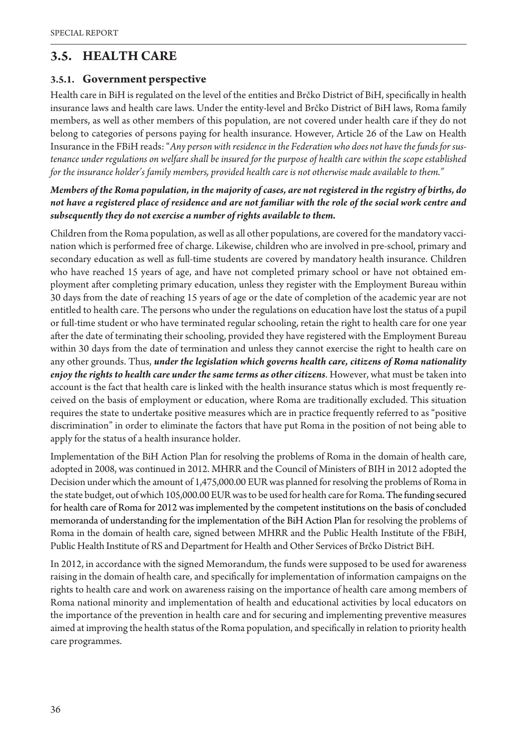### **3.5. HEALTH CARE**

#### **3.5.1. Government perspective**

Health care in BiH is regulated on the level of the entities and Brčko District of BiH, specifically in health insurance laws and health care laws. Under the entity-level and Brčko District of BiH laws, Roma family members, as well as other members of this population, are not covered under health care if they do not belong to categories of persons paying for health insurance. However, Article 26 of the Law on Health Insurance in the FBiH reads: "Any person with residence in the Federation who does not have the funds for sustenance under regulations on welfare shall be insured for the purpose of health care within the scope established for the insurance holder's family members, provided health care is not otherwise made available to them."

#### Members of the Roma population, in the majority of cases, are not registered in the registry of births, do not have a registered place of residence and are not familiar with the role of the social work centre and subsequently they do not exercise a number of rights available to them.

Children from the Roma population, as well as all other populations, are covered for the mandatory vaccination which is performed free of charge. Likewise, children who are involved in pre-school, primary and secondary education as well as full-time students are covered by mandatory health insurance. Children who have reached 15 years of age, and have not completed primary school or have not obtained employment after completing primary education, unless they register with the Employment Bureau within 30 days from the date of reaching 15 years of age or the date of completion of the academic year are not entitled to health care. The persons who under the regulations on education have lost the status of a pupil or full-time student or who have terminated regular schooling, retain the right to health care for one year after the date of terminating their schooling, provided they have registered with the Employment Bureau within 30 days from the date of termination and unless they cannot exercise the right to health care on any other grounds. Thus, *under the legislation which governs health care, citizens of Roma nationality* enjoy the rights to health care under the same terms as other citizens. However, what must be taken into account is the fact that health care is linked with the health insurance status which is most frequently received on the basis of employment or education, where Roma are traditionally excluded. This situation requires the state to undertake positive measures which are in practice frequently referred to as "positive discrimination" in order to eliminate the factors that have put Roma in the position of not being able to apply for the status of a health insurance holder.

Implementation of the BiH Action Plan for resolving the problems of Roma in the domain of health care, adopted in 2008, was continued in 2012. MHRR and the Council of Ministers of BIH in 2012 adopted the Decision under which the amount of 1,475,000.00 EUR was planned for resolving the problems of Roma in the state budget, out of which 105,000.00 EUR was to be used for health care for Roma. The funding secured for health care of Roma for 2012 was implemented by the competent institutions on the basis of concluded memoranda of understanding for the implementation of the BiH Action Plan for resolving the problems of Roma in the domain of health care, signed between MHRR and the Public Health Institute of the FBiH, Public Health Institute of RS and Department for Health and Other Services of Brčko District BiH.

In 2012, in accordance with the signed Memorandum, the funds were supposed to be used for awareness raising in the domain of health care, and specifically for implementation of information campaigns on the rights to health care and work on awareness raising on the importance of health care among members of Roma national minority and implementation of health and educational activities by local educators on the importance of the prevention in health care and for securing and implementing preventive measures aimed at improving the health status of the Roma population, and specifically in relation to priority health care programmes.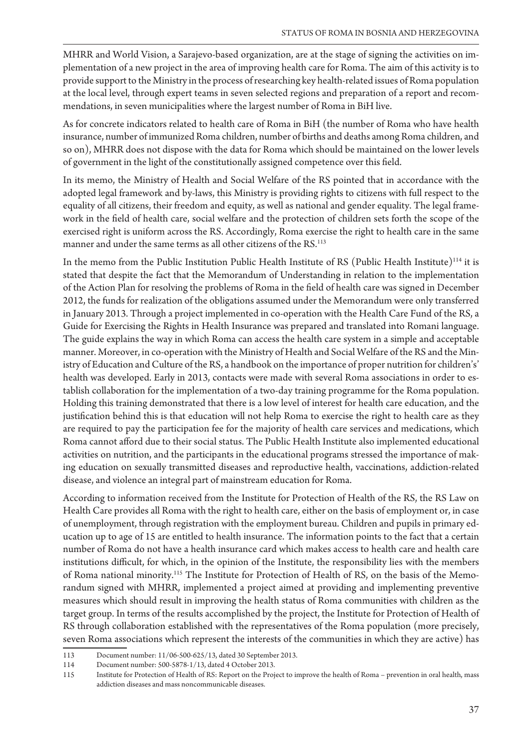MHRR and World Vision, a Sarajevo-based organization, are at the stage of signing the activities on implementation of a new project in the area of improving health care for Roma. The aim of this activity is to provide support to the Ministry in the process of researching key health-related issues of Roma population at the local level, through expert teams in seven selected regions and preparation of a report and recommendations, in seven municipalities where the largest number of Roma in BiH live.

As for concrete indicators related to health care of Roma in BiH (the number of Roma who have health insurance, number of immunized Roma children, number of births and deaths among Roma children, and so on), MHRR does not dispose with the data for Roma which should be maintained on the lower levels of government in the light of the constitutionally assigned competence over this field.

In its memo, the Ministry of Health and Social Welfare of the RS pointed that in accordance with the adopted legal framework and by-laws, this Ministry is providing rights to citizens with full respect to the equality of all citizens, their freedom and equity, as well as national and gender equality. The legal framework in the field of health care, social welfare and the protection of children sets forth the scope of the exercised right is uniform across the RS. Accordingly, Roma exercise the right to health care in the same manner and under the same terms as all other citizens of the RS.<sup>113</sup>

In the memo from the Public Institution Public Health Institute of RS (Public Health Institute)114 it is stated that despite the fact that the Memorandum of Understanding in relation to the implementation of the Action Plan for resolving the problems of Roma in the field of health care was signed in December 2012, the funds for realization of the obligations assumed under the Memorandum were only transferred in January 2013. Through a project implemented in co-operation with the Health Care Fund of the RS, a Guide for Exercising the Rights in Health Insurance was prepared and translated into Romani language. The guide explains the way in which Roma can access the health care system in a simple and acceptable manner. Moreover, in co-operation with the Ministry of Health and Social Welfare of the RS and the Ministry of Education and Culture of the RS, a handbook on the importance of proper nutrition for children's' health was developed. Early in 2013, contacts were made with several Roma associations in order to establish collaboration for the implementation of a two-day training programme for the Roma population. Holding this training demonstrated that there is a low level of interest for health care education, and the justification behind this is that education will not help Roma to exercise the right to health care as they are required to pay the participation fee for the majority of health care services and medications, which Roma cannot afford due to their social status. The Public Health Institute also implemented educational activities on nutrition, and the participants in the educational programs stressed the importance of making education on sexually transmitted diseases and reproductive health, vaccinations, addiction-related disease, and violence an integral part of mainstream education for Roma.

According to information received from the Institute for Protection of Health of the RS, the RS Law on Health Care provides all Roma with the right to health care, either on the basis of employment or, in case of unemployment, through registration with the employment bureau. Children and pupils in primary education up to age of 15 are entitled to health insurance. The information points to the fact that a certain number of Roma do not have a health insurance card which makes access to health care and health care institutions difficult, for which, in the opinion of the Institute, the responsibility lies with the members of Roma national minority.115 The Institute for Protection of Health of RS, on the basis of the Memorandum signed with MHRR, implemented a project aimed at providing and implementing preventive measures which should result in improving the health status of Roma communities with children as the target group. In terms of the results accomplished by the project, the Institute for Protection of Health of RS through collaboration established with the representatives of the Roma population (more precisely, seven Roma associations which represent the interests of the communities in which they are active) has

<sup>113</sup> Document number: 11/06-500-625/13, dated 30 September 2013.

<sup>114</sup> Document number: 500-5878-1/13, dated 4 October 2013.

<sup>115</sup> Institute for Protection of Health of RS: Report on the Project to improve the health of Roma – prevention in oral health, mass addiction diseases and mass noncommunicable diseases.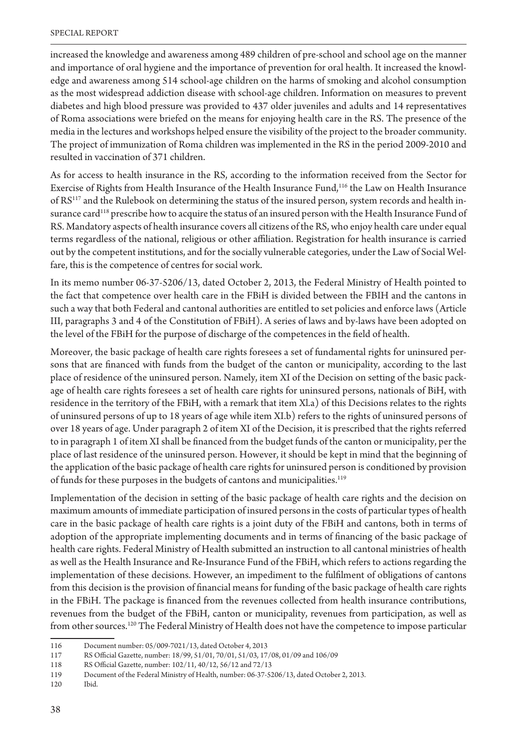increased the knowledge and awareness among 489 children of pre-school and school age on the manner and importance of oral hygiene and the importance of prevention for oral health. It increased the knowledge and awareness among 514 school-age children on the harms of smoking and alcohol consumption as the most widespread addiction disease with school-age children. Information on measures to prevent diabetes and high blood pressure was provided to 437 older juveniles and adults and 14 representatives of Roma associations were briefed on the means for enjoying health care in the RS. The presence of the media in the lectures and workshops helped ensure the visibility of the project to the broader community. The project of immunization of Roma children was implemented in the RS in the period 2009-2010 and resulted in vaccination of 371 children.

As for access to health insurance in the RS, according to the information received from the Sector for Exercise of Rights from Health Insurance of the Health Insurance Fund,<sup>116</sup> the Law on Health Insurance of RS117 and the Rulebook on determining the status of the insured person, system records and health insurance card<sup>118</sup> prescribe how to acquire the status of an insured person with the Health Insurance Fund of RS. Mandatory aspects of health insurance covers all citizens of the RS, who enjoy health care under equal terms regardless of the national, religious or other affiliation. Registration for health insurance is carried out by the competent institutions, and for the socially vulnerable categories, under the Law of Social Welfare, this is the competence of centres for social work.

In its memo number 06-37-5206/13, dated October 2, 2013, the Federal Ministry of Health pointed to the fact that competence over health care in the FBiH is divided between the FBIH and the cantons in such a way that both Federal and cantonal authorities are entitled to set policies and enforce laws (Article III, paragraphs 3 and 4 of the Constitution of FBiH). A series of laws and by-laws have been adopted on the level of the FBiH for the purpose of discharge of the competences in the field of health.

Moreover, the basic package of health care rights foresees a set of fundamental rights for uninsured persons that are financed with funds from the budget of the canton or municipality, according to the last place of residence of the uninsured person. Namely, item XI of the Decision on setting of the basic package of health care rights foresees a set of health care rights for uninsured persons, nationals of BiH, with residence in the territory of the FBiH, with a remark that item Xl.a) of this Decisions relates to the rights of uninsured persons of up to 18 years of age while item XI.b) refers to the rights of uninsured persons of over 18 years of age. Under paragraph 2 of item XI of the Decision, it is prescribed that the rights referred to in paragraph 1 of item XI shall be financed from the budget funds of the canton or municipality, per the place of last residence of the uninsured person. However, it should be kept in mind that the beginning of the application of the basic package of health care rights for uninsured person is conditioned by provision of funds for these purposes in the budgets of cantons and municipalities.<sup>119</sup>

Implementation of the decision in setting of the basic package of health care rights and the decision on maximum amounts of immediate participation of insured persons in the costs of particular types of health care in the basic package of health care rights is a joint duty of the FBiH and cantons, both in terms of adoption of the appropriate implementing documents and in terms of financing of the basic package of health care rights. Federal Ministry of Health submitted an instruction to all cantonal ministries of health as well as the Health Insurance and Re-Insurance Fund of the FBiH, which refers to actions regarding the implementation of these decisions. However, an impediment to the fulfilment of obligations of cantons from this decision is the provision of financial means for funding of the basic package of health care rights in the FBiH. The package is financed from the revenues collected from health insurance contributions, revenues from the budget of the FBiH, canton or municipality, revenues from participation, as well as from other sources.<sup>120</sup> The Federal Ministry of Health does not have the competence to impose particular

<sup>116</sup> Document number: 05/009-7021/13, dated October 4, 2013

<sup>117</sup> RS Official Gazette, number: 18/99, 51/01, 70/01, 51/03, 17/08, 01/09 and 106/09

<sup>118</sup> RS Official Gazette, number: 102/11, 40/12, 56/12 and 72/13

<sup>119</sup> Document of the Federal Ministry of Health, number: 06-37-5206/13, dated October 2, 2013.

<sup>120</sup> Ibid.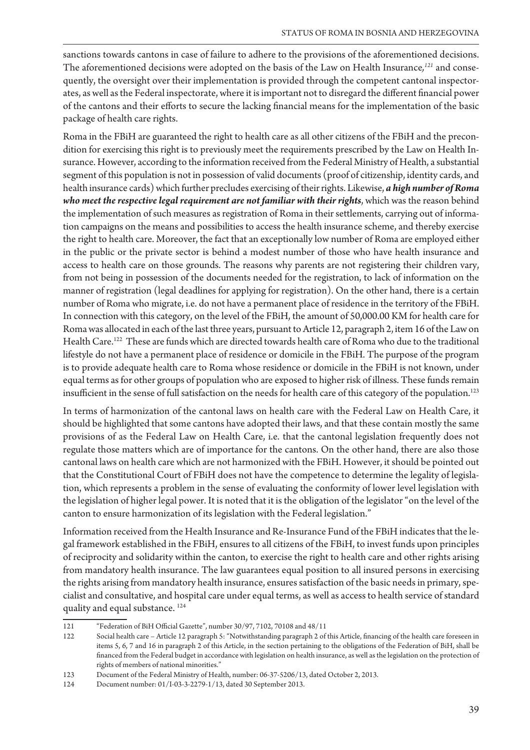sanctions towards cantons in case of failure to adhere to the provisions of the aforementioned decisions. The aforementioned decisions were adopted on the basis of the Law on Health Insurance*, <sup>121</sup>* and consequently, the oversight over their implementation is provided through the competent cantonal inspectorates, as well as the Federal inspectorate, where it is important not to disregard the different financial power of the cantons and their efforts to secure the lacking financial means for the implementation of the basic package of health care rights.

Roma in the FBiH are guaranteed the right to health care as all other citizens of the FBiH and the precondition for exercising this right is to previously meet the requirements prescribed by the Law on Health Insurance. However, according to the information received from the Federal Ministry of Health, a substantial segment of this population is not in possession of valid documents (proof of citizenship, identity cards, and health insurance cards) which further precludes exercising of their rights. Likewise, *a high number of Roma who meet the respective legal requirement are not familiar with their rights, which was the reason behind* the implementation of such measures as registration of Roma in their settlements, carrying out of information campaigns on the means and possibilities to access the health insurance scheme, and thereby exercise the right to health care. Moreover, the fact that an exceptionally low number of Roma are employed either in the public or the private sector is behind a modest number of those who have health insurance and access to health care on those grounds. The reasons why parents are not registering their children vary, from not being in possession of the documents needed for the registration, to lack of information on the manner of registration (legal deadlines for applying for registration). On the other hand, there is a certain number of Roma who migrate, i.e. do not have a permanent place of residence in the territory of the FBiH. In connection with this category, on the level of the FBiH, the amount of 50,000.00 KM for health care for Roma was allocated in each of the last three years, pursuant to Article 12, paragraph 2, item 16 of the Law on Health Care.122 These are funds which are directed towards health care of Roma who due to the traditional lifestyle do not have a permanent place of residence or domicile in the FBiH. The purpose of the program is to provide adequate health care to Roma whose residence or domicile in the FBiH is not known, under equal terms as for other groups of population who are exposed to higher risk of illness. These funds remain insufficient in the sense of full satisfaction on the needs for health care of this category of the population.<sup>123</sup>

In terms of harmonization of the cantonal laws on health care with the Federal Law on Health Care, it should be highlighted that some cantons have adopted their laws, and that these contain mostly the same provisions of as the Federal Law on Health Care, i.e. that the cantonal legislation frequently does not regulate those matters which are of importance for the cantons. On the other hand, there are also those cantonal laws on health care which are not harmonized with the FBiH. However, it should be pointed out that the Constitutional Court of FBiH does not have the competence to determine the legality of legislation, which represents a problem in the sense of evaluating the conformity of lower level legislation with the legislation of higher legal power. It is noted that it is the obligation of the legislator "on the level of the canton to ensure harmonization of its legislation with the Federal legislation."

Information received from the Health Insurance and Re-Insurance Fund of the FBiH indicates that the legal framework established in the FBiH, ensures to all citizens of the FBiH, to invest funds upon principles of reciprocity and solidarity within the canton, to exercise the right to health care and other rights arising from mandatory health insurance. The law guarantees equal position to all insured persons in exercising the rights arising from mandatory health insurance, ensures satisfaction of the basic needs in primary, specialist and consultative, and hospital care under equal terms, as well as access to health service of standard quality and equal substance. 124

<sup>121 &</sup>quot;Federation of BiH Official Gazette", number 30/97, 7102, 70108 and 48/11

<sup>122</sup> Social health care - Article 12 paragraph 5: "Notwithstanding paragraph 2 of this Article, financing of the health care foreseen in items 5, 6, 7 and 16 in paragraph 2 of this Article, in the section pertaining to the obligations of the Federation of BiH, shall be financed from the Federal budget in accordance with legislation on health insurance, as well as the legislation on the protection of rights of members of national minorities."

<sup>123</sup> Document of the Federal Ministry of Health, number: 06-37-5206/13, dated October 2, 2013.

<sup>124</sup> Document number: 01/I-03-3-2279-1/13, dated 30 September 2013.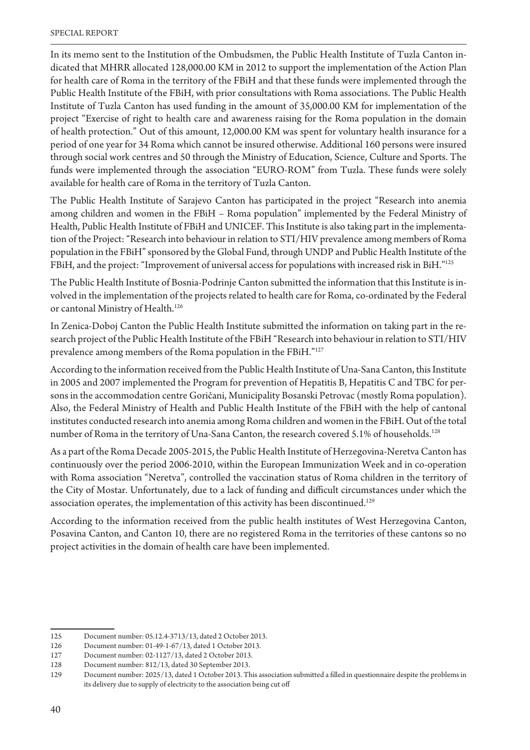In its memo sent to the Institution of the Ombudsmen, the Public Health Institute of Tuzla Canton indicated that MHRR allocated 128,000.00 KM in 2012 to support the implementation of the Action Plan for health care of Roma in the territory of the FBiH and that these funds were implemented through the Public Health Institute of the FBiH, with prior consultations with Roma associations. The Public Health Institute of Tuzla Canton has used funding in the amount of 35,000.00 KM for implementation of the project "Exercise of right to health care and awareness raising for the Roma population in the domain of health protection." Out of this amount, 12,000.00 KM was spent for voluntary health insurance for a period of one year for 34 Roma which cannot be insured otherwise. Additional 160 persons were insured through social work centres and 50 through the Ministry of Education, Science, Culture and Sports. The funds were implemented through the association "EURO-ROM" from Tuzla. These funds were solely available for health care of Roma in the territory of Tuzla Canton.

The Public Health Institute of Sarajevo Canton has participated in the project "Research into anemia among children and women in the FBiH - Roma population" implemented by the Federal Ministry of Health, Public Health Institute of FBiH and UNICEF. This Institute is also taking part in the implementation of the Project: "Research into behaviour in relation to STI/HIV prevalence among members of Roma population in the FBiH" sponsored by the Global Fund, through UNDP and Public Health Institute of the FBiH, and the project: "Improvement of universal access for populations with increased risk in BiH."125

The Public Health Institute of Bosnia-Podrinje Canton submitted the information that this Institute is involved in the implementation of the projects related to health care for Roma, co-ordinated by the Federal or cantonal Ministry of Health.<sup>126</sup>

In Zenica-Doboj Canton the Public Health Institute submitted the information on taking part in the research project of the Public Health Institute of the FBiH "Research into behaviour in relation to STI/HIV prevalence among members of the Roma population in the FBiH."127

According to the information received from the Public Health Institute of Una-Sana Canton, this Institute in 2005 and 2007 implemented the Program for prevention of Hepatitis B, Hepatitis C and TBC for persons in the accommodation centre Goričani, Municipality Bosanski Petrovac (mostly Roma population). Also, the Federal Ministry of Health and Public Health Institute of the FBiH with the help of cantonal institutes conducted research into anemia among Roma children and women in the FBiH. Out of the total number of Roma in the territory of Una-Sana Canton, the research covered 5.1% of households.<sup>128</sup>

As a part of the Roma Decade 2005-2015, the Public Health Institute of Herzegovina-Neretva Canton has continuously over the period 2006-2010, within the European Immunization Week and in co-operation with Roma association "Neretva", controlled the vaccination status of Roma children in the territory of the City of Mostar. Unfortunately, due to a lack of funding and difficult circumstances under which the association operates, the implementation of this activity has been discontinued.<sup>129</sup>

According to the information received from the public health institutes of West Herzegovina Canton, Posavina Canton, and Canton 10, there are no registered Roma in the territories of these cantons so no project activities in the domain of health care have been implemented.

<sup>125</sup> Document number: 05.12.4-3713/13, dated 2 October 2013.

Document number: 01-49-1-67/13, dated 1 October 2013. 126

Document number: 02-1127/13, dated 2 October 2013. 127

<sup>12.8</sup> Document number: 812/13, dated 30 September 2013.

Document number: 2025/13, dated 1 October 2013. This association submitted a filled in questionnaire despite the problems in 129 its delivery due to supply of electricity to the association being cut off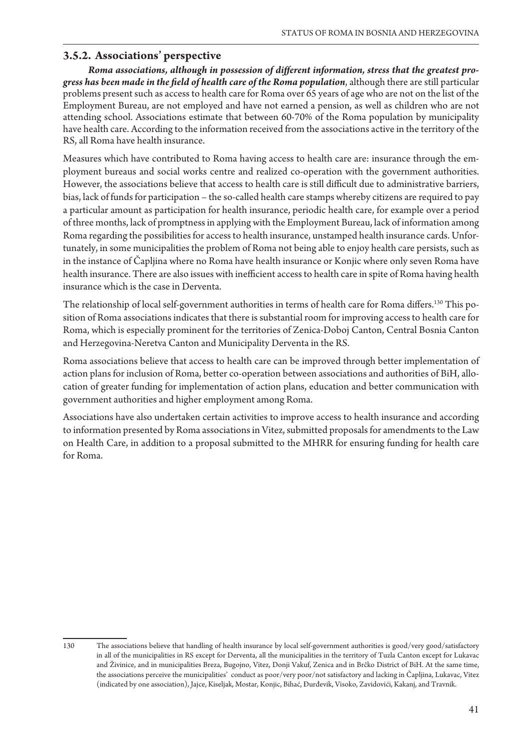#### **3.5.2. Associations' perspective**

Roma associations, although in possession of different information, stress that the greatest progress has been made in the field of health care of the Roma population, although there are still particular problems present such as access to health care for Roma over 65 years of age who are not on the list of the Employment Bureau, are not employed and have not earned a pension, as well as children who are not attending school. Associations estimate that between 60-70% of the Roma population by municipality have health care. According to the information received from the associations active in the territory of the RS, all Roma have health insurance.

Measures which have contributed to Roma having access to health care are: insurance through the employment bureaus and social works centre and realized co-operation with the government authorities. However, the associations believe that access to health care is still difficult due to administrative barriers, bias, lack of funds for participation – the so-called health care stamps whereby citizens are required to pay a particular amount as participation for health insurance, periodic health care, for example over a period of three months, lack of promptness in applying with the Employment Bureau, lack of information among Roma regarding the possibilities for access to health insurance, unstamped health insurance cards. Unfortunately, in some municipalities the problem of Roma not being able to enjoy health care persists, such as in the instance of Čapljina where no Roma have health insurance or Konjic where only seven Roma have health insurance. There are also issues with inefficient access to health care in spite of Roma having health insurance which is the case in Derventa.

The relationship of local self-government authorities in terms of health care for Roma differs.<sup>130</sup> This position of Roma associations indicates that there is substantial room for improving access to health care for Roma, which is especially prominent for the territories of Zenica-Doboj Canton, Central Bosnia Canton and Herzegovina-Neretva Canton and Municipality Derventa in the RS.

Roma associations believe that access to health care can be improved through better implementation of action plans for inclusion of Roma, better co-operation between associations and authorities of BiH, allocation of greater funding for implementation of action plans, education and better communication with government authorities and higher employment among Roma.

Associations have also undertaken certain activities to improve access to health insurance and according to information presented by Roma associations in Vitez, submitted proposals for amendments to the Law on Health Care, in addition to a proposal submitted to the MHRR for ensuring funding for health care for Roma.

<sup>130</sup> The associations believe that handling of health insurance by local self-government authorities is good/very good/satisfactory in all of the municipalities in RS except for Derventa, all the municipalities in the territory of Tuzla Canton except for Lukavac and Živinice, and in municipalities Breza, Bugojno, Vitez, Donji Vakuf, Zenica and in Brčko District of BiH. At the same time, the associations perceive the municipalities' conduct as poor/very poor/not satisfactory and lacking in Čapljina, Lukavac, Vitez (indicated by one association), Jajce, Kiseljak, Mostar, Konjic, Bihać, Đurđevik, Visoko, Zavidovići, Kakanj, and Travnik.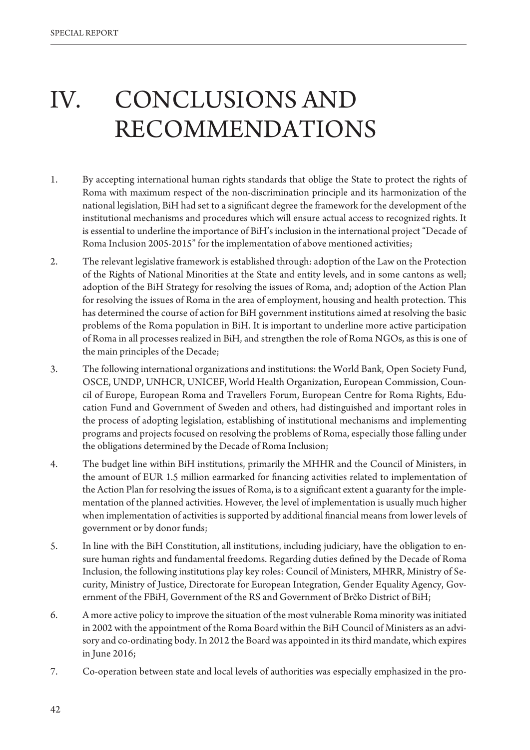# IV. CONCLUSIONS AND RECOMMENDATIONS

- 1. By accepting international human rights standards that oblige the State to protect the rights of Roma with maximum respect of the non-discrimination principle and its harmonization of the national legislation, BiH had set to a significant degree the framework for the development of the institutional mechanisms and procedures which will ensure actual access to recognized rights. It is essential to underline the importance of BiH's inclusion in the international project "Decade of Roma Inclusion 2005-2015" for the implementation of above mentioned activities;
- 2. The relevant legislative framework is established through: adoption of the Law on the Protection of the Rights of National Minorities at the State and entity levels, and in some cantons as well; adoption of the BiH Strategy for resolving the issues of Roma, and; adoption of the Action Plan for resolving the issues of Roma in the area of employment, housing and health protection. This has determined the course of action for BiH government institutions aimed at resolving the basic problems of the Roma population in BiH. It is important to underline more active participation of Roma in all processes realized in BiH, and strengthen the role of Roma NGOs, as this is one of the main principles of the Decade;
- 3. The following international organizations and institutions: the World Bank, Open Society Fund, OSCE, UNDP, UNHCR, UNICEF, World Health Organization, European Commission, Council of Europe, European Roma and Travellers Forum, European Centre for Roma Rights, Education Fund and Government of Sweden and others, had distinguished and important roles in the process of adopting legislation, establishing of institutional mechanisms and implementing programs and projects focused on resolving the problems of Roma, especially those falling under the obligations determined by the Decade of Roma Inclusion;
- 4. The budget line within BiH institutions, primarily the MHHR and the Council of Ministers, in the amount of EUR 1.5 million earmarked for financing activities related to implementation of the Action Plan for resolving the issues of Roma, is to a significant extent a guaranty for the implementation of the planned activities. However, the level of implementation is usually much higher when implementation of activities is supported by additional financial means from lower levels of government or by donor funds;
- 5. In line with the BiH Constitution, all institutions, including judiciary, have the obligation to ensure human rights and fundamental freedoms. Regarding duties defined by the Decade of Roma Inclusion, the following institutions play key roles: Council of Ministers, MHRR, Ministry of Security, Ministry of Justice, Directorate for European Integration, Gender Equality Agency, Government of the FBiH, Government of the RS and Government of Brčko District of BiH;
- 6. A more active policy to improve the situation of the most vulnerable Roma minority was initiated in 2002 with the appointment of the Roma Board within the BiH Council of Ministers as an advisory and co-ordinating body. In 2012 the Board was appointed in its third mandate, which expires in June 2016;
- 7. Co-operation between state and local levels of authorities was especially emphasized in the pro-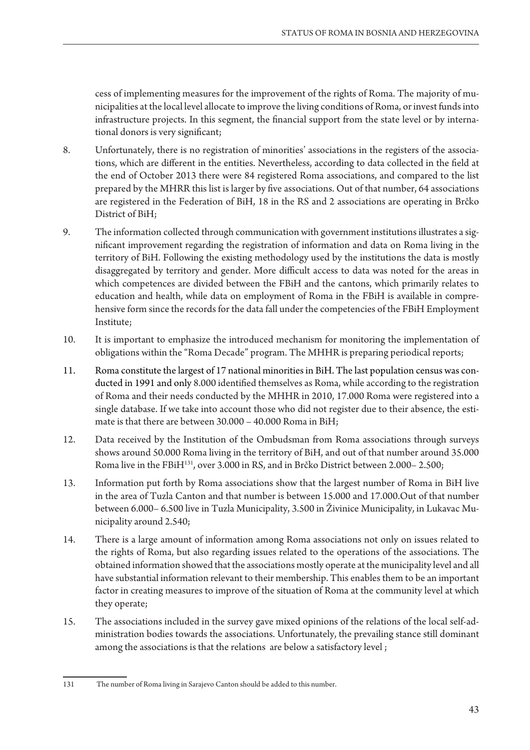cess of implementing measures for the improvement of the rights of Roma. The majority of municipalities at the local level allocate to improve the living conditions of Roma, or invest funds into infrastructure projects. In this segment, the financial support from the state level or by international donors is very significant;

- 8. Unfortunately, there is no registration of minorities' associations in the registers of the associations, which are different in the entities. Nevertheless, according to data collected in the field at the end of October 2013 there were 84 registered Roma associations, and compared to the list prepared by the MHRR this list is larger by five associations. Out of that number, 64 associations are registered in the Federation of BiH, 18 in the RS and 2 associations are operating in Brčko District of BiH;
- 9. The information collected through communication with government institutions illustrates a significant improvement regarding the registration of information and data on Roma living in the territory of BiH. Following the existing methodology used by the institutions the data is mostly disaggregated by territory and gender. More difficult access to data was noted for the areas in which competences are divided between the FBiH and the cantons, which primarily relates to education and health, while data on employment of Roma in the FBiH is available in comprehensive form since the records for the data fall under the competencies of the FBiH Employment Institute;
- 10. It is important to emphasize the introduced mechanism for monitoring the implementation of obligations within the "Roma Decade" program. The MHHR is preparing periodical reports;
- 11. Roma constitute the largest of 17 national minorities in BiH. The last population census was conducted in 1991 and only 8.000 identified themselves as Roma, while according to the registration of Roma and their needs conducted by the MHHR in 2010, 17.000 Roma were registered into a single database. If we take into account those who did not register due to their absence, the estimate is that there are between 30.000 – 40.000 Roma in BiH;
- 12. Data received by the Institution of the Ombudsman from Roma associations through surveys shows around 50.000 Roma living in the territory of BiH, and out of that number around 35.000 Roma live in the FBiH<sup>131</sup>, over 3.000 in RS, and in Brčko District between 2.000-2.500;
- 13. Information put forth by Roma associations show that the largest number of Roma in BiH live in the area of Tuzla Canton and that number is between 15.000 and 17.000.Out of that number between 6.000-6.500 live in Tuzla Municipality, 3.500 in Živinice Municipality, in Lukavac Municipality around 2.540;
- 14. There is a large amount of information among Roma associations not only on issues related to the rights of Roma, but also regarding issues related to the operations of the associations. The obtained information showed that the associations mostly operate at the municipality level and all have substantial information relevant to their membership. This enables them to be an important factor in creating measures to improve of the situation of Roma at the community level at which they operate;
- 15. The associations included in the survey gave mixed opinions of the relations of the local self-administration bodies towards the associations. Unfortunately, the prevailing stance still dominant among the associations is that the relations are below a satisfactory level ;

<sup>131</sup> The number of Roma living in Sarajevo Canton should be added to this number.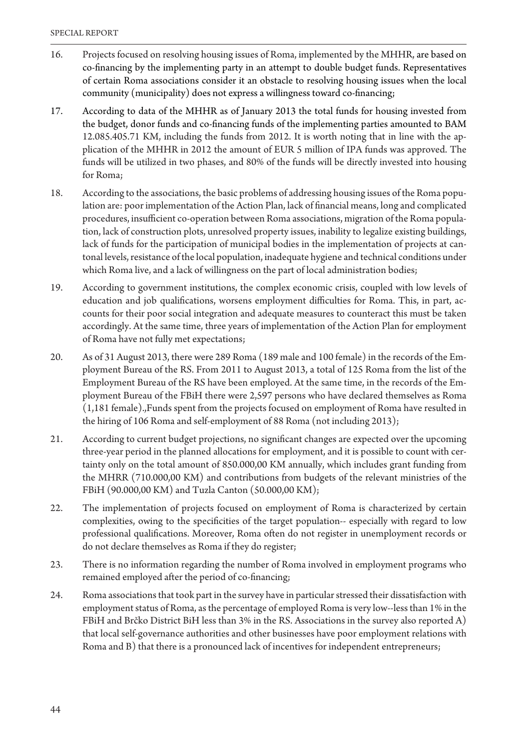- 16. Projects focused on resolving housing issues of Roma, implemented by the MHHR, are based on co-financing by the implementing party in an attempt to double budget funds. Representatives of certain Roma associations consider it an obstacle to resolving housing issues when the local community (municipality) does not express a willingness toward co-financing;
- 17. According to data of the MHHR as of January 2013 the total funds for housing invested from the budget, donor funds and co-financing funds of the implementing parties amounted to BAM 12.085.405.71 KM, including the funds from 2012. It is worth noting that in line with the application of the MHHR in 2012 the amount of EUR 5 million of IPA funds was approved. The funds will be utilized in two phases, and 80% of the funds will be directly invested into housing for Roma;
- 18. According to the associations, the basic problems of addressing housing issues of the Roma population are: poor implementation of the Action Plan, lack of financial means, long and complicated procedures, insufficient co-operation between Roma associations, migration of the Roma population, lack of construction plots, unresolved property issues, inability to legalize existing buildings, lack of funds for the participation of municipal bodies in the implementation of projects at cantonal levels, resistance of the local population, inadequate hygiene and technical conditions under which Roma live, and a lack of willingness on the part of local administration bodies;
- 19. According to government institutions, the complex economic crisis, coupled with low levels of education and job qualifications, worsens employment difficulties for Roma. This, in part, accounts for their poor social integration and adequate measures to counteract this must be taken accordingly. At the same time, three years of implementation of the Action Plan for employment of Roma have not fully met expectations;
- 20. As of 31 August 2013, there were 289 Roma (189 male and 100 female) in the records of the Employment Bureau of the RS. From 2011 to August 2013, a total of 125 Roma from the list of the Employment Bureau of the RS have been employed. At the same time, in the records of the Employment Bureau of the FBiH there were 2,597 persons who have declared themselves as Roma (1,181 female).,Funds spent from the projects focused on employment of Roma have resulted in the hiring of 106 Roma and self-employment of 88 Roma (not including 2013);
- 21. According to current budget projections, no significant changes are expected over the upcoming three-year period in the planned allocations for employment, and it is possible to count with certainty only on the total amount of 850.000,00 KM annually, which includes grant funding from the MHRR (710.000,00 KM) and contributions from budgets of the relevant ministries of the FBiH (90.000,00 KM) and Tuzla Canton (50.000,00 KM);
- 22. The implementation of projects focused on employment of Roma is characterized by certain complexities, owing to the specificities of the target population-- especially with regard to low professional qualifications. Moreover, Roma often do not register in unemployment records or do not declare themselves as Roma if they do register;
- 23. There is no information regarding the number of Roma involved in employment programs who remained employed after the period of co-financing;
- 24. Roma associations that took part in the survey have in particular stressed their dissatisfaction with employment status of Roma, as the percentage of employed Roma is very low--less than 1% in the FBiH and Brčko District BiH less than 3% in the RS. Associations in the survey also reported A) that local self-governance authorities and other businesses have poor employment relations with Roma and B) that there is a pronounced lack of incentives for independent entrepreneurs;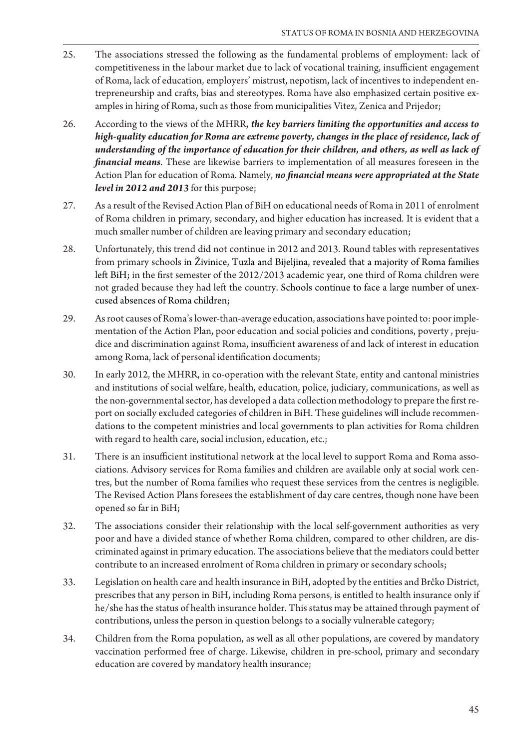- 25. The associations stressed the following as the fundamental problems of employment: lack of competitiveness in the labour market due to lack of vocational training, insufficient engagement of Roma, lack of education, employers' mistrust, nepotism, lack of incentives to independent entrepreneurship and crafts, bias and stereotypes. Roma have also emphasized certain positive examples in hiring of Roma, such as those from municipalities Vitez, Zenica and Prijedor;
- 26. According to the views of the MHRR, *the key barriers limiting the opportunities and access to*  high-quality education for Roma are extreme poverty, changes in the place of residence, lack of understanding of the importance of education for their children, and others, as well as lack of *financial means*. These are likewise barriers to implementation of all measures foreseen in the Action Plan for education of Roma. Namely, *no financial means were appropriated at the State* level in 2012 and 2013 for this purpose;
- 27. As a result of the Revised Action Plan of BiH on educational needs of Roma in 2011 of enrolment of Roma children in primary, secondary, and higher education has increased. It is evident that a much smaller number of children are leaving primary and secondary education;
- 28. Unfortunately, this trend did not continue in 2012 and 2013. Round tables with representatives from primary schools in Živinice, Tuzla and Bijeljina, revealed that a majority of Roma families left BiH; in the first semester of the 2012/2013 academic year, one third of Roma children were not graded because they had left the country. Schools continue to face a large number of unexcused absences of Roma children;
- 29. As root causes of Roma's lower-than-average education, associations have pointed to: poor implementation of the Action Plan, poor education and social policies and conditions, poverty , prejudice and discrimination against Roma, insufficient awareness of and lack of interest in education among Roma, lack of personal identification documents;
- 30. In early 2012, the MHRR, in co-operation with the relevant State, entity and cantonal ministries and institutions of social welfare, health, education, police, judiciary, communications, as well as the non-governmental sector, has developed a data collection methodology to prepare the first report on socially excluded categories of children in BiH. These guidelines will include recommendations to the competent ministries and local governments to plan activities for Roma children with regard to health care, social inclusion, education, etc.;
- 31. There is an insufficient institutional network at the local level to support Roma and Roma associations. Advisory services for Roma families and children are available only at social work centres, but the number of Roma families who request these services from the centres is negligible. The Revised Action Plans foresees the establishment of day care centres, though none have been opened so far in BiH;
- 32. The associations consider their relationship with the local self-government authorities as very poor and have a divided stance of whether Roma children, compared to other children, are discriminated against in primary education. The associations believe that the mediators could better contribute to an increased enrolment of Roma children in primary or secondary schools;
- 33. Legislation on health care and health insurance in BiH, adopted by the entities and Brčko District, prescribes that any person in BiH, including Roma persons, is entitled to health insurance only if he/she has the status of health insurance holder. This status may be attained through payment of contributions, unless the person in question belongs to a socially vulnerable category;
- 34. Children from the Roma population, as well as all other populations, are covered by mandatory vaccination performed free of charge. Likewise, children in pre-school, primary and secondary education are covered by mandatory health insurance;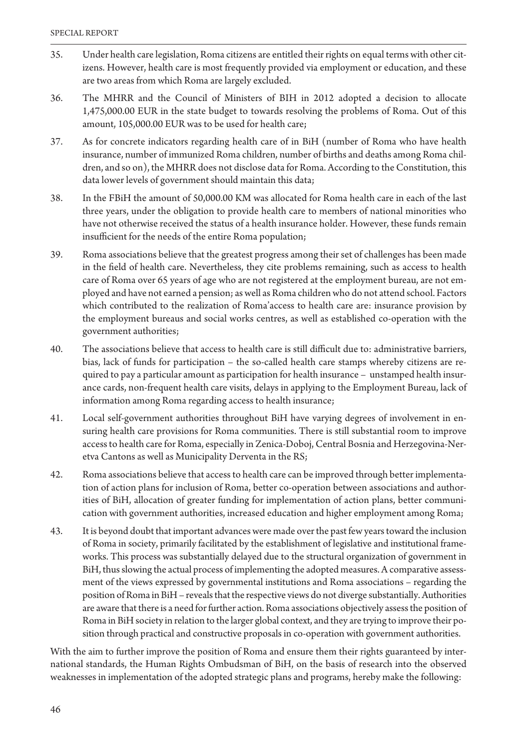- 35. Under health care legislation, Roma citizens are entitled their rights on equal terms with other citizens. However, health care is most frequently provided via employment or education, and these are two areas from which Roma are largely excluded.
- 36. The MHRR and the Council of Ministers of BIH in 2012 adopted a decision to allocate 1,475,000.00 EUR in the state budget to towards resolving the problems of Roma. Out of this amount, 105,000.00 EUR was to be used for health care;
- 37. As for concrete indicators regarding health care of in BiH (number of Roma who have health insurance, number of immunized Roma children, number of births and deaths among Roma children, and so on), the MHRR does not disclose data for Roma. According to the Constitution, this data lower levels of government should maintain this data;
- 38. In the FBiH the amount of 50,000.00 KM was allocated for Roma health care in each of the last three years, under the obligation to provide health care to members of national minorities who have not otherwise received the status of a health insurance holder. However, these funds remain insufficient for the needs of the entire Roma population;
- 39. Roma associations believe that the greatest progress among their set of challenges has been made in the field of health care. Nevertheless, they cite problems remaining, such as access to health care of Roma over 65 years of age who are not registered at the employment bureau, are not employed and have not earned a pension; as well as Roma children who do not attend school. Factors which contributed to the realization of Roma'access to health care are: insurance provision by the employment bureaus and social works centres, as well as established co-operation with the government authorities;
- 40. The associations believe that access to health care is still difficult due to: administrative barriers, bias, lack of funds for participation – the so-called health care stamps whereby citizens are required to pay a particular amount as participation for health insurance – unstamped health insurance cards, non-frequent health care visits, delays in applying to the Employment Bureau, lack of information among Roma regarding access to health insurance;
- 41. Local self-government authorities throughout BiH have varying degrees of involvement in ensuring health care provisions for Roma communities. There is still substantial room to improve access to health care for Roma, especially in Zenica-Doboj, Central Bosnia and Herzegovina-Neretva Cantons as well as Municipality Derventa in the RS;
- 42. Roma associations believe that access to health care can be improved through better implementation of action plans for inclusion of Roma, better co-operation between associations and authorities of BiH, allocation of greater funding for implementation of action plans, better communication with government authorities, increased education and higher employment among Roma;
- 43. It is beyond doubt that important advances were made over the past few years toward the inclusion of Roma in society, primarily facilitated by the establishment of legislative and institutional frameworks. This process was substantially delayed due to the structural organization of government in BiH, thus slowing the actual process of implementing the adopted measures. A comparative assessment of the views expressed by governmental institutions and Roma associations – regarding the position of Roma in BiH – reveals that the respective views do not diverge substantially. Authorities are aware that there is a need for further action. Roma associations objectively assess the position of Roma in BiH society in relation to the larger global context, and they are trying to improve their position through practical and constructive proposals in co-operation with government authorities.

With the aim to further improve the position of Roma and ensure them their rights guaranteed by international standards, the Human Rights Ombudsman of BiH, on the basis of research into the observed weaknesses in implementation of the adopted strategic plans and programs, hereby make the following: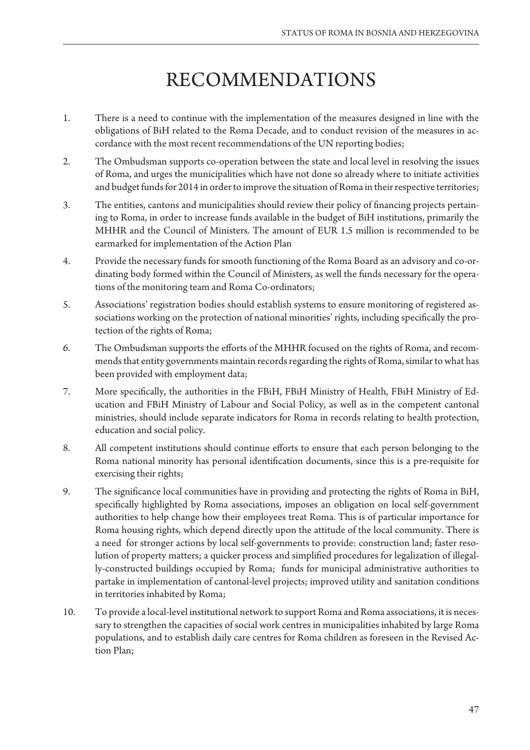# RECOMMENDATIONS

- 1. There is a need to continue with the implementation of the measures designed in line with the obligations of BiH related to the Roma Decade, and to conduct revision of the measures in accordance with the most recent recommendations of the UN reporting bodies;
- 2. The Ombudsman supports co-operation between the state and local level in resolving the issues of Roma, and urges the municipalities which have not done so already where to initiate activities and budget funds for 2014 in order to improve the situation of Roma in their respective territories;
- 3. The entities, cantons and municipalities should review their policy of financing projects pertaining to Roma, in order to increase funds available in the budget of BiH institutions, primarily the MHHR and the Council of Ministers. The amount of EUR 1.5 million is recommended to be earmarked for implementation of the Action Plan
- 4. Provide the necessary funds for smooth functioning of the Roma Board as an advisory and co-ordinating body formed within the Council of Ministers, as well the funds necessary for the operations of the monitoring team and Roma Co-ordinators;
- 5. Associations' registration bodies should establish systems to ensure monitoring of registered associations working on the protection of national minorities' rights, including specifically the protection of the rights of Roma;
- 6. The Ombudsman supports the efforts of the MHHR focused on the rights of Roma, and recommends that entity governments maintain records regarding the rights of Roma, similar to what has been provided with employment data;
- 7. More specifically, the authorities in the FBiH, FBiH Ministry of Health, FBiH Ministry of Education and FBiH Ministry of Labour and Social Policy, as well as in the competent cantonal ministries, should include separate indicators for Roma in records relating to health protection, education and social policy.
- 8. All competent institutions should continue efforts to ensure that each person belonging to the Roma national minority has personal identification documents, since this is a pre-requisite for exercising their rights;
- 9. The significance local communities have in providing and protecting the rights of Roma in BiH, specifically highlighted by Roma associations, imposes an obligation on local self-government authorities to help change how their employees treat Roma. This is of particular importance for Roma housing rights, which depend directly upon the attitude of the local community. There is a need for stronger actions by local self-governments to provide: construction land; faster resolution of property matters; a quicker process and simplified procedures for legalization of illegally-constructed buildings occupied by Roma; funds for municipal administrative authorities to partake in implementation of cantonal-level projects; improved utility and sanitation conditions in territories inhabited by Roma;
- 10. To provide a local-level institutional network to support Roma and Roma associations, it is necessary to strengthen the capacities of social work centres in municipalities inhabited by large Roma populations, and to establish daily care centres for Roma children as foreseen in the Revised Action Plan;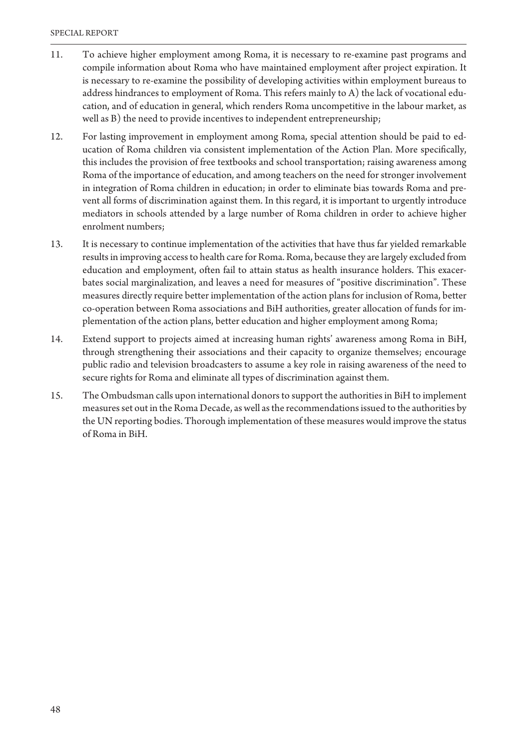- 11. To achieve higher employment among Roma, it is necessary to re-examine past programs and compile information about Roma who have maintained employment after project expiration. It is necessary to re-examine the possibility of developing activities within employment bureaus to address hindrances to employment of Roma. This refers mainly to A) the lack of vocational education, and of education in general, which renders Roma uncompetitive in the labour market, as well as B) the need to provide incentives to independent entrepreneurship;
- 12. For lasting improvement in employment among Roma, special attention should be paid to education of Roma children via consistent implementation of the Action Plan. More specifically, this includes the provision of free textbooks and school transportation; raising awareness among Roma of the importance of education, and among teachers on the need for stronger involvement in integration of Roma children in education; in order to eliminate bias towards Roma and prevent all forms of discrimination against them. In this regard, it is important to urgently introduce mediators in schools attended by a large number of Roma children in order to achieve higher enrolment numbers;
- 13. It is necessary to continue implementation of the activities that have thus far yielded remarkable results in improving access to health care for Roma. Roma, because they are largely excluded from education and employment, often fail to attain status as health insurance holders. This exacerbates social marginalization, and leaves a need for measures of "positive discrimination". These measures directly require better implementation of the action plans for inclusion of Roma, better co-operation between Roma associations and BiH authorities, greater allocation of funds for implementation of the action plans, better education and higher employment among Roma;
- 14. Extend support to projects aimed at increasing human rights' awareness among Roma in BiH, through strengthening their associations and their capacity to organize themselves; encourage public radio and television broadcasters to assume a key role in raising awareness of the need to secure rights for Roma and eliminate all types of discrimination against them.
- 15. The Ombudsman calls upon international donors to support the authorities in BiH to implement measures set out in the Roma Decade, as well as the recommendations issued to the authorities by the UN reporting bodies. Thorough implementation of these measures would improve the status of Roma in BiH.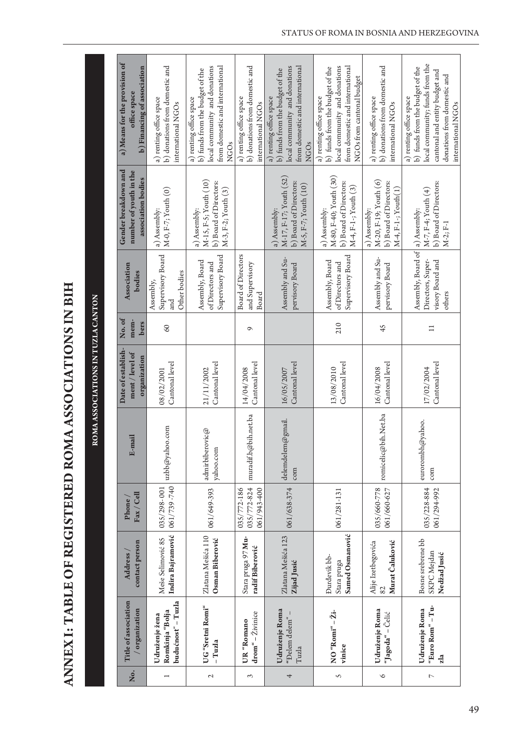ANNEX I: TABLE OF REGISTERED ROMA ASSOCIATIONS IN BIH **ANNEX I: TABLE OF REGISTERED ROMA ASSOCIATIONS IN BIH**

**ROMA ASSOCIATIONS IN TUZLA CANTON** 

ROMA ASSOCIATIONS IN TUZLA CANTON

| a) Means for the provision of<br>b) Financing of association<br>office space | b) donations from domestic and<br>a) renting office space<br>international NGOs | local community and donations<br>from domestic and international<br>b) funds from the budget of the<br>a) renting office space<br><b>NGOs</b> | b) donations from domestic and<br>a) renting office space<br>international NGOs | local community and donations<br>from domestic and international<br>b) funds from the budget of the<br>a) renting office space<br><b>NGOs</b> | local community and donations<br>from domestic and international<br>b) funds from the budget of the<br>NGOs from cantonal budget<br>a) renting office space | b) donations from domestic and<br>a) renting office space<br>international NGOs        | local community; funds from the<br>b) funds from the budget of the<br>cantonal and entity budget and<br>donations from domestic and<br>a) renting office space<br>international NGOs |
|------------------------------------------------------------------------------|---------------------------------------------------------------------------------|-----------------------------------------------------------------------------------------------------------------------------------------------|---------------------------------------------------------------------------------|-----------------------------------------------------------------------------------------------------------------------------------------------|-------------------------------------------------------------------------------------------------------------------------------------------------------------|----------------------------------------------------------------------------------------|--------------------------------------------------------------------------------------------------------------------------------------------------------------------------------------|
| Gender breakdown and<br>number of youth in the<br>association bodies         | M-0, F-7; Youth (0)<br>a) Assembly:                                             | M-15, F-5; Youth (10)<br>b) Board of Directors:<br>M-3, F-2; Youth (3)<br>a) Assembly:                                                        |                                                                                 | M-17, F-17; Youth (52)<br>b) Board of Directors:<br>M-5, F-7; Youth (10)<br>a) Assembly:                                                      | M-80, F-40; Youth (30)<br>b) Board of Directors:<br>M-4, F-1-; Youth (3)<br>a) Assembly:                                                                    | M-20, F-19; Youth (6)<br>b) Board of Directors:<br>M-4, F-1-; Youth(1)<br>a) Assembly: | b) Board of Directors:<br>M-7, F-4; Youth (4)<br>M-2; F-1                                                                                                                            |
| <b>Association</b><br>bodies                                                 | Supervisory Board<br>Other bodies<br>Assembly,<br>hu<br>a                       | Supervisory Board<br>Assembly, Board<br>of Directors and                                                                                      | <b>Board of Directors</b><br>and Supervisory<br>Board                           | Assembly and Su-<br>pervisory Board                                                                                                           | Supervisory Board<br>Assembly, Board<br>of Directors and                                                                                                    | Assembly and Su-<br>pervisory Board                                                    | Assembly, Board of   a) Assembly:<br>Directors, Super-<br>visory Board and<br>others                                                                                                 |
| No.of<br>mem-<br>bers                                                        | 60                                                                              |                                                                                                                                               | $\sigma$                                                                        |                                                                                                                                               | 210                                                                                                                                                         | 45                                                                                     | $\Xi$                                                                                                                                                                                |
| Date of establish-<br>ment / level of<br>organization                        | Cantonal level<br>08/02/2001                                                    | Cantonal level<br>21/11/2002                                                                                                                  | Cantonal level<br>14/04/2008                                                    | Cantonal level<br>16/05/2007                                                                                                                  | Cantonal level<br>13/08/2010                                                                                                                                | Cantonal level<br>16/04/2008                                                           | Cantonal level<br>17/02/2004                                                                                                                                                         |
| E-mail                                                                       | uzbb@yahoo.com                                                                  | admirbiberovic@<br>yahoo.com                                                                                                                  | muradif.b@bih.net.ba                                                            | delemdelem@gmail.<br>com                                                                                                                      |                                                                                                                                                             | romicelic@bih.Net.ba                                                                   | eurorombh@yahoo.<br>com                                                                                                                                                              |
| Fax / Cell<br>Phone                                                          | 061/739-740<br>035/298-001                                                      | 061/649-393                                                                                                                                   | 035/772-824<br>035/772-186<br>061/943-400                                       | 061/638-374                                                                                                                                   | 061/281-131                                                                                                                                                 | 035/660-778<br>061/660-627                                                             | 035/228-884<br>061/294-992                                                                                                                                                           |
| contact person<br><b>Address</b>                                             | Indira Bajramović<br>Meše Selimović 85                                          | Zlatana Mešića 110<br>Osman Biberović                                                                                                         | Stara pruga 97 Mu-<br>radif Biberović                                           | Zlatana Mešića 123<br>ZijadJusić                                                                                                              | Samed Osmanović<br>Đurđevik bb-<br>Stara pruga                                                                                                              | Murat Čaluković<br>Alije Izetbegovića<br>82                                            | Bosne srebrene bb<br>SKPC Mejdan<br>Nedžad Jusić                                                                                                                                     |
| Title of association<br>organization                                         | budućnosť - Tuzla<br>Romkinja "Bolja<br>Udruženje žena                          | UG"Sretni Romi"<br>- Tuzla                                                                                                                    | $dron'' - \tilde{Z}ivinice$<br>UR "Romano                                       | Udruženje Roma<br>"Đelem đelem"<br>Tuzla                                                                                                      | NO "Romi" - Ži-<br>vinice                                                                                                                                   | Udruženje Roma<br>"Jagoda" - Čelić                                                     | "Euro Rom" - Tu-<br>Udruženje Roma<br>zla                                                                                                                                            |
| Ňо.                                                                          | $\overline{ }$                                                                  | $\sim$                                                                                                                                        | 3                                                                               | 4                                                                                                                                             | S                                                                                                                                                           | $\circ$                                                                                | $\overline{ }$                                                                                                                                                                       |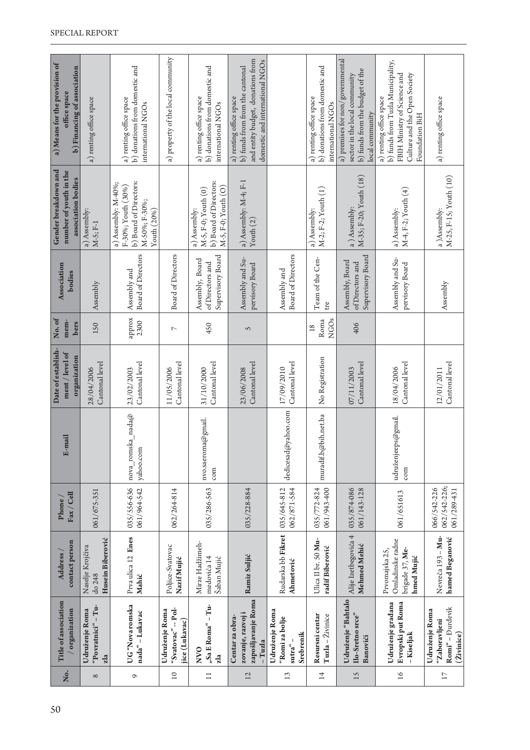| a) Means for the provision of<br>b) Financing of association<br>office space | a) renting office space                        | b) donations from domestic and<br>a) renting office space<br>international NGOs                     | a) property of the local community                     | b) donations from domestic and<br>a) renting office space<br>international NGOs        | and entity budget, donations from<br>domestic and international NGOs<br>b) funds from from the cantonal<br>a) renting office space |                                                          | b) donations from domestic and<br>a) renting office space<br>international NGOs | a) premises for non/governmental<br>b) funds from the budget of the<br>sector in the local community<br>local community | b) funds from Tuzla Municipality,<br>Culture and the Open Society<br>FBIH Ministry of Science and<br>a) renting office space<br>Foundation BiH | a) renting office space                                           |
|------------------------------------------------------------------------------|------------------------------------------------|-----------------------------------------------------------------------------------------------------|--------------------------------------------------------|----------------------------------------------------------------------------------------|------------------------------------------------------------------------------------------------------------------------------------|----------------------------------------------------------|---------------------------------------------------------------------------------|-------------------------------------------------------------------------------------------------------------------------|------------------------------------------------------------------------------------------------------------------------------------------------|-------------------------------------------------------------------|
| Gender breakdown and<br>number of youth in the<br>association bodies         | a) Assembly:<br>$M-5; F-1$                     | b) Board of Directors:<br>a) Assembly: M-40%;<br>F-30%; Youth (30%)<br>M-50%; F-30%;<br>Youth (20%) |                                                        | b) Board of Directors:<br>$M-5, F-0; Youth (O)$<br>M-5, F-0; Youth (0)<br>a) Assembly: | a) Assembly: M-4; F-1<br>Youth $(2)$                                                                                               |                                                          | M-2; F-2; Youth (1)<br>a) Assembly:                                             | M-35; F-20; Youth (18)<br>a) Assembly:                                                                                  | M-4, F-2; Youth (4)<br>a) Assembly:                                                                                                            | M-25, F-15; Youth (10)<br>a)Assembly:                             |
| <b>Association</b><br>bodies                                                 | Assembly                                       | Board of Directors<br>Assembly and                                                                  | Board of Directors                                     | Supervisory Board<br>Assembly, Board<br>of Directors and                               | Assembly and Su-<br>pervisory Board                                                                                                | <b>Board of Directors</b><br>Assembly and                | Team of the Cen-<br>tre                                                         | Supervisory Board<br>Assembly, Board<br>of Directors and                                                                | Assembly and Su-<br>pervisory Board                                                                                                            | Assembly                                                          |
| No.of<br>mem-<br>bers                                                        | 150                                            | approx<br>2300                                                                                      | $\overline{C}$                                         | 450                                                                                    | S                                                                                                                                  |                                                          | <b>NGOs</b><br>Roma<br>18                                                       | 406                                                                                                                     |                                                                                                                                                |                                                                   |
| Date of establish-<br>ment / level of<br>organization                        | Cantonal level<br>28/04/2006                   | Cantonal level<br>23/02/2003                                                                        | Cantonal level<br>11/05/2006                           | Cantonal level<br>31/10/2000                                                           | Cantonal level<br>23/06/2008                                                                                                       | Cantonal level<br>17/09/2010                             | No Registration                                                                 | Cantonal level<br>07/11/2003                                                                                            | Cantonal level<br>18/04/2006                                                                                                                   | Cantonal level<br>12/01/2011                                      |
| E-mail                                                                       |                                                | nova_romska_nada@<br>yahoo.com                                                                      |                                                        | nvo.saeroma@gmail.<br>com                                                              |                                                                                                                                    | @yahoo.com<br>dedicesad                                  | muradif.b@bih.net.ba                                                            |                                                                                                                         | udruženjeeps@gmail.<br>com                                                                                                                     |                                                                   |
| Fax / Cell<br><b>Phone</b>                                                   | 061/675-351                                    | 035/556-636<br>061/964-542                                                                          | 062/264-814                                            | 035/286-563                                                                            | 035/228-884                                                                                                                        | 035/645-812<br>062/871-584                               | 061/943-400<br>035/772-824                                                      | 035/874-086<br>061/143-128                                                                                              | 061/651613                                                                                                                                     | 062/542-226;<br>066/542-226<br>061/289-431                        |
| contact person<br>Address                                                    | Husein Biberović<br>Naselje Krojčiva<br>do 248 | Prva ulica 12 Enes<br>Mahić                                                                         | Poljice-Svatovac<br>NazifMujić                         | Mirze Hadžimeh-<br>medovića 14<br>Šaban Mujić                                          | Ramiz Suljić                                                                                                                       | Rudarska bb Fikret<br>Ahmetović                          | Ulica II br. 50 Mu-<br>radif Biberović                                          | Alije Izetbegovića 4<br>Mehmed Mehić                                                                                    | Omladinske radne<br>brigade 37, Me-<br>Prvomajska 25,<br>hmed Mujić                                                                            | Nevreča<br>193 - Mu-<br>hamed Beganović                           |
| Title of association<br>organization                                         | "Povratnici" – Tu-<br>Udruženje Roma<br>zla    | UG "Nova romska<br>nada" - Lukavac                                                                  | "Svatovac" -- Pol-<br>Udruženje Roma<br>jice (Lukavac) | "Sa E Roma" – Tu-<br><b>NVO</b><br>zla                                                 | zapošljavanje Roma<br>zovanje, razvoj i<br>Centar za obra-<br>- Tuzla                                                              | Udruženje Roma<br>"Romi za bolje<br>Srebrenik<br>sutra"- | Resursni centar<br>Tuzla - Živinice                                             | Udruženje "Bahtalo<br>Ilo-Sretno srce"<br>Banovići                                                                      | Udruženje građana<br>Evropski put Roma<br>-Kiseljak                                                                                            | Romi" - Đurđevik<br>Udruženje Roma<br>"Zaboravljeni<br>(Živinice) |
| .<br>Š                                                                       | $\infty$                                       | $\mathbf{\sigma}$                                                                                   | $10$                                                   | $\Box$                                                                                 | 12                                                                                                                                 | 13                                                       | 14                                                                              | 15                                                                                                                      | $\overline{16}$                                                                                                                                | $\Box$                                                            |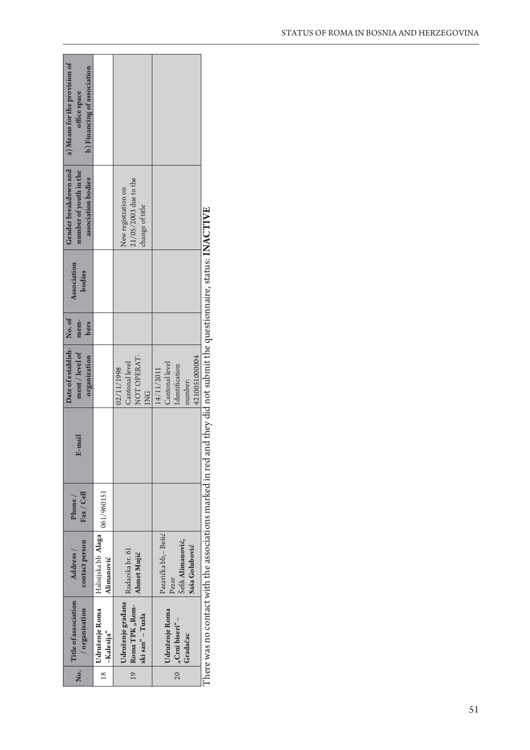| Udruženje građana   Rudarska br. 61<br>Title of association<br>$19$ Roma TPK "Rom-<br>/ organization<br>Udruženje Roma<br>ski san" - Tuzla<br>-Kalesija" | contact person<br>Address /<br>Ahmet Mujić<br>Alimanović | $\text{Fax}/\text{Cell}$<br>$P$ hone $/$ | E-mail                    | ment / level of<br>organization<br>NOT OPERAT-<br>Cantonal level<br>02/11/1998<br>$\overline{2}$ | mem-<br>bers | Gender breakdown and<br>number of youth in the<br>$21/05/2003$ due to the<br>association bodies<br>New registration on<br>change of title | a) Means for the provision of<br>b) Financing of association<br>office space |
|----------------------------------------------------------------------------------------------------------------------------------------------------------|----------------------------------------------------------|------------------------------------------|---------------------------|--------------------------------------------------------------------------------------------------|--------------|-------------------------------------------------------------------------------------------------------------------------------------------|------------------------------------------------------------------------------|
| Udruženje Roma<br>$20 \int_{y}$ Crnibiseri" –<br>Gradačac                                                                                                | Šefik Alimanović,<br>Saša Golubović<br>Pezer             |                                          |                           | 4210051000004<br>Cantonal level<br>Identification<br>number:                                     |              |                                                                                                                                           |                                                                              |
| 14/11/2011<br>Halisijska bb Alaga   061/960151<br>Pazarička bb,- Bešić                                                                                   |                                                          |                                          | Date of establish- No. of |                                                                                                  |              |                                                                                                                                           |                                                                              |

was no contact with the associations marked in red and they did not submit the questionnaire, status: INACTIVE There was no contact with the associations marked in red and they did not submit the questionnaire, status: **INACTIVEL**nere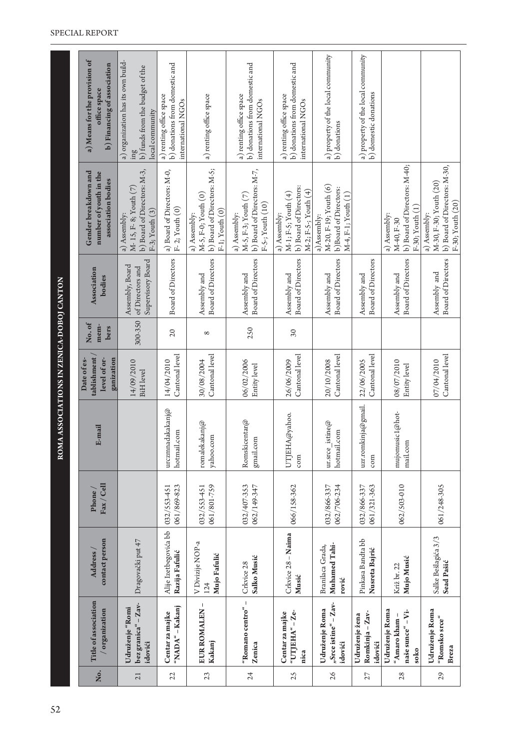|     |                                                              |                                            |                            | ROMA ASSOCIATIONS IN ZENICA-DOBOJ CANTON |                                                          |                       |                                                          |                                                                                             |                                                                                                             |
|-----|--------------------------------------------------------------|--------------------------------------------|----------------------------|------------------------------------------|----------------------------------------------------------|-----------------------|----------------------------------------------------------|---------------------------------------------------------------------------------------------|-------------------------------------------------------------------------------------------------------------|
| Йo. | Title of association<br>/ organization                       | contact person<br>Address                  | $\rm{Fax}/$ Cell<br>Phone  | E-mail                                   | tablishment<br>level of or-<br>ganization<br>Date of es- | No.of<br>mem-<br>bers | <b>Association</b><br>bodies                             | Gender breakdown and<br>number of youth in the<br>association bodies                        | a) Means for the provision of<br>b) Financing of association<br>office space                                |
| 21  | bez granica" - Zav-<br>Udruženje "Romi<br>idovići            | Dragovački put 47                          |                            |                                          | 14/09/2010<br><b>BiH</b> level                           | 300-350               | Supervisory Board<br>Assembly, Board<br>of Directors and | b) Board of Directors: M-3,<br>M-15, F-8; Youth (7)<br>F-3; Youth (3)<br>a) Assembly:       | a) organization has its own build-<br>b) funds from the budget of the<br>local community<br>$\lim_{\delta}$ |
| 22  | "NADA" - Kakanj<br>Centar za majke                           | Alije Izetbegovića bb<br>Razija Fafulić    | 061/869-823<br>032/553-451 | urczmnadakakanj@<br>hotmail.com          | Cantonal level<br>14/04/2010                             | $\overline{c}$        | <b>Board of Directors</b>                                | a) Board of Directors: M-0,<br>$F-2$ ; Youth $(0)$                                          | b) donations from domestic and<br>a) renting office space<br>international NGOs                             |
| 23  | EUR ROMALEN-<br>Kakanj                                       | V Divizije NOP-a<br>Mujo Fafulić<br>124    | 061/801-759<br>032/553-451 | romalekakanj $@$<br>yahoo.com            | Cantonal level<br>30/08/2004                             | $^{\circ}$            | Board of Directors<br>Assembly and                       | b) Board of Directors: M-5;<br>M-5, F-0; Youth (0)<br>$F-1$ ; Youth $(0)$<br>a) Assembly:   | a) renting office space                                                                                     |
| 24  | "Romano centro" –<br>Zenica                                  | Salko Musić<br>Crkvice 28                  | 032/407-353<br>062/149-347 | Romskicentar@<br>gmail.com               | 06/02/2006<br>Entity level                               | 250                   | <b>Board of Directors</b><br>Assembly and                | b) Board of Directors: M-7,<br>M-5, F-3; Youth (7)<br>$F-5-$ ; Youth $(10)$<br>a) Assembly: | b) donations from domestic and<br>a) renting office space<br>international NGOs                             |
| 25  | "UTJEHA" - Ze-<br>Centar za majke<br>nica                    | Crkvice 28 - Naima<br>Musić                | 066/158-362                | UTJEHA@yahoo.<br>com                     | Cantonal level<br>26/06/2009                             | $30\,$                | <b>Board of Directors</b><br>Assembly and                | b) Board of Directors:<br>M-2; F-5-; Youth (4)<br>M-1; F-5; Youth (4)<br>a) Assembly:       | b) donations from domestic and<br>a) renting office space<br>international NGOs                             |
| 26  | "Srce istine" – Zav-<br>Udruženje Roma<br>idovići            | Muhamed Tahi-<br>Branilaca Grada,<br>rović | 032/866-337<br>062/706-234 | istine $@$<br>hotmail.com<br>ur.srce     | Cantonal level<br>20/10/2008                             |                       | <b>Board of Directors</b><br>Assembly and                | M-20, F-19; Youth (6)<br>b)Board of Directors:<br>$M-4, F-1; Youth (1)$<br>a)Assembly:      | a) property of the local community<br>b) donations                                                          |
| 27  | Romkinja - Zav-<br>Udruženje žena<br>idovići                 | Pinkasa Bandta bb<br>Nusreta Bajrić        | 032/866-337<br>061/321-363 | uzr.romkinja@gmail.<br>com               | Cantonal level<br>22/06/2005                             |                       | Board of Directors<br>Assembly and                       |                                                                                             | a) property of the local community<br>b) domestic donations                                                 |
| 28  | Udruženje Roma<br>naše sunce" – Vi-<br>"Amaro kham -<br>soko | Mujo Musić<br>Križ br. 22                  | 062/503-010                | mujomusic1@hot-<br>mail.com              | 08/07/2010<br>Entity level                               |                       | <b>Board of Directors</b><br>Assembly and                | b) Board of Directors: M-40;<br>F-30; Youth (1)<br>a) Assembly:<br>M-40, F-30               |                                                                                                             |
| 29  | Udruženje Roma<br>"Romsko srce"<br>Breza                     | Salke Bešlagića 3/3<br>Sead Pašić          | 061/248-305                |                                          | Cantonal level<br>07/04/2010                             |                       | Board of Directors<br>Assembly and                       | b) Board of Directors: M-30,<br>M-30, F-30; Youth (20)<br>F-30; Youth (20)<br>a) Assembly:  |                                                                                                             |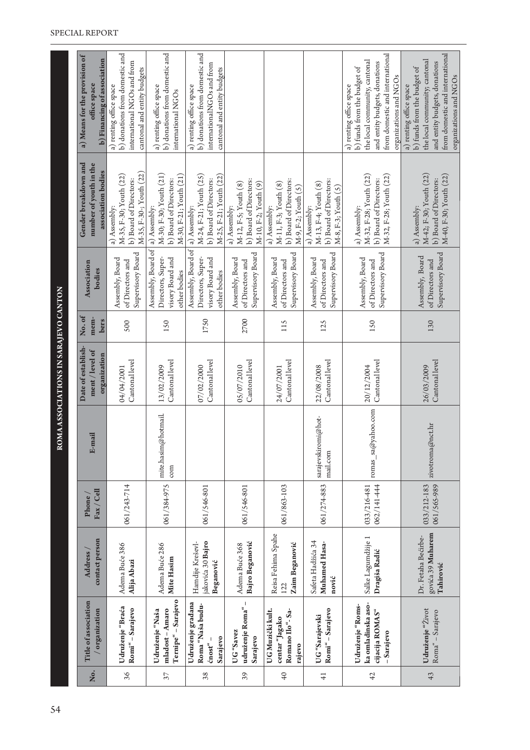| a) Means for the provision of<br>b) Financing of association<br>office space | b) donations from domestic and<br>international NGOs and from<br>cantonal and entity budgets<br>a) renting office space | b) donations from domestic and<br>a) renting office space<br>international NGOs            | b) donations from domestic and<br>internationalNGOs and from<br>cantonal and entity budgets<br>a) renting office space |                                                                                        |                                                                                        |                                                                                       | from domestic and international<br>the local community, cantonal<br>and entity budgets, donations<br>b) funds from the budget of<br>organizations and NGOs<br>a) renting office space | from domestic and international<br>the local community; cantonal<br>and entity budgets, donations<br>b) funds from the budget of<br>organizations and NGOs<br>a) renting office space |
|------------------------------------------------------------------------------|-------------------------------------------------------------------------------------------------------------------------|--------------------------------------------------------------------------------------------|------------------------------------------------------------------------------------------------------------------------|----------------------------------------------------------------------------------------|----------------------------------------------------------------------------------------|---------------------------------------------------------------------------------------|---------------------------------------------------------------------------------------------------------------------------------------------------------------------------------------|---------------------------------------------------------------------------------------------------------------------------------------------------------------------------------------|
| Gender breakdown and<br>number of youth in the<br>association bodies         | M-35, F-30-; Youth (22)<br>M-35, F-30; Youth (22)<br>b) Board of Directors:<br>a) Assembly:                             | M-30; F-30; Youth (21)<br>M-30, F-21; Youth (21)<br>b) Board of Directors:                 | M-25, F-21; Youth (22)<br>M-24, F-21; Youth (25)<br>b) Board of Directors:<br>a) Assembly:                             | b) Board of Directors:<br>M-12, F-5; Youth (8)<br>M-10, F-2; Youth (9)<br>a) Assembly: | b) Board of Directors:<br>M-11, F-3; Youth (8)<br>$M-9, F-2; Youth(S)$<br>a) Assembly: | b) Board of Directors:<br>M-13, F-4; Youth (8)<br>M-8, F-3; Youth (5)<br>a) Assembly: | M-32, F-28; Youth (22)<br>M-32, F-28; Youth (22)<br>b) Board of Directors:<br>a) Assembly:                                                                                            | M-42; F-30; Youth (22)<br>M-40, F-30; Youth (22)<br>b) Board of Directors:<br>a) Assembly:                                                                                            |
| Association<br>bodies                                                        | Supervisory Board<br>Assembly, Board<br>of Directors and                                                                | Assembly, Board of   a) Assembly:<br>visory Board and<br>Directors, Super-<br>other bodies | Assembly, Board of<br>visory Board and<br>Directors, Super-<br>other bodies                                            | Supervisory Board<br>Assembly, Board<br>of Directors and                               | Supervisory Board<br>Assembly, Board<br>of Directors and                               | Supervisory Board<br>Assembly, Board<br>of Directors and                              | Supervisory Board<br>Assembly, Board<br>of Directors and                                                                                                                              | Supervisory Board<br>Assembly, Board<br>of Directors and                                                                                                                              |
| No.of<br>mem-<br>bers                                                        | 500                                                                                                                     | 150                                                                                        | 1750                                                                                                                   | 2700                                                                                   | 115                                                                                    | 125                                                                                   | 150                                                                                                                                                                                   | 130                                                                                                                                                                                   |
| Date of establish-<br>ment / level of<br>organization                        | Cantonal level<br>04/04/2001                                                                                            | Cantonal level<br>13/02/2009                                                               | Cantonal level<br>07/02/2000                                                                                           | Cantonal level<br>05/07/2010                                                           | Cantonal level<br>24/07/2001                                                           | Cantonal level<br>22/08/2008                                                          | Cantonal level<br>20/12/2004                                                                                                                                                          | Cantonal level<br>26/03/2009                                                                                                                                                          |
| E-mail                                                                       |                                                                                                                         | mite.hasim@hotmail.<br>com                                                                 |                                                                                                                        |                                                                                        |                                                                                        | sarajevskiromi@hot-<br>mail.com                                                       | romas_sa@yahoo.com                                                                                                                                                                    | @nct.hr<br>zivotroma                                                                                                                                                                  |
| Fax / Cell<br>Phone/                                                         | 061/243-714                                                                                                             | 061/384-975                                                                                | 061/546-801                                                                                                            | 061/546-801                                                                            | 061/863-103                                                                            | 061/274-883                                                                           | 062/141-444<br>033/216-481                                                                                                                                                            | 033/212-183<br>061/565-989                                                                                                                                                            |
| contact person<br><b>Address</b>                                             | Adema Buće 386<br>Alija Abazi                                                                                           | Adema Buće 286<br>Mite Hasim                                                               | jakovića 30 Bajro<br>Hamdije Kreševl-<br>Beganović                                                                     | Bajro Beganović<br>Adema Buće 368                                                      | Reisa Fehima Spahe<br>Zaim Beganović<br>122                                            | Safeta Hadžića 34<br>Muhamed Hasa-<br>nović                                           | Salke Lagumdžije 1<br>Dragiša Radić                                                                                                                                                   | govića 39 Muharem<br>Dr. Fetaha Bećirbe-<br>Tahirović                                                                                                                                 |
| Title of association<br>organization                                         | Udruženje "Braća<br>Romi" - Sarajevo                                                                                    | Ternipe" - Sarajevo<br>mladost-Amaro<br>Udruženje "Naša                                    | Udruženje građana<br>Roma "Naša budu-<br>Sarajevo<br>ćnost" –                                                          | udruženje Roma" -<br>UG"Savez<br>Sarajevo                                              | Romano Ilo" - Sa-<br>UG Muzički kult.<br>centar "Jagako<br>rajevo                      | Romi" - Sarajevo<br>UG"Sarajevski                                                     | ka omladinska aso-<br>Udruženje "Roms-<br>cijacija ROMAS"<br>- Sarajevo                                                                                                               | Udruženje "Život<br>Roma" - Sarajevo                                                                                                                                                  |
| .<br>Š                                                                       | 36                                                                                                                      | 37                                                                                         | 38                                                                                                                     | 39                                                                                     | $\overline{40}$                                                                        | $\overline{+}$                                                                        | 42                                                                                                                                                                                    | 43                                                                                                                                                                                    |

ROMA ASSOCIATIONS IN SARAJEVO CANTON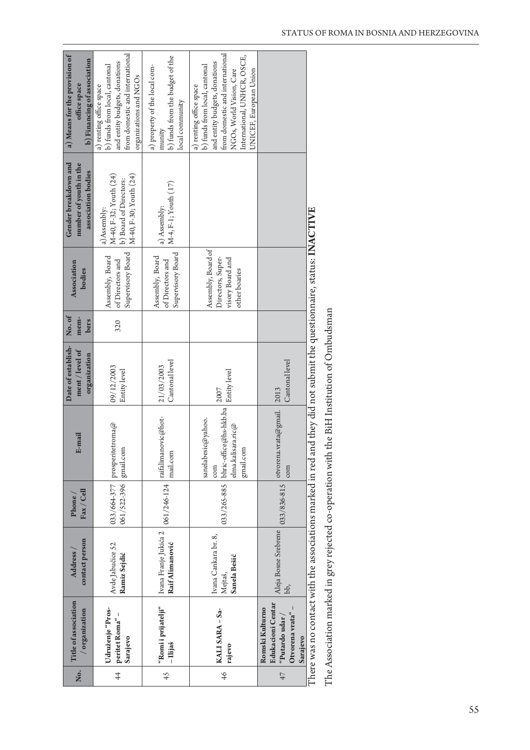| .<br>No.    | Title of association<br>/ organization                                                        | contact person<br>Address /                     | $\text{Fax}/\text{Cell}$<br>Phone / | E-mail                                                                                                                                                                        | Date of establish-<br>ment / level of<br>organization | No.of<br>mem-<br>bers | <b>Association</b><br>bodies                                                 | Gender breakdown and<br>number of youth in the<br>association bodies                      | a) Means for the provision of<br>b) Financing of association<br>office space                                                                                                                                      |
|-------------|-----------------------------------------------------------------------------------------------|-------------------------------------------------|-------------------------------------|-------------------------------------------------------------------------------------------------------------------------------------------------------------------------------|-------------------------------------------------------|-----------------------|------------------------------------------------------------------------------|-------------------------------------------------------------------------------------------|-------------------------------------------------------------------------------------------------------------------------------------------------------------------------------------------------------------------|
| $rac{4}{4}$ | Udruženje "Pros-<br>peritet Roma" –<br>Sarajevo                                               | Avde Jabučice 52<br>Ramiz Sejdić                | 061/522-396 gmail.com               | 033/664-377   prosperitetroma@                                                                                                                                                | 09/12/2003<br>Entity level                            | 320                   | Supervisory Board<br>Assembly, Board<br>of Directors and                     | M-40, F-32; Youth (24)<br>M-40, F-30; Youth (24)<br>b) Board of Directors:<br>a)Assembly: | from domestic and international<br>and entity budgets, donations<br>b) funds from local, cantonal<br>organizations and NGOs<br>a) renting office space                                                            |
| 45          | "Romi i prijatelji"<br>- Ilijaš                                                               | Ivana Franje Jukića 2<br>Raif Alimanović        |                                     | $\begin{array}{ c c } \hline 061/246\mbox{-}124 & \text{raifalimanovic@hot} \hline \end{array}$<br>mail.com                                                                   | Cantonal level<br>21/03/2003                          |                       | Supervisory Board<br>Assembly, Board<br>of Directors and                     | M-4, F-1; Youth (17)<br>a) Assembly:                                                      | b) funds from the budget of the<br>a) property of the local com-<br>local community<br>munity                                                                                                                     |
| 46          | KALI SARA - Sa-<br>rajevo                                                                     | Ivana Cankara br. 8,<br>Sanela Bešić<br>Mejtaš, |                                     | 033/265-885 $\big \text{bhric-office@hs-hkb.ba}\big  \overset{\sim}{\underset{\sim}{\text{Entity level}}}$<br>sanelabesic@yahoo.<br>elma.kalisara.ric $@$<br>gmail.com<br>com |                                                       |                       | Assembly, Board of<br>Directors, Super-<br>visory Board and<br>other boaries |                                                                                           | from domestic and international<br>International, UNHCR, OSCE,<br>and entity budgets, donations<br>b) funds from local, cantonal<br>NGOs, World Vision, Care<br>UNICEF, European Union<br>a) renting office space |
| 47          | <b>Edukacioni Centar</b><br>Otvorena vrata" –<br>Romski Kulturno<br>"Putardo udar<br>Sarajevo | bb,                                             |                                     | Aleja Bosne Srebrene $\Big  033/836.815 \Big $ otvorena.vrata@gmail. $\Big  2013$<br>com                                                                                      | Cantonal level                                        |                       |                                                                              |                                                                                           |                                                                                                                                                                                                                   |
|             |                                                                                               |                                                 |                                     | There was no contact with the associations marked in red and they did not submit the questionnaire, status: INACTIVE                                                          |                                                       |                       |                                                                              |                                                                                           |                                                                                                                                                                                                                   |

The Association marked in grey rejected co-operation with the BiH Institution of Ombudsman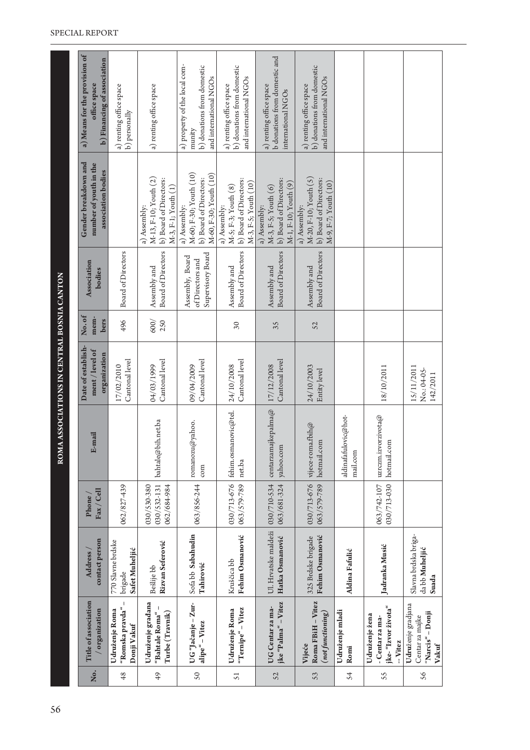| Йo.           | Title of association<br>organization                               | contact person<br>Address                       | Fax / Cell<br>Phone                       | E-mail                              | Date of establish-<br>ment / level of<br>organization | No.of<br>mem-<br>bers | Association<br>bodies                                    | Gender breakdown and<br>number of youth in the<br>association bodies                        | a) Means for the provision of<br>b) Financing of association<br>office space                    |
|---------------|--------------------------------------------------------------------|-------------------------------------------------|-------------------------------------------|-------------------------------------|-------------------------------------------------------|-----------------------|----------------------------------------------------------|---------------------------------------------------------------------------------------------|-------------------------------------------------------------------------------------------------|
| 48            | "Romska pravda" -<br>Udruženje Roma<br>Donji Vakuf                 | 770 Slavne brdske<br>Safet Muheljić<br>brigade  | 062/827-439                               |                                     | Cantonal level<br>17/02/2010                          | 496                   | <b>Board of Directors</b>                                |                                                                                             | a) renting office space<br>b) personally                                                        |
| 49            | Udruženje građana<br>-1<br>Turbe (Travnik)<br>"Bahtale Roma"       | Rizvan Seferović<br>Bešlije bb                  | 030/532-131<br>030/530-380<br>062/684-984 | bahtale@bih.net.ba                  | Cantonal level<br>04/03/1999                          | 600/<br>250           | Board of Directors<br>Assembly and                       | M-13, F-10; Youth (2)<br>b) Board of Directors:<br>$M-3$ , F-1; Youth $(1)$<br>a) Assembly: | a) renting office space                                                                         |
| $\mathsf{S}0$ | UG"Jačanje – Zur-<br>alipe" - Vitez                                | Sofabb Sabahudin<br>Tahirović                   | 063/856-244                               | romanozu@yahoo.<br>com              | Cantonal level<br>09/04/2009                          |                       | Supervisory Board<br>Assembly, Board<br>of Directors and | M-60; F-30; Youth (10)<br>M-60, F-30; Youth (10)<br>b) Board of Directors:<br>a) Assembly:  | a) property of the local com-<br>b) donations from domestic<br>and international NGOs<br>munity |
| 51            | "Ternipe" - Vitez<br>Udruženje Roma                                | Fehim Osmanović<br>Kruščica bb                  | 030/713-676<br>063/579-789                | fehim.osmanovic@tel.<br>net.ba      | Cantonal level<br>24/10/2008                          | $\infty$              | <b>Board of Directors</b><br>Assembly and                | b) Board of Directors:<br>M-3, F-5; Youth (10)<br>M-5; F-3; Youth (8)<br>a) Assembly:       | b) donations from domestic<br>and international NGOs<br>a) renting office space                 |
| 52            | jke "Palma" - Vitez<br>UG Centar za ma-                            | Ul. Hrvatske maldeži<br>Hatka Osmanović         | 030/710-534<br>063/681-324                | centarzamajkepalma $@$<br>yahoo.com | Cantonal level<br>17/12/2008                          | 35                    | <b>Board of Directors</b><br>Assembly and                | b) Board of Directors:<br>M-1, F-10; Youth (9)<br>$M-3$ , F-S; Youth $(6)$<br>a) Assembly:  | <b>b</b> donations from domestic and<br>a) renting office space<br>international NGOs           |
| 53            | Roma FBiH - Vitez<br>(not functioning)<br>Vijeće                   | Fehim Osmanović<br>325 Brdske brigade           | 030/713-676<br>063/579-789                | vijece-roma.fbih@<br>hotmail.com    | 24/10/2003<br>Entity level                            | 52                    | <b>Board of Directors</b><br>Assembly and                | M-20, F-10; Youth (5)<br>b) Board of Directors:<br>M-9, F-7; Youth (10)<br>a) Assembly:     | b) donations from domestic<br>and international NGOs<br>a) renting office space                 |
| 54            | Udruženje mladi<br>Romi                                            | Aldina Fafulić                                  |                                           | aldinafafulovic@hot-<br>mail.com    |                                                       |                       |                                                          |                                                                                             |                                                                                                 |
| 55            | jke-"Izvor života"<br>Udruženje žena<br>-Centar za ma-<br>-- Vitez | Jadranka Musić                                  | 030/713-030<br>063/742-107                | uzrczm.izvorzivota@<br>hotmail.com  | 18/10/2011                                            |                       |                                                          |                                                                                             |                                                                                                 |
| 56            | Udruženje gradjana<br>"Narcis" - Donji<br>Centar za majke<br>Vakuf | Slavna brdska briga-<br>da bb Muheljić<br>Suada |                                           |                                     | 15/11/2011<br>No.: 04-05-<br>142/2011                 |                       |                                                          |                                                                                             |                                                                                                 |

ROMA ASSOCIATIONS IN CENTRAL BOSNIA CANTON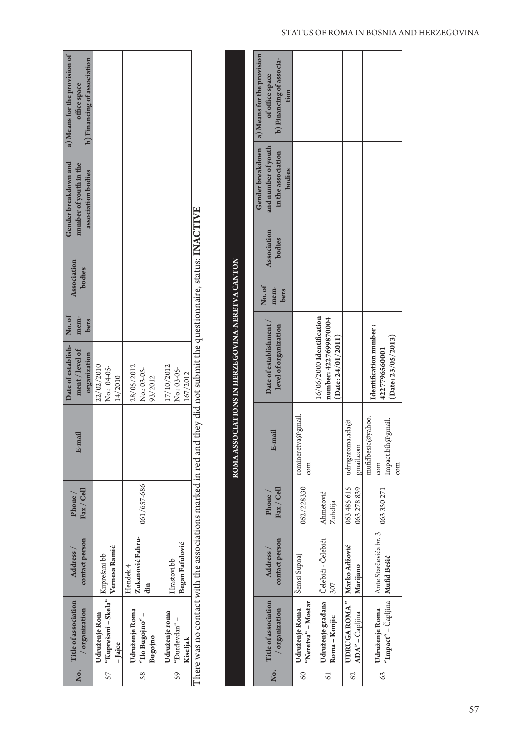| b) Financing of association<br>of office space<br>office space<br>tion<br>and number of youth<br>Gender breakdown<br>in the association<br>Gender breakdown and<br>number of youth in the<br>bodies<br>association bodies<br>There was no contact with the associations marked in red and they did not submit the questionnaire, status: INACTIVE<br><b>Association</b><br>bodies<br>ROMA ASSOCIATIONS IN HERZEGOVINA-NERETVA CANTON<br>Association<br>bodies<br>No.of<br>mem-<br>bers<br>No.of<br>mem-<br>bers<br>Date of establishment,<br>level of organization<br>Date of establish-<br>ment / level of<br>organization<br>22/02/2010<br>17/10/2012<br>No.: 04-05-<br>28/05/2012<br>No.: 03-05-<br>No.: 03-05-<br>167/2012<br>14/2010<br>93/2012<br><b>Ecma</b><br>E-mail<br>061/657-686<br>$\rm{Fax}/$ Cell<br>$\rm{Fax}/$ Cell<br>Phone<br>Phone/<br>Zukanović Fahru-<br>contact person<br>contact person<br>Began Fafulović<br>Vernesa Ramić<br>Address<br>Address<br>"Kuprešani – Skela" $\Big \mathop{\hbox{\rm Kupres}}\nolimits$ ani b<br>b<br>Hrastovi bb<br>Hendek 4<br> | "Neretva" - Mostar<br>60 | Roma - Konjic<br>$\overline{61}$                                           | Udruženje Roma     | .ok                                                    |  | Udruženje roma<br>"Đurđevdan" –<br>Kiseljak<br>59 | Udruženje Roma<br>- "oujogng o <sub>II</sub><br>Bugojno<br>58 | Udruženje Rom<br>-Jajce<br>57 | Ż.                                     |
|---------------------------------------------------------------------------------------------------------------------------------------------------------------------------------------------------------------------------------------------------------------------------------------------------------------------------------------------------------------------------------------------------------------------------------------------------------------------------------------------------------------------------------------------------------------------------------------------------------------------------------------------------------------------------------------------------------------------------------------------------------------------------------------------------------------------------------------------------------------------------------------------------------------------------------------------------------------------------------------------------------------------------------------------------------------------------------------|--------------------------|----------------------------------------------------------------------------|--------------------|--------------------------------------------------------|--|---------------------------------------------------|---------------------------------------------------------------|-------------------------------|----------------------------------------|
|                                                                                                                                                                                                                                                                                                                                                                                                                                                                                                                                                                                                                                                                                                                                                                                                                                                                                                                                                                                                                                                                                       |                          |                                                                            |                    | Title of association<br>/ organization                 |  |                                                   |                                                               |                               | Title of association<br>/ organization |
|                                                                                                                                                                                                                                                                                                                                                                                                                                                                                                                                                                                                                                                                                                                                                                                                                                                                                                                                                                                                                                                                                       |                          | Udruženje građana   Čelebići - Čelebići<br>307                             | Šemsi Supnaj       |                                                        |  |                                                   |                                                               |                               |                                        |
|                                                                                                                                                                                                                                                                                                                                                                                                                                                                                                                                                                                                                                                                                                                                                                                                                                                                                                                                                                                                                                                                                       | 062/228330               | Ahmetović<br>Zuhdija                                                       |                    |                                                        |  |                                                   |                                                               |                               |                                        |
|                                                                                                                                                                                                                                                                                                                                                                                                                                                                                                                                                                                                                                                                                                                                                                                                                                                                                                                                                                                                                                                                                       | com                      |                                                                            | romineretva@gmail. |                                                        |  |                                                   |                                                               |                               |                                        |
|                                                                                                                                                                                                                                                                                                                                                                                                                                                                                                                                                                                                                                                                                                                                                                                                                                                                                                                                                                                                                                                                                       |                          | $16/06/2000$ Identification<br>number: 4227699870004<br>(Date: 24/01/2011) |                    |                                                        |  |                                                   |                                                               |                               |                                        |
|                                                                                                                                                                                                                                                                                                                                                                                                                                                                                                                                                                                                                                                                                                                                                                                                                                                                                                                                                                                                                                                                                       |                          |                                                                            |                    |                                                        |  |                                                   |                                                               |                               |                                        |
|                                                                                                                                                                                                                                                                                                                                                                                                                                                                                                                                                                                                                                                                                                                                                                                                                                                                                                                                                                                                                                                                                       |                          |                                                                            |                    |                                                        |  |                                                   |                                                               |                               |                                        |
|                                                                                                                                                                                                                                                                                                                                                                                                                                                                                                                                                                                                                                                                                                                                                                                                                                                                                                                                                                                                                                                                                       |                          |                                                                            |                    |                                                        |  |                                                   |                                                               |                               |                                        |
|                                                                                                                                                                                                                                                                                                                                                                                                                                                                                                                                                                                                                                                                                                                                                                                                                                                                                                                                                                                                                                                                                       |                          |                                                                            |                    | a) Means for the provision<br>b) Financing of associa- |  |                                                   |                                                               |                               | a) Means for the provision of          |

|  |  |  | STATUS OF ROMA IN BOSNIA AND HERZEGOVINA |
|--|--|--|------------------------------------------|
|  |  |  |                                          |

62 **6%36("30."u "%"um**ɫBQMKJOB **.BSLP"EòPWJˆ .BSJKBOP** 063 485 615 063 278 839 udrugaroma.ada@ gmail.com

Marko Adžović<br>Marijano

UDRUGA ROMA "<br>ADA" – Čapljina

62

063 485 615

 $multabesic$ @yahoo.  $\begin{bmatrix} \text{com} \ \text{Impatch}(\partial \text{gmail}. \end{bmatrix}$ Impact.bih@gmail.

mufidbesic@yahoo. udrugaroma.ada $@$ gmail.com

Identification number: **4227796560001 (Date: 23/05/2013)**

| Identification number :<br>| 4227796560001<br>| (Date: 23/05/2013)

com

**1 Udruženje Roma** Ante Starčevića br. 3 **163 350 271**<br><sup>"I</sup>mpact" – Čapljina **| Mufid Bešić** 

 $\begin{tabular}{c} \textbf{Udruženje Roma} & \textbf{Ante Starčevića br. 3} \\ \textbf{``Impact''}-\textcolor{red}{\tilde{C}ap} \textcolor{blue}{\text{jina}} & \textbf{Mufid Bešić} \end{tabular}$ 

63

063350271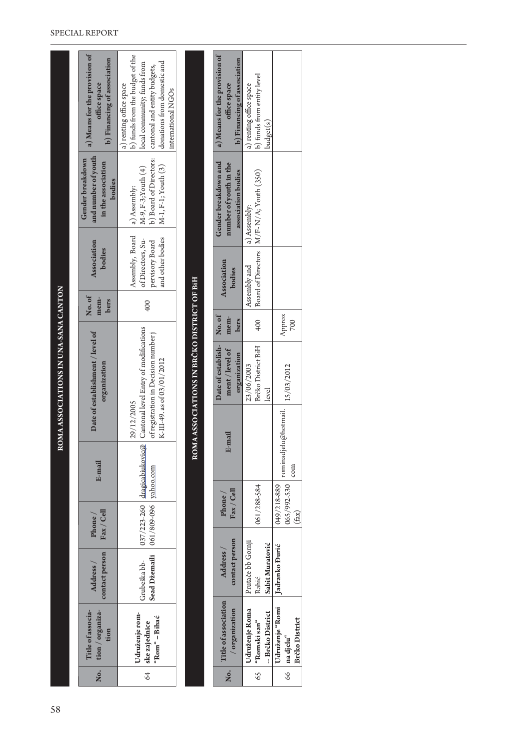| $\dot{z}$ | Title of associa-<br>tion / organiza-<br>tion         | contact person<br>Address /                             | $\rm{Fax}/$ Cell<br>Phone/ | E-mail                       | Date of establishment / level of<br>organization                                                                          |                       | Association<br>bodies<br>No.of<br>mem-<br>bers                                     |              | and number of youth<br>Gender breakdown<br>in the association<br>bodies                  | a) Means for the provision of<br>b) Financing of association<br>office space                                                                                                   |
|-----------|-------------------------------------------------------|---------------------------------------------------------|----------------------------|------------------------------|---------------------------------------------------------------------------------------------------------------------------|-----------------------|------------------------------------------------------------------------------------|--------------|------------------------------------------------------------------------------------------|--------------------------------------------------------------------------------------------------------------------------------------------------------------------------------|
|           | Udruženje rom-<br>"Rom" - Bihać<br>64   ske zajednice | Sead Džemaili   061/809-096   yahoo.com<br>Grubeška bb- |                            | 037/223-260 dragicabiukovic@ | Cantonal level Entry of modifications<br>of registration in Decision number j<br>K-III-49. as of 03/01/2012<br>29/12/2005 |                       | Assembly, Board<br>and other bodies<br>of Directors, Su-<br>pervisory Board<br>400 |              | b) Board of Directors:<br>$M-1, F-1;$ Youth $(3)$<br>M-9, F-3; Youth (4)<br>a) Assembly: | b) funds from the budget of the<br>donations from domestic and<br>local community; funds from<br>cantonal and entity budgets,<br>a) renting office space<br>international NGOs |
|           |                                                       |                                                         |                            |                              | ROMA ASSOCIATIONS IN BRČKO DISTRICT OF BiH                                                                                |                       |                                                                                    |              |                                                                                          |                                                                                                                                                                                |
|           |                                                       |                                                         |                            |                              |                                                                                                                           |                       |                                                                                    |              |                                                                                          |                                                                                                                                                                                |
| .oK       | Title of association<br>/ organization                | contact person<br>Address /                             | Fax / Cell<br>$P$ hone $/$ | E-mail                       | Date of establish-<br>ment / level of<br>organization                                                                     | No.of<br>mem-<br>bers | <b>Association</b><br>bodies                                                       |              | Gender breakdown and<br>number of youth in the<br>association bodies                     | a) Means for the provision of<br>b) Financing of association<br>office space                                                                                                   |
|           | Udruženje Roma<br>$65$   "Romski san"                 | Prutače bb Gornji<br>Rahić                              | $061/288-584$              |                              | Brčko District BiH<br>23/06/2003                                                                                          |                       | 400 Roard of Directors $M/F-N/A:Y$ outh $(350)$<br>Assembly and                    | a) Assembly: |                                                                                          | h) funds from entity level<br>a) renting office space                                                                                                                          |

| Title of association<br>/ organization                                        | contact person<br>Address /                   | Fax / Cell<br>$P$ hone /            | -mail<br>ட்                 | Date of establish- No. of<br>ment / level of<br>organization | mem-<br>bers  | <b>Association</b><br>bodies | number of youth in the<br>association bodies              | Gender breakdown and a) Means for the provision of<br>b) Financing of association<br>office space |
|-------------------------------------------------------------------------------|-----------------------------------------------|-------------------------------------|-----------------------------|--------------------------------------------------------------|---------------|------------------------------|-----------------------------------------------------------|---------------------------------------------------------------------------------------------------|
| Udruženje Roma<br>-- Brčko District<br>65   "Romski san"                      | Prutače bb Gornji<br>Sabit Muratović<br>Rahić | 061/288-584                         |                             | Brčko District BiH<br>23/06/2003<br>level                    | 400           | Assembly and                 | Board of Directors   M/F-N/A; Youth (350)<br>a) Assembly: | b) funds from entity level<br>) renting office space<br>budget(s)                                 |
| Udruženje "Romi   Jadranko Đurić<br><b>Brčko District</b><br>$66$   na djelu" |                                               | 049/218-889<br>065/992-530<br>(fax) | :ominadjelu@hotmail.<br>com | 15/03/2012                                                   | Approx<br>700 |                              |                                                           |                                                                                                   |

#### SPECIAL REPORT

ROMA ASSOCIATIONS IN UNA-SANA CANTON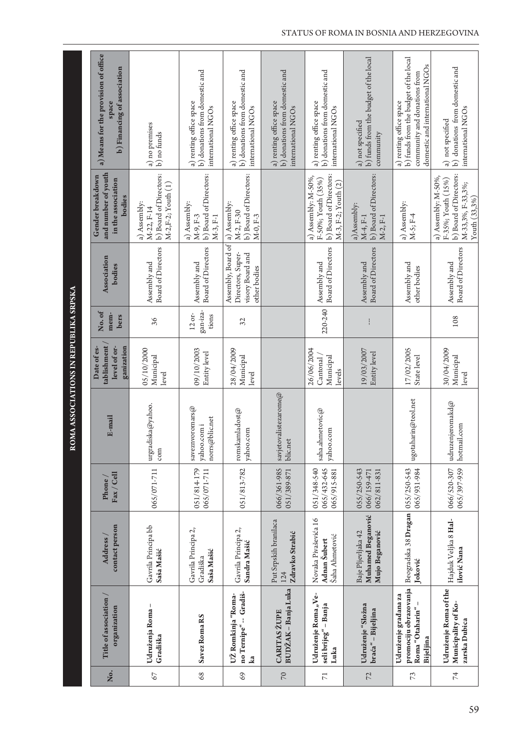|                 |                                                                                 |                                                           |                                           | ≊                                                       | <b>OMA ASSOCIATIONS IN REPUBLIKA SRPSKA</b>              |                               |                                                                             |                                                                                                             |                                                                                                                                     |
|-----------------|---------------------------------------------------------------------------------|-----------------------------------------------------------|-------------------------------------------|---------------------------------------------------------|----------------------------------------------------------|-------------------------------|-----------------------------------------------------------------------------|-------------------------------------------------------------------------------------------------------------|-------------------------------------------------------------------------------------------------------------------------------------|
| Ż.              | Title of association /<br>organization                                          | contact person<br>Address /                               | $\rm{Fax}/$ Cell<br>Phone/                | E-mail                                                  | tablishment<br>ganization<br>level of or-<br>Date of es- | No.of<br>mem-<br>bers         | <b>Association</b><br>bodies                                                | and number of youth<br>Gender breakdown<br>in the association<br>bodies                                     | a) Means for the provision of office<br>b) Financing of association<br>space                                                        |
| $67$            | Udruženja Roma-<br>Gradiška                                                     | Gavrila Principa bb<br>Saša Mašić                         | 065/071-711                               | urgradiska@yahoo.<br>com                                | 05/10/2000<br>Municipal<br>level                         | 36                            | Board of Directors<br>Assembly and                                          | b) Board of Directors:<br>$M-2, F-2$ ; Youth $(1)$<br>a) Assembly:<br>M-22, F-14                            | a) no premises<br>b) no funds                                                                                                       |
| 68              | Savez Roma RS                                                                   | Gavrila Principa 2,<br>Saša Mašić<br>Gradiška             | 051/814-179<br>065/071-711                | saveznvoromars $\varpi$<br>norrs@blic.net<br>yahoo.comi | 09/10/2003<br>Entity level                               | gan-iza-<br>$12$ or-<br>tions | <b>Board of Directors</b><br>Assembly and                                   | b) Board of Directors:<br>a) Assembly:<br>$M-3, F-1$<br>M-9, F-3                                            | b) donations from domestic and<br>a) renting office space<br>international NGOs                                                     |
| 69              | no Ternipe" -- Gradiš-<br>UŽ Romkinja "Roma-<br>ka                              | Gavrila Principa 2,<br>Sandra Mašić                       | 051/813-782                               | romskamladost $@$<br>yahoo.com                          | 28/04/2009<br>Municipal<br>level                         | 32                            | Assembly, Board of<br>Directors, Super-<br>visory Board and<br>other bodies | b) Board of Directors:<br>a) Assembly:<br>M-2, F-30<br>M-0, F-3                                             | b) donations from domestic and<br>a) renting office space<br>international NGOs                                                     |
| 70              | BUDŽAK – Banja Luka<br><b>CARITAS ŽUPE</b>                                      | Put Srpskih branilaca<br>Zdravko Strabić<br>124           | 066/361-985<br>051/389-871                | savjetovalistezarome@<br>blic.net                       |                                                          |                               |                                                                             |                                                                                                             | b) donations from domestic and<br>a) renting office space<br>international NGOs                                                     |
| $\overline{7}1$ | Udruženje Roma "Ve-<br>seli brijeg" – Banja<br>Luka                             | Novaka Pivaševića 16<br>Šaha Ahmetović<br>Adnan Šubert    | 065/432-645<br>051/348-540<br>065/915-881 | saha.ahmetovic@<br>yahoo.com                            | 26/06/2004<br>Municipal<br>Cantonal<br>levels            | 220-240                       | <b>Board of Directors</b><br>Assembly and                                   | b) Board of Directors:<br>a) Assembly: M-50%,<br>F-50%; Youth (35%)<br>M-3, F-2; Youth (2)                  | b) donations from domestic and<br>a) renting office space<br>international NGOs                                                     |
| 72              | Udruženje "Složna<br>braća" - Bijeljina                                         | Muhamed Beganović<br>Baje Pljevljaka 42<br>Mujo Beganović | 055/250-543<br>066/159-471<br>062/811-831 |                                                         | 19/03/2007<br>Entity level                               |                               | <b>Board of Directors</b><br>Assembly and                                   | b) Board of Directors:<br>a)Assembly:<br>$M-2, F-1$<br>M-4, F-1                                             | b) funds from the budget of the local<br>a) not specified<br>community                                                              |
| 73              | promociju obrazovanja<br>Udruženje građana za<br>Roma "Otaharin" -<br>Bijeljina | Beogradska 38 Dragan<br>Joković                           | 055/250-543<br>065/931-984                | ugotaharin@teol.net                                     | 17/02/2005<br>State level                                |                               | Assembly and<br>other bodies                                                | a) Assembly:<br>$M-5; F-4$                                                                                  | b) funds from the budget of the local<br>domestic and international NGOs<br>community and donations from<br>a) renting office space |
| $\overline{7}$  | Udruženje Roma of the<br>Municipality of Ko-<br>zarska Dubica                   | Hajduk Veljka 8 Hal-<br>ilović Nana                       | 065/397-959<br>066/520-307                | udruzenjeromakd@<br>hotmail.com                         | 30/04/2009<br>Municipal<br>level                         | 108                           | <b>Board of Directors</b><br>Assembly and                                   | b) Board of Directors:<br>a) Assembly: M-50%,<br>F-35%; Youth (15%)<br>M-33,3%, F-33,3%;<br>Youth $(33,3%)$ | b) donations from domestic and<br>international NGOs<br>a) not specified                                                            |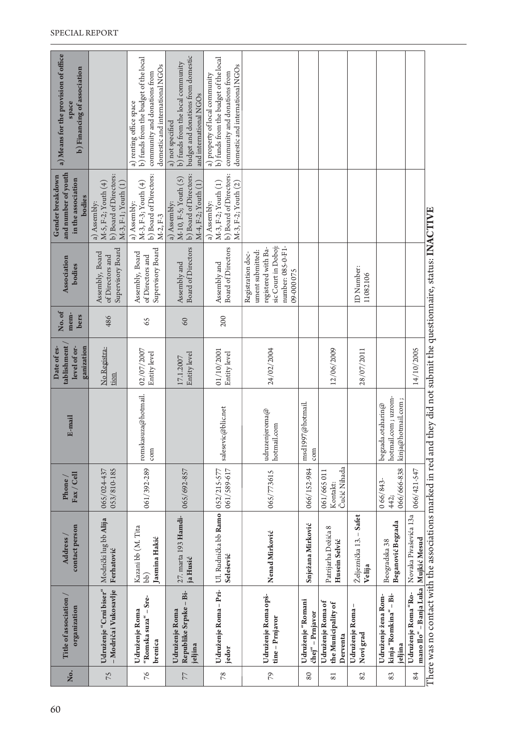| Ž.<br>79<br>76<br>75<br>$78$<br>80<br>82<br>77<br>81 | Udruženje Roma - Pri-<br>Udruženje "Crni biser"<br>- Modriča i Vukosavlje<br>Republike Srpske - Bi-<br>Udruženje Roma opš-<br>Udruženje žena Rom-<br>"Romska suza" – Sre-<br>Title of association<br>Udruženje "Romani<br>Udruženje Roma of<br>the Municipality of<br>Udruženje Roma-<br>organization<br>Udruženje Roma<br>Udruženje Roma<br>chej" - Prnjavor<br>tine - Prnjavor<br>Novi grad<br>Derventa<br>brenica<br>jeljina<br>jedor | Ul. Rudnička bb Ramo   052/215-577<br>27. marta 193 Hamdi-<br>Željeznička 13. – Safet<br>Modrički lug bb Alija<br>Snježana Mirković<br>contact person<br>Kazani bb (M. Tita<br>Patrijarha Dožića 8<br>Nenad Mirković<br>Jasmina Hakić<br>Address<br>Husein Selvić<br>Ferhatović<br>Selešević<br>ja Husić<br>Velija<br>bb) | Čučić Nihada<br>061/392-289<br>066/152-984<br>061/589-617<br>053/810-185<br>065/692-857<br>065/024-437<br>061/665 011<br>065/773615<br>Fax / Cell<br>Phone<br>066/843-<br>Kontakt: | romskasuza@hotmail.<br>msd1997@hotmail.<br>salesevic@blic.net<br>udruzenjeroma@<br>E-mail<br>hotmail.com<br>com<br>com | tablishment<br>level of or-<br>ganization<br>Date of es-<br>24/02/2004<br>No Registra-<br>12/06/2009<br>02/07/2007<br>28/07/2011<br>01/10/2001<br>Entity level<br>Entity level<br>Entity level<br>17.1.2007<br>tion | No.of<br>mem-<br>bers<br>486<br>200<br>65<br>60 | sic Court in Doboj:<br>number: 085-0-F1-<br>registered with Ba-<br><b>Board of Directors</b><br><b>Board of Directors</b><br>Supervisory Board<br>Supervisory Board<br>ument submitted:<br>Assembly, Board<br>Assembly, Board<br>Registration doc-<br>of Directors and<br>of Directors and<br>Association<br>Assembly and<br>Assembly and<br>bodies<br>ID Number:<br>09-000 075<br>11082106 | and number of youth<br>b) Board of Directors:<br>b) Board of Directors:<br>b) Board of Directors:<br>b) Board of Directors:<br>Gender breakdown<br>$M-10$ , F-5; Youth $(5)$<br>in the association<br>M-5, F-2; Youth (4)<br>M-3, F-3; Youth (4)<br>$M-3, F-2; Youth (1)$<br>M-4, F-2; Youth (1)<br>M-3, F-2; Youth (2)<br>$M-3, F-1;$ Youth $(1)$<br>bodies<br>a) Assembly:<br>a) Assembly:<br>a) Assembly:<br>a) Assembly:<br>$M-2, F-3$ | a) Means for the provision of office<br>budget and donations from domestic<br>b) funds from the budget of the local<br>b) funds from the budget of the local<br>b) funds from the local community<br>domestic and international NGOs<br>domestic and international NGOs<br><b>b</b> ) Financing of association<br>community and donations from<br>community and donations from<br>a) property of local community<br>and international NGOs<br>a) renting office space<br>space<br>a) not specified |
|------------------------------------------------------|------------------------------------------------------------------------------------------------------------------------------------------------------------------------------------------------------------------------------------------------------------------------------------------------------------------------------------------------------------------------------------------------------------------------------------------|---------------------------------------------------------------------------------------------------------------------------------------------------------------------------------------------------------------------------------------------------------------------------------------------------------------------------|------------------------------------------------------------------------------------------------------------------------------------------------------------------------------------|------------------------------------------------------------------------------------------------------------------------|---------------------------------------------------------------------------------------------------------------------------------------------------------------------------------------------------------------------|-------------------------------------------------|---------------------------------------------------------------------------------------------------------------------------------------------------------------------------------------------------------------------------------------------------------------------------------------------------------------------------------------------------------------------------------------------|--------------------------------------------------------------------------------------------------------------------------------------------------------------------------------------------------------------------------------------------------------------------------------------------------------------------------------------------------------------------------------------------------------------------------------------------|----------------------------------------------------------------------------------------------------------------------------------------------------------------------------------------------------------------------------------------------------------------------------------------------------------------------------------------------------------------------------------------------------------------------------------------------------------------------------------------------------|
| 83                                                   | kinja "Romkina" - Bi-<br>jeljina                                                                                                                                                                                                                                                                                                                                                                                                         | Beganović Begzada<br>Beogradska 38                                                                                                                                                                                                                                                                                        | 066/666-838<br>442;                                                                                                                                                                | hotmail.com ; uzrom-<br>kinja@hotmail.com<br>$\mathrm{be}$ gzada.otaharin $\oslash$                                    |                                                                                                                                                                                                                     |                                                 |                                                                                                                                                                                                                                                                                                                                                                                             |                                                                                                                                                                                                                                                                                                                                                                                                                                            |                                                                                                                                                                                                                                                                                                                                                                                                                                                                                                    |
| 84                                                   | mano Ilo" – Banja Luka   Mujkić Mesud<br>Udruženje Roma "Ro-                                                                                                                                                                                                                                                                                                                                                                             | Novaka Pivaševića 13a                                                                                                                                                                                                                                                                                                     | 066/421-547                                                                                                                                                                        |                                                                                                                        | 14/10/2005                                                                                                                                                                                                          |                                                 |                                                                                                                                                                                                                                                                                                                                                                                             |                                                                                                                                                                                                                                                                                                                                                                                                                                            |                                                                                                                                                                                                                                                                                                                                                                                                                                                                                                    |
|                                                      | There was no contact with the associations marked in red an                                                                                                                                                                                                                                                                                                                                                                              |                                                                                                                                                                                                                                                                                                                           |                                                                                                                                                                                    |                                                                                                                        |                                                                                                                                                                                                                     |                                                 | ad they did not submit the questionnaire, status: INACTIVE                                                                                                                                                                                                                                                                                                                                  |                                                                                                                                                                                                                                                                                                                                                                                                                                            |                                                                                                                                                                                                                                                                                                                                                                                                                                                                                                    |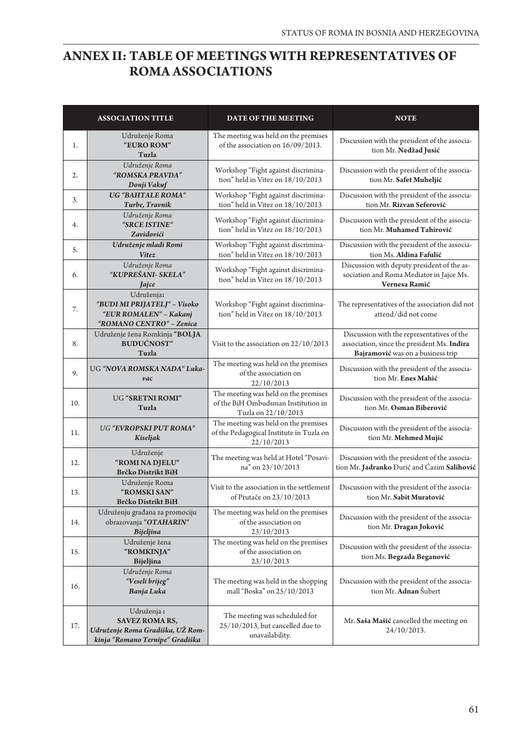## **ANNEX II: TABLE OF MEETINGS WITH REPRESENTATIVES OF ROMA ASSOCIATIONS**

|     | <b>ASSOCIATION TITLE</b>                                                                                   | DATE OF THE MEETING                                                                                | <b>NOTE</b>                                                                                                                    |
|-----|------------------------------------------------------------------------------------------------------------|----------------------------------------------------------------------------------------------------|--------------------------------------------------------------------------------------------------------------------------------|
| 1.  | Udruženje Roma<br>"EURO ROM"<br>Tuzla                                                                      | The meeting was held on the premises<br>of the association on 16/09/2013.                          | Discussion with the president of the associa-<br>tion Mr. Nedžad Jusić                                                         |
| 2.  | Udruženje Roma<br>"ROMSKA PRAVDA"<br>Donji Vakuf                                                           | Workshop "Fight against discrimina-<br>tion" held in Vitez on 18/10/2013                           | Discussion with the president of the associa-<br>tion Mr. Safet Muheljić                                                       |
| 3.  | UG "BAHTALE ROMA"<br>Turbe, Travnik                                                                        | Workshop "Fight against discrimina-<br>tion" held in Vitez on 18/10/2013                           | Discussion with the president of the associa-<br>tion Mr. Rizvan Seferović                                                     |
| 4.  | Udruženje Roma<br>"SRCE ISTINE"<br>Zavidovići                                                              | Workshop "Fight against discrimina-<br>tion" held in Vitez on 18/10/2013                           | Discussion with the president of the associa-<br>tion Mr. Muhamed Tahirović                                                    |
| 5.  | Udruženje mladi Romi<br>Vitez                                                                              | Workshop "Fight against discrimina-<br>tion" held in Vitez on 18/10/2013                           | Discussion with the president of the associa-<br>tion Ms. Aldina Fafulić                                                       |
| 6.  | Udruženje Roma<br>"KUPREŠANI- SKELA"<br>Jajce                                                              | Workshop "Fight against discrimina-<br>tion" held in Vitez on 18/10/2013                           | Discussion with deputy president of the as-<br>sociation and Roma Mediator in Jajce Ms.<br>Vernesa Ramić                       |
| 7.  | Udruženja:<br>"BUDI MI PRIJATELJ" - Visoko<br>"EUR ROMALEN" - Kakanj<br>"ROMANO CENTRO" - Zenica           | Workshop "Fight against discrimina-<br>tion" held in Vitez on 18/10/2013                           | The representatives of the association did not<br>attend/did not come                                                          |
| 8.  | Udruženje žena Romkinja "BOLJA<br><b>BUDUĆNOST"</b><br>Tuzla                                               | Visit to the association on 22/10/2013                                                             | Discussion with the representatives of the<br>association, since the president Ms. Indira<br>Bajramović was on a business trip |
| 9.  | UG "NOVA ROMSKA NADA" Luka-<br>vac                                                                         | The meeting was held on the premises<br>of the association on<br>22/10/2013                        | Discussion with the president of the associa-<br>tion Mr. Enes Mahić                                                           |
| 10. | UG "SRETNI ROMI"<br>Tuzla                                                                                  | The meeting was held on the premises<br>of the BiH Ombudsman Institution in<br>Tuzla on 22/10/2013 | Discussion with the president of the associa-<br>tion Mr. Osman Biberović                                                      |
| 11. | UG "EVROPSKI PUT ROMA"<br>Kiseljak                                                                         | The meeting was held on the premises<br>of the Pedagogical Institute in Tuzla on<br>22/10/2013     | Discussion with the president of the associa-<br>tion Mr. Mehmed Mujić                                                         |
| 12. | Udruženje<br>"ROMI NA DJELU"<br>Brčko Distrikt BiH                                                         | The meeting was held at Hotel "Posavi-<br>na" on 23/10/2013                                        | Discussion with the president of the associa-<br>tion Mr. Jadranko Đurić and Ćazim Salihović                                   |
| 13. | Udruženje Roma<br>"ROMSKI SAN"<br><b>Brčko Distrikt BiH</b>                                                | Visit to the association in the settlement<br>of Prutače on 23/10/2013                             | Discussion with the president of the associa-<br>tion Mr. Sabit Muratović                                                      |
| 14. | Udruženju građana za promociju<br>obrazovanja "OTAHARIN"<br><b>Bijeljina</b>                               | The meeting was held on the premises<br>of the association on<br>23/10/2013                        | Discussion with the president of the associa-<br>tion Mr. Dragan Joković                                                       |
| 15. | Udruženje žena<br>"ROMKINJA"<br>Bijeljina                                                                  | The meeting was held on the premises<br>of the association on<br>23/10/2013                        | Discussion with the president of the associa-<br>tion Ms. Begzada Beganović                                                    |
| 16. | Udruženje Roma<br>"Veseli brijeg"<br>Banja Luka                                                            | The meeting was held in the shopping<br>mall "Boska" on 25/10/2013                                 | Discussion with the president of the associa-<br>tion Mr. Adnan Šubert                                                         |
| 17. | Udruženja:<br><b>SAVEZ ROMA RS,</b><br>Udruženje Roma Gradiška, UŽ Rom-<br>kinja "Romano Ternipe" Gradiška | The meeting was scheduled for<br>$25/10/2013$ , but cancelled due to<br>unavailability.            | Mr. Saša Mašić cancelled the meeting on<br>$24/10/2013$ .                                                                      |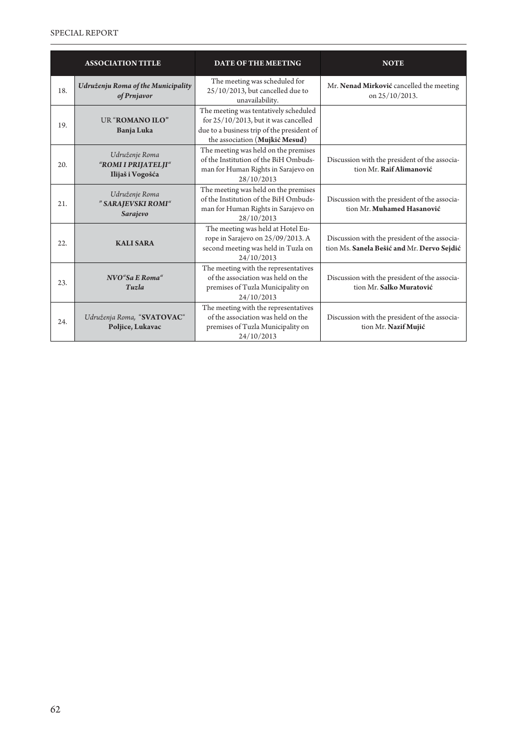|     | <b>ASSOCIATION TITLE</b>                                  | <b>DATE OF THE MEETING</b>                                                                                                                                       | <b>NOTE</b>                                                                                 |
|-----|-----------------------------------------------------------|------------------------------------------------------------------------------------------------------------------------------------------------------------------|---------------------------------------------------------------------------------------------|
| 18. | Udruženju Roma of the Municipality<br>of Prnjavor         | The meeting was scheduled for<br>$25/10/2013$ , but cancelled due to<br>unavailability.                                                                          | Mr. Nenad Mirković cancelled the meeting<br>on 25/10/2013.                                  |
| 19. | UR "ROMANO ILO"<br><b>Banja Luka</b>                      | The meeting was tentatively scheduled<br>for $25/10/2013$ , but it was cancelled<br>due to a business trip of the president of<br>the association (Mujkić Mesud) |                                                                                             |
| 20. | Udruženje Roma<br>"ROMI I PRIJATELJI"<br>Ilijaš i Vogošća | The meeting was held on the premises<br>of the Institution of the BiH Ombuds-<br>man for Human Rights in Sarajevo on<br>28/10/2013                               | Discussion with the president of the associa-<br>tion Mr. Raif Alimanović                   |
| 21. | Udruženje Roma<br>" SARAJEVSKI ROMI"<br>Sarajevo          | The meeting was held on the premises<br>of the Institution of the BiH Ombuds-<br>man for Human Rights in Sarajevo on<br>28/10/2013                               | Discussion with the president of the associa-<br>tion Mr. Muhamed Hasanović                 |
| 22. | <b>KALI SARA</b>                                          | The meeting was held at Hotel Eu-<br>rope in Sarajevo on 25/09/2013. A<br>second meeting was held in Tuzla on<br>24/10/2013                                      | Discussion with the president of the associa-<br>tion Ms. Sanela Bešić and Mr. Dervo Sejdić |
| 23. | NVO"Sa E Roma"<br>Tuzla                                   | The meeting with the representatives<br>of the association was held on the<br>premises of Tuzla Municipality on<br>24/10/2013                                    | Discussion with the president of the associa-<br>tion Mr. Salko Muratović                   |
| 24. | Udruženja Roma, "SVATOVAC"<br>Poljice, Lukavac            | The meeting with the representatives<br>of the association was held on the<br>premises of Tuzla Municipality on<br>24/10/2013                                    | Discussion with the president of the associa-<br>tion Mr. Nazif Mujić                       |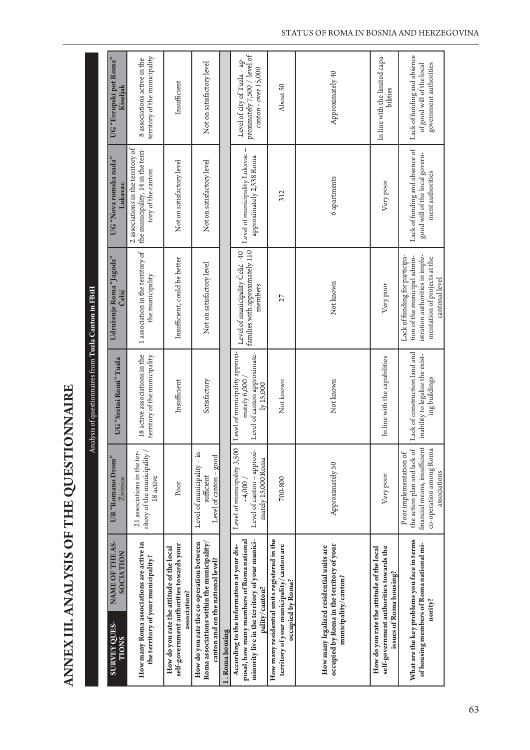ANNEX III. ANALYSIS OF THE QUESTIONNAIRE **ANNEX III. ANALYSIS OF THE QUESTIONNAIRE** 

|                                                                                                                                                           |                                                                                                                                   | Analysis of questionnaires from Tuzla Canton in FBiH                                        |                                                                                                                                                     |                                                                                                |                                                                                      |
|-----------------------------------------------------------------------------------------------------------------------------------------------------------|-----------------------------------------------------------------------------------------------------------------------------------|---------------------------------------------------------------------------------------------|-----------------------------------------------------------------------------------------------------------------------------------------------------|------------------------------------------------------------------------------------------------|--------------------------------------------------------------------------------------|
| NAME OF THE AS-<br>SOCIATION<br><b>SURVEY QUES-</b><br><b>TIONS</b>                                                                                       | UR "Romano Drom"<br><b>Živinice</b>                                                                                               | UG "Sretni Romi" Tuzla                                                                      | Udruženje Roma "Jagoda"<br>Čelić                                                                                                                    | UG "Nova romska nada"<br>Lukavac                                                               | UG "Evropski pot Roma"<br>Kiseljak                                                   |
| How many Roma associations are active in<br>the territory of your municipality?                                                                           | ritory of the municipality /<br>21 associations in the ter-<br>18 active                                                          | 18 active associations in the<br>territory of the municipality                              | 1 association in the territory of<br>the municipality                                                                                               | 2 associations in the territory of<br>the municipality, 14 in the terri-<br>tory of the canton | territory of the municipality<br>8 associations active in the                        |
| self-government authorities towards your<br>How do you rate the attitude of the local<br>association?                                                     | Poor                                                                                                                              | Insufficient                                                                                | Insufficient, could be better                                                                                                                       | Not on satisfactory level                                                                      | Insufficient                                                                         |
| How do you rate the co-operation between<br>Roma associations within the municipality,<br>canton and on the national level?                               | Level of municipality - in-<br>Level of canton - good<br>sufficient                                                               | Satisfactory                                                                                | Not on satisfactory level                                                                                                                           | Not on satisfactory level                                                                      | Not on satisfactory level                                                            |
| I. Roma housing                                                                                                                                           |                                                                                                                                   |                                                                                             |                                                                                                                                                     |                                                                                                |                                                                                      |
| minority live in the territory of your munici-<br>posal, how many members of Roma national<br>According to the information at your dis-<br>pality/canton? | Level of municipality 3,500<br>Level of canton - approxi-<br>mately 15,000 Roma<br>$-4,000/$                                      | Level of municipality approxi-<br>Level of canton approximate-<br>mately 6,000<br>ly 15,000 | families with approximately 110<br>Level of municipality Celić - 40<br>members                                                                      | Level of municipality Lukavac -<br>approximately 2,538 Roma                                    | proximately 7,500 / level of<br>Level of city of Tuzla - ap-<br>canton - over 15,000 |
| How many residential units registered in the<br>territory of your municipality/canton are<br>occupied by Roma?                                            | 700-800                                                                                                                           | Not known                                                                                   | 27                                                                                                                                                  | 312                                                                                            | About 50                                                                             |
| occupied by Roma in the territory of your<br>How many legalized residential units are<br>municipality/canton?                                             | Approximately 50                                                                                                                  | Not known                                                                                   | Not known                                                                                                                                           | 6 apartments                                                                                   | Approximately 40                                                                     |
| self-government authorities towards the<br>How do you rate the attitude of the local<br>issues of Roma housing?                                           | Very poor                                                                                                                         | In line with the capabilities                                                               | Very poor                                                                                                                                           | Very poor                                                                                      | In line with the limited capa-<br>bilities                                           |
| What are the key problems you face in terms<br>of housing members of Roma national mi-<br>nority?                                                         | financial means, insufficient<br>co-operation among Roma<br>the action plan and lack of<br>Poor implementation of<br>associations | Lack of construction land and<br>inability to legalize the exist-<br>ing buildings          | Lack of funding for participa-<br>istration authorities in imple-<br>tion of the municipal admin-<br>mentation of projects at the<br>cantonal level | Lack of funding and absence of<br>good will of the local govern-<br>ment authorities           | Lack of funding and absence<br>of good will of the local<br>government authorities   |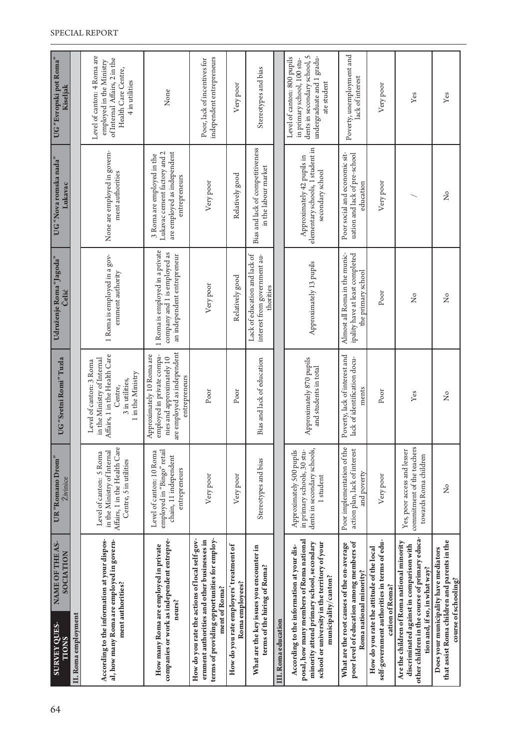| 64 | NAME OF THE AS-<br>SOCIATION<br>SURVEY QUES-<br><b>TIONS</b>                                                                                                                                                | UR "Romano Drom"<br>Živinice                                                                                      | UG "Sretni Romi" Tuzla                                                                                                                     | Udruženje Roma "Jagoda"<br>Čelić                                                               | UG "Nova romska nada"<br>Lukavac                                                                           | UG "Evropski pot Roma"<br>Kiseljak                                                                                                      |
|----|-------------------------------------------------------------------------------------------------------------------------------------------------------------------------------------------------------------|-------------------------------------------------------------------------------------------------------------------|--------------------------------------------------------------------------------------------------------------------------------------------|------------------------------------------------------------------------------------------------|------------------------------------------------------------------------------------------------------------|-----------------------------------------------------------------------------------------------------------------------------------------|
|    | II. Roma employment                                                                                                                                                                                         |                                                                                                                   |                                                                                                                                            |                                                                                                |                                                                                                            |                                                                                                                                         |
|    | According to the information at your dispos-<br>al, how many Roma are employed in govern-<br>ment authorities?                                                                                              | Affairs, 1 in the Health Care<br>in the Ministry of Internal<br>Level of canton: 5 Roma<br>Centre, 5 in utilities | Affairs, 1 in the Health Care<br>in the Ministry of Internal<br>Level of canton: 3 Roma<br>1 in the Ministry<br>3 in utilities,<br>Centre, | 1 Roma is employed in a gov-<br>emment authority                                               | None are employed in govern-<br>ment authorities                                                           | Level of canton: 4 Roma are<br>of Internal Affairs, 2 in the<br>employed in the Ministry<br>Health Care Centre,<br>4 in utilities       |
|    | companies or work as independent entrepre-<br>How many Roma are employed in private<br>neurs?                                                                                                               | employed in "Bingo" retail<br>Level of canton: 10 Roma<br>chain, 11 independent<br>entrepreneurs                  | are employed as independent<br>Approximately 10 Roma are<br>employed in private compa-<br>nies and approximately 10<br>entrepreneurs       | 1 Roma is employed in a private<br>company and 1 is employed as<br>an independent entrepreneur | Lukavac cement factory and 2<br>are employed as independent<br>3 Roma are employed in the<br>entrepreneurs | None                                                                                                                                    |
|    | terms of providing opportunities for employ-<br>How do you rate the actions of local self-gov-<br>ernment authorities and other businesses in<br>ment of Roma?                                              | Very poor                                                                                                         | Poor                                                                                                                                       | Very poor                                                                                      | Very poor                                                                                                  | independent entrepreneurs<br>Poor, lack of incentives for                                                                               |
|    | How do you rate employers' treatment of<br>Roma employees?                                                                                                                                                  | Very poor                                                                                                         | Poor                                                                                                                                       | Relatively good                                                                                | Relatively good                                                                                            | Very poor                                                                                                                               |
|    | What are the key issues you encounter in<br>terms of the hiring of Roma?                                                                                                                                    | Stereotypes and bias                                                                                              | Bias and lack of education                                                                                                                 | Lack of education and lack of<br>interest from government au-<br>thorities                     | Bias and lack of competitiveness<br>in the labour market                                                   | Stereotypes and bias                                                                                                                    |
|    | III. Roma education                                                                                                                                                                                         |                                                                                                                   |                                                                                                                                            |                                                                                                |                                                                                                            |                                                                                                                                         |
|    | posal, how many members of Roma national<br>school or university in the territory of your<br>minority attend primary school, secondary<br>According to the information at your dis-<br>municipality/canton? | in primary schools, 30 stu-<br>dents in secondary schools,<br>Approximately 500 pupils<br>1 student               | Approximately 870 pupils<br>and students in total                                                                                          | Approximately 13 pupils                                                                        | elementary schools, 1 student in<br>Approximately 42 pupils in<br>secondary school                         | dents in secondary school, 5<br>undergraduate and 1 gradu-<br>Level of canton: 800 pupils<br>in primary school, 100 stu-<br>ate student |
|    | poor level of education among members of<br>What are the root causes of the on-average<br>Roma national minority?                                                                                           | Poor implementation of the<br>action plan, lack of interest<br>and poverty                                        | Poverty, lack of interest and<br>lack of identification docu-<br>ments                                                                     | Almost all Roma in the munic-<br>ipality have at least completed<br>the primary school         | Poor social and economic sit-<br>uation and lack of pre-school<br>education                                | Poverty, unemployment and<br>lack of interest                                                                                           |
|    | self-government authorities in terms of edu-<br>How do you rate the attitude of the local<br>cation of Roma?                                                                                                | Very poor                                                                                                         | Poor                                                                                                                                       | Poor                                                                                           | Very poor                                                                                                  | Very poor                                                                                                                               |
|    | other children in the course of primary educa-<br>Are the children of Roma national minority<br>discriminated against in comparison with<br>tion and, if so, in what way?                                   | Yes, poor access and lesser<br>commitment of the teachers<br>towards Roma children                                | Yes                                                                                                                                        | $\frac{1}{2}$                                                                                  |                                                                                                            | Yes                                                                                                                                     |
|    | that assist Roma children and parents in the<br>Does your municipality have mediators<br>course of schooling?                                                                                               | ž                                                                                                                 | ž                                                                                                                                          | ž                                                                                              | $\frac{1}{2}$                                                                                              | ${\it Yes}$                                                                                                                             |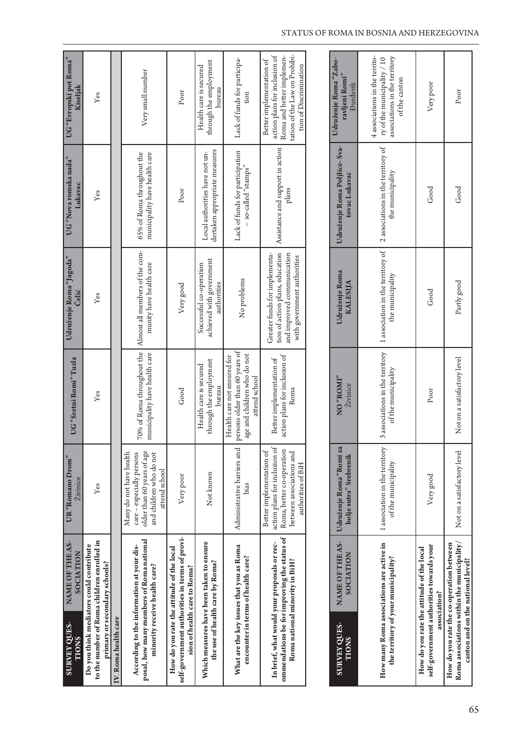| NAME OF THE AS-<br>SOCIATION<br><b>SURVEY QUES-</b><br><b>TIONS</b>                                                          | UR "Romano Drom"<br>Živinice                                                                                                             | UG "Sretni Romi" Tuzla                                                                                        | Udruženje Roma "Jagoda"<br>Čelić                                                                                              | UG "Nova romska nada"<br>Lukavac                                | UG "Evropski pot Roma"<br>Kiseljak                                                                                                                |
|------------------------------------------------------------------------------------------------------------------------------|------------------------------------------------------------------------------------------------------------------------------------------|---------------------------------------------------------------------------------------------------------------|-------------------------------------------------------------------------------------------------------------------------------|-----------------------------------------------------------------|---------------------------------------------------------------------------------------------------------------------------------------------------|
| to the number of Roma children enrolled in<br>Do you think mediators could contribute<br>primary or secondary schools?       | Yes                                                                                                                                      | Yes                                                                                                           | Yes                                                                                                                           | Yes                                                             | Yes                                                                                                                                               |
| IV. Roma health care                                                                                                         |                                                                                                                                          |                                                                                                               |                                                                                                                               |                                                                 |                                                                                                                                                   |
| posal, how many members of Roma national<br>According to the information at your dis-<br>minority receive health care?       | older than 60 years of age<br>Many do not have health<br>care - especially persons<br>and children who do not<br>attend school           | 70% of Roma throughout the<br>municipality have health care                                                   | Almost all members of the com-<br>munity have health care                                                                     | 65% of Roma throughout the<br>municipality have health care     | Very small number                                                                                                                                 |
| self-government authorities in terms of provi-<br>How do you rate the attitude of the local<br>sion of health care to Roma?  | Very poor                                                                                                                                | Good                                                                                                          | Very good                                                                                                                     | Poor                                                            | Poor                                                                                                                                              |
| Which measures have been taken to ensure<br>the use of health care by Roma?                                                  | Not known                                                                                                                                | through the employment<br>Health care is secured<br>bureau                                                    | achieved with government<br>Successful co-operation<br>authorities                                                            | dertaken appropriate measures<br>Local authorities have not un- | through the employment<br>Health care is secured<br>bureau                                                                                        |
| What are the key issues that you as Roma<br>encounter in terms of health care?                                               | Administrative barriers and<br>bias                                                                                                      | persons older than 60 years of<br>age and children who do not<br>Health care not ensured for<br>attend school | No problems                                                                                                                   | Lack of funds for participation<br>so-called "stamps"           | Lack of funds for participa-<br>tion                                                                                                              |
| ommendations be for improving the status of<br>In brief, what would your proposals or rec-<br>Roma national minority in BiH? | action plans for inclusion of<br>Roma, better co-operation<br>Better implementation of<br>between associations and<br>authorities of BiH | action plans for inclusion of<br>Better implementation of<br>Roma                                             | tion of action plans, education<br>Greater funds for implementa-<br>and improved communication<br>with government authorities | Assistance and support in action<br>plans                       | tation of the Law on Prohibi-<br>action plans for inclusion of<br>Roma and better implemen-<br>Better implementation of<br>tion of Discrimination |
|                                                                                                                              |                                                                                                                                          |                                                                                                               |                                                                                                                               |                                                                 |                                                                                                                                                   |
| NAME OF THE AS-<br>SOCIATION<br><b>SURVEY QUES-</b><br><b>TIONS</b>                                                          | Udruženje Roma "Romi za<br>bolje sutra" Srebrenik                                                                                        | "ROM" ON<br>Živinice                                                                                          | Udruženje Roma<br><b>KALESIJA</b>                                                                                             | Udruženje Roma Poljlice- Sva-<br>tovac Lukavac                  | Udruženje Roma "Zabo-<br>ravljeni Romi"<br><b>Durdevik</b>                                                                                        |
| How many Roma associations are active in<br>the territory of your municipality?                                              | 1 association in the territory<br>of the municipality                                                                                    | 3 associations in the territory<br>of the municipality                                                        | 1 association in the territory of<br>the municipality                                                                         | 2 associations in the territory of<br>the municipality          | 4 associations in the territo-<br>associations in the territory<br>ry of the municipality / 10<br>of the canton                                   |
| self-government authorities towards your<br>How do you rate the attitude of the local<br>association?                        | Very good                                                                                                                                | Poor                                                                                                          | Good                                                                                                                          | Good                                                            | Very poor                                                                                                                                         |
| Roma associations within the municipality/<br>How do you rate the co-operation between<br>canton and on the national level?  | Not on a satisfactory level                                                                                                              | Not on a satisfactory level                                                                                   | Partly good                                                                                                                   | Good                                                            | $_{\rm Poor}$                                                                                                                                     |

#### STATUS OF ROMA IN BOSNIA AND HERZEGOVINA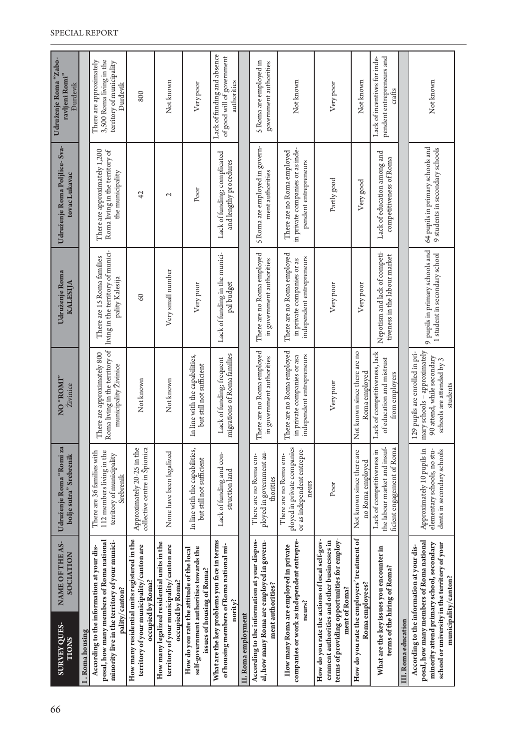| NAME OF THE AS-<br>According to the information at your dis-<br>SOCIATION<br><b>SURVEY QUES-</b><br>I. Roma housing<br><b>TIONS</b>                                                                         | Udruženje Roma "Romi za<br>There are 36 families with<br>bolje sutra" Srebrenik              | "INOR" ON<br>Živinice                                                                                                                  | There are 15 Roma families<br>Udruženje Roma<br><b>KALESIJA</b>                       | Udruženje Roma Poljlice- Sva-<br>tovac Lukavac                                          | Udruženje Roma "Zabo-<br>There are approximately<br>ravljeni Romi"<br>Đurđevik |
|-------------------------------------------------------------------------------------------------------------------------------------------------------------------------------------------------------------|----------------------------------------------------------------------------------------------|----------------------------------------------------------------------------------------------------------------------------------------|---------------------------------------------------------------------------------------|-----------------------------------------------------------------------------------------|--------------------------------------------------------------------------------|
| posal, how many members of Roma national<br>minority live in the territory of your munici-<br>pality/canton?                                                                                                | 112 members living in the<br>territory of municipality<br>Srebrenik                          | Roma living in the territory of<br>There are approximately 800<br>municipality Živinice                                                | living in the territory of munici-<br>pality Kalesija                                 | There are approximately 1,200<br>Roma living in the territory of<br>the municipality    | 3,500 Roma living in the<br>territory of municipality<br><b>Durdevik</b>       |
| How many residential units registered in the<br>territory of your municipality/canton are<br>occupied by Roma?                                                                                              | Approximately 20-25 in the<br>collective centre in Spionica                                  | Not known                                                                                                                              | $\infty$                                                                              | 42                                                                                      | 800                                                                            |
| How many legalized residential units in the<br>territory of your municipality/canton are<br>occupied by Roma?                                                                                               | None have been legalized                                                                     | Not known                                                                                                                              | Very small number                                                                     | $\mathcal{L}$                                                                           | Not known                                                                      |
| self-government authorities towards the<br>How do you rate the attitude of the local<br>issues of housing of Roma?                                                                                          | In line with the capabilities,<br>but still not sufficient                                   | In line with the capabilities,<br>but still not sufficient                                                                             | Very poor                                                                             | Poor                                                                                    | Very poor                                                                      |
| What are the key problems you face in terms<br>of housing members of Romanational mi-<br>nority?                                                                                                            | Lack of funding and con-<br>struction land                                                   | migrations of Roma families<br>Lack of funding; frequent                                                                               | Lack of funding in the munici-<br>pal budget                                          | Lack of funding; complicated<br>and lengthy procedures                                  | Lack of funding and absence<br>of good will of government<br>authorities       |
| II. Roma employment                                                                                                                                                                                         |                                                                                              |                                                                                                                                        |                                                                                       |                                                                                         |                                                                                |
| According to the information at your dispos-<br>al, how many Roma are employed in govern-<br>ment authorities?                                                                                              | ployed in government au-<br>There are no Roma em-<br>thorities                               | There are no Roma employed<br>in government authorities                                                                                | There are no Roma employed<br>in government authorities                               | 5 Roma are employed in govern-<br>ment authorities                                      | 5 Roma are employed in<br>government authorities                               |
| companies or work as independent entrepre-<br>How many Roma are employed in private<br>neurs?                                                                                                               | ployed in private companies<br>or as independent entrepre-<br>There are no Roma em-<br>neurs | There are no Roma employed<br>independent entrepreneurs<br>in private companies or asa                                                 | There are no Roma employed<br>independent entrepreneurs<br>in private companies or as | in private companies or as inde-<br>There are no Roma employed<br>pendent entrepreneurs | Not known                                                                      |
| terms of providing opportunities for employ-<br>How do you rate the actions of local self-gov-<br>ernment authorities and other businesses in<br>ment of Roma?                                              | Poor                                                                                         | Very poor                                                                                                                              | Very poor                                                                             | Partly good                                                                             | Very poor                                                                      |
| How do you rate the employers' treatment of<br>Roma employees?                                                                                                                                              | Not known since there are<br>no Roma employed                                                | Not known since there are no<br>Roma employed                                                                                          | Very poor                                                                             | Very good                                                                               | Not known                                                                      |
| What are the key issues you encounter in<br>terms of the hiring of Roma?                                                                                                                                    | the labour market and insuf-<br>ficient engagement of Roma<br>Lack of competitiveness in     | Lack of competitiveness, lack<br>of education and mistrust<br>from employers                                                           | Nepotism and lack of competi-<br>tiveness in the labour market                        | Lack of education among and<br>competitiveness of Roma                                  | Lack of incentives for inde-<br>pendent entrepreneurs and<br>crafts            |
| III. Roma education                                                                                                                                                                                         |                                                                                              |                                                                                                                                        |                                                                                       |                                                                                         |                                                                                |
| posal, how many members of Roma national<br>minority attend primary school, secondary<br>school or university in the territory of your<br>According to the information at your dis-<br>municipality/canton? | Approximately 10 pupils in<br>elementary schools, no stu-<br>dents in secondary schools      | mary schools - approximately<br>129 pupils are enrolled in pri-<br>90 attend, while secondary<br>schools are attended by 3<br>students | 9 pupils in primary schools and<br>1 student in secondary school                      | 64 pupils in primary schools and<br>9 students in secondary schools                     | Not known                                                                      |
|                                                                                                                                                                                                             |                                                                                              |                                                                                                                                        |                                                                                       |                                                                                         |                                                                                |

#### SPECIAL REPORT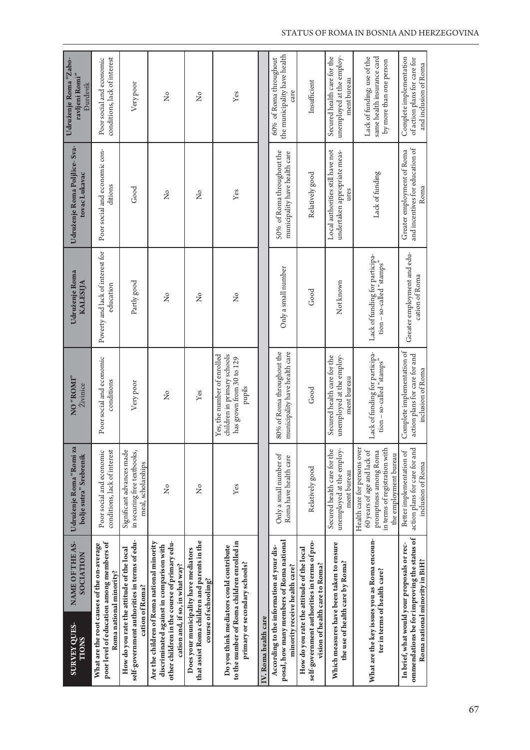| <b>SURVEY QUES-</b><br>TIONS | NAME OF THE AS-<br>SOCIATION                                                                                                                                              | Udruženje Roma "Romi za<br>bolje sutra" Srebrenik                                                                                              | "ROM" ON<br>Živinice                                                                             | Udruženje Roma<br><b>KALESIJA</b>                           | Udruženje Roma Poljlice- Sva-<br>tovac Lukavac                           | Udruženje Roma "Zabo-<br>ravljeni Romi"<br><b>Durdevik</b>                           |
|------------------------------|---------------------------------------------------------------------------------------------------------------------------------------------------------------------------|------------------------------------------------------------------------------------------------------------------------------------------------|--------------------------------------------------------------------------------------------------|-------------------------------------------------------------|--------------------------------------------------------------------------|--------------------------------------------------------------------------------------|
|                              | poor level of education among members of<br>What are the root causes of the on-average<br>Roma national minority?                                                         | Poor social and economic<br>conditions, lack of interest                                                                                       | Poor social and economic<br>conditions                                                           | Poverty and lack of interest for<br>education               | Poor social and economic con-<br>ditions                                 | conditions, lack of interest<br>Poor social and economic                             |
|                              | self-government authorities in terms of edu-<br>How do you rate the attitude of the local<br>cation of Roma?                                                              | Significant advances made<br>in securing free textbooks,<br>meal, scholarships                                                                 | Very poor                                                                                        | Partly good                                                 | Good                                                                     | Very poor                                                                            |
|                              | other children in the course of primary edu-<br>Are the children of Roma national minority<br>discriminated against in comparison with<br>cation and, if so, in what way? | ż                                                                                                                                              | $\mathsf{S}^{\mathsf{o}}$                                                                        | $\overline{a}$                                              | $\frac{1}{2}$                                                            | $\tilde{z}$                                                                          |
|                              | that assist Roma children and parents in the<br>Does your municipality have mediators<br>course of schooling?                                                             | ž                                                                                                                                              | Yes                                                                                              | Σò                                                          | $\frac{1}{2}$                                                            | $\frac{1}{2}$                                                                        |
|                              | to the number of Roma children enrolled in<br>Do you think mediators could contribute<br>primary or secondary schools?                                                    | Yes                                                                                                                                            | Yes, the number of enrolled<br>children in primary schools<br>has grown from 30 to 129<br>pupils | ž                                                           | Yes                                                                      | Yes                                                                                  |
| IV. Roma health care         |                                                                                                                                                                           |                                                                                                                                                |                                                                                                  |                                                             |                                                                          |                                                                                      |
|                              | posal, how many members of Roma national<br>According to the information at your dis-<br>minority receive health care?                                                    | Only a small number of<br>Roma have health care                                                                                                | 80% of Roma throughout the<br>municipality have health care                                      | Only a small number                                         | 50% of Roma throughout the<br>municipality have health care              | the municipality have health<br>60% of Roma throughout<br>care                       |
|                              | self-government authorities in terms of pro-<br>How do you rate the attitude of the local<br>vision of health care to Roma?                                               | Relatively good                                                                                                                                | Good                                                                                             | Good                                                        | Relatively good                                                          | Insufficient                                                                         |
|                              | Which measures have been taken to ensure<br>the use of health care by Roma?                                                                                               | Secured health care for the<br>unemployed at the employ-<br>ment bureau                                                                        | unemployed at the employ-<br>Secured health care for the<br>ment bureau                          | Not known                                                   | Local authorities still have not<br>undertaken appropriate meas-<br>ures | unemployed at the employ-<br>Secured health care for the<br>ment bureau              |
|                              | What are the key issues you as Roma encoun-<br>ter in terms of health care?                                                                                               | Health care for persons over<br>in terms of registration with<br>60 years of age and lack of<br>promptness among Roma<br>the employment bureau | Lack of funding for participa-<br>tion - so-called "stamps"                                      | Lack of funding for participa-<br>tion - so-called "stamps" | Lack of funding                                                          | Lack of funding; use of the<br>same health insurance card<br>by more than one person |
|                              | ommendations be for improving the status of<br>In brief, what would your proposals or rec-<br>Roma national minority in BiH?                                              | action plans for care for and<br>Better implementation of<br>inclusion of Roma                                                                 | Complete implementation of<br>action plans for care for and<br>inclusion of Roma                 | Greater employment and edu-<br>cation of Roma               | and incentives for education of<br>Greater employment of Roma<br>Roma    | Complete implementation<br>of action plans for care for<br>and inclusion of Roma     |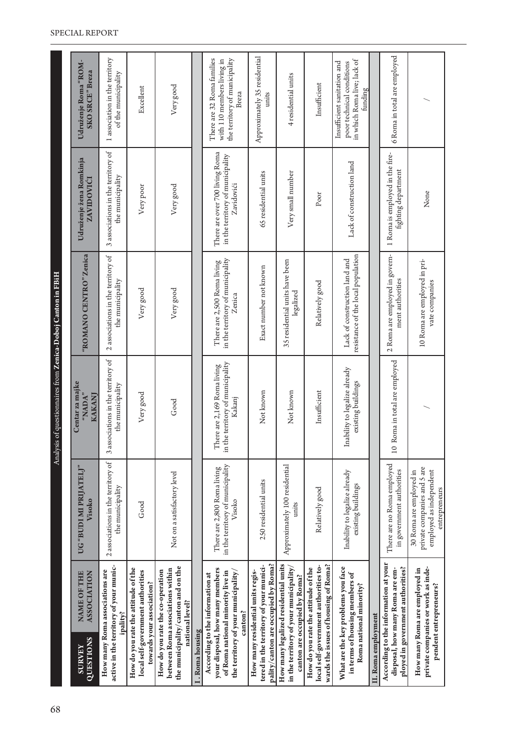| 68 |                            |                                                                                                                                                           |                                                                                                    | Analysis of questionnaires from Zenica-Doboj Canton in FBiH               |                                                                           |                                                                                  |                                                                                                    |
|----|----------------------------|-----------------------------------------------------------------------------------------------------------------------------------------------------------|----------------------------------------------------------------------------------------------------|---------------------------------------------------------------------------|---------------------------------------------------------------------------|----------------------------------------------------------------------------------|----------------------------------------------------------------------------------------------------|
|    | QUESTIONS<br><b>SURVEY</b> | NAME OF THE<br><b>ASSOCIATION</b>                                                                                                                         | "(THLVINA IN ICIDE, 90<br>Visoko                                                                   | Centar za majke<br>"NADA"<br>KAKANJ                                       | "ROMANO CENTRO" Zenica                                                    | Udruženje žena Romkinja<br><b>ZAVIDOVICI</b>                                     | Udruženje Roma "ROM-<br>SKO SRCE" Breza                                                            |
|    |                            | active in the territory of your munic-<br>How many Roma associations are<br>ipality?                                                                      | 2 associations in the territory of<br>the municipality                                             | associations in the territory of<br>the municipality<br>3                 | 2 associations in the territory of<br>the municipality                    | 3 associations in the territory of<br>the municipality                           | 1 association in the territory<br>of the municipality                                              |
|    |                            | How do you rate the attitude of the<br>local self-government authorities<br>towards your association?                                                     | Good                                                                                               | Very good                                                                 | Very good                                                                 | Very poor                                                                        | Excellent                                                                                          |
|    |                            | the municipality/canton and on the<br>between Roma associations within<br>How do you rate the co-operation<br>national level?                             | Not on a satisfactory level                                                                        | Good                                                                      | Very good                                                                 | Very good                                                                        | Very good                                                                                          |
|    | I. Roma housing            |                                                                                                                                                           |                                                                                                    |                                                                           |                                                                           |                                                                                  |                                                                                                    |
|    |                            | your disposal, how many members<br>the territory of your municipality/<br>of Roma national minority live in<br>According to the information at<br>canton? | in the territory of municipality<br>There are 2,800 Roma living<br>Visoko                          | in the territory of municipality<br>There are 2,169 Roma living<br>Kakanj | in the territory of municipality<br>There are 2,500 Roma living<br>Zenica | There are over 700 living Roma<br>in the territory of municipality<br>Zavidovići | There are 32 Roma families<br>the territory of municipality<br>with 110 members living in<br>Breza |
|    |                            | pality/canton are occupied by Roma?<br>tered in the territory of your munici-<br>How many residential units regis-                                        | 250 residential units                                                                              | Not known                                                                 | Exact number not known                                                    | 65 residential units                                                             | Approximately 35 residential<br>units                                                              |
|    |                            | How many legalized residential units<br>in the territory of your municipality/<br>canton are occupied by Roma?                                            | Approximately 100 residential<br>units                                                             | Not known                                                                 | 35 residential units have been<br>legalized                               | Very small number                                                                | 4 residential units                                                                                |
|    |                            | wards the issues of housing of Roma?<br>local self-government authorities to-<br>How do you rate the attitude of the                                      | Relatively good                                                                                    | Insufficient                                                              | Relatively good                                                           | Poor                                                                             | Insufficient                                                                                       |
|    |                            | What are the key problems you face<br>in terms of housing members of<br>Roma national minority?                                                           | Inability to legalize already<br>existing buildings                                                | Inability to legalize already<br>existing buildings                       | resistance of the local population<br>Lack of construction land and       | Lack of construction land                                                        | in which Roma live; lack of<br>Insufficient sanitation and<br>poor technical conditions<br>funding |
|    | II. Roma employment        |                                                                                                                                                           |                                                                                                    |                                                                           |                                                                           |                                                                                  |                                                                                                    |
|    |                            | According to the information at your<br>ployed in government authorities?<br>disposal, how many Roma are em-                                              | There are no Roma employed<br>in government authorities                                            | 10 Roma in total are employed                                             | 2 Roma are employed in govern-<br>ment authorities                        | 1 Roma is employed in the fire-<br>fighting department                           | 6 Roma in total are employed                                                                       |
|    |                            | private companies or work as inde-<br>How many Roma are employed in<br>pendent entrepreneurs?                                                             | private companies and 5 are<br>employed as independent<br>30 Roma are employed in<br>entrepreneurs |                                                                           | 10 Roma are employed in pri-<br>vate companies                            | None                                                                             |                                                                                                    |
|    |                            |                                                                                                                                                           |                                                                                                    |                                                                           |                                                                           |                                                                                  |                                                                                                    |

#### SPECIAL REPORT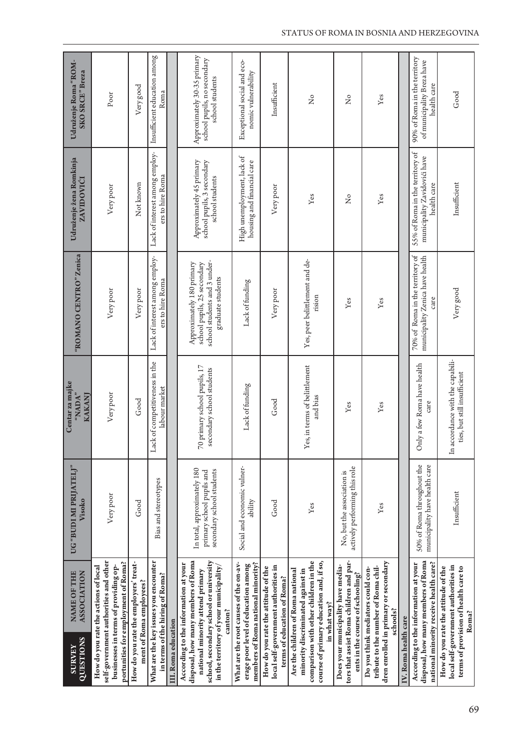| QUESTIONS<br><b>SURVEY</b> | NAME OF THE<br><b>ASSOCIATION</b>                                                                                                                                                                             | "(THTA IN IQUE") O<br>Visoko                                                          | Centar za majke<br>"NADA"<br>KAKANJ                                    | "ROMANO CENTRO" Zenica                                                                                        | Udruženje žena Romkinja<br><b>ZAVIDOVIĆI</b>                                   | Udruženje Roma "ROM-<br>SKO SRCE" Breza                                       |
|----------------------------|---------------------------------------------------------------------------------------------------------------------------------------------------------------------------------------------------------------|---------------------------------------------------------------------------------------|------------------------------------------------------------------------|---------------------------------------------------------------------------------------------------------------|--------------------------------------------------------------------------------|-------------------------------------------------------------------------------|
|                            | self-government authorities and other<br>portunities for employment of Roma?<br>How do you rate the actions of local<br>businesses in terms of providing op-                                                  | Very poor                                                                             | Very poor                                                              | Very poor                                                                                                     | Very poor                                                                      | Poor                                                                          |
|                            | How do you rate the employers' treat-<br>ment of Roma employees?                                                                                                                                              | Good                                                                                  | Good                                                                   | Very poor                                                                                                     | Not known                                                                      | Very good                                                                     |
|                            | What are the key issues you encounter<br>in terms of the hiring of Roma?                                                                                                                                      | Bias and stereotypes                                                                  | Lack of competitiveness in the<br>labour market                        | Lack of interest among employ-<br>ers to hire Roma                                                            | Lack of interest among employ-<br>ers to hire Roma                             | Insufficient education among<br>Roma                                          |
| III. Roma education        |                                                                                                                                                                                                               |                                                                                       |                                                                        |                                                                                                               |                                                                                |                                                                               |
|                            | disposal, how many members of Roma<br>school, secondary school or university<br>According to the information at your<br>in the territory of your municipality,<br>national minority attend primary<br>canton? | In total, approximately 180<br>secondary school students<br>primary school pupils and | 70 primary school pupils, 17<br>secondary school students              | school students and 3 under-<br>school pupils, 25 secondary<br>Approximately 180 primary<br>graduate students | Approximately 45 primary<br>school pupils, 3 secondary<br>school students      | Approximately 30-35 primary<br>school pupils, no secondary<br>school students |
|                            | What are the root causes of the on-av-<br>members of Roma national minority?<br>erage poor level of education among                                                                                           | Social and economic vulner-<br>ability                                                | Lack of funding                                                        | Lack of funding                                                                                               | High unemployment, lack of<br>housing and financial care                       | Exceptional social and eco-<br>nomic vulnerability                            |
|                            | local self-government authorities in<br>How do you rate the attitude of the<br>terms of education of Roma?                                                                                                    | Good                                                                                  | Good                                                                   | Very poor                                                                                                     | Very poor                                                                      | Insufficient                                                                  |
|                            | course of primary education and, if so,<br>comparison with other children in the<br>Are the children of Roma national<br>minority discriminated against in<br>in what way?                                    | Yes                                                                                   | es, in terms of belittlement<br>and bias                               | Yes, peer belittlement and de-<br>rision                                                                      | Yes                                                                            | $\tilde{z}$                                                                   |
|                            | tors that assist Roma children and par-<br>Does your municipality have media-<br>ents in the course of schooling?                                                                                             | actively performing this role<br>No, but the association is                           | Yes                                                                    | Yes                                                                                                           | $\tilde{Z}$                                                                    | $\tilde{Z}$                                                                   |
|                            | dren enrolled in primary or secondary<br>tribute to the number of Roma chil-<br>Do you think mediators could con-<br>schools?                                                                                 | Yes                                                                                   | Yes                                                                    | Yes                                                                                                           | Yes                                                                            | Yes                                                                           |
| IV. Roma health care       |                                                                                                                                                                                                               |                                                                                       |                                                                        |                                                                                                               |                                                                                |                                                                               |
|                            | disposal, how many members of Roma<br>national minority receive health care?<br>According to the information at your                                                                                          | 50% of Roma throughout the<br>municipality have health care                           | Only a few Roma have health<br>care                                    | 70% of Roma in the territory of<br>municipality Zenica have health<br>care                                    | 55% of Roma in the territory of<br>municipality Zavidovići have<br>health care | 90% of Roma in the territory<br>of municipality Breza have<br>health care     |
|                            | local self-government authorities in<br>How do you rate the attitude of the<br>terms of provision of health care to<br>Roma?                                                                                  | Insufficient                                                                          | accordance with the capabili-<br>ties, but still insufficient<br>$\Xi$ | Very good                                                                                                     | Insufficient                                                                   | Good                                                                          |

#### STATUS OF ROMA IN BOSNIA AND HERZEGOVINA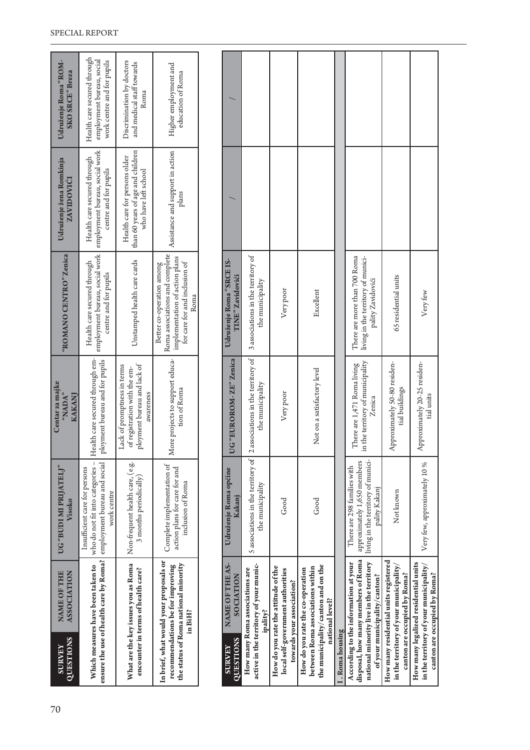| QUESTIONS<br><b>SURVEY</b>                      |                                                                                                                                                             |                                                                                                         |                                                                                                                                        | <b>QUESTIONS</b><br><b>SURVEY</b>            |                                                                                      |                                                                                                       |                                                                      |
|-------------------------------------------------|-------------------------------------------------------------------------------------------------------------------------------------------------------------|---------------------------------------------------------------------------------------------------------|----------------------------------------------------------------------------------------------------------------------------------------|----------------------------------------------|--------------------------------------------------------------------------------------|-------------------------------------------------------------------------------------------------------|----------------------------------------------------------------------|
| NAME OF THE<br><b>ASSOCIATION</b>               | Which measures have been taken to                                                                                                                           | What are the key issues you as Roma<br>encounter in terms of health care?                               | In brief, what would your proposals or<br>the status of Roma national minority<br>recommendations be for improving<br>in BiH?          | NAME OF THE AS-<br>SOCIATION                 | active in the territory of your munic-<br>How many Roma associations are<br>ipality? | How do you rate the attitude of the<br>local self-government authorities<br>towards your association? | between Roma associations within<br>How do you rate the co-operation |
| UG "BUDI MI PRIJATELJ"<br>Visoko                | who do not fit into categories -<br>ensure the use of health care by Roma? $ $ employment bureau and social<br>Insufficient care for persons<br>work centre | Non-frequent health care, (e.g.<br>3 months periodically)                                               | Complete implementation of<br>action plans for care for and<br>inclusion of Roma                                                       | Udruženje Roma općine<br>Kakanj              | 5 associations in the territory of<br>the municipality                               | Good                                                                                                  | Cood                                                                 |
| Centar za majke<br>"NADA"<br>KAKANI             | Health care secured through em-<br>ployment bureau and for pupils                                                                                           | ployment bureau and lack of<br>Lack of promptness in terms<br>of registration with the em-<br>awareness | More projects to support educa-<br>tion of Roma                                                                                        | UG "EUROROM-ZE" Zenica                       | 2 associations in the territory of<br>the municipality                               | Very poor                                                                                             | Not on a satisfactory lavel                                          |
| "ROMANO CENTRO" Zenica                          | employment bureau, social work<br>Health care secured through<br>centre and for pupils                                                                      | Unstamped health care cards                                                                             | Roma associations and complete<br>implementation of action plans<br>for care for and inclusion of<br>Better co-operation among<br>Roma | Udruženje Roma "SRCE IS-<br>TINE" Zavidovići | 3 associations in the territory of<br>the municipality                               | Very poor                                                                                             | $Fvc$ ellent                                                         |
| Udruženje žena Romkinja<br><b>ZAVIDOVICI</b>    | employment bureau, social work<br>Health care secured through<br>centre and for pupils                                                                      | than 60 years of age and children<br>Health care for persons older<br>who have left school              | Assistance and support in action<br>plans                                                                                              |                                              |                                                                                      |                                                                                                       |                                                                      |
| Udruženje Roma "ROM-<br><b>SKO SRCE</b> " Breza | Health care secured through<br>employment bureau, social<br>work centre and for pupils                                                                      | Discrimination by doctors<br>and medical staff towards<br>Roma                                          | Higher employment and<br>education of Roma                                                                                             |                                              |                                                                                      |                                                                                                       |                                                                      |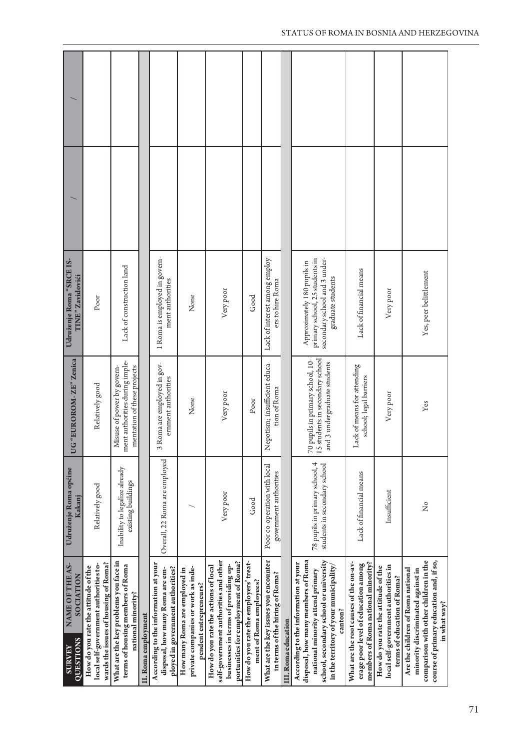| Udruženje Roma "SRCE IS-<br>TINE" Zavidovići<br>G "EUROROM-ZE" Zenica                         | Poor                                                                                                                                    | Lack of construction land                                                                                                                              |                     | 1 Roma is employed in govern-<br>ment authorities                                                                                             | None                                                                                          | Very poor                                                                                                                                                                 | Good                                                                     | Lack of interest among employ-<br>ers to hire Roma                                                                                 |                     | Approximately 180 pupils in                                                | primary school, 25 students in<br>secondary school and 3 under-<br>graduate students                                                                                                              | Lack of financial means                                                                                                                        | Very poor                                                                                                                  |
|-----------------------------------------------------------------------------------------------|-----------------------------------------------------------------------------------------------------------------------------------------|--------------------------------------------------------------------------------------------------------------------------------------------------------|---------------------|-----------------------------------------------------------------------------------------------------------------------------------------------|-----------------------------------------------------------------------------------------------|---------------------------------------------------------------------------------------------------------------------------------------------------------------------------|--------------------------------------------------------------------------|------------------------------------------------------------------------------------------------------------------------------------|---------------------|----------------------------------------------------------------------------|---------------------------------------------------------------------------------------------------------------------------------------------------------------------------------------------------|------------------------------------------------------------------------------------------------------------------------------------------------|----------------------------------------------------------------------------------------------------------------------------|
|                                                                                               | Relatively good                                                                                                                         | ment authorities during imple-<br>Misuse of power by govern-<br>mentation of these projects                                                            |                     | 3 Roma are employed in gov-<br>ernment authorities                                                                                            | None                                                                                          | Very poor                                                                                                                                                                 | Poor                                                                     | Nepotism; insufficient educa-<br>tion of Roma                                                                                      |                     |                                                                            | 5 students in secondary school<br>0 pupils in primary school, 10-<br>and 3 undergraduate students<br>L                                                                                            | Lack of means for attending<br>school; legal barriers                                                                                          | Very poor                                                                                                                  |
| Udruženje Roma općine<br>Kakanj<br>NAME OF THE AS-<br>SOCIATION<br>QUESTIONS<br><b>SURVEY</b> | Relatively good<br>wards the issues of housing of Roma?<br>local self-government authorities to-<br>How do you rate the attitude of the | Inability to legalize already<br>existing buildings<br>What are the key problems you face in<br>terms of housing members of Roma<br>national minority? | II. Roma employment | Overall, 22 Roma are employed<br>According to the information at your<br>ployed in government authorities?<br>disposal, how many Roma are em- | private companies or work as inde-<br>How many Roma are employed in<br>pendent entrepreneurs? | Very poor<br>self-government authorities and other<br>portunities for employment of Roma?<br>How do you rate the actions of local<br>businesses in terms of providing op- | Good<br>How do you rate the employers' treat-<br>ment of Roma employees? | Poor co-operation with local<br>government authorities<br>What are the key issues you encounter<br>in terms of the hiring of Roma? | III. Roma education | disposal, how many members of Roma<br>According to the information at your | 78 pupils in primary school, 4<br>students in secondary school<br>school, secondary school or university<br>in the territory of your municipality,<br>national minority attend primary<br>canton? | Lack of financial means<br>What are the root causes of the on-av-<br>erage poor level of education among<br>members of Roma national minority? | Insufficient<br>local self-government authorities in<br>How do you rate the attitude of the<br>terms of education of Roma? |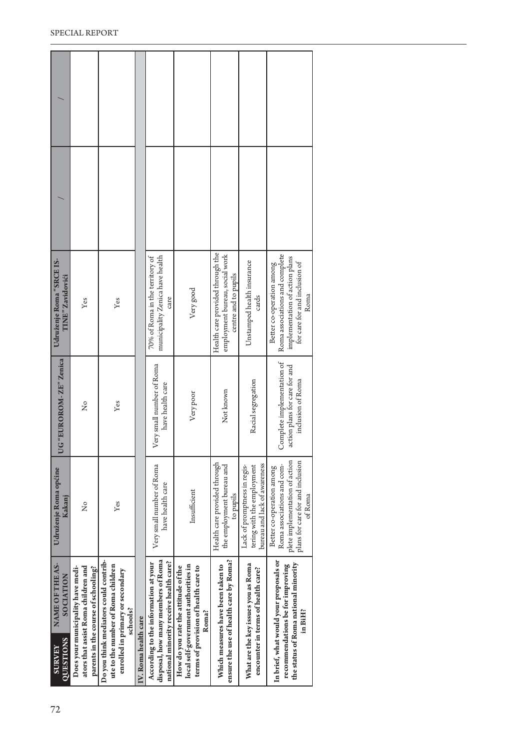| UG "EUROROM-ZE" Zenica<br>Very small number of Roma<br>Racial segregation<br>have health care<br>Not known<br>Very poor<br>Yes<br>ž<br>Health care provided through<br>bureau and lack of awareness<br>Very small number of Roma<br>the employment bureau and<br>Lack of promptness in regis-<br>tering with the employment<br>Udruženje Roma općine<br>have health care<br>Insufficient<br>to pupils<br>Kakanj<br>Yes<br>ž<br>ensure the use of health care by Roma?<br>Do you think mediators could contrib-<br>disposal, how many members of Roma<br>national minority receive health care?<br>According to the information at your<br>NAME OF THE AS-<br>What are the key issues you as Roma<br>ute to the number of Roma children<br>local self-government authorities in<br>Which measures have been taken to<br>ators that assist Roma children and<br>How do you rate the attitude of the<br>parents in the course of schooling?<br>terms of provision of health care to<br>Does your municipality have medi-<br>encounter in terms of health care?<br>enrolled in primary or secondary | In brief, what would your proposals or<br>the status of Roma national minority<br>recommendations be for improving<br>in BiH?            |
|-------------------------------------------------------------------------------------------------------------------------------------------------------------------------------------------------------------------------------------------------------------------------------------------------------------------------------------------------------------------------------------------------------------------------------------------------------------------------------------------------------------------------------------------------------------------------------------------------------------------------------------------------------------------------------------------------------------------------------------------------------------------------------------------------------------------------------------------------------------------------------------------------------------------------------------------------------------------------------------------------------------------------------------------------------------------------------------------------|------------------------------------------------------------------------------------------------------------------------------------------|
|                                                                                                                                                                                                                                                                                                                                                                                                                                                                                                                                                                                                                                                                                                                                                                                                                                                                                                                                                                                                                                                                                                 | plete implementation of action<br>plans for care for and inclusion<br>Roma associations and com-<br>Better co-operation among<br>of Roma |
|                                                                                                                                                                                                                                                                                                                                                                                                                                                                                                                                                                                                                                                                                                                                                                                                                                                                                                                                                                                                                                                                                                 | Complete implementation of<br>action plans for care for and<br>inclusion of Roma                                                         |
| Health care provided through the<br>employment bureau, social work<br>municipality Zenica have health<br>70% of Roma in the territory of<br>Udruženje Roma "SRCE IS-<br>Unstamped health insurance<br>centre and to pupils<br><b>TINE</b> " Zavidovići<br>Very good<br>cards<br>care<br>Yes<br>Yes                                                                                                                                                                                                                                                                                                                                                                                                                                                                                                                                                                                                                                                                                                                                                                                              | Roma associations and complete<br>implementation of action plans<br>for care for and inclusion of<br>Better co-operation among<br>Roma   |
|                                                                                                                                                                                                                                                                                                                                                                                                                                                                                                                                                                                                                                                                                                                                                                                                                                                                                                                                                                                                                                                                                                 |                                                                                                                                          |
|                                                                                                                                                                                                                                                                                                                                                                                                                                                                                                                                                                                                                                                                                                                                                                                                                                                                                                                                                                                                                                                                                                 |                                                                                                                                          |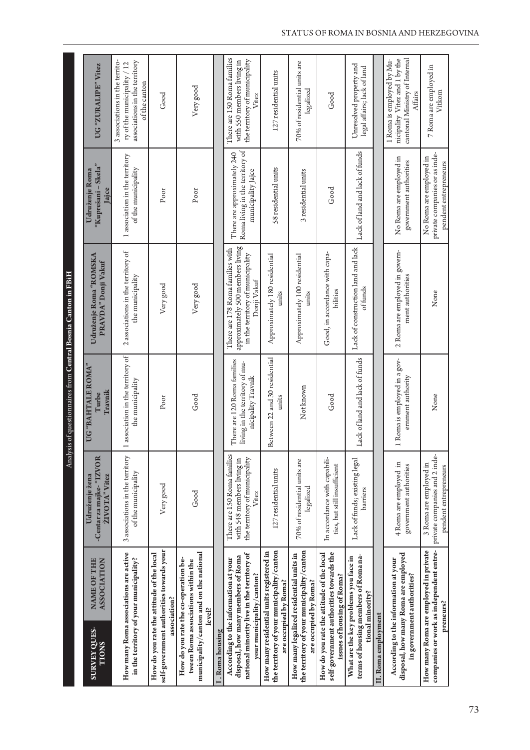|                                                                                                                                                       |                                                                                                     | Analysis of questionnaires from Central Bosnia Canton in FBiH                       |                                                                                                                         |                                                                                      |                                                                                                                 |
|-------------------------------------------------------------------------------------------------------------------------------------------------------|-----------------------------------------------------------------------------------------------------|-------------------------------------------------------------------------------------|-------------------------------------------------------------------------------------------------------------------------|--------------------------------------------------------------------------------------|-----------------------------------------------------------------------------------------------------------------|
| <b>ASSOCIATION</b><br><b>NAME OF THE</b><br><b>SURVEY QUES-</b><br><b>TIONS</b>                                                                       | -Centar za majke-"IZVOR<br>Udruženje žena<br>ŽIVOTA" Vitez                                          | UG "BAHTALE ROMA"<br>Travnik<br>Turbe                                               | Udruženje Roma "ROMSKA<br>PRAVDA" Donji Vakuf                                                                           | "Kuprešani - Skela"<br>Udruženje Roma<br>Jajce                                       | UG "ZURALIPE" Vitez                                                                                             |
| How many Roma associations are active<br>in the territory of your municipality?                                                                       | 3 associations in the territory<br>of the municipality                                              | 1 association in the territory of<br>the municipality                               | 2 associations in the territory of<br>the municipality                                                                  | 1 association in the territory<br>of the municipality                                | 3 associations in the territo-<br>associations in the territory<br>ry of the municipality / 12<br>of the canton |
| self-government authorities towards your<br>How do you rate the attitude of the local<br>association?                                                 | Very good                                                                                           | Poor                                                                                | Very good                                                                                                               | Poor                                                                                 | Good                                                                                                            |
| municipality/canton and on the national<br>How do you rate the co-operation be-<br>tween Roma associations within the<br>level?                       | Good                                                                                                | Good                                                                                | Very good                                                                                                               | Poor                                                                                 | Very good                                                                                                       |
| I. Roma housing                                                                                                                                       |                                                                                                     |                                                                                     |                                                                                                                         |                                                                                      |                                                                                                                 |
| national minority live in the territory of<br>disposal, how many members of Roma<br>According to the information at your<br>your municipality/canton? | There are 150 Roma families<br>the territory of municipality<br>with 548 members living in<br>Vitez | There are 120 Roma families<br>living in the territory of mu-<br>nicipality Travnik | approximately 500 members living<br>There are 178 Roma families with<br>in the territory of municipality<br>Donji Vakuf | Roma living in the territory of<br>There are approximately 240<br>municipality Jajce | There are 150 Roma families<br>the territory of municipality<br>with 550 members living in<br>Vitez             |
| the territory of your municipality/canton<br>How many residential units registered in<br>are occupied by Roma?                                        | 127 residential units                                                                               | Between 22 and 30 residential<br>umits                                              | Approximately 180 residential<br>units                                                                                  | 58 residential units                                                                 | 127 residential units                                                                                           |
| the territory of your municipality/canton<br>How many legalized residential units in<br>are occupied by Roma?                                         | 70% of residential units are<br>legalized                                                           | Not known                                                                           | Approximately 100 residential<br>units                                                                                  | 3 residential units                                                                  | 70% of residential units are<br>legalized                                                                       |
| self-government authorities towards the<br>How do you rate the attitude of the local<br>issues of housing of Roma?                                    | In accordance with capabili-<br>ties, but still insufficient                                        | Good                                                                                | Good, in accordance with capa-<br>bilities                                                                              | Good                                                                                 | Good                                                                                                            |
| terms of housing members of Roma na-<br>What are the key problems you face in<br>tional minority?                                                     | Lack of funds; existing legal<br>barriers                                                           | Lack of land and lack of funds                                                      | Lack of construction land and lack<br>of funds                                                                          | Lack of land and lack of funds                                                       | Unresolved property and<br>legal affairs; lack of land                                                          |
| II. Roma employment                                                                                                                                   |                                                                                                     |                                                                                     |                                                                                                                         |                                                                                      |                                                                                                                 |
| disposal, how many Roma are employed<br>According to the information at your<br>in government authorities?                                            | 4 Roma are employed in<br>government authorities                                                    | 1 Roma is employed in a gov-<br>ernment authority                                   | 2 Roma are employed in govern-<br>ment authorities                                                                      | No Roma are employed in<br>government authorities                                    | nicipality Vitez and 1 by the<br>1 Roma is employed by Mu-<br>cantonal Ministry of Internal<br>Affairs          |
| companies or work as independent entre-<br>How many Roma are employed in private<br>preneurs?                                                         | private companies and 2 inde-<br>3 Roma are employed in<br>pendent entrepreneurs                    | None                                                                                | None                                                                                                                    | private companies or as inde-<br>No Roma are employed in<br>pendent entrepreneurs    | 7 Roma are employed in<br>Vitkom                                                                                |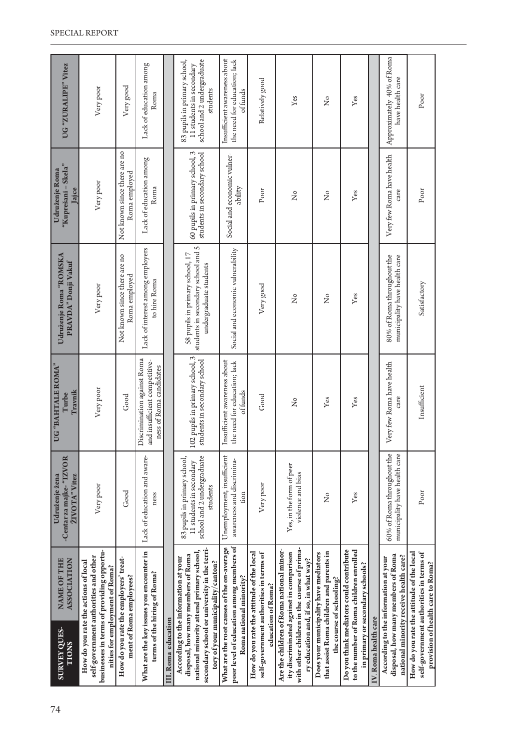| NAME OF THE<br>ASSOCIATION<br><b>SURVEY QUES-</b><br><b>TIONS</b>                                                                                                                                           | -Centar za majke-"IZVOR<br>Udruženje žena<br>ŽIVOTA" Vitez                                         | UG "BAHTALE ROMA"<br>Travnik<br>Turbe                                                   | Udruženje Roma "ROMSKA<br>PRAVDA" Donji Vakuf                                                   | "Kuprešani – Skela"<br>Udruženje Roma<br>Jajce                 | UG "ZURALIPE" Vitez                                                                                |
|-------------------------------------------------------------------------------------------------------------------------------------------------------------------------------------------------------------|----------------------------------------------------------------------------------------------------|-----------------------------------------------------------------------------------------|-------------------------------------------------------------------------------------------------|----------------------------------------------------------------|----------------------------------------------------------------------------------------------------|
| businesses in terms of providing opportu-<br>self-government authorities and other<br>How do you rate the actions of local<br>nities for employment of Roma?                                                | Very poor                                                                                          | Very poor                                                                               | Very poor                                                                                       | Very poor                                                      | Very poor                                                                                          |
| How do you rate the employers' treat-<br>ment of Roma employees?                                                                                                                                            | Good                                                                                               | Good                                                                                    | Not known since there are no<br>Roma employed                                                   | Not known since there are no<br>Roma employed                  | Very good                                                                                          |
| What are the key issues you encounter in<br>terms of the hiring of Roma?                                                                                                                                    | Lack of education and aware-<br>ness                                                               | Discrimination against Roma<br>and insufficient competitive-<br>ness of Roma candidates | Lack of interest among employers<br>to hire Roma                                                | Lack of education among<br>Roma                                | Lack of education among<br>Roma                                                                    |
| III. Roma education                                                                                                                                                                                         |                                                                                                    |                                                                                         |                                                                                                 |                                                                |                                                                                                    |
| secondary school or university in the terri-<br>national minority attend primary school,<br>disposal, how many members of Roma<br>According to the information at your<br>tory of your municipality/canton? | 83 pupils in primary school,<br>school and 2 undergraduate<br>11 students in secondary<br>students | 102 pupils in primary school, 3<br>students in secondary school                         | students in secondary school and 5<br>58 pupils in primary school, 17<br>undergraduate students | 60 pupils in primary school, 3<br>students in secondary school | school and 2 undergraduate<br>83 pupils in primary school,<br>11 students in secondary<br>students |
| poor level of education among members of<br>What are the root causes of the on-average<br>Roma national minority?                                                                                           | Unemployment, insufficient<br>awareness and discrimina-<br>tion                                    | Insufficient awareness about<br>the need for education; lack<br>of funds                | Social and economic vulnerability                                                               | Social and economic vulner-<br>ability                         | Insufficient awareness about<br>the need for education; lack<br>offunds                            |
| How do you rate the attitude of the local<br>self-government authorities in terms of<br>education of Roma?                                                                                                  | Very poor                                                                                          | Good                                                                                    | Very good                                                                                       | Poor                                                           | Relatively good                                                                                    |
| with other children in the course of prima-<br>Are the children of Roma national minor-<br>ity discriminated against in comparison<br>ry education and, if so, in what way?                                 | Yes, in the form of peer<br>violence and bias                                                      | $\tilde{z}$                                                                             | $\tilde{z}$                                                                                     | $\tilde{z}$                                                    | Yes                                                                                                |
| that assist Roma children and parents in<br>Does your municipality have mediators<br>the course of schooling?                                                                                               | ž                                                                                                  | Yes                                                                                     | $\frac{1}{2}$                                                                                   | $\overline{X}^{\circ}$                                         | ž                                                                                                  |
| Do you think mediators could contribute<br>to the number of Roma children enrolled<br>in primary or secondary schools?                                                                                      | Yes                                                                                                | Yes                                                                                     | Yes                                                                                             | Yes                                                            | Yes                                                                                                |
| IV. Roma health care                                                                                                                                                                                        |                                                                                                    |                                                                                         |                                                                                                 |                                                                |                                                                                                    |
| disposal, how many members of Roma<br>national minority receive health care?<br>According to the information at your                                                                                        | 60% of Roma throughout the<br>municipality have health care                                        | Very few Roma have health<br>care                                                       | 80% of Roma throughout the<br>municipality have health care                                     | Very few Roma have health<br>care                              | Approximately 40% of Roma<br>have health care                                                      |
| How do you rate the attitude of the local<br>self-government authorities in terms of<br>provision of health care to Roma?                                                                                   | Poor                                                                                               | Insufficient                                                                            | Satisfactory                                                                                    | Poor                                                           | Poor                                                                                               |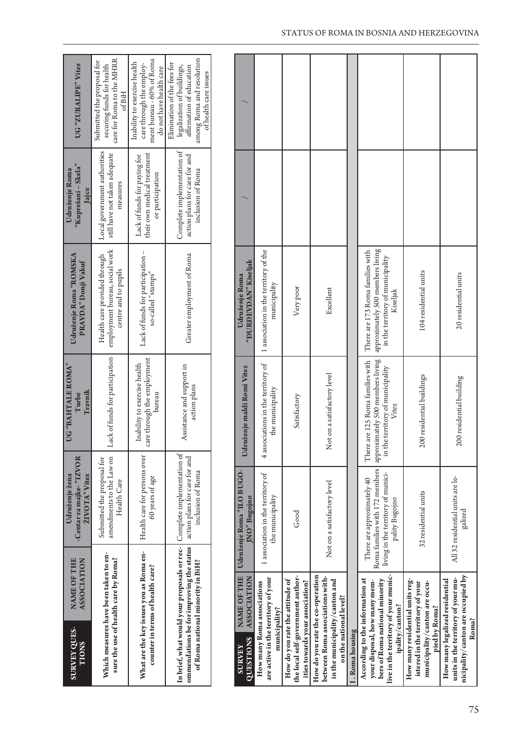| NAME OF THE<br><b>ASSOCIATION</b>                                             | -Centar za majke- "IZVOR<br>ŽIVOTA" Vitez<br>Udruženje žena                                                                                                             | UG "BAHTALE ROMA"<br>Travnik<br>Turbe                                 | Udruženje Roma "ROMSKA<br>PRAVDA" Donji Vakuf                                          | $\lq$ Kuprešani – Skela $\lq$<br>Udruženje Roma<br>lajce                         | UG "ZURALIPE" Vitez                                                                                                                         |
|-------------------------------------------------------------------------------|-------------------------------------------------------------------------------------------------------------------------------------------------------------------------|-----------------------------------------------------------------------|----------------------------------------------------------------------------------------|----------------------------------------------------------------------------------|---------------------------------------------------------------------------------------------------------------------------------------------|
| Which measures have been taken to en-<br>sure the use of health care by Roma? | Submitted the proposal for<br>amendments to the Law on<br>Health Care                                                                                                   | Lack of funds for participation                                       | employment bureau, social work<br>Health care provided through<br>centre and to pupils | Local government authorities<br>still have not taken adequate<br>measures        | care for Roma to the MHRR<br>Submitted the proposal for<br>securing funds for health<br>of BiH                                              |
| What are the key issues you as Roma en-<br>counter in terms of health care?   | Health care for persons over<br>60 years of age                                                                                                                         | care through the employment<br>Inability to exercise health<br>bureau | Lack of funds for participation -<br>so-called "stamps"                                | their own medical treatment<br>Lack of funds for paying for<br>or participation  | ment bureau - 60% of Roma<br>Inability to exercise health<br>care through the employ-<br>do not have health care                            |
| of Roma national minority in BiH?                                             | In brief, what would your proposals or rec- Complete implementation of<br>ommendations be for improving the status   action plans for care for and<br>inclusion of Roma | Assistance and support in<br>action plans                             | Greater employment of Roma                                                             | Complete implementation of<br>action plans for care for and<br>inclusion of Roma | among Roma and resolution<br>Elimination of the fees for<br>legalization of buildings,<br>affirmation of education<br>of health care issues |

| Roma families with 172 members   approximately 500 members living  <br>There are 125 Roma families with<br>4 associations in the territory of<br>in the territory of municipality<br>Not on a satisfactory level<br>200 residential buildings<br>200 residential building<br>living in the territory of munici-<br>1 association in the territory of<br>All 32 residential units are le-<br>There are approximately 40<br>Not on a satisfactory level<br>32 residential units<br>the municipality<br>pality Bugojno<br>Good<br>live in the territory of your munic-<br>How do you rate the co-operation<br>the local self-government author-<br>between Roma associations with-<br>are active in the territory of your<br>units in the territory of your mu-<br>According to the information at<br>How many residential units reg-<br>How do you rate the attitude of<br>in the municipality/canton and<br>bers of Roma national minority<br>How many legalized residential<br>ities towards your association?<br>your disposal, how many mem-<br>municipality/canton are occu-<br>How many Roma associations<br>istered in the territory of your<br>on the national level?<br>ipality/canton?<br>pied by Roma?<br>municipality? |
|----------------------------------------------------------------------------------------------------------------------------------------------------------------------------------------------------------------------------------------------------------------------------------------------------------------------------------------------------------------------------------------------------------------------------------------------------------------------------------------------------------------------------------------------------------------------------------------------------------------------------------------------------------------------------------------------------------------------------------------------------------------------------------------------------------------------------------------------------------------------------------------------------------------------------------------------------------------------------------------------------------------------------------------------------------------------------------------------------------------------------------------------------------------------------------------------------------------------------------|
|----------------------------------------------------------------------------------------------------------------------------------------------------------------------------------------------------------------------------------------------------------------------------------------------------------------------------------------------------------------------------------------------------------------------------------------------------------------------------------------------------------------------------------------------------------------------------------------------------------------------------------------------------------------------------------------------------------------------------------------------------------------------------------------------------------------------------------------------------------------------------------------------------------------------------------------------------------------------------------------------------------------------------------------------------------------------------------------------------------------------------------------------------------------------------------------------------------------------------------|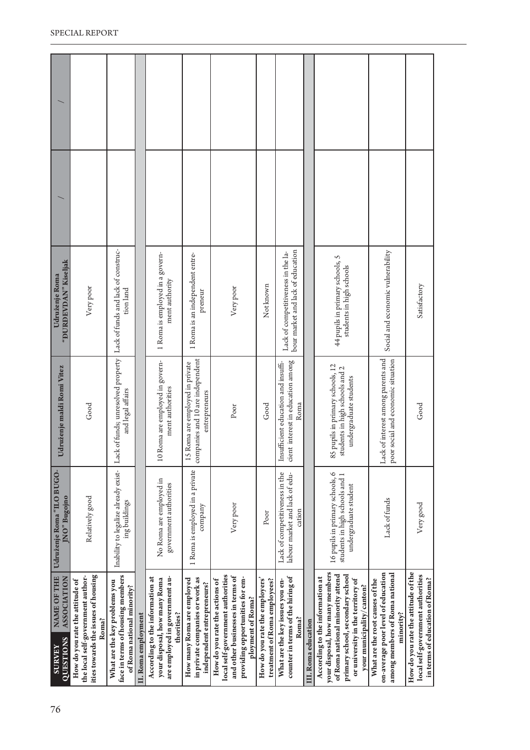| NAME OF THE<br><b>ASSOCIATION</b><br>QUESTIONS<br><b>SURVEY</b> | ities towards the issues of housing<br>the local self-government author-<br>How do you rate the attitude of<br>Roma? | face in terms of housing members<br>What are the key problems you<br>of Roma national minority? | II. Roma employment | According to the information at<br>are employed in government au-<br>your disposal, how many Roma<br>thorities? | in private companies or work as<br>How many Roma are employed<br>independent entrepreneurs? | local self-government authorities<br>and other businesses in terms of<br>providing opportunities for em-<br>How do you rate the actions of<br>ployment of Roma? | How do you rate the employers'<br>treatment of Roma employees? | counter in terms of the hiring of<br>What are the key issues you en-<br>Roma?    | III. Roma education | your disposal, how many members<br>of Roma national minority attend<br>primary school, secondary school<br>According to the information at<br>or university in the territory of<br>your municipality/canton? | on-average poor level of education<br>among members of Roma national<br>What are the root causes of the<br>minority? | How do you rate the attitude of the<br>local self-government authorities<br>in terms of education of Roma? |
|-----------------------------------------------------------------|----------------------------------------------------------------------------------------------------------------------|-------------------------------------------------------------------------------------------------|---------------------|-----------------------------------------------------------------------------------------------------------------|---------------------------------------------------------------------------------------------|-----------------------------------------------------------------------------------------------------------------------------------------------------------------|----------------------------------------------------------------|----------------------------------------------------------------------------------|---------------------|--------------------------------------------------------------------------------------------------------------------------------------------------------------------------------------------------------------|----------------------------------------------------------------------------------------------------------------------|------------------------------------------------------------------------------------------------------------|
| Udruženje Roma "ILO BUGO<br>JNO" Bugojno                        | Relatively good                                                                                                      | Inability to legalize already exist-<br>ing buildings                                           |                     | No Roma are employed in<br>government authorities                                                               | 1 Roma is employed in a private<br>company                                                  | Very poor                                                                                                                                                       | Poor                                                           | Lack of competitiveness in the<br>labour market and lack of edu-<br>cation       |                     | 16 pupils in primary schools, 6<br>students in high schools and 1<br>undergraduate student                                                                                                                   | Lack of funds                                                                                                        | Very good                                                                                                  |
| Udruženje maldi Romi Vitez                                      | Good                                                                                                                 | Lack of funds; unresolved property   Lack of funds and lack of construc-<br>and legal affairs   |                     | Roma are employed in govern-<br>ment authorities<br>$\overline{10}$                                             | companies and 10 are independent<br>Roma are employed in private<br>entrepreneurs<br>15     | Poor                                                                                                                                                            | Good                                                           | cient interest in education among<br>Insufficient education and insuffi-<br>Roma |                     | 85 pupils in primary schools, 12<br>students in high schools and 2<br>undergraduate students                                                                                                                 | Lack of interest among parents and<br>poor social and economic situation                                             | Good                                                                                                       |
| "DURDEVDAN" Kiseljak<br>Udruženje Roma                          | Very poor                                                                                                            | tion land                                                                                       |                     | 1 Roma is employed in a govern-<br>ment authority                                                               | 1 Roma is an independent entre-<br>preneur                                                  | Very poor                                                                                                                                                       | Not known                                                      | bour market and lack of education<br>Lack of competitiveness in the la-          |                     | 44 pupils in primary schools, 5<br>students in high schools                                                                                                                                                  | Social and economic vulnerability                                                                                    | Satisfactory                                                                                               |
|                                                                 |                                                                                                                      |                                                                                                 |                     |                                                                                                                 |                                                                                             |                                                                                                                                                                 |                                                                |                                                                                  |                     |                                                                                                                                                                                                              |                                                                                                                      |                                                                                                            |
|                                                                 |                                                                                                                      |                                                                                                 |                     |                                                                                                                 |                                                                                             |                                                                                                                                                                 |                                                                |                                                                                  |                     |                                                                                                                                                                                                              |                                                                                                                      |                                                                                                            |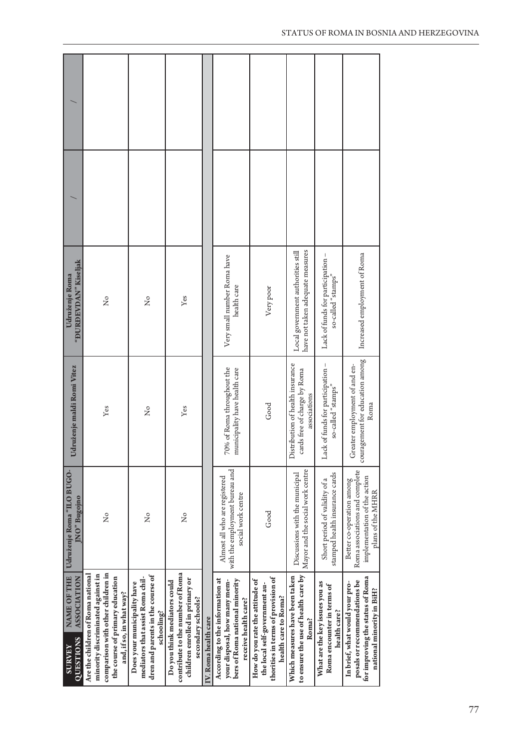| "DURDEVDAN" Kiseljak<br>Udruženje Roma                                 | ż                                                                                                                                                                          | ż                                                                                                                  | Yes                                                                                                                       |                      | Very small number Roma have<br>health care                                                                                | Very poor                                                                                                                      | have not taken adequate measures<br>Local government authorities still           | Lack of funds for participation -<br>so-called "stamps"                      | Increased employment of Roma                                                                                                    |
|------------------------------------------------------------------------|----------------------------------------------------------------------------------------------------------------------------------------------------------------------------|--------------------------------------------------------------------------------------------------------------------|---------------------------------------------------------------------------------------------------------------------------|----------------------|---------------------------------------------------------------------------------------------------------------------------|--------------------------------------------------------------------------------------------------------------------------------|----------------------------------------------------------------------------------|------------------------------------------------------------------------------|---------------------------------------------------------------------------------------------------------------------------------|
| Udruženje maldi Romi Vitez                                             | Yes                                                                                                                                                                        | $\frac{1}{2}$                                                                                                      | Yes                                                                                                                       |                      | 70% of Roma throughout the<br>municipality have health care                                                               | Good                                                                                                                           | Distribution of health insurance<br>cards free of charge by Roma<br>associations | Lack of funds for participation -<br>so-called "stamps"                      | agement for education among<br>Greater employment of and en-<br>Roma<br>coura                                                   |
| Udruženje Roma "ILO BUGO-<br>JNO" Bugojno                              | ž                                                                                                                                                                          | ž                                                                                                                  | $\frac{1}{2}$                                                                                                             |                      | with the employment bureau and<br>Almost all who are registered<br>social work centre                                     | Good                                                                                                                           | Mayor and the social work centre<br>Discussions with the municipal               | stamped health insurance cards<br>Short period of validity of a              | Roma associations and complete<br>implementation of the action<br>Better co-operation among<br>plans of the MHRR                |
| <b>NAME OF THE</b><br>ASSOCIATION<br><b>QUESTIONS</b><br><b>SURVEY</b> | comparison with other children in<br>Are the children of Roma national<br>minority discriminated against in<br>the course of primary education<br>and, if so, in what way? | dren and parents in the course of<br>mediators that assist Roma chil-<br>Does your municipality have<br>schooling? | contribute to the number of Roma<br>children enrolled in primary or<br>Do you think mediators could<br>secondary schools? | IV. Roma health care | According to the information at<br>bers of Roma national minority<br>your disposal, how many mem-<br>receive health care? | thorities in terms of provision of<br>How do you rate the attitude of<br>the local self-government au-<br>health care to Roma? | to ensure the use of health care by<br>Which measures have been taken<br>Roma?   | What are the key issues you as<br>Roma encounter in terms of<br>health care? | for improving the status of Roma<br>posals or recommendations be<br>In brief, what would your pro-<br>national minority in BiH? |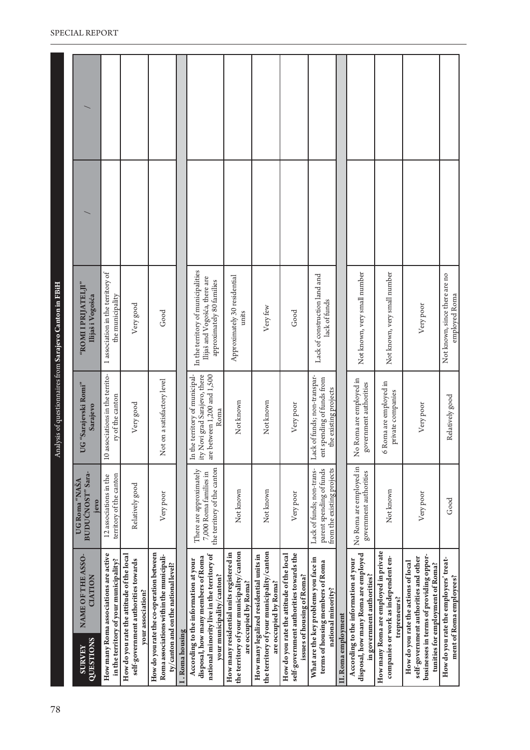| 78 |                                                                                                                                                              |                                                                                     | $\prec$                                                                                                   | nalysis of questionnaires from Sarajevo Canton in FBiH                                           |  |
|----|--------------------------------------------------------------------------------------------------------------------------------------------------------------|-------------------------------------------------------------------------------------|-----------------------------------------------------------------------------------------------------------|--------------------------------------------------------------------------------------------------|--|
|    | NAME OF THE ASSO-<br><b>CIATION</b><br><b>QUESTIONS</b><br><b>SURVEY</b>                                                                                     | BUDUCNOST" Sara-<br>UG Roma "NASA<br>jevo                                           | UG "Sarajevski Romi"<br>Sarajevo                                                                          | "ROMI PRIJATELJI"<br>Ilijaš i Vogošća                                                            |  |
|    | How many Roma associations are active<br>in the territory of your municipality?                                                                              | territory of the canton<br>12 associations in the                                   | associations in the territo-<br>ry of the canton<br>$\overline{10}$                                       | 1 association in the territory of<br>the municipality                                            |  |
|    | How do you rate the attitude of the local<br>self-government authorities towards<br>your association?                                                        | Relatively good                                                                     | Very good                                                                                                 | Very good                                                                                        |  |
|    | How do you rate the co-operation between<br>Roma associations within the municipali-<br>$\tt{ty/conton}$ and on the national level?                          | Very poor                                                                           | Not on a satisfactory level                                                                               | Good                                                                                             |  |
|    | I. Roma housing                                                                                                                                              |                                                                                     |                                                                                                           |                                                                                                  |  |
|    | national minority live in the territory of<br>disposal, how many members of Roma<br>According to the information at your<br>your municipality/canton?        | the territory of the canton<br>There are approximately<br>7,000 Roma families in    | are between 1,200 and 1,500<br>Novi grad Sarajevo, there<br>In the territory of municipal-<br>Roma<br>ity | In the territory of municipalities<br>Ilijaš and Vogošća, there are<br>approximately 80 families |  |
|    | the territory of your municipality/canton<br>How many residential units registered in<br>are occupied by Roma?                                               | Not known                                                                           | Not known                                                                                                 | Approximately 30 residential<br>units                                                            |  |
|    | the territory of your municipality/canton<br>How many legalized residential units in<br>are occupied by Roma?                                                | Not known                                                                           | Not known                                                                                                 | Very few                                                                                         |  |
|    | self-government authorities towards the<br>How do you rate the attitude of the local<br>issues of housing of Roma?                                           | Very poor                                                                           | Very poor                                                                                                 | Good                                                                                             |  |
|    | What are the key problems you face in<br>terms of housing members of Roma<br>national minority?                                                              | from the existing projects<br>parent spending of funds<br>Lack of funds; non-trans- | Lack of funds; non-transpar-<br>ent spending of funds from<br>the existing projects                       | Lack of construction land and<br>lack of funds                                                   |  |
|    | II. Roma employment                                                                                                                                          |                                                                                     |                                                                                                           |                                                                                                  |  |
|    | disposal, how many Roma are employed<br>According to the information at your<br>in government authorities?                                                   | No Roma are employed in<br>government authorities                                   | No Roma are employed in<br>government authorities                                                         | Not known, very small number                                                                     |  |
|    | How many Roma are employed in private<br>companies or work as independent en-<br>trepreneurs?                                                                | Not known                                                                           | 6 Roma are employed in<br>private companies                                                               | Not known, very small number                                                                     |  |
|    | businesses in terms of providing oppor-<br>self-government authorities and other<br>How do you rate the actions of local<br>tunities for employment of Roma? | Very poor                                                                           | Very poor                                                                                                 | Very poor                                                                                        |  |
|    | How do you rate the employers' treat-<br>ment of Roma employees?                                                                                             | Good                                                                                | Relatively good                                                                                           | Not known, since there are no<br>employed Roma                                                   |  |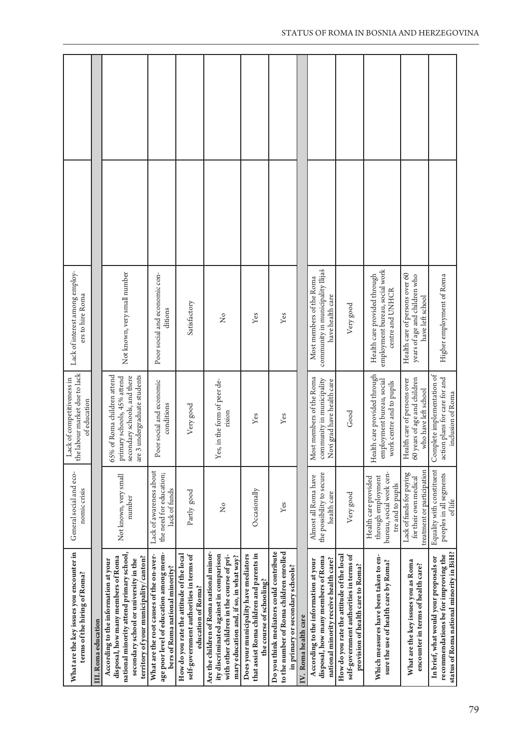| What are the key issues you encounter in<br>terms of the hiring of Roma?                                                                                                                                  | General social and eco-<br>nomic crisis                                                     | the labour market due to lack<br>Lack of competitiveness in<br>of education                                                | Lack of interest among employ-<br>ers to hire Roma                                  |  |
|-----------------------------------------------------------------------------------------------------------------------------------------------------------------------------------------------------------|---------------------------------------------------------------------------------------------|----------------------------------------------------------------------------------------------------------------------------|-------------------------------------------------------------------------------------|--|
| III. Roma education                                                                                                                                                                                       |                                                                                             |                                                                                                                            |                                                                                     |  |
| national minority attend primary school,<br>territory of your municipality/canton?<br>disposal, how many members of Roma<br>secondary school or university in the<br>According to the information at your | Not known, very small<br>number                                                             | 65% of Roma children attend<br>secondary schools, and there<br>are 3 undergraduate students<br>primary schools, 45% attend | Not known, very small number                                                        |  |
| age poor level of education among mem-<br>What are the root causes of the on-aver-<br>bers of Roma national minority?                                                                                     | Lack of awareness about<br>the need for education;<br>lack of funds                         | Poor social and economic<br>conditions                                                                                     | Poor social and economic con-<br>ditions                                            |  |
| How do you rate the attitude of the local<br>self-government authorities in terms of<br>education of Roma?                                                                                                | Partly good                                                                                 | Very good                                                                                                                  | Satisfactory                                                                        |  |
| Are the children of Roma national minor-<br>ity discriminated against in comparison<br>with other children in the course of pri-<br>mary education and, if so, in what way?                               | $\overline{z}$                                                                              | Yes, in the form of peer de-<br>rision                                                                                     | $\tilde{z}$                                                                         |  |
| that assist Roma children and parents in<br>Does your municipality have mediators<br>the course of schooling?                                                                                             | Occasionally                                                                                | Yes                                                                                                                        | Yes                                                                                 |  |
| Do you think mediators could contribute<br>to the number of Roma children enrolled<br>in primary or secondary schools?                                                                                    | $\mathbf{Yes}$                                                                              | Yes                                                                                                                        | $\mathbf{Yes}$                                                                      |  |
| IV. Roma health care                                                                                                                                                                                      |                                                                                             |                                                                                                                            |                                                                                     |  |
| disposal, how many members of Roma<br>national minority receive health care?<br>According to the information at your                                                                                      | the possibility to secure<br>Almost all Roma have<br>health care                            | Most members of the Roma<br>community in municipality<br>Novi grad have health care                                        | community in municipality Ilijaš<br>Most members of the Roma<br>have health care    |  |
| How do you rate the attitude of the local<br>self-government authorities in terms of<br>provision of health care to Roma?                                                                                 | Very good                                                                                   | Good                                                                                                                       | Very good                                                                           |  |
| Which measures have been taken to en-<br>sure the use of health care by Roma?                                                                                                                             | bureau, social work cen-<br>through employment<br>Health care provided<br>tre and to pupils | Health care provided through<br>employment bureau, social<br>work centre and to pupils                                     | employment bureau, social work<br>Health care provided through<br>centre and UNHCR  |  |
| What are the key issues you as Roma<br>encounter in terms of health care?                                                                                                                                 | treatment or participation<br>Lack of funds for paying<br>for their own medical             | 60 years of age and children<br>ealth care of persons over<br>who have left school<br>Ĕ                                    | Health care of persons over 60<br>years of age and children who<br>have left school |  |
| status of Roma national minority in BiH?<br>recommendations be for improving the<br>In brief, what would your proposals or                                                                                | Equality with constituent<br>peoples in all segments<br>of life                             | Complete implementation of<br>action plans for care for and<br>inclusion of Roma                                           | Higher employment of Roma                                                           |  |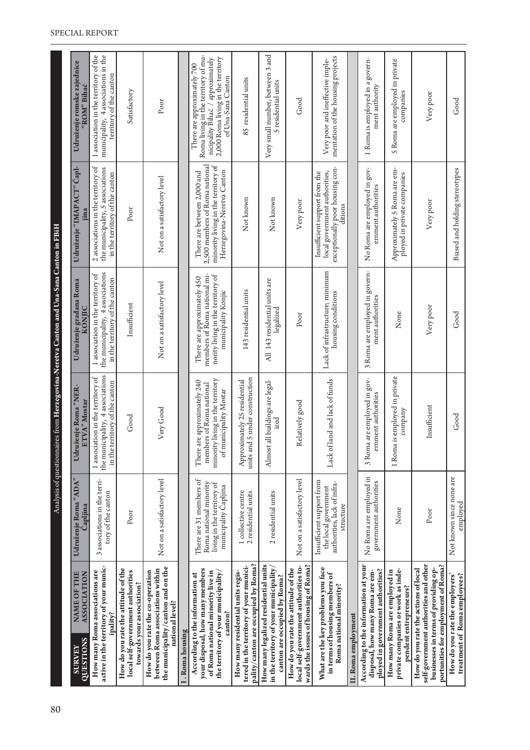| 80 |                                                                                                                                                              |                                                                                                          |                                                                                                                       | Analysis of questionnaires from Herzegovina-Neretva Canton and Una-Sana Canton in FBiH                                  |                                                                                                                                    |                                                                                                                                                                    |
|----|--------------------------------------------------------------------------------------------------------------------------------------------------------------|----------------------------------------------------------------------------------------------------------|-----------------------------------------------------------------------------------------------------------------------|-------------------------------------------------------------------------------------------------------------------------|------------------------------------------------------------------------------------------------------------------------------------|--------------------------------------------------------------------------------------------------------------------------------------------------------------------|
|    | NAME OF THE<br><b>ASSOCIATION</b><br>QUESTIONS<br><b>SURVEY</b>                                                                                              | Udruženje Roma "ADA"<br>Capljina                                                                         | Udruženje Roma "NER-<br><b>ETVA</b> " Mostar                                                                          | Udruženje građana Roma<br>KONJIC                                                                                        | Udruženje "IMAPACT" Čapl-<br>jina                                                                                                  | Udruženje romske zajednice<br>"ROM" Bihać                                                                                                                          |
|    | active in the territory of your munic-<br>How many Roma associations are<br>ipality?                                                                         | 3 associations in the terri-<br>tory of the canton                                                       | the municipality, 4 associations<br>1 association in the territory of<br>in the territory of the canton               | the municipality, 4 associations<br>1 association in the territory of<br>in the territory of the canton                 | 2 associations in the territory of<br>the municipality, 5 associations<br>in the territory of the canton                           | 1 association in the territory of the<br>municipality, 4 associations in the<br>territory of the canton                                                            |
|    | How do you rate the attitude of the<br>local self-government authorities<br>towards your association?                                                        | $_{\rm Poor}$                                                                                            | Good                                                                                                                  | Insufficient                                                                                                            | Poor                                                                                                                               | Satisfactory                                                                                                                                                       |
|    | the municipality/canton and on the<br>between Roma associations within<br>How do you rate the co-operation<br>national level?                                | Not on a satisfactory level                                                                              | Very Good                                                                                                             | Not on a satisfactory level                                                                                             | Not on a satisfactory level                                                                                                        | Poor                                                                                                                                                               |
|    | [. Roma housing                                                                                                                                              |                                                                                                          |                                                                                                                       |                                                                                                                         |                                                                                                                                    |                                                                                                                                                                    |
|    | your disposal, how many members<br>of Roma national minority live in<br>the territory of your municipality,<br>According to the information at<br>canton?    | There are 31 members of<br>Roma national minority<br>living in the territory of<br>municipality Capljina | minority living in the territory<br>There are approximately 240<br>members of Roma national<br>of municipality Mostar | members of Roma national mi-<br>nority living in the territory of<br>There are approximately 450<br>municipality Konjic | 2,500 members of Roma national<br>minority living in the territory of<br>Herzegovina-Neretva Canton<br>There are between 2,000 and | Roma living in the territory of mu-<br>2,000 Roma living in the territory<br>nicipality Bihać / approximately<br>There are approximately 700<br>of Una-Sana Canton |
|    | pality/canton are occupied by Roma?<br>tered in the territory of your munici-<br>How many residential units regis-                                           | 1 collective centre<br>2 residential units                                                               | units and 5 under construction<br>Approximately 25 residential                                                        | 143 residential units                                                                                                   | Not known                                                                                                                          | 85 residential units                                                                                                                                               |
|    | How many legalized residential units<br>in the territory of your municipality/<br>canton are occupied by Roma?                                               | 2 residential units                                                                                      | Almost all buildings are legal-<br>ized                                                                               | All 143 residential units are<br>legalized                                                                              | Notknown                                                                                                                           | Very small number, between 3 and<br>5 residential units                                                                                                            |
|    | wards the issues of housing of Roma?<br>local self-government authorities to-<br>How do you rate the attitude of the                                         | Not on a satisfactory level                                                                              | Relatively good                                                                                                       | Poor                                                                                                                    | Very poor                                                                                                                          | Good                                                                                                                                                               |
|    | What are the key problems you face<br>in terms of housing members of<br>Roma national minority?                                                              | Insufficient support from<br>authorities, lack of infra-<br>the local government<br>structure            | Lack of land and lack of funds                                                                                        | Lack of infrastructure; minimum<br>housing conditions                                                                   | exceptionally poor housing con-<br>Insufficient support from the<br>local government authorities,<br>ditions                       | mentation of the housing projects<br>Very poor and ineffective imple-                                                                                              |
|    | II. Roma employment                                                                                                                                          |                                                                                                          |                                                                                                                       |                                                                                                                         |                                                                                                                                    |                                                                                                                                                                    |
|    | According to the information at your<br>ployed in government authorities?<br>disposal, how many Roma are em-                                                 | No Roma are employed in<br>government authorities                                                        | 3 Roma are employed in gov-<br>ernment authorities                                                                    | 3 Roma are employed in govern-<br>ment authorities                                                                      | No Roma are employed in gov-<br>emment authorities                                                                                 | 1 Roma is employed in a govern-<br>ment authority                                                                                                                  |
|    | private companies or work as inde-<br>How many Roma are employed in<br>pendent entrepreneurs?                                                                | None                                                                                                     | 1 Roma is employed in private<br>company                                                                              | None                                                                                                                    | Approximately 5 Roma are em-<br>ployed in private companies                                                                        | 5 Roma are employed in private<br>companies                                                                                                                        |
|    | self-government authorities and other<br>portunities for employment of Roma?<br>businesses in terms of providing op-<br>How do you rate the actions of local | Poor                                                                                                     | Insufficient                                                                                                          | Very poor                                                                                                               | Very poor                                                                                                                          | Very poor                                                                                                                                                          |
|    | treatment of Roma employees?<br>How do you rate the employers'                                                                                               | Not known since none are<br>employed                                                                     | Good                                                                                                                  | Good                                                                                                                    | Biased and holding stereotypes                                                                                                     | Good                                                                                                                                                               |

#### SPECIAL REPORT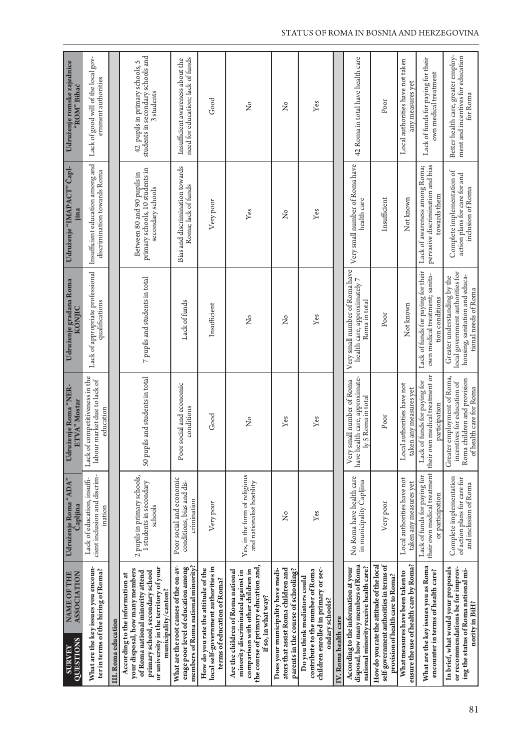| NAME OF THE<br>ASSOCIATION<br>QUESTIONS<br><b>SURVEY</b>                                                                                                                                                     | Udruženje Roma "ADA"<br>Capljina                                                 | uženje Roma "NER-<br><b>ETVA</b> " Mostar<br>Udr                                                                     | Udruženje građana Roma<br><b>KONJIC</b>                                                                                    | Udruženje "IMAPACT" Čapl-<br>jina                                                   | Udruženje romske zajednice<br>"ROM" Bihać                                            |
|--------------------------------------------------------------------------------------------------------------------------------------------------------------------------------------------------------------|----------------------------------------------------------------------------------|----------------------------------------------------------------------------------------------------------------------|----------------------------------------------------------------------------------------------------------------------------|-------------------------------------------------------------------------------------|--------------------------------------------------------------------------------------|
| What are the key issues you encoun-<br>ter in terms of the hiring of Roma?                                                                                                                                   | cient inclusion and discrim-<br>Lack of education, insuffi-<br>ination           | Lack of competitiveness in the<br>labour market due to lack of<br>education                                          | Lack of appropriate professional<br>qualifications                                                                         | Insufficient education among and<br>discrimination towards Roma                     | Lack of good will of the local gov-<br>emment authorities                            |
| III. Roma education                                                                                                                                                                                          |                                                                                  |                                                                                                                      |                                                                                                                            |                                                                                     |                                                                                      |
| or university in the territory of your<br>your disposal, how many members<br>of Roma national minority attend<br>primary school, secondary school<br>According to the information at<br>municipality/canton? | 2 pupils in primary schools,<br>1 students in secondary<br>schools               | 50 pupils and students in total                                                                                      | $\rm 7$ pupils and students in total                                                                                       | primary schools, 10 students in<br>Between 80 and 90 pupils in<br>secondary schools | students in secondary schools and<br>42 pupils in primary schools, 5<br>3 students   |
| What are the root causes of the on-av-<br>members of Roma national minority?<br>erage poor level of education among                                                                                          | Poor social and economic<br>conditions, bias and dis-<br>crimination             | Poor social and economic<br>conditions                                                                               | Lack of funds                                                                                                              | Bias and discrimination towards<br>Roma; lack of funds                              | need for education; lack of funds<br>Insufficient awareness about the                |
| local self-government authorities in<br>How do you rate the attitude of the<br>terms of education of Roma?                                                                                                   | Very poor                                                                        | ${\mathsf{Good}}$                                                                                                    | Insufficient                                                                                                               | Very poor                                                                           | Good                                                                                 |
| the course of primary education and,<br>comparison with other children in<br>Are the children of Roma national<br>minority discriminated against in<br>if so, in what way?                                   | Yes, in the form of religious<br>and nationalist hostility                       | $\tilde{z}$                                                                                                          | $\frac{1}{2}$                                                                                                              | Yes                                                                                 | $\overline{Z}$                                                                       |
| ators that assist Roma children and<br>parents in the course of schooling?<br>Does your municipality have medi-                                                                                              | ż                                                                                | Yes                                                                                                                  | ž                                                                                                                          | $\frac{1}{2}$                                                                       | $\tilde{z}$                                                                          |
| children enrolled in primary or sec-<br>contribute to the number of Roma<br>Do you think mediators could<br>ondary schools?                                                                                  | Yes                                                                              | Yes                                                                                                                  | Yes                                                                                                                        | Yes                                                                                 | Yes                                                                                  |
| IV. Roma health care                                                                                                                                                                                         |                                                                                  |                                                                                                                      |                                                                                                                            |                                                                                     |                                                                                      |
| disposal, how many members of Roma<br>national minority receive health care?<br>According to the information at your                                                                                         | No Roma have health care<br>in municipality Capljina                             | ealth care, approximate-<br>small number of Roma<br>ly 5 Roma in total<br>Very:<br>have h                            | Very small number of Roma have<br>health care, approximately 7<br>Roma in total                                            | Very small number of Roma have<br>health care                                       | 42 Roma in total have health care                                                    |
| How do you rate the attitude of the local<br>self-government authorities in terms of<br>provision of health care to Roma?                                                                                    | Very poor                                                                        | Poor                                                                                                                 | Poor                                                                                                                       | Insufficient                                                                        | Poor                                                                                 |
| ensure the use of health care by Roma?<br>What measures have been taken to                                                                                                                                   | Local authorities have not<br>taken any measures yet                             | Local authorities have not<br>taken any measures yet                                                                 | Not known                                                                                                                  | Not known                                                                           | Local authorities have not taken<br>any measures yet                                 |
| What are the key issues you as Roma<br>encounter in terms of health care?                                                                                                                                    | Lack of funds for paying for<br>or participation                                 | their own medical treatment their own medical treatment or<br>Lack of funds for paying for<br>participation          | Lack of funds for paying for their<br>own medical treatment; sanita-<br>tion conditions                                    | pervasive discrimination and bias<br>Lack of awareness among Roma;<br>towards them  | Lack of funds for paying for their<br>own medical treatment                          |
| In brief, what would your proposals<br>or recommendations be for improv-<br>ing the status of Roma national mi-<br>nority in BiH?                                                                            | Complete implementation<br>of action plans for care for<br>and inclusion of Roma | Greater employment of Roma,<br>Roma children and provision<br>incentives for education of<br>of health care for Roma | local government authorities for<br>housing, sanitation and educa-<br>Greater understanding by the<br>tional needs of Roma | Complete implementation of<br>action plans for care for and<br>inclusion of Roma    | Better health care, greater employ-<br>ment and incentives for education<br>for Roma |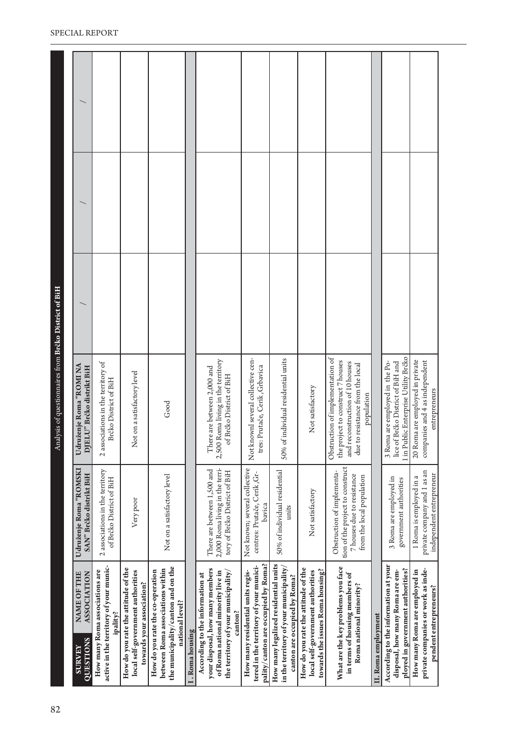| 1 in Public Enterprise Utility Brčko<br>Not knownl several collective cen-<br>Obstruction of implementation of<br>50% of individual residential units<br>2,500 Roma living in the territory<br>20 Roma are employed in private<br>the project to construct 7 houses<br>and reconstruction of 10 houses<br>3 Roma are employed in the Po-<br>2 associations in the territory of<br>lice of Brčko District of BiH and<br>due to resistance from the local<br>Udruženje Roma "ROMINA<br>tres: Prutače, Cerik, Grbavica<br>DJELU" Brčko distrikt BiH<br>There are between 2,000 and<br>Not on a satisfactory level<br>of Brčko District of BiH<br>Brčko District of BiH<br>Not satisfactory<br>population<br>Good<br>tion of the project to construct<br>Not known; several collective<br>2,000 Roma living in the terri-<br>Udruženje Roma "ROMSKI<br>There are between 1,500 and<br>2 associations in the territory<br>tory of Brčko District of BiH<br>50% of individual residential<br>Obstruction of implementa-<br>centres: Prutače, Cerik, Gr-<br>SAN" Brčko distrikt BiH<br>7 houses due to resistance<br>Not on a satisfactory level<br>from the local population<br>1 Roma is employed in a<br>3 Roma are employed in<br>of Brčko District of BiH<br>government authorities<br>Not satisfactory<br>Very poor<br>bavica<br>units<br>pality/canton are occupied by Roma?<br>How many legalized residential units<br>According to the information at your<br>active in the territory of your munic-<br>tered in the territory of your munici-<br>the municipality/canton and on the<br>What are the key problems you face<br>How do you rate the attitude of the<br>in the territory of your municipality,<br>How do you rate the attitude of the<br>your disposal, how many members<br>ployed in government authorities?<br>between Roma associations within<br>towards the issues Roma housing?<br>disposal, how many Roma are em-<br>How many Roma are employed in<br>How many Roma associations are<br>How do you rate the co-operation<br>local self-government authorities<br>local self-government authorities<br>the territory of your municipality/<br>How many residential units regis-<br>of Roma national minority live in<br><b>ASSOCIATION</b><br>NAME OF THE<br>in terms of housing members of<br>According to the information at<br>canton are occupied by Roma?<br>towards your association?<br>Roma national minority?<br>national level?<br>canton?<br>ipality?<br>II. Roma employment<br>I. Roma housing<br><b>QUESTIONS</b><br><b>SURVEY</b> | 82 |                                    |                             | Analysis of questionnaires from Brčko District of BiH |  |  |
|----------------------------------------------------------------------------------------------------------------------------------------------------------------------------------------------------------------------------------------------------------------------------------------------------------------------------------------------------------------------------------------------------------------------------------------------------------------------------------------------------------------------------------------------------------------------------------------------------------------------------------------------------------------------------------------------------------------------------------------------------------------------------------------------------------------------------------------------------------------------------------------------------------------------------------------------------------------------------------------------------------------------------------------------------------------------------------------------------------------------------------------------------------------------------------------------------------------------------------------------------------------------------------------------------------------------------------------------------------------------------------------------------------------------------------------------------------------------------------------------------------------------------------------------------------------------------------------------------------------------------------------------------------------------------------------------------------------------------------------------------------------------------------------------------------------------------------------------------------------------------------------------------------------------------------------------------------------------------------------------------------------------------------------------------------------------------------------------------------------------------------------------------------------------------------------------------------------------------------------------------------------------------------------------------------------------------------------------------------------------------------------------------------------------------------------------------------------------------------------------------------------------------------------------------------------------|----|------------------------------------|-----------------------------|-------------------------------------------------------|--|--|
|                                                                                                                                                                                                                                                                                                                                                                                                                                                                                                                                                                                                                                                                                                                                                                                                                                                                                                                                                                                                                                                                                                                                                                                                                                                                                                                                                                                                                                                                                                                                                                                                                                                                                                                                                                                                                                                                                                                                                                                                                                                                                                                                                                                                                                                                                                                                                                                                                                                                                                                                                                      |    |                                    |                             |                                                       |  |  |
|                                                                                                                                                                                                                                                                                                                                                                                                                                                                                                                                                                                                                                                                                                                                                                                                                                                                                                                                                                                                                                                                                                                                                                                                                                                                                                                                                                                                                                                                                                                                                                                                                                                                                                                                                                                                                                                                                                                                                                                                                                                                                                                                                                                                                                                                                                                                                                                                                                                                                                                                                                      |    |                                    |                             |                                                       |  |  |
|                                                                                                                                                                                                                                                                                                                                                                                                                                                                                                                                                                                                                                                                                                                                                                                                                                                                                                                                                                                                                                                                                                                                                                                                                                                                                                                                                                                                                                                                                                                                                                                                                                                                                                                                                                                                                                                                                                                                                                                                                                                                                                                                                                                                                                                                                                                                                                                                                                                                                                                                                                      |    |                                    |                             |                                                       |  |  |
|                                                                                                                                                                                                                                                                                                                                                                                                                                                                                                                                                                                                                                                                                                                                                                                                                                                                                                                                                                                                                                                                                                                                                                                                                                                                                                                                                                                                                                                                                                                                                                                                                                                                                                                                                                                                                                                                                                                                                                                                                                                                                                                                                                                                                                                                                                                                                                                                                                                                                                                                                                      |    |                                    |                             |                                                       |  |  |
|                                                                                                                                                                                                                                                                                                                                                                                                                                                                                                                                                                                                                                                                                                                                                                                                                                                                                                                                                                                                                                                                                                                                                                                                                                                                                                                                                                                                                                                                                                                                                                                                                                                                                                                                                                                                                                                                                                                                                                                                                                                                                                                                                                                                                                                                                                                                                                                                                                                                                                                                                                      |    |                                    |                             |                                                       |  |  |
|                                                                                                                                                                                                                                                                                                                                                                                                                                                                                                                                                                                                                                                                                                                                                                                                                                                                                                                                                                                                                                                                                                                                                                                                                                                                                                                                                                                                                                                                                                                                                                                                                                                                                                                                                                                                                                                                                                                                                                                                                                                                                                                                                                                                                                                                                                                                                                                                                                                                                                                                                                      |    |                                    |                             |                                                       |  |  |
|                                                                                                                                                                                                                                                                                                                                                                                                                                                                                                                                                                                                                                                                                                                                                                                                                                                                                                                                                                                                                                                                                                                                                                                                                                                                                                                                                                                                                                                                                                                                                                                                                                                                                                                                                                                                                                                                                                                                                                                                                                                                                                                                                                                                                                                                                                                                                                                                                                                                                                                                                                      |    |                                    |                             |                                                       |  |  |
|                                                                                                                                                                                                                                                                                                                                                                                                                                                                                                                                                                                                                                                                                                                                                                                                                                                                                                                                                                                                                                                                                                                                                                                                                                                                                                                                                                                                                                                                                                                                                                                                                                                                                                                                                                                                                                                                                                                                                                                                                                                                                                                                                                                                                                                                                                                                                                                                                                                                                                                                                                      |    |                                    |                             |                                                       |  |  |
|                                                                                                                                                                                                                                                                                                                                                                                                                                                                                                                                                                                                                                                                                                                                                                                                                                                                                                                                                                                                                                                                                                                                                                                                                                                                                                                                                                                                                                                                                                                                                                                                                                                                                                                                                                                                                                                                                                                                                                                                                                                                                                                                                                                                                                                                                                                                                                                                                                                                                                                                                                      |    |                                    |                             |                                                       |  |  |
|                                                                                                                                                                                                                                                                                                                                                                                                                                                                                                                                                                                                                                                                                                                                                                                                                                                                                                                                                                                                                                                                                                                                                                                                                                                                                                                                                                                                                                                                                                                                                                                                                                                                                                                                                                                                                                                                                                                                                                                                                                                                                                                                                                                                                                                                                                                                                                                                                                                                                                                                                                      |    |                                    |                             |                                                       |  |  |
|                                                                                                                                                                                                                                                                                                                                                                                                                                                                                                                                                                                                                                                                                                                                                                                                                                                                                                                                                                                                                                                                                                                                                                                                                                                                                                                                                                                                                                                                                                                                                                                                                                                                                                                                                                                                                                                                                                                                                                                                                                                                                                                                                                                                                                                                                                                                                                                                                                                                                                                                                                      |    |                                    |                             |                                                       |  |  |
|                                                                                                                                                                                                                                                                                                                                                                                                                                                                                                                                                                                                                                                                                                                                                                                                                                                                                                                                                                                                                                                                                                                                                                                                                                                                                                                                                                                                                                                                                                                                                                                                                                                                                                                                                                                                                                                                                                                                                                                                                                                                                                                                                                                                                                                                                                                                                                                                                                                                                                                                                                      |    |                                    |                             |                                                       |  |  |
| entrepreneurs<br>independent entrepreneur<br>pendent entrepreneurs?                                                                                                                                                                                                                                                                                                                                                                                                                                                                                                                                                                                                                                                                                                                                                                                                                                                                                                                                                                                                                                                                                                                                                                                                                                                                                                                                                                                                                                                                                                                                                                                                                                                                                                                                                                                                                                                                                                                                                                                                                                                                                                                                                                                                                                                                                                                                                                                                                                                                                                  |    | private companies or work as inde- | private company and 1 as an | companies and 4 as independent                        |  |  |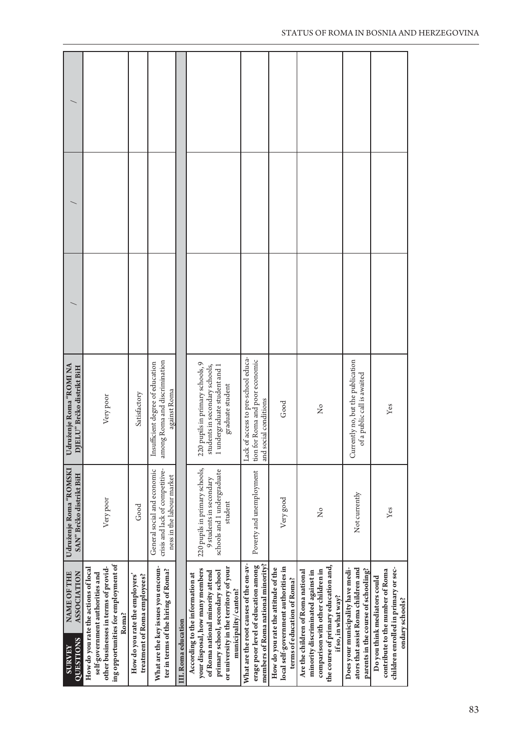| NAME OF THE<br><b>ASSOCIATION</b><br>QUESTIONS<br><b>SURVEY</b>                                                                                                                                             | Udruženje Roma "ROMSKI<br>SAN" Brčko distrikt BiH                                                   | Udruženje Roma "ROMINA<br>DJELU" Brčko distrikt BiH                                                                   |  |  |
|-------------------------------------------------------------------------------------------------------------------------------------------------------------------------------------------------------------|-----------------------------------------------------------------------------------------------------|-----------------------------------------------------------------------------------------------------------------------|--|--|
| ing opportunities for employment of<br>other businesses in terms of provid-<br>How do you rate the actions of local<br>self-government authorities and<br>Roma?                                             | Very poor                                                                                           | Very poor                                                                                                             |  |  |
| How do you rate the employers'<br>treatment of Roma employees?                                                                                                                                              | Good                                                                                                | Satisfactory                                                                                                          |  |  |
| What are the key issues you encoun-<br>ter in terms of the hiring of Roma?                                                                                                                                  | General social and economic<br>crisis and lack of competitive-<br>ness in the labour market         | among Roma and discrimination<br>Insufficient degree of education<br>against Roma                                     |  |  |
| III. Roma education                                                                                                                                                                                         |                                                                                                     |                                                                                                                       |  |  |
| or university in the territory of your<br>your disposal, how many members<br>of Romanational minority attend<br>primary school, secondary school<br>According to the information at<br>municipality/canton? | 220 pupils in primary schools,<br>schools and 1 undergraduate<br>9 students in secondary<br>student | 220 pupils in primary schools, 9<br>students in secondary schools,<br>undergraduate student and 1<br>graduate student |  |  |
| What are the root causes of the on-av-<br>erage poor level of education among<br>members of Roma national minority?                                                                                         | Poverty and unemployment                                                                            | Lack of access to pre-school educa-<br>tion for Roma and poor economic<br>social conditions<br>and                    |  |  |
| local self-government authorities in<br>How do you rate the attitude of the<br>terms of education of Roma?                                                                                                  | Very good                                                                                           | Good                                                                                                                  |  |  |
| the course of primary education and,<br>comparison with other children in<br>Are the children of Romanational<br>minority discriminated against in<br>if so, in what way?                                   | ż                                                                                                   | $\frac{1}{2}$                                                                                                         |  |  |
| ators that assist Roma children and<br>Does your municipality have medi-<br>parents in the course of schooling?                                                                                             | Not currently                                                                                       | Currently no, but the publication<br>of a public call is awaited                                                      |  |  |
| children enrolled in primary or sec-<br>contribute to the number of Roma<br>Do you think mediators could<br>ondary schools?                                                                                 | Yes                                                                                                 | Yes                                                                                                                   |  |  |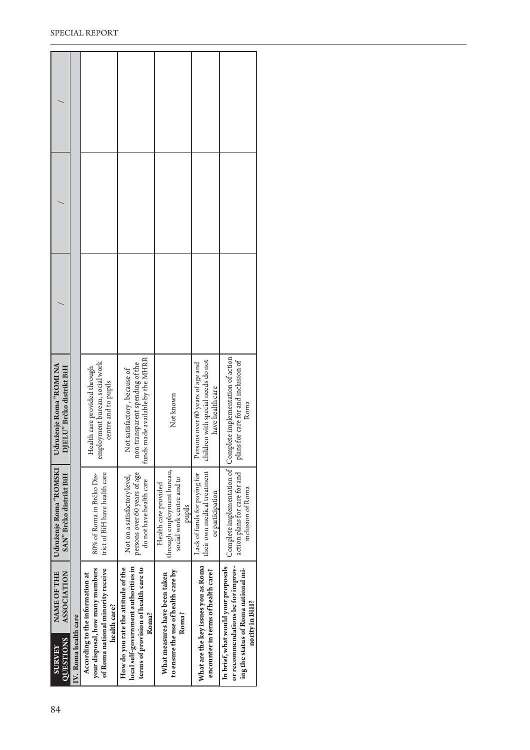| <b>QUESTIONS</b><br><b>SURVEY</b>                   | IV. Roma health care | your disposal, how many members<br>of Roma national minority receive<br>According to the information at<br>health care? | local self-government authorities in<br>How do you rate the attitude of the<br>terms of provision of health care to<br>Roma? | to ensure the use of health care by<br>What measures have been taken<br>Roma?             | What are the key issues you as Roma<br>encounter in terms of health care?                  | or recommendations be for improv-<br>In brief, what would your proposals<br>ing the status of Roma national mi-<br>nority in BiH? |  |  |
|-----------------------------------------------------|----------------------|-------------------------------------------------------------------------------------------------------------------------|------------------------------------------------------------------------------------------------------------------------------|-------------------------------------------------------------------------------------------|--------------------------------------------------------------------------------------------|-----------------------------------------------------------------------------------------------------------------------------------|--|--|
| NAME OF THE<br><b>ASSOCIATION</b>                   |                      |                                                                                                                         |                                                                                                                              |                                                                                           |                                                                                            |                                                                                                                                   |  |  |
| Udruženje Roma "ROMSKI<br>SAN" Brčko distrikt BiH   |                      | trict of BiH have health care<br>80% of Roma in Brčko Dis-                                                              | persons over 60 years of age<br>Not on a satisfactory level,<br>do not have health care                                      | through employment bureau,<br>social work centre and to<br>Health care provided<br>pupils | their own medical treatment<br>Lack of funds for paying for<br>or participation            | action plans for care for and<br>inclusion of Roma                                                                                |  |  |
| Udruženje Roma "ROMINA<br>DJELU" Brčko distrikt BiH |                      | employment bureau, social work<br>Health care provided through<br>centre and to pupils                                  | made available by the MHRR<br>non-transparent spending of the<br>lot satisfactory, because of<br>z<br>funds                  | Not known                                                                                 | children with special needs do not<br>Persons over 60 years of age and<br>have health care | Complete implementation of Complete implementation of action<br>plans for care for and inclusion of<br>Roma                       |  |  |
|                                                     |                      |                                                                                                                         |                                                                                                                              |                                                                                           |                                                                                            |                                                                                                                                   |  |  |
|                                                     |                      |                                                                                                                         |                                                                                                                              |                                                                                           |                                                                                            |                                                                                                                                   |  |  |
|                                                     |                      |                                                                                                                         |                                                                                                                              |                                                                                           |                                                                                            |                                                                                                                                   |  |  |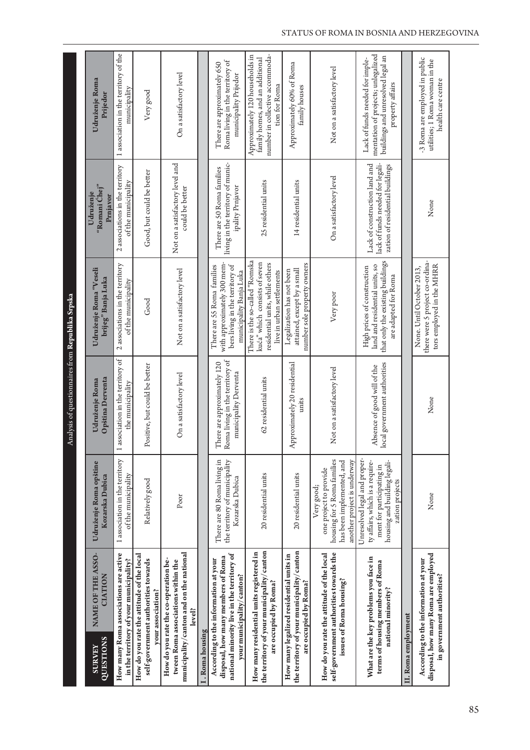Analysis of questionnaires from Republika Srpska Analysis of questionnaires from **Republika Srpska**

|                            |                                                                                                                                                       |                                                                                                                                                 |                                                                                         |                                                                                                                                 | Udruženje                                                                                            |                                                                                                                                |
|----------------------------|-------------------------------------------------------------------------------------------------------------------------------------------------------|-------------------------------------------------------------------------------------------------------------------------------------------------|-----------------------------------------------------------------------------------------|---------------------------------------------------------------------------------------------------------------------------------|------------------------------------------------------------------------------------------------------|--------------------------------------------------------------------------------------------------------------------------------|
| QUESTIONS<br><b>SURVEY</b> | <b>NAME OF THE ASSO-</b><br><b>CIATION</b>                                                                                                            | Udruženje Roma opštine<br>Kozarska Dubica                                                                                                       | Opština Derventa<br>Udruženje Roma                                                      | Udruženje Roma "Veseli<br>brijeg" Banja Luka                                                                                    | "Romani Chej"<br>Prnjavor                                                                            | Udruženje Roma<br>Prijedor                                                                                                     |
|                            | How many Roma associations are active<br>in the territory of your municipality?                                                                       | 1 association in the territory<br>of the municipality                                                                                           | association in the territory of<br>the municipality<br>$\overline{a}$                   | 2 associations in the territory<br>of the municipality                                                                          | 2 associations in the territory<br>of the municipality                                               | 1 association in the territory of the<br>municipality                                                                          |
|                            | How do you rate the attitude of the local<br>self-government authorities towards<br>your association?                                                 | Relatively good                                                                                                                                 | Positive, but could be better                                                           | Good                                                                                                                            | Good, but could be better                                                                            | Very good                                                                                                                      |
|                            | municipality/canton and on the national<br>How do you rate the co-operation be-<br>tween Roma associations within the<br>level?                       | Poor                                                                                                                                            | On a satisfactory level                                                                 | Not on a satisfactory level                                                                                                     | Not on a satisfactory level and<br>could be better                                                   | On a satisfactory level                                                                                                        |
| I. Roma housing            |                                                                                                                                                       |                                                                                                                                                 |                                                                                         |                                                                                                                                 |                                                                                                      |                                                                                                                                |
|                            | national minority live in the territory of<br>disposal, how many members of Roma<br>According to the information at your<br>your municipality/canton? | There are 80 Roma living in<br>the territory of municipality<br>Kozarska Dubica                                                                 | Roma living in the territory of<br>There are approximately 120<br>municipality Derventa | with approximately 300 mem-<br>bers living in the territory of<br>There are 55 Roma families<br>municipality Banja Luka         | living in the territory of munic-<br>There are 50 Roma families<br>ipality Prnjavor                  | Roma living in the territory of<br>There are approximately 650<br>municipality Prijedor                                        |
|                            | the territory of your municipality/canton<br>How many residential units registered in<br>are occupied by Roma?                                        | 20 residential units                                                                                                                            | 62 residential units                                                                    | There is the so-called "Romska<br>kuća" which consists of seven<br>residential units, while others<br>live in urban settlements | 25 residential units                                                                                 | number in collective accommoda-<br>Approximately 120 households in<br>family homes, and an additional<br>tion for Roma         |
|                            | the territory of your municipality/canton<br>How many legalized residential units in<br>are occupied by Roma?                                         | 20 residential units                                                                                                                            | Approximately 20 residential<br>units                                                   | number sole property owners<br>attained, except by a small<br>Legalization has not been                                         | 14 residential units                                                                                 | Approximately 60% of Roma<br>family houses                                                                                     |
|                            | self-government authorities towards the<br>How do you rate the attitude of the local<br>issues of Roma housing?                                       | housing for 5 Roma families<br>another project is underway<br>has been implemented, and<br>one project to provide<br>Very good;                 | Not on a satisfactory level                                                             | Very poor                                                                                                                       | On a satisfactory level                                                                              | Not on a satisfactory level                                                                                                    |
|                            | What are the key problems you face in<br>terms of housing members of Roma<br>national minority?                                                       | Unresolved legal and proper-<br>ty affairs, which is a require-<br>housing and building legali-<br>ment for participating in<br>zation projects | ocal government authorities<br>Absence of good will of the                              | that only the existing buildings<br>land and residential units, so<br>High prices of construction<br>are adapted for Roma       | lack of funds needed for legali-<br>Lack of construction land and<br>zation of residential buildings | mentation of projects; unlegalized<br>buildings and unresolved legal an<br>Lack of funds needed for imple-<br>property affairs |
| II. Roma employment        |                                                                                                                                                       |                                                                                                                                                 |                                                                                         |                                                                                                                                 |                                                                                                      |                                                                                                                                |
|                            | disposal, how many Roma are employed<br>According to the information at your<br>in government authorities?                                            | None                                                                                                                                            | None                                                                                    | there were 5 project co-ordina-<br>tors employed in the MHRR<br>None. Until October 2013,                                       | None                                                                                                 | -3 Roma are employed in public<br>utilities; 1 Roma woman in the<br>health care centre                                         |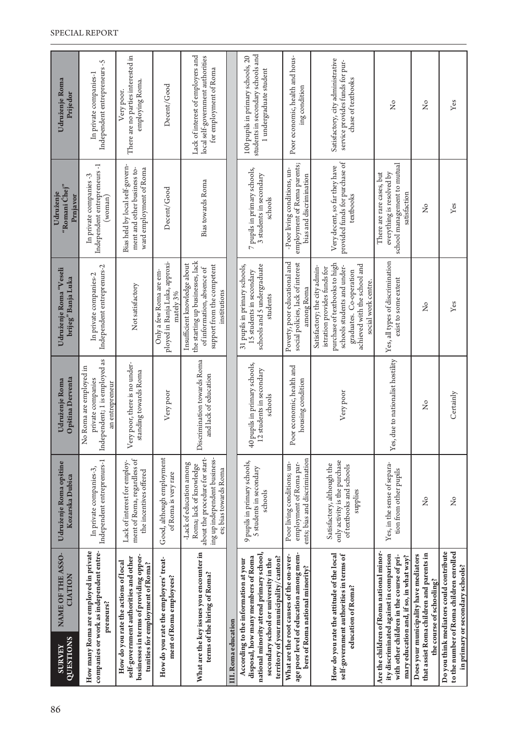| 86 | <b>QUESTIONS</b><br><b>SURVEY</b> | NAME OF THE ASSO-<br><b>CIATION</b>                                                                                                                                                                       | Udruženje Roma opštine<br>Kozarska Dubica                                                                                                      | Opština Derventa<br>Udruženje Roma                                                               | Udruženje Roma "Veseli<br>brijeg" Banja Luka                                                                                                                                                                    | "Romani Chej"<br>Udruženje<br>Prnjavor                                                                | Udruženje Roma<br>Prijedor                                                                        |
|----|-----------------------------------|-----------------------------------------------------------------------------------------------------------------------------------------------------------------------------------------------------------|------------------------------------------------------------------------------------------------------------------------------------------------|--------------------------------------------------------------------------------------------------|-----------------------------------------------------------------------------------------------------------------------------------------------------------------------------------------------------------------|-------------------------------------------------------------------------------------------------------|---------------------------------------------------------------------------------------------------|
|    |                                   | How many Roma are employed in private<br>companies or work as independent entre-<br>preneurs?                                                                                                             | Independent entreprenurs-1<br>In private companies-3,                                                                                          | Independent; 1 is employed as<br>No Roma are employed in<br>private companies<br>an entrepreneur | Independent entreprenurs-2<br>In private companies-2                                                                                                                                                            | Independent entrepreneurs -1<br>In private companies -3<br>(woman)                                    | Independent entrepreneurs -5<br>In private companies-1                                            |
|    |                                   | businesses in terms of providing oppor-<br>self-government authorities and other<br>How do you rate the actions of local<br>tunities for employment of Roma?                                              | ment of Roma, regardless of<br>Lack of interest for employ-<br>the incentives offered                                                          | Very poor, there is no under-<br>standing towards Roma                                           | Not satisfactory                                                                                                                                                                                                | Bias held by local self-govern-<br>ment and other business to-<br>ward employment of Roma             | There are no parties interested in<br>employing Roma.<br>Very poor.                               |
|    |                                   | How do you rate the employers' treat-<br>ment of Roma employees?                                                                                                                                          | Good, although employment<br>of Roma is very rare                                                                                              | Very poor                                                                                        | ployed in Banja Luka, approxi-<br>Only a few Roma are em-<br>mately 3%                                                                                                                                          | Decent/Good                                                                                           | Decent/Good                                                                                       |
|    |                                   | What are the key issues you encounter in<br>terms of the hiring of Roma?                                                                                                                                  | about the procedure for start-<br>ing up independent business-<br>-Lack of education among<br>Roma; lack of knowledge<br>es; bias towards Roma | Discrimination towards Roma<br>and lack of education                                             | the starting up businesses, lack<br>Insufficient knowledge about<br>support from the competent<br>of information, absence of<br>institutions                                                                    | <b>Bias towards Roma</b>                                                                              | Lack of interest of employers and<br>local self-government authorities<br>for employment of Roma  |
|    | III. Roma education               |                                                                                                                                                                                                           |                                                                                                                                                |                                                                                                  |                                                                                                                                                                                                                 |                                                                                                       |                                                                                                   |
|    |                                   | national minority attend primary school,<br>territory of your municipality/canton?<br>disposal, how many members of Roma<br>secondary school or university in the<br>According to the information at your | 9 pupils in primary schools,<br>5 students in secondary<br>schools                                                                             | 40 pupils in primary schools,<br>12 students in secondary<br>schools                             | schools and 5 undergraduate<br>31 pupils in primary schools,<br>15 students in secondary<br>students                                                                                                            | 7 pupils in primary schools,<br>3 students in secondary<br>schools                                    | students in secondary schools and<br>100 pupils in primary schools, 20<br>1 undergraduate student |
|    |                                   | age poor level of education among mem-<br>What are the root causes of the on-aver-<br>bers of Roma national minority?                                                                                     | ents; bias and discrimination<br>employment of Roma par-<br>Poor living conditions; un-                                                        | Poor economic, health and<br>housing condition                                                   | Poverty, poor educational and<br>social policies, lack of interest<br>among Roma                                                                                                                                | employment of Roma parents;<br>-Poor living conditions, un-<br>bias and discrimination                | Poor economic, health and hous-<br>ing condition                                                  |
|    |                                   | How do you rate the attitude of the local<br>self-government authorities in terms of<br>education of Roma?                                                                                                | only activity is the purchase<br>Satisfactory, although the<br>of textbooks and schools<br>supplies                                            | Very poor                                                                                        | purchase of textbooks to high<br>achieved with the school and<br>schools students and under-<br>Satisfactory; the city admin-<br>istration provides funds for<br>graduates. Co-operation<br>social work centre. | provided funds for purchase of<br>Very decent, so far they have<br>textbooks                          | Satisfactory, city administrative<br>service provides funds for pur-<br>chase of textbooks        |
|    |                                   | Are the children of Roma national minor-<br>ity discriminated against in comparison<br>with other children in the course of pri-<br>mary education and, if so, in what way?                               | Yes, in the sense of separa-<br>tion from other pupils                                                                                         | es, due to nationalist hostility                                                                 | Yes, all types of discrimination<br>exist to some extent                                                                                                                                                        | school management to mutual<br>everything is resolved by<br>There are rare cases, but<br>satisfaction | $\overline{a}$                                                                                    |
|    |                                   | that assist Roma children and parents in<br>Does your municipality have mediators<br>the course of schooling?                                                                                             | ž                                                                                                                                              | $\tilde{z}$                                                                                      | $\tilde{Z}$                                                                                                                                                                                                     | $\mathsf{S}^{\mathsf{o}}$                                                                             | $\tilde{Z}$                                                                                       |
|    |                                   | Do you think mediators could contribute<br>to the number of Roma children enrolled<br>in primary or secondary schools?                                                                                    | ż                                                                                                                                              | Certainly                                                                                        | Yes                                                                                                                                                                                                             | Yes                                                                                                   | Yes                                                                                               |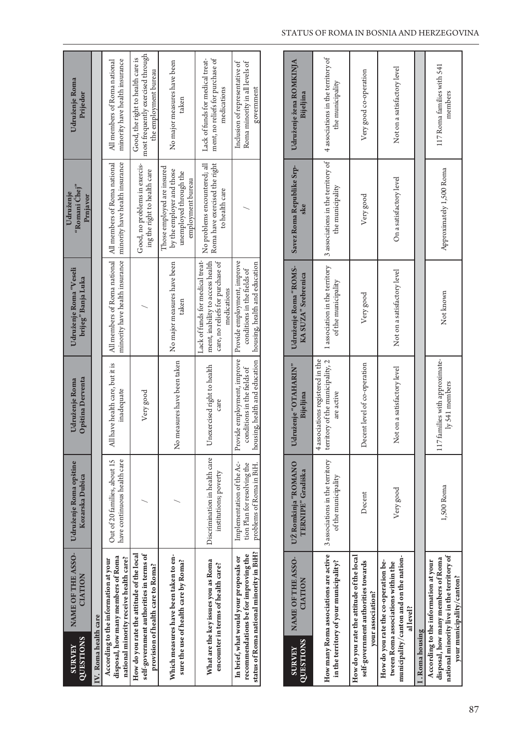| government<br>medications<br>taken<br>All members of Roma national   All members of Roma national<br>minority have health insurance   minority have health insurance<br>No problems encountered; all<br>Good, no problems in exercis-<br>Roma have exercised the right<br>Those employed are insured<br>by the employer and those<br>ing the right to health care<br>unemployed through the<br>employment bureau<br>to health care<br>Lack of funds for medical treat-<br>ment, inability to access health<br>care, no reliefs for purchase of<br>Provide employment, improve<br>No major measures have been<br>housing, health and education<br>conditions in the fields of<br>medications<br>taken<br>Provide employment, improve<br>housing, health and education<br>No measures have been taken<br>All have health care, but it is<br>Unexercised right to health<br>conditions in the fields of<br>inadequate<br>Very good<br>care<br>Discrimination in health care<br>Out of 20 families, about 15<br>have continuous health care<br>Implementation of the Ac-<br>tion Plan for resolving the<br>problems of Roma in BiH.<br>institutions; poverty<br>self-government authorities in terms of<br>How do you rate the attitude of the local<br>disposal, how many members of Roma<br>In brief, what would your proposals or<br>national minority receive health care?<br>According to the information at your<br>What are the key issues you as Roma<br>sure the use of health care by Roma?<br>encounter in terms of health care?<br>provision of health care to Roma?<br>IV. Roma health care | QUESTIONS<br><b>ZEANEY</b> | NAME OF THE ASSO-<br>CIATION | Udruženje Roma opštine<br>Kozarska Dubica | Opština Derventa<br>Udruženje Roma | Udruženje Roma "Veseli<br>brijeg" Banja Luka | "Romani Chej"<br>Udruženje<br>Prnjavor | Udruženje Roma<br>Prijedor                                                                      |
|------------------------------------------------------------------------------------------------------------------------------------------------------------------------------------------------------------------------------------------------------------------------------------------------------------------------------------------------------------------------------------------------------------------------------------------------------------------------------------------------------------------------------------------------------------------------------------------------------------------------------------------------------------------------------------------------------------------------------------------------------------------------------------------------------------------------------------------------------------------------------------------------------------------------------------------------------------------------------------------------------------------------------------------------------------------------------------------------------------------------------------------------------------------------------------------------------------------------------------------------------------------------------------------------------------------------------------------------------------------------------------------------------------------------------------------------------------------------------------------------------------------------------------------------------------------------------------------------------|----------------------------|------------------------------|-------------------------------------------|------------------------------------|----------------------------------------------|----------------------------------------|-------------------------------------------------------------------------------------------------|
|                                                                                                                                                                                                                                                                                                                                                                                                                                                                                                                                                                                                                                                                                                                                                                                                                                                                                                                                                                                                                                                                                                                                                                                                                                                                                                                                                                                                                                                                                                                                                                                                      |                            |                              |                                           |                                    |                                              |                                        |                                                                                                 |
|                                                                                                                                                                                                                                                                                                                                                                                                                                                                                                                                                                                                                                                                                                                                                                                                                                                                                                                                                                                                                                                                                                                                                                                                                                                                                                                                                                                                                                                                                                                                                                                                      |                            |                              |                                           |                                    |                                              |                                        | minority have health insurance<br>All members of Roma national                                  |
| Which measures have been taken to en-                                                                                                                                                                                                                                                                                                                                                                                                                                                                                                                                                                                                                                                                                                                                                                                                                                                                                                                                                                                                                                                                                                                                                                                                                                                                                                                                                                                                                                                                                                                                                                |                            |                              |                                           |                                    |                                              |                                        | most frequently exercised through<br>Good, the right to health care is<br>the employment bureau |
|                                                                                                                                                                                                                                                                                                                                                                                                                                                                                                                                                                                                                                                                                                                                                                                                                                                                                                                                                                                                                                                                                                                                                                                                                                                                                                                                                                                                                                                                                                                                                                                                      |                            |                              |                                           |                                    |                                              |                                        | No major measures have been                                                                     |
| status of Roma national minority in BiH?<br>recommendations be for improving the                                                                                                                                                                                                                                                                                                                                                                                                                                                                                                                                                                                                                                                                                                                                                                                                                                                                                                                                                                                                                                                                                                                                                                                                                                                                                                                                                                                                                                                                                                                     |                            |                              |                                           |                                    |                                              |                                        | Lack of funds for medical treat-<br>ment, no reliefs for purchase of                            |
|                                                                                                                                                                                                                                                                                                                                                                                                                                                                                                                                                                                                                                                                                                                                                                                                                                                                                                                                                                                                                                                                                                                                                                                                                                                                                                                                                                                                                                                                                                                                                                                                      |                            |                              |                                           |                                    |                                              |                                        | Inclusion of representative of<br>Roma minority in all levels of                                |

| <b>QUESTIONS</b><br><b>ZEANEA</b> | NAME OF THE ASSO-<br>CIATION                                                                                                                          | UŽ Romkinja "ROMANO<br>TERNIPE" Gradiška               | Udruženje "OTAHARIN"<br>Bijeljina                                                  | Udruženje Roma "ROMS-<br>KA SUZA" Srebrenica          | Savez Roma Republike Srp-<br>ske                       | Udruženje žena ROMKINJA<br>Bijeljina                   |
|-----------------------------------|-------------------------------------------------------------------------------------------------------------------------------------------------------|--------------------------------------------------------|------------------------------------------------------------------------------------|-------------------------------------------------------|--------------------------------------------------------|--------------------------------------------------------|
|                                   | How many Roma associations are active<br>in the territory of your municipality?                                                                       | 3 associations in the territory<br>of the municipality | territory of the municipality, 2<br>4 associations registered in the<br>are active | 1 association in the territory<br>of the municipality | 3 associations in the territory of<br>the municipality | 4 associations in the territory of<br>the municipality |
|                                   | How do you rate the attitude of the local<br>self-government authorities towards<br>your association?                                                 | Decent                                                 | Decent level of co-operation                                                       | Very good                                             | Very good                                              | Very good co-operation                                 |
|                                   | municipality/canton and on the nation-<br>How do you rate the co-operation be-<br>tween Roma associations within the<br>allevel?                      | Very good                                              | Not on a satisfactory level                                                        | Not on a satisfactory level                           | On a satisfactory level                                | Not on a satisfactory level                            |
| . Roma housing                    |                                                                                                                                                       |                                                        |                                                                                    |                                                       |                                                        |                                                        |
|                                   | national minority live in the territory of<br>disposal, how many members of Roma<br>According to the information at your<br>your municipality/canton? | 1,500 Roma                                             | 117 families with approximate-<br>ly 541 members                                   | Not known                                             | Approximately 1,500 Roma                               | 117 Roma families with 541<br>members                  |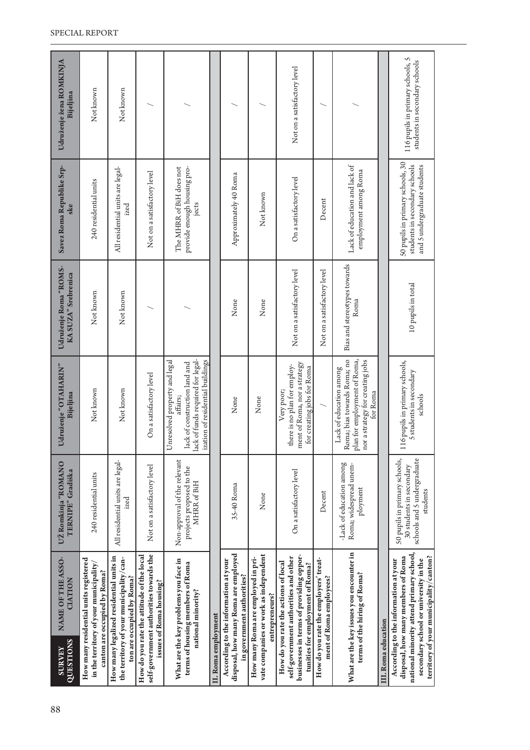| 88 | QUESTIONS<br><b>ZEANEY</b> | NAME OF THE ASSO-<br><b>CIATION</b>                                                                                                                                                                       | UŽ Romkinja "ROMANO<br>TERNIPE" Gradiška                                                             | Udruženje "OTAHARIN"<br>Bijeljina                                                                                                                        | Udruženje Roma "ROMS-<br>KA SUZA" Srebrenica | Savez Roma Republike Srp-<br>ske                                                                  | Udruženje žena ROMKINJA<br>Bijeljina                              |
|----|----------------------------|-----------------------------------------------------------------------------------------------------------------------------------------------------------------------------------------------------------|------------------------------------------------------------------------------------------------------|----------------------------------------------------------------------------------------------------------------------------------------------------------|----------------------------------------------|---------------------------------------------------------------------------------------------------|-------------------------------------------------------------------|
|    |                            | How many residential units registered<br>in the territory of your municipality<br>canton are occupied by Roma?                                                                                            | 240 residential units                                                                                | Not known                                                                                                                                                | Not known                                    | 240 residential units                                                                             | Not known                                                         |
|    |                            | How many legalized residential units in<br>the territory of your municipality/can-<br>ton are occupied by Roma?                                                                                           | All residential units are legal-<br>ized                                                             | Not known                                                                                                                                                | Not known                                    | All residential units are legal-<br>ized                                                          | Not known                                                         |
|    |                            | self-government authorities towards the<br>How do you rate the attitude of the local<br>issues of Roma housing?                                                                                           | Not on a satisfactory level                                                                          | On a satisfactory level                                                                                                                                  |                                              | Not on a satisfactory level                                                                       |                                                                   |
|    |                            | What are the key problems you face in<br>terms of housing members of Roma<br>national minority?                                                                                                           | Non-approval of the relevant<br>projects proposed to the<br>MHRR of BiH                              | lack of funds required for legal-<br>Inresolved property and legal<br>ization of residential buildings<br>lack of construction land and<br>affairs;<br>⊃ |                                              | provide enough housing pro-<br>The MHRR of BiH does not<br>jects                                  |                                                                   |
|    | II. Roma employment        |                                                                                                                                                                                                           |                                                                                                      |                                                                                                                                                          |                                              |                                                                                                   |                                                                   |
|    |                            | disposal, how many Roma are employed<br>According to the information at your<br>in government authorities?                                                                                                | 35-40 Roma                                                                                           | None                                                                                                                                                     | None                                         | Approximately 40 Roma                                                                             |                                                                   |
|    |                            | vate companies or work as independent<br>How many Roma are employed in pri-<br>entrepreneurs?                                                                                                             | None                                                                                                 | None                                                                                                                                                     | None                                         | Not known                                                                                         |                                                                   |
|    |                            | businesses in terms of providing oppor-<br>self-government authorities and other<br>How do you rate the actions of local<br>tunities for employment of Roma?                                              | On a satisfactory level                                                                              | ment of Roma, nor a strategy<br>there is no plan for employ-<br>for creating jobs for Roma<br>Very poor;                                                 | Not on a satisfactory level                  | On a satisfactory level                                                                           | Not on a satisfactory level                                       |
|    |                            | How do you rate the employers' treat-<br>ment of Roma employees?                                                                                                                                          | Decent                                                                                               |                                                                                                                                                          | Not on a satisfactory level                  | Decent                                                                                            |                                                                   |
|    |                            | What are the key issues you encounter in<br>terms of the hiring of Roma?                                                                                                                                  | -Lack of education among<br>Roma; widespread unem-<br>ployment                                       | Roma; bias towards Roma; no<br>plan for employment of Roma,<br>nor a strategy for creating jobs<br>Lack of education among<br>for Roma                   | Bias and stereotypes towards<br>Roma         | Lack of education and lack of<br>employment among Roma                                            |                                                                   |
|    | III. Roma education        |                                                                                                                                                                                                           |                                                                                                      |                                                                                                                                                          |                                              |                                                                                                   |                                                                   |
|    |                            | national minority attend primary school,<br>disposal, how many members of Roma<br>territory of your municipality/canton?<br>secondary school or university in the<br>According to the information at your | 50 pupils in primary schools,<br>schools and 5 undergraduate<br>30 students in secondary<br>students | 116 pupils in primary schools,<br>5 students in secondary<br>schools                                                                                     | 10 pupils in total                           | 50 pupils in primary schools, 30<br>students in secondary schools<br>and 5 undergraduate students | 116 pupils in primary schools, 5<br>students in secondary schools |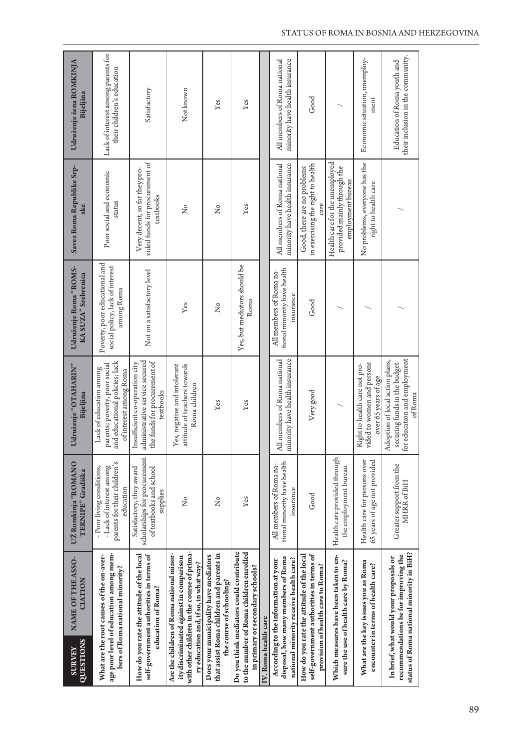| QUESTIONS<br><b>SURVEY</b> | NAME OF THE ASSO-<br>CIATION                                                                                                                                                | UŽ Romkinja "ROMANO<br>TERNIPE" Gradiška                                                           | Udruženje "OTAHARIN"<br>Bijeljina                                                                                    | Udruženje Roma "ROMS-<br>KA SUZA" Srebrenica                                   | Savez Roma Republike Srp-<br>ske                                                   | Udruženje žena ROMKINJA<br>Bijeljina                             |
|----------------------------|-----------------------------------------------------------------------------------------------------------------------------------------------------------------------------|----------------------------------------------------------------------------------------------------|----------------------------------------------------------------------------------------------------------------------|--------------------------------------------------------------------------------|------------------------------------------------------------------------------------|------------------------------------------------------------------|
|                            | age poor level of education among mem-<br>What are the root causes of the on-aver-<br>bers of Roma national minority?                                                       | parents for their children's<br>- Lack of interest among<br>- Poor living conditions,<br>education | and educational policies; lack<br>parents; poverty, poor social<br>Lack of education among<br>of interest among Roma | Poverty, poor educational and<br>social policy, lack of interest<br>among Roma | Poor social and economic<br>status                                                 | Lack of interest among parents for<br>their children's education |
|                            | How do you rate the attitude of the local<br>self-government authorities in terms of<br>education of Roma?                                                                  | scholarships for procurement<br>Satisfactory, they award<br>of textbooks and school<br>supplies    | administrative service secured<br>the funds for procurement of<br>Insufficient co-operation city<br>textbooks        | Not on a satisfactory level                                                    | vided funds for procurement of<br>Very decent, so far they pro-<br>textbooks       | Satisfactory                                                     |
|                            | with other children in the course of prima-<br>Are the children of Roma national minor-<br>ity discriminated against in comparison<br>ry education and, if so, in what way? | ž                                                                                                  | Yes, negative and intolerant<br>attitude of teachers towards<br>Roma children                                        | Yes                                                                            | ż                                                                                  | Not known                                                        |
|                            | that assist Roma children and parents in<br>Does your municipality have mediators<br>the course of schooling?                                                               | 2                                                                                                  | Yes                                                                                                                  | $\tilde{z}$                                                                    | ž                                                                                  | Yes                                                              |
|                            | Do you think mediators could contribute<br>to the number of Roma children enrolled<br>in primary or secondary schools?                                                      | Yes                                                                                                | Yes                                                                                                                  | Yes, but mediators should be<br>Roma                                           | Yes                                                                                | Yes                                                              |
| IV. Roma health care       |                                                                                                                                                                             |                                                                                                    |                                                                                                                      |                                                                                |                                                                                    |                                                                  |
|                            | disposal, how many members of Roma<br>national minority receive health care?<br>According to the information at your                                                        | tional minority have health<br>All members of Roma na-<br>insurance                                | minority have health insurance<br>All members of Roma national                                                       | tional minority have health<br>All members of Roma na-<br>insurance            | minority have health insurance<br>All members of Roma national                     | minority have health insurance<br>All members of Roma national   |
|                            | How do you rate the attitude of the local<br>self-government authorities in terms of<br>provision of health care to Roma?                                                   | Good                                                                                               | Very good                                                                                                            | Good                                                                           | in exercising the right to health<br>Good, there are no problems<br>care           | Good                                                             |
|                            | Which measures have been taken to en-<br>sure the use of health care by Roma?                                                                                               | Health care provided through<br>the employment bureau                                              |                                                                                                                      |                                                                                | Health care for the unemployed<br>provided mainly through the<br>employment bureau |                                                                  |
|                            | What are the key issues you as Roma<br>encounter in terms of health care?                                                                                                   | Health care for persons over<br>65 years of age not provided                                       | vided to women and persons<br>Right to health care not pro-<br>over 65 years of age                                  |                                                                                | No problems, everyone has the<br>right to health care                              | Economic situation, unemploy-<br>ment                            |
|                            | status of Roma national minority in BiH?<br>recommendations be for improving the<br>In brief, what would your proposals or                                                  | Greater support from the<br>MHRR of BiH                                                            | for education and employment<br>Adoption of local action plans,<br>securing funds in the budget<br>ofRoma            |                                                                                |                                                                                    | their inclusion in the community.<br>Education of Roma youth and |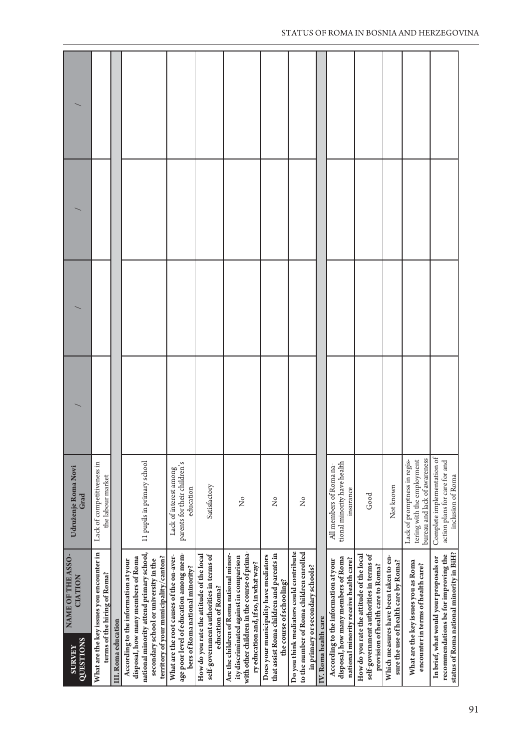| Udruženje Roma Novi<br>Grad                                       | Lack of competitiveness in<br>the labour market                          |                     | 11 pupils in primary school                                                                                                                                                                               | parents for their children's<br>Lack of interest among<br>education                                                   | Satisfactory                                                                                               | ż                                                                                                                                                                           | å                                                                                                             | ž                                                                                                                      |                      | tional minority have health<br>All members of Roma na-<br>insurance                                                  | Good                                                                                                                      | Not known                                                                     | bureau and lack of awareness<br>tering with the employment<br>Lack of promptness in regis- | Complete implementation of<br>action plans for care for and<br>inclusion of Roma                                           |
|-------------------------------------------------------------------|--------------------------------------------------------------------------|---------------------|-----------------------------------------------------------------------------------------------------------------------------------------------------------------------------------------------------------|-----------------------------------------------------------------------------------------------------------------------|------------------------------------------------------------------------------------------------------------|-----------------------------------------------------------------------------------------------------------------------------------------------------------------------------|---------------------------------------------------------------------------------------------------------------|------------------------------------------------------------------------------------------------------------------------|----------------------|----------------------------------------------------------------------------------------------------------------------|---------------------------------------------------------------------------------------------------------------------------|-------------------------------------------------------------------------------|--------------------------------------------------------------------------------------------|----------------------------------------------------------------------------------------------------------------------------|
| NAME OF THE ASSO-<br><b>CIATION</b><br>QUESTIONS<br><b>SURVEY</b> | What are the key issues you encounter in<br>terms of the hiring of Roma? | III. Roma education | national minority attend primary school,<br>territory of your municipality/canton?<br>disposal, how many members of Roma<br>secondary school or university in the<br>According to the information at your | age poor level of education among mem-<br>What are the root causes of the on-aver-<br>bers of Roma national minority? | How do you rate the attitude of the local<br>self-government authorities in terms of<br>education of Roma? | with other children in the course of prima-<br>Are the children of Roma national minor-<br>ity discriminated against in comparison<br>ry education and, if so, in what way? | that assist Roma children and parents in<br>Does your municipality have mediators<br>the course of schooling? | Do you think mediators could contribute<br>to the number of Roma children enrolled<br>in primary or secondary schools? | IV. Roma health care | disposal, how many members of Roma<br>national minority receive health care?<br>According to the information at your | self-government authorities in terms of<br>How do you rate the attitude of the local<br>provision of health care to Roma? | Which measures have been taken to en-<br>sure the use of health care by Roma? | What are the key issues you as Roma<br>encounter in terms of health care?                  | status of Roma national minority in BiH?<br>recommendations be for improving the<br>In brief, what would your proposals or |